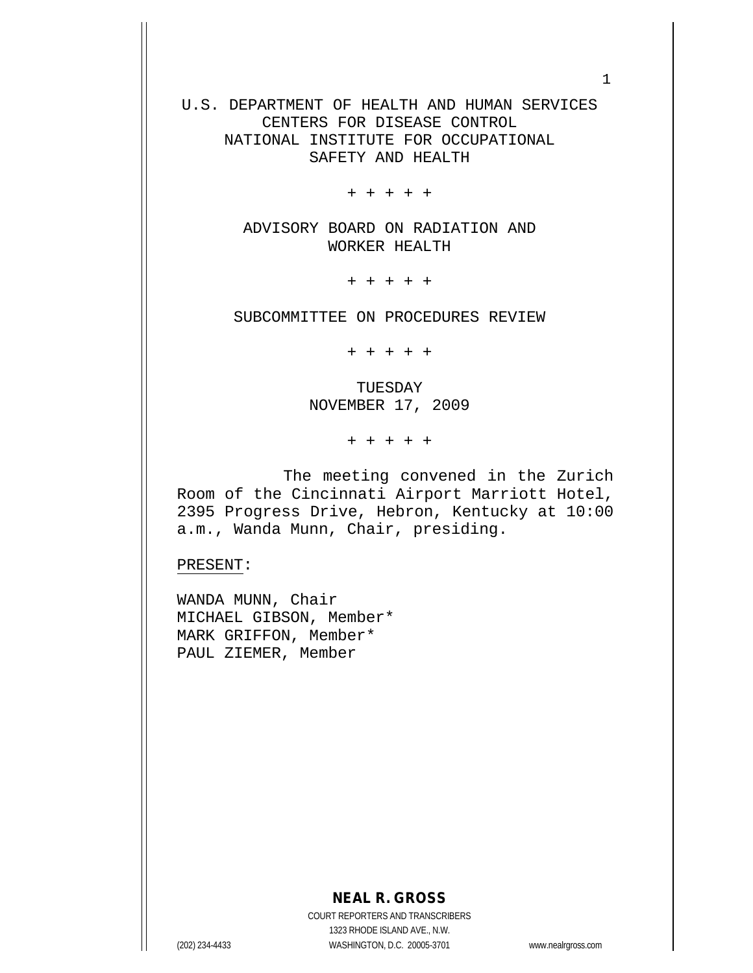U.S. DEPARTMENT OF HEALTH AND HUMAN SERVICES CENTERS FOR DISEASE CONTROL NATIONAL INSTITUTE FOR OCCUPATIONAL SAFETY AND HEALTH

+ + + + +

ADVISORY BOARD ON RADIATION AND WORKER HEALTH

+ + + + +

SUBCOMMITTEE ON PROCEDURES REVIEW

+ + + + +

TUESDAY NOVEMBER 17, 2009

+ + + + +

The meeting convened in the Zurich Room of the Cincinnati Airport Marriott Hotel, 2395 Progress Drive, Hebron, Kentucky at 10:00 a.m., Wanda Munn, Chair, presiding.

PRESENT:

WANDA MUNN, Chair MICHAEL GIBSON, Member\* MARK GRIFFON, Member\* PAUL ZIEMER, Member

## **NEAL R. GROSS**

COURT REPORTERS AND TRANSCRIBERS 1323 RHODE ISLAND AVE., N.W. (202) 234-4433 WASHINGTON, D.C. 20005-3701 www.nealrgross.com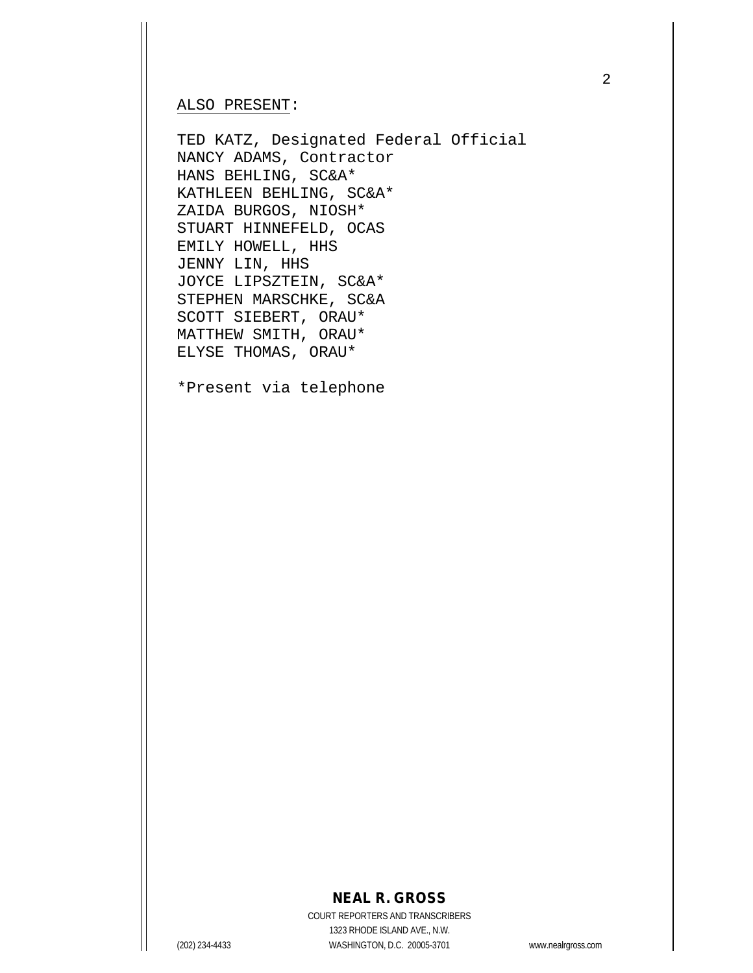#### ALSO PRESENT:

TED KATZ, Designated Federal Official NANCY ADAMS, Contractor HANS BEHLING, SC&A\* KATHLEEN BEHLING, SC&A\* ZAIDA BURGOS, NIOSH\* STUART HINNEFELD, OCAS EMILY HOWELL, HHS JENNY LIN, HHS JOYCE LIPSZTEIN, SC&A\* STEPHEN MARSCHKE, SC&A SCOTT SIEBERT, ORAU\* MATTHEW SMITH, ORAU\* ELYSE THOMAS, ORAU\*

\*Present via telephone

### **NEAL R. GROSS**

COURT REPORTERS AND TRANSCRIBERS 1323 RHODE ISLAND AVE., N.W. (202) 234-4433 WASHINGTON, D.C. 20005-3701 www.nealrgross.com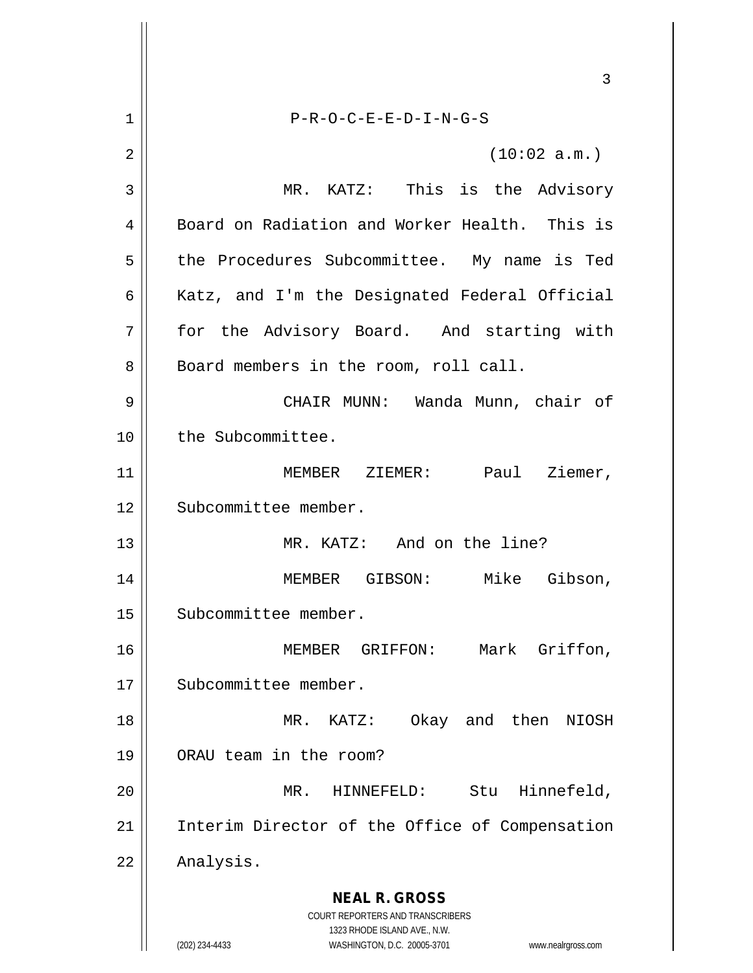**NEAL R. GROSS** COURT REPORTERS AND TRANSCRIBERS 1323 RHODE ISLAND AVE., N.W. (202) 234-4433 WASHINGTON, D.C. 20005-3701 www.nealrgross.com 3 1 P-R-O-C-E-E-D-I-N-G-S  $2 \parallel$  (10:02 a.m.) 3 MR. KATZ: This is the Advisory 4 Board on Radiation and Worker Health. This is 5 | the Procedures Subcommittee. My name is Ted 6 | Katz, and I'm the Designated Federal Official 7 for the Advisory Board. And starting with 8 | Board members in the room, roll call. 9 CHAIR MUNN: Wanda Munn, chair of 10 | the Subcommittee. 11 || **MEMBER ZIEMER:** Paul Ziemer, 12 || Subcommittee member. 13 MR. KATZ: And on the line? 14 MEMBER GIBSON: Mike Gibson, 15 | Subcommittee member. 16 || MEMBER GRIFFON: Mark Griffon, 17 || Subcommittee member. 18 MR. KATZ: Okay and then NIOSH 19 ORAU team in the room? 20 MR. HINNEFELD: Stu Hinnefeld, 21 || Interim Director of the Office of Compensation 22 | Analysis.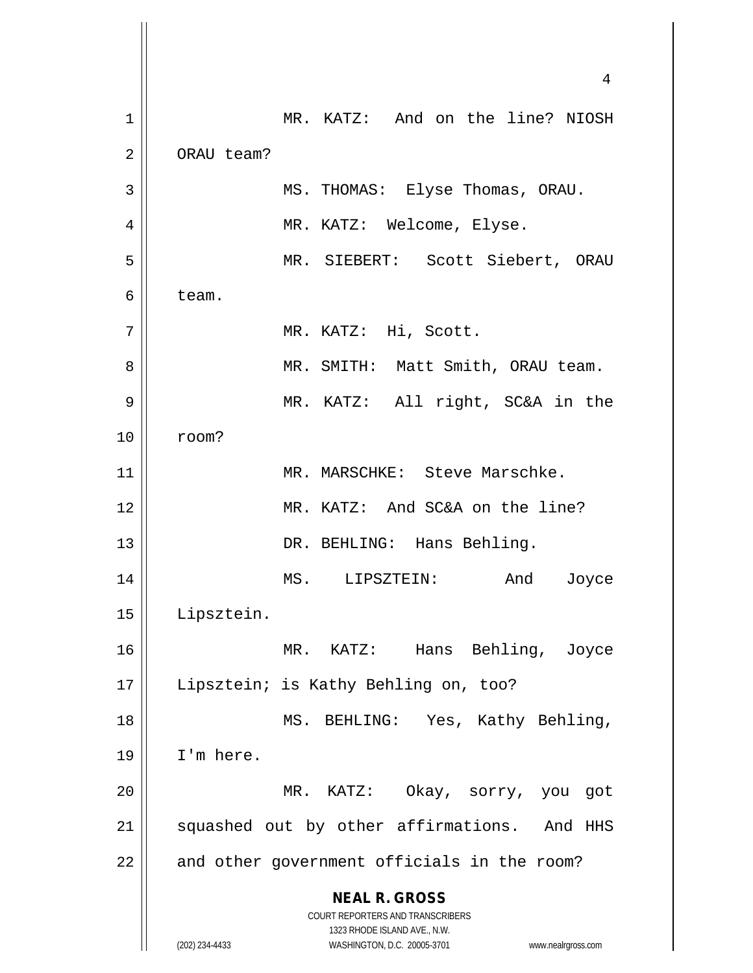**NEAL R. GROSS** COURT REPORTERS AND TRANSCRIBERS 1323 RHODE ISLAND AVE., N.W. (202) 234-4433 WASHINGTON, D.C. 20005-3701 www.nealrgross.com 4 1 MR. KATZ: And on the line? NIOSH 2 | ORAU team? 3 MS. THOMAS: Elyse Thomas, ORAU. 4 MR. KATZ: Welcome, Elyse. 5 MR. SIEBERT: Scott Siebert, ORAU  $6 \parallel$  team. 7 || MR. KATZ: Hi, Scott. 8 MR. SMITH: Matt Smith, ORAU team. 9 MR. KATZ: All right, SC&A in the 10 room? 11 || MR. MARSCHKE: Steve Marschke. 12 MR. KATZ: And SC&A on the line? 13 || DR. BEHLING: Hans Behling. 14 MS. LIPSZTEIN: And Joyce 15 Lipsztein. 16 MR. KATZ: Hans Behling, Joyce 17 || Lipsztein; is Kathy Behling on, too? 18 || MS. BEHLING: Yes, Kathy Behling,  $19$  | I'm here. 20 MR. KATZ: Okay, sorry, you got 21 || squashed out by other affirmations. And HHS  $22$  | and other government officials in the room?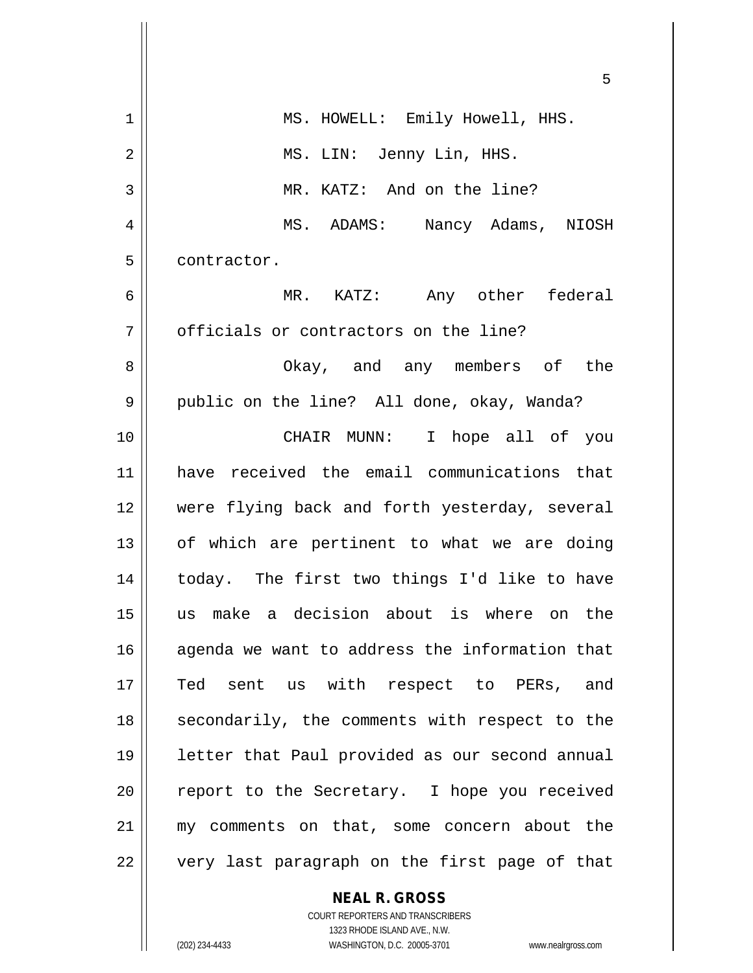|             | 5                                              |
|-------------|------------------------------------------------|
| $\mathbf 1$ | MS. HOWELL: Emily Howell, HHS.                 |
| 2           | MS. LIN: Jenny Lin, HHS.                       |
| 3           | MR. KATZ: And on the line?                     |
| 4           | MS. ADAMS: Nancy Adams, NIOSH                  |
| 5           | contractor.                                    |
| 6           | MR. KATZ: Any other federal                    |
| 7           | officials or contractors on the line?          |
| 8           | Okay, and any members of the                   |
| 9           | public on the line? All done, okay, Wanda?     |
| 10          | CHAIR MUNN: I hope all of you                  |
| 11          | have received the email communications that    |
| 12          | were flying back and forth yesterday, several  |
| 13          | of which are pertinent to what we are doing    |
| 14          | today. The first two things I'd like to have   |
| 15          | us make a decision about is where on the       |
| 16          | agenda we want to address the information that |
| 17          | Ted sent us with respect to PERs, and          |
| 18          | secondarily, the comments with respect to the  |
| 19          | letter that Paul provided as our second annual |
| 20          | report to the Secretary. I hope you received   |
| 21          | my comments on that, some concern about the    |
| 22          | very last paragraph on the first page of that  |

**NEAL R. GROSS**

COURT REPORTERS AND TRANSCRIBERS 1323 RHODE ISLAND AVE., N.W. (202) 234-4433 WASHINGTON, D.C. 20005-3701 www.nealrgross.com

 $\mathbf{I}$ 

 $\mathsf{I}$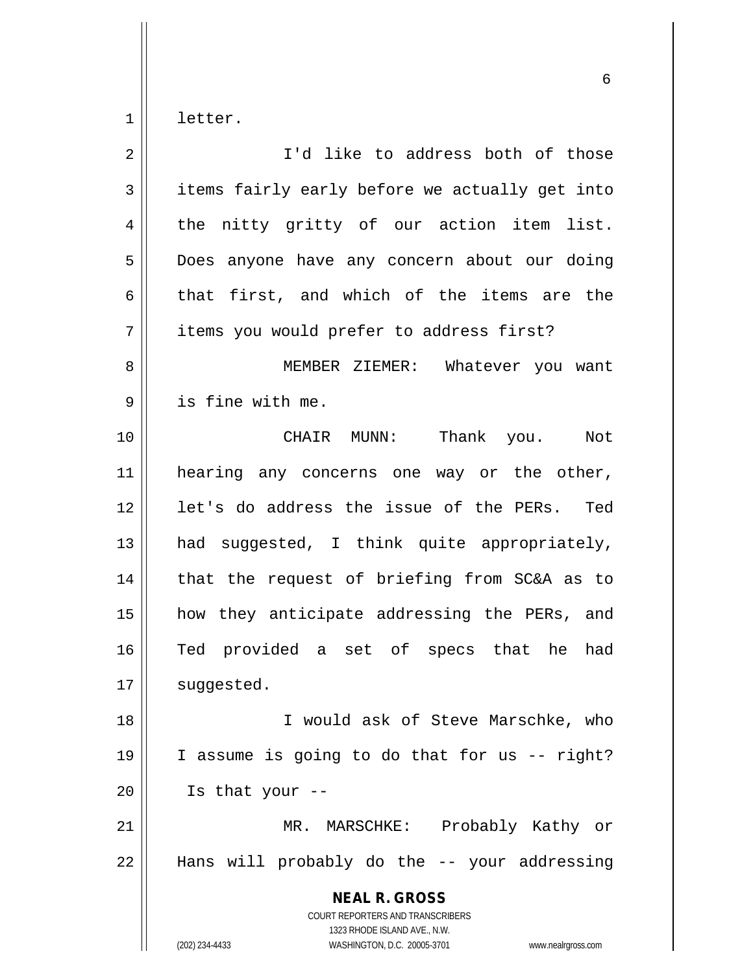$1 \parallel$  letter.

| 2  | I'd like to address both of those                                                                                                                               |
|----|-----------------------------------------------------------------------------------------------------------------------------------------------------------------|
| 3  | items fairly early before we actually get into                                                                                                                  |
| 4  | the nitty gritty of our action item list.                                                                                                                       |
| 5  | Does anyone have any concern about our doing                                                                                                                    |
| 6  | that first, and which of the items are the                                                                                                                      |
| 7  | items you would prefer to address first?                                                                                                                        |
| 8  | MEMBER ZIEMER: Whatever you want                                                                                                                                |
| 9  | is fine with me.                                                                                                                                                |
| 10 | CHAIR MUNN: Thank you.<br>Not                                                                                                                                   |
| 11 | hearing any concerns one way or the other,                                                                                                                      |
| 12 | let's do address the issue of the PERs. Ted                                                                                                                     |
| 13 | had suggested, I think quite appropriately,                                                                                                                     |
| 14 | that the request of briefing from SC&A as to                                                                                                                    |
| 15 | how they anticipate addressing the PERs, and                                                                                                                    |
| 16 | Ted provided a set of specs that he<br>had                                                                                                                      |
| 17 | suggested.                                                                                                                                                      |
| 18 | I would ask of Steve Marschke, who                                                                                                                              |
| 19 | I assume is going to do that for us -- right?                                                                                                                   |
| 20 | Is that your --                                                                                                                                                 |
| 21 | MR. MARSCHKE: Probably Kathy or                                                                                                                                 |
| 22 | Hans will probably do the -- your addressing                                                                                                                    |
|    | <b>NEAL R. GROSS</b><br>COURT REPORTERS AND TRANSCRIBERS<br>1323 RHODE ISLAND AVE., N.W.<br>(202) 234-4433<br>WASHINGTON, D.C. 20005-3701<br>www.nealrgross.com |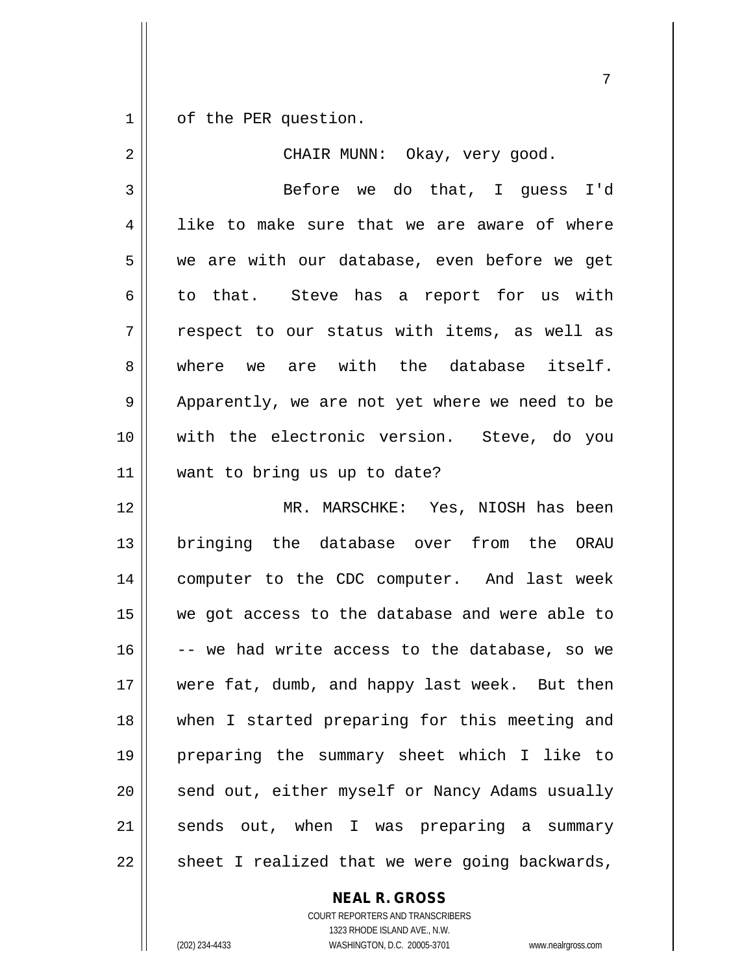1 | of the PER question.

| $\overline{2}$ | CHAIR MUNN: Okay, very good.                   |
|----------------|------------------------------------------------|
| 3              | Before we do that, I guess I'd                 |
| 4              | like to make sure that we are aware of where   |
| 5              | we are with our database, even before we get   |
| 6              | to that. Steve has a report for us with        |
| 7              | respect to our status with items, as well as   |
| 8              | where we are with the database itself.         |
| 9              | Apparently, we are not yet where we need to be |
| 10             | with the electronic version. Steve, do you     |
| 11             | want to bring us up to date?                   |
| 12             | MR. MARSCHKE: Yes, NIOSH has been              |
| 13             | bringing the database over from the ORAU       |
| 14             | computer to the CDC computer. And last week    |
| 15             | we got access to the database and were able to |
| 16             | -- we had write access to the database, so we  |
| 17             | were fat, dumb, and happy last week. But then  |
| 18             | when I started preparing for this meeting and  |
| 19             | preparing the summary sheet which I like to    |
| 20             | send out, either myself or Nancy Adams usually |
| 21             | sends out, when I was preparing a summary      |
| 22             | sheet I realized that we were going backwards, |

**NEAL R. GROSS** COURT REPORTERS AND TRANSCRIBERS

1323 RHODE ISLAND AVE., N.W. (202) 234-4433 WASHINGTON, D.C. 20005-3701 www.nealrgross.com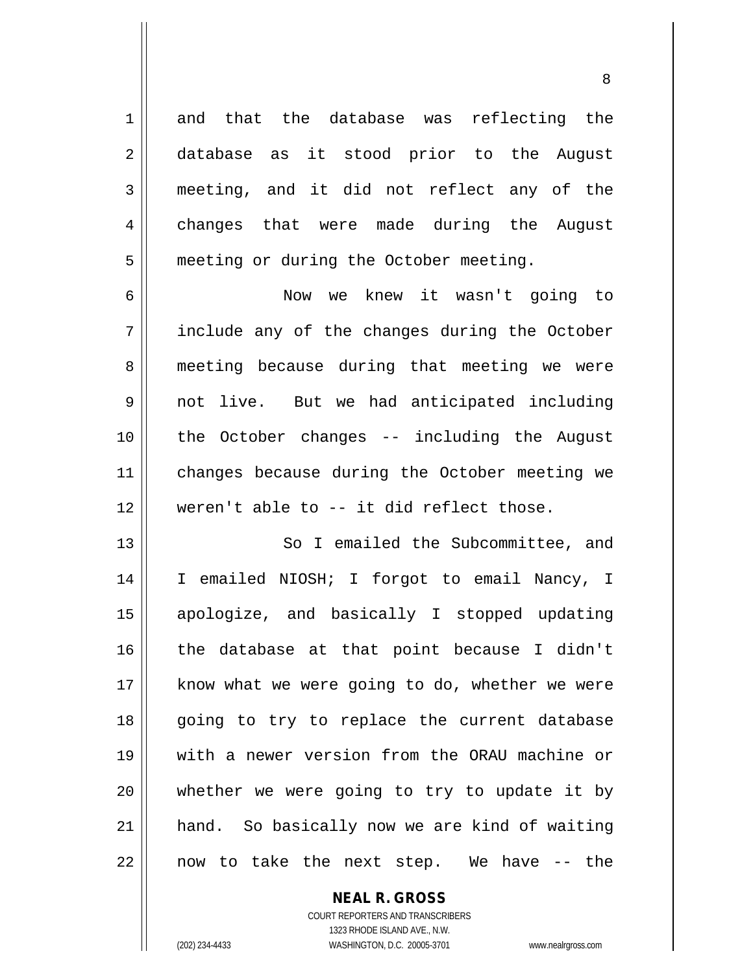1 and that the database was reflecting the 2 database as it stood prior to the August 3 meeting, and it did not reflect any of the 4 changes that were made during the August 5 | meeting or during the October meeting.

6 Now we knew it wasn't going to 7 || include any of the changes during the October 8 || meeting because during that meeting we were 9 not live. But we had anticipated including 10 the October changes -- including the August 11 || changes because during the October meeting we 12 weren't able to -- it did reflect those.

13 || So I emailed the Subcommittee, and 14 || I emailed NIOSH; I forgot to email Nancy, I apologize, and basically I stopped updating the database at that point because I didn't | know what we were going to do, whether we were 18 || going to try to replace the current database with a newer version from the ORAU machine or || whether we were going to try to update it by hand. So basically now we are kind of waiting || now to take the next step. We have  $-$ - the

**NEAL R. GROSS**

COURT REPORTERS AND TRANSCRIBERS 1323 RHODE ISLAND AVE., N.W. (202) 234-4433 WASHINGTON, D.C. 20005-3701 www.nealrgross.com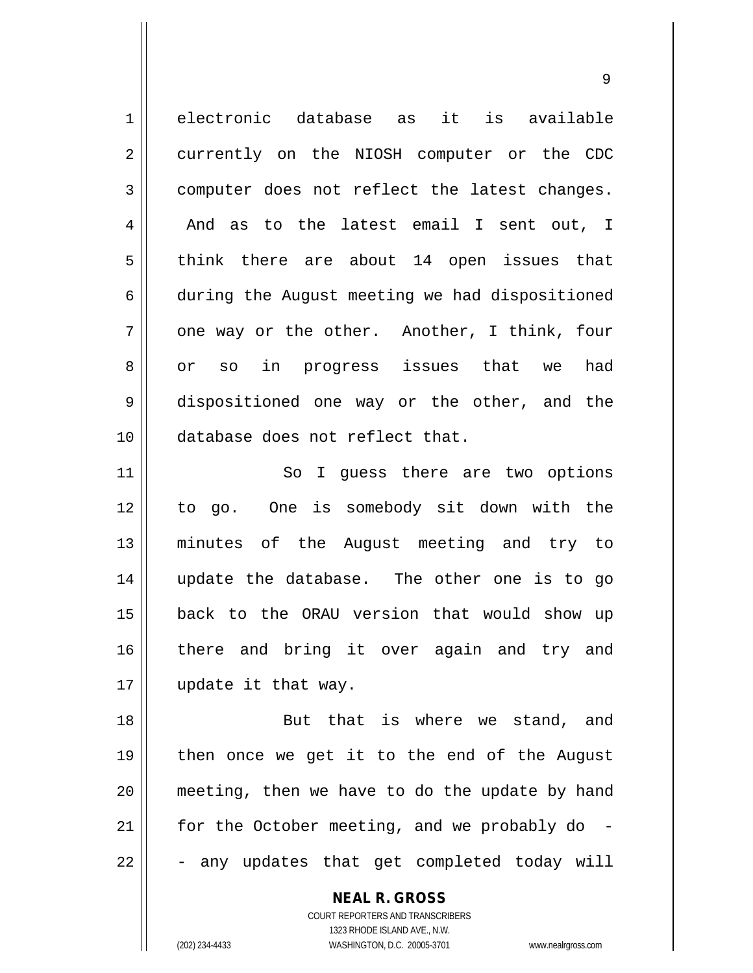1 electronic database as it is available 2 || currently on the NIOSH computer or the CDC 3 computer does not reflect the latest changes. 4 || And as to the latest email I sent out, I  $5 \parallel$  think there are about 14 open issues that 6 during the August meeting we had dispositioned  $7 \parallel$  one way or the other. Another, I think, four 8 || or so in progress issues that we had 9 dispositioned one way or the other, and the 10 database does not reflect that.

11 || So I guess there are two options 12 to go. One is somebody sit down with the 13 minutes of the August meeting and try to 14 update the database. The other one is to go 15 back to the ORAU version that would show up 16 || there and bring it over again and try and 17 | update it that way.

18 || But that is where we stand, and 19 then once we get it to the end of the August 20 meeting, then we have to do the update by hand 21  $\parallel$  for the October meeting, and we probably do - $22 \parallel$  - any updates that get completed today will

> COURT REPORTERS AND TRANSCRIBERS 1323 RHODE ISLAND AVE., N.W. (202) 234-4433 WASHINGTON, D.C. 20005-3701 www.nealrgross.com

**NEAL R. GROSS**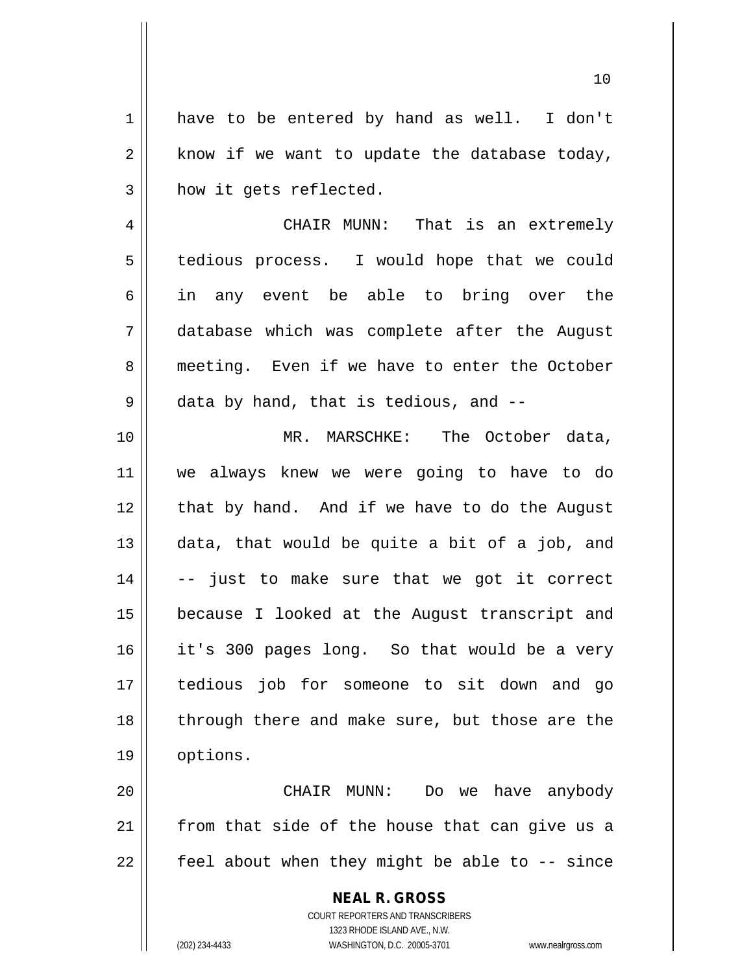1 || have to be entered by hand as well. I don't  $2 \parallel$  know if we want to update the database today, 3 | how it gets reflected.

4 CHAIR MUNN: That is an extremely 5 | tedious process. I would hope that we could 6 in any event be able to bring over the 7 database which was complete after the August 8 meeting. Even if we have to enter the October 9 || data by hand, that is tedious, and --

 MR. MARSCHKE: The October data, we always knew we were going to have to do | that by hand. And if we have to do the August  $\parallel$  data, that would be quite a bit of a job, and  $14 \parallel$  -- just to make sure that we got it correct because I looked at the August transcript and it's 300 pages long. So that would be a very tedious job for someone to sit down and go 18 || through there and make sure, but those are the 19 | options.

20 CHAIR MUNN: Do we have anybody  $21$  from that side of the house that can give us a  $22$  |  $\pm$  feel about when they might be able to  $-$ - since

> **NEAL R. GROSS** COURT REPORTERS AND TRANSCRIBERS 1323 RHODE ISLAND AVE., N.W. (202) 234-4433 WASHINGTON, D.C. 20005-3701 www.nealrgross.com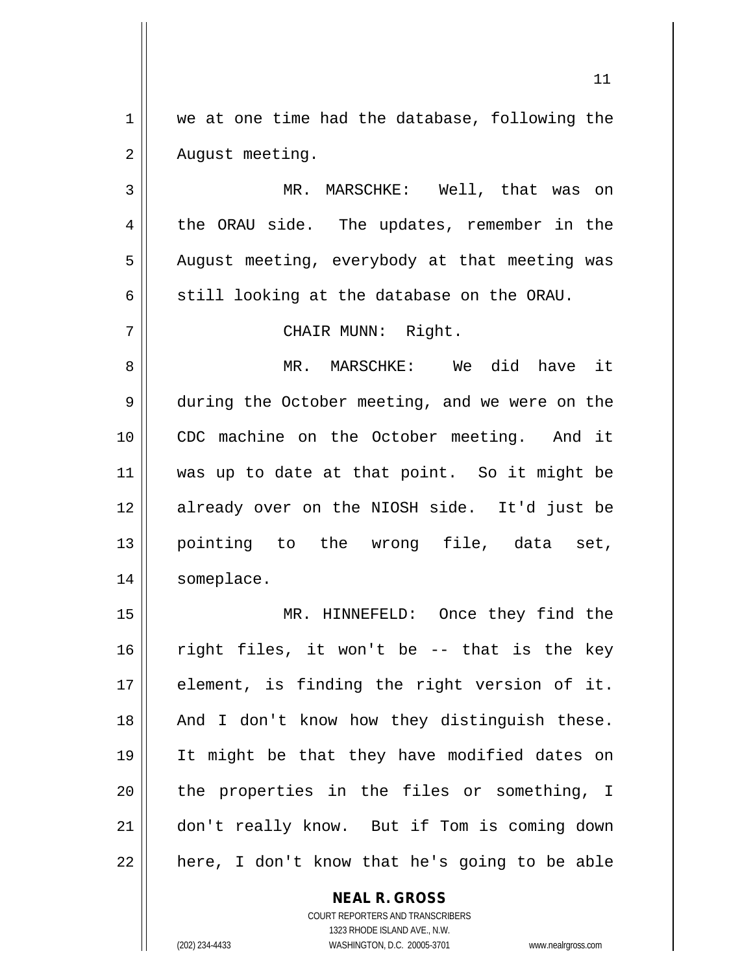1 we at one time had the database, following the 2 | August meeting.

3 MR. MARSCHKE: Well, that was on 4 the ORAU side. The updates, remember in the 5 | August meeting, everybody at that meeting was 6  $\parallel$  still looking at the database on the ORAU.

7 || CHAIR MUNN: Right.

8 MR. MARSCHKE: We did have it 9 during the October meeting, and we were on the 10 || CDC machine on the October meeting. And it 11 was up to date at that point. So it might be 12 already over on the NIOSH side. It'd just be 13 pointing to the wrong file, data set, 14 || someplace.

15 || MR. HINNEFELD: Once they find the right files, it won't be -- that is the key 17 || element, is finding the right version of it. 18 || And I don't know how they distinguish these. It might be that they have modified dates on || the properties in the files or something, I don't really know. But if Tom is coming down || here, I don't know that he's going to be able

> **NEAL R. GROSS** COURT REPORTERS AND TRANSCRIBERS 1323 RHODE ISLAND AVE., N.W. (202) 234-4433 WASHINGTON, D.C. 20005-3701 www.nealrgross.com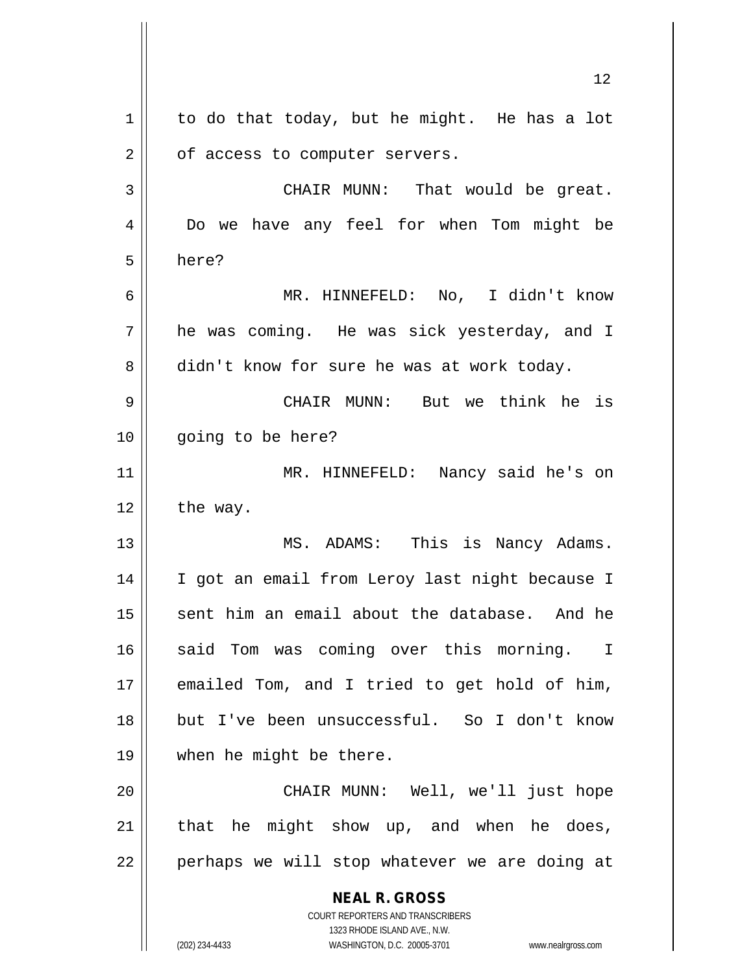**NEAL R. GROSS** COURT REPORTERS AND TRANSCRIBERS 1323 RHODE ISLAND AVE., N.W. (202) 234-4433 WASHINGTON, D.C. 20005-3701 www.nealrgross.com 12  $1 \parallel$  to do that today, but he might. He has a lot  $2 \parallel$  of access to computer servers. 3 || CHAIR MUNN: That would be great. 4 Do we have any feel for when Tom might be 5 here? 6 MR. HINNEFELD: No, I didn't know 7 he was coming. He was sick yesterday, and I 8 didn't know for sure he was at work today. 9 CHAIR MUNN: But we think he is 10 going to be here? 11 MR. HINNEFELD: Nancy said he's on  $12 \parallel$  the way. 13 || MS. ADAMS: This is Nancy Adams. 14 || I got an email from Leroy last night because I  $15$  sent him an email about the database. And he 16 || said Tom was coming over this morning. I 17 emailed Tom, and I tried to get hold of him, 18 but I've been unsuccessful. So I don't know 19 when he might be there. 20 CHAIR MUNN: Well, we'll just hope  $21$  that he might show up, and when he does, 22 || perhaps we will stop whatever we are doing at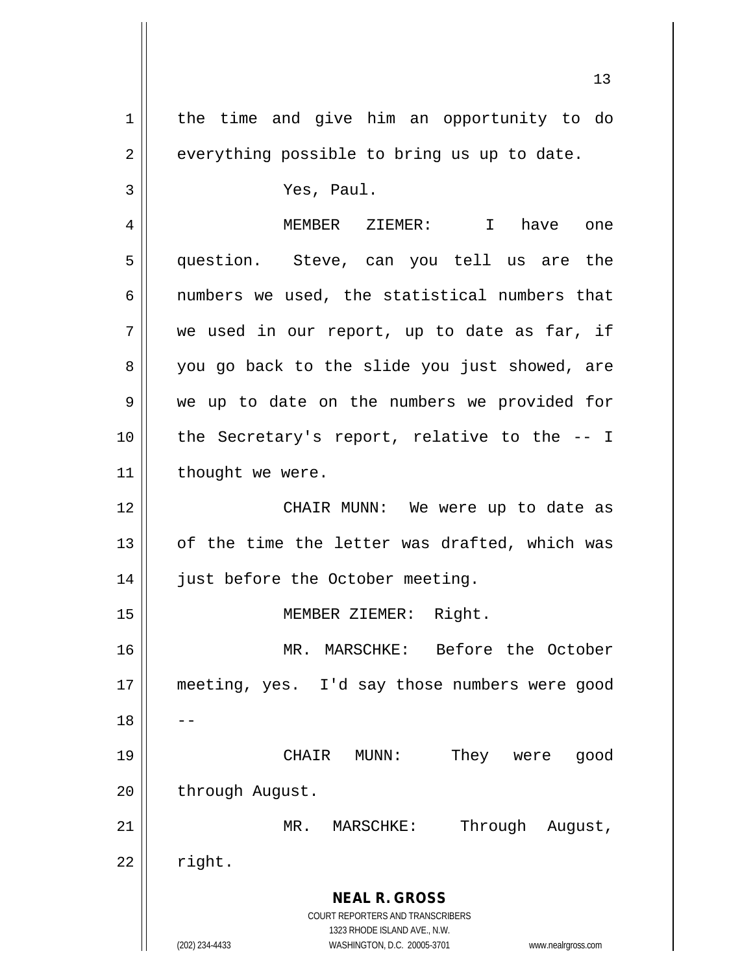**NEAL R. GROSS** COURT REPORTERS AND TRANSCRIBERS 1323 RHODE ISLAND AVE., N.W. (202) 234-4433 WASHINGTON, D.C. 20005-3701 www.nealrgross.com 1 | the time and give him an opportunity to do  $2 \parallel$  everything possible to bring us up to date. 3 Yes, Paul. 4 MEMBER ZIEMER: I have one 5 question. Steve, can you tell us are the 6  $\parallel$  numbers we used, the statistical numbers that  $7 \parallel$  we used in our report, up to date as far, if 8 you go back to the slide you just showed, are 9 || we up to date on the numbers we provided for  $10$  || the Secretary's report, relative to the  $-1$ 11 | thought we were. 12 CHAIR MUNN: We were up to date as  $13$  || of the time the letter was drafted, which was 14 | just before the October meeting. 15 || **MEMBER ZIEMER:** Right. 16 MR. MARSCHKE: Before the October 17 meeting, yes. I'd say those numbers were good  $18$ 19 CHAIR MUNN: They were good 20 | through August. 21 || MR. MARSCHKE: Through August,  $22 \parallel$  right.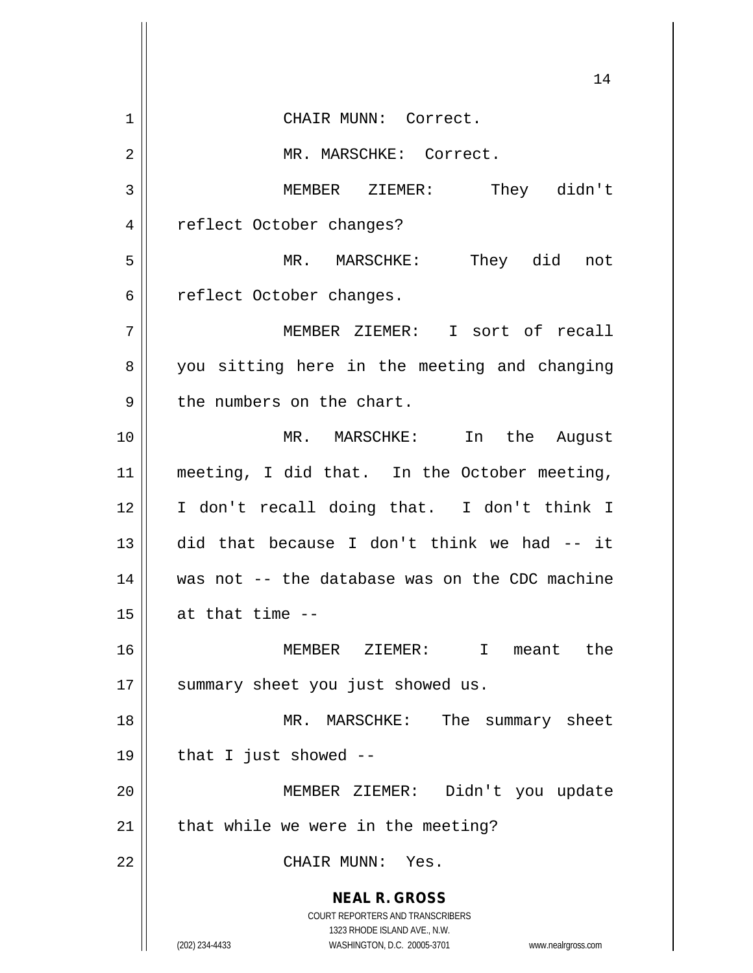**NEAL R. GROSS** COURT REPORTERS AND TRANSCRIBERS 1323 RHODE ISLAND AVE., N.W. (202) 234-4433 WASHINGTON, D.C. 20005-3701 www.nealrgross.com 1 || CHAIR MUNN: Correct. 2 | MR. MARSCHKE: Correct. MEMBER ZIEMER: They didn't 4 | reflect October changes? MR. MARSCHKE: They did not 6 | reflect October changes. MEMBER ZIEMER: I sort of recall 8 || you sitting here in the meeting and changing | the numbers on the chart. MR. MARSCHKE: In the August meeting, I did that. In the October meeting, I don't recall doing that. I don't think I did that because I don't think we had -- it was not -- the database was on the CDC machine  $\parallel$  at that time  $-$  MEMBER ZIEMER: I meant the 17 || summary sheet you just showed us. MR. MARSCHKE: The summary sheet | that I just showed -- MEMBER ZIEMER: Didn't you update | that while we were in the meeting? CHAIR MUNN: Yes.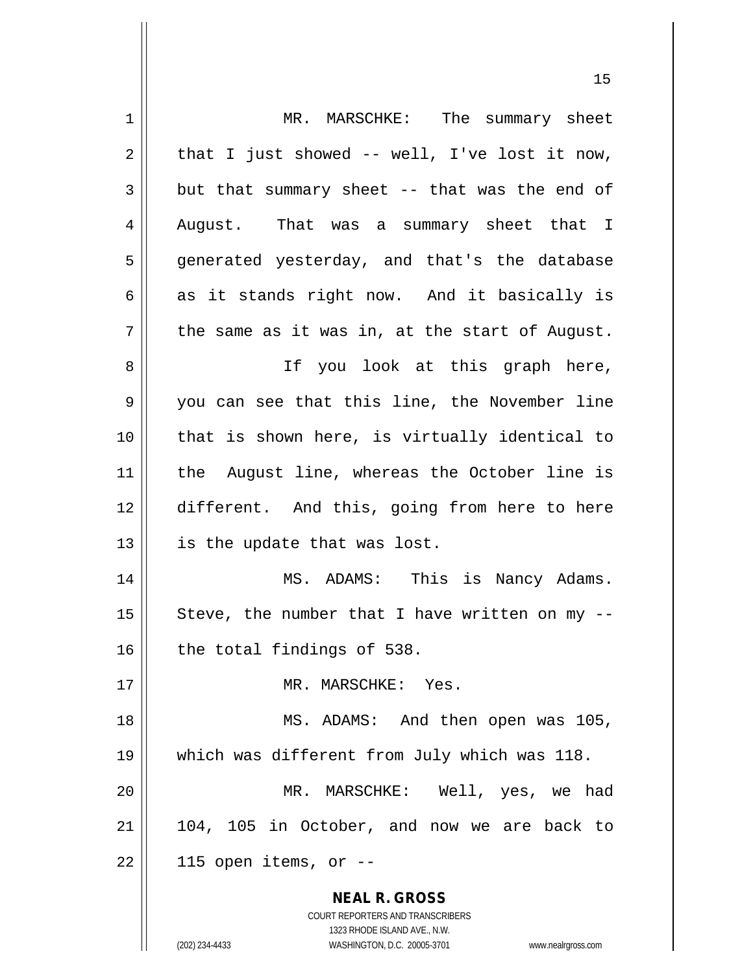| 1  | MR. MARSCHKE: The summary sheet                                     |
|----|---------------------------------------------------------------------|
| 2  | that I just showed $-$ well, I've lost it now,                      |
| 3  | but that summary sheet -- that was the end of                       |
| 4  | August. That was a summary sheet that I                             |
| 5  | generated yesterday, and that's the database                        |
| 6  | as it stands right now. And it basically is                         |
| 7  | the same as it was in, at the start of August.                      |
| 8  | If you look at this graph here,                                     |
| 9  | you can see that this line, the November line                       |
| 10 | that is shown here, is virtually identical to                       |
| 11 | the August line, whereas the October line is                        |
| 12 | different. And this, going from here to here                        |
| 13 | is the update that was lost.                                        |
| 14 | MS. ADAMS: This is Nancy Adams.                                     |
| 15 | Steve, the number that I have written on my --                      |
| 16 | the total findings of 538.                                          |
| 17 | MR. MARSCHKE: Yes.                                                  |
| 18 | MS. ADAMS: And then open was 105,                                   |
| 19 | which was different from July which was 118.                        |
| 20 | MR. MARSCHKE: Well, yes, we had                                     |
| 21 | 104, 105 in October, and now we are back to                         |
| 22 | 115 open items, or --                                               |
|    | <b>NEAL R. GROSS</b>                                                |
|    | COURT REPORTERS AND TRANSCRIBERS                                    |
|    | 1323 RHODE ISLAND AVE., N.W.                                        |
|    | (202) 234-4433<br>WASHINGTON, D.C. 20005-3701<br>www.nealrgross.com |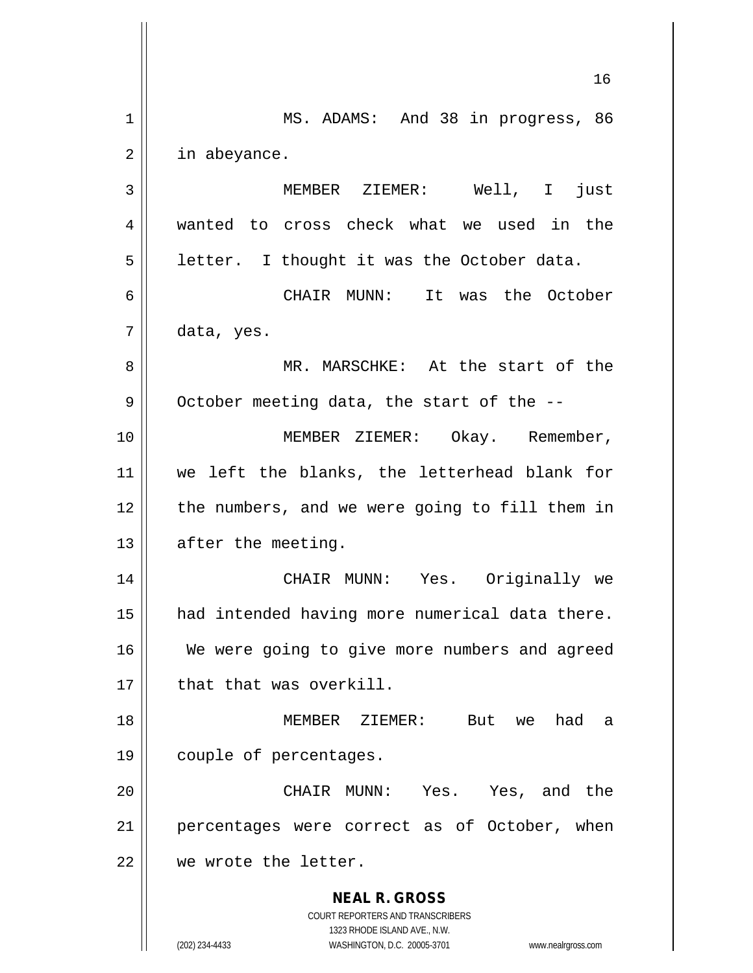**NEAL R. GROSS** COURT REPORTERS AND TRANSCRIBERS 1323 RHODE ISLAND AVE., N.W. (202) 234-4433 WASHINGTON, D.C. 20005-3701 www.nealrgross.com 16 1 || MS. ADAMS: And 38 in progress, 86 2 | in abeyance. 3 MEMBER ZIEMER: Well, I just 4 wanted to cross check what we used in the  $5 \parallel$  letter. I thought it was the October data. 6 CHAIR MUNN: It was the October  $7 \parallel$  data, yes. 8 MR. MARSCHKE: At the start of the  $9 \parallel$  October meeting data, the start of the --10 MEMBER ZIEMER: Okay. Remember, 11 we left the blanks, the letterhead blank for  $12$  | the numbers, and we were going to fill them in  $13$  | after the meeting. 14 CHAIR MUNN: Yes. Originally we 15 | had intended having more numerical data there. 16 We were going to give more numbers and agreed 17 | that that was overkill. 18 MEMBER ZIEMER: But we had a 19 couple of percentages. 20 CHAIR MUNN: Yes. Yes, and the 21 || percentages were correct as of October, when 22 We wrote the letter.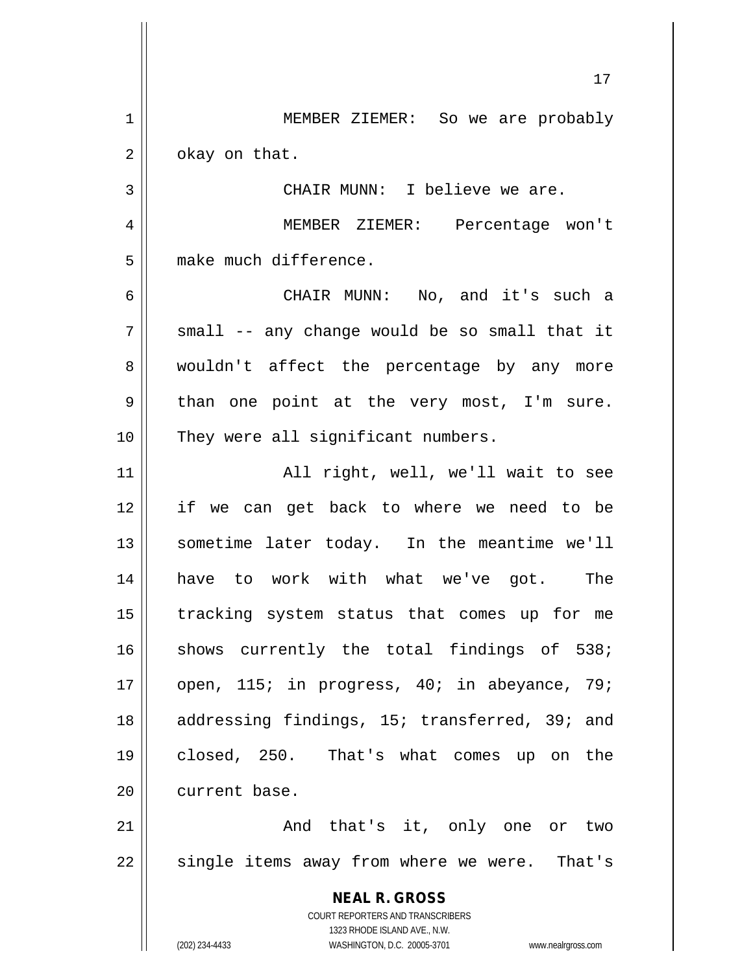**NEAL R. GROSS** COURT REPORTERS AND TRANSCRIBERS 1323 RHODE ISLAND AVE., N.W. (202) 234-4433 WASHINGTON, D.C. 20005-3701 www.nealrgross.com 17 1 | MEMBER ZIEMER: So we are probably  $2 \parallel$  okay on that. 3 || CHAIR MUNN: I believe we are. 4 MEMBER ZIEMER: Percentage won't 5 | make much difference. 6 CHAIR MUNN: No, and it's such a  $7 \parallel$  small -- any change would be so small that it 8 wouldn't affect the percentage by any more  $9 \parallel$  than one point at the very most, I'm sure. 10 || They were all significant numbers. 11 All right, well, we'll wait to see 12 if we can get back to where we need to be 13 sometime later today. In the meantime we'll 14 have to work with what we've got. The 15 tracking system status that comes up for me  $16$  shows currently the total findings of 538; 17 || open, 115; in progress, 40; in abeyance, 79; 18 || addressing findings, 15; transferred, 39; and 19 closed, 250. That's what comes up on the 20 current base. 21 || The Conductional Manduch Library it, only one or two  $22$  || single items away from where we were. That's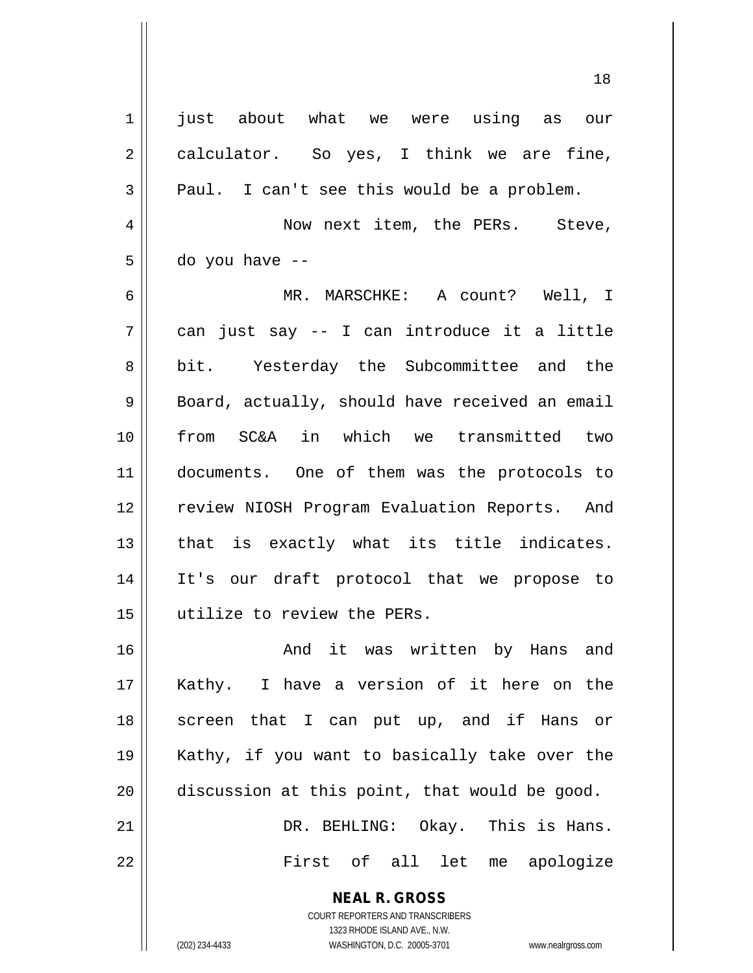| $\mathbf 1$    | just about what we were using as our                                                                                                                            |
|----------------|-----------------------------------------------------------------------------------------------------------------------------------------------------------------|
| $\overline{2}$ | calculator. So yes, I think we are fine,                                                                                                                        |
| 3              | Paul. I can't see this would be a problem.                                                                                                                      |
| $\overline{4}$ | Now next item, the PERs. Steve,                                                                                                                                 |
| 5              | do you have --                                                                                                                                                  |
| 6              | MR. MARSCHKE: A count? Well, I                                                                                                                                  |
| 7              | can just say -- I can introduce it a little                                                                                                                     |
| 8              | bit. Yesterday the Subcommittee and the                                                                                                                         |
| 9              | Board, actually, should have received an email                                                                                                                  |
| 10             | from SC&A in which we transmitted two                                                                                                                           |
| 11             | documents. One of them was the protocols to                                                                                                                     |
| 12             | review NIOSH Program Evaluation Reports. And                                                                                                                    |
| 13             | that is exactly what its title indicates.                                                                                                                       |
| 14             | It's our draft protocol that we propose to                                                                                                                      |
| 15             | utilize to review the PERs.                                                                                                                                     |
| 16             | And it was written by Hans and                                                                                                                                  |
| 17             | Kathy. I have a version of it here on the                                                                                                                       |
| 18             | screen that I can put up, and if Hans or                                                                                                                        |
| 19             | Kathy, if you want to basically take over the                                                                                                                   |
| 20             | discussion at this point, that would be good.                                                                                                                   |
| 21             | DR. BEHLING: Okay. This is Hans.                                                                                                                                |
| 22             | First of all let me apologize                                                                                                                                   |
|                | <b>NEAL R. GROSS</b><br>COURT REPORTERS AND TRANSCRIBERS<br>1323 RHODE ISLAND AVE., N.W.<br>(202) 234-4433<br>WASHINGTON, D.C. 20005-3701<br>www.nealrgross.com |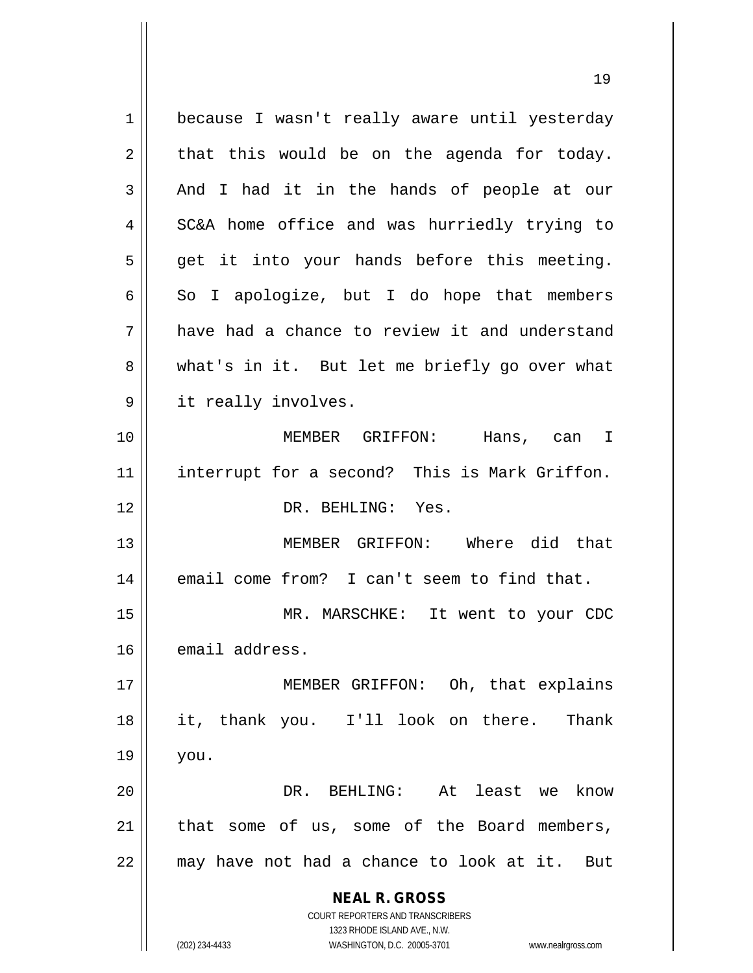**NEAL R. GROSS** COURT REPORTERS AND TRANSCRIBERS 1323 RHODE ISLAND AVE., N.W. 1 | because I wasn't really aware until yesterday  $2 \parallel$  that this would be on the agenda for today.  $3 \parallel$  And I had it in the hands of people at our 4 SC&A home office and was hurriedly trying to  $5 \parallel$  get it into your hands before this meeting.  $6 \parallel$  So I apologize, but I do hope that members 7 have had a chance to review it and understand 8 what's in it. But let me briefly go over what 9 | it really involves. 10 MEMBER GRIFFON: Hans, can I 11 interrupt for a second? This is Mark Griffon. 12 DR. BEHLING: Yes. 13 MEMBER GRIFFON: Where did that 14 || email come from? I can't seem to find that. 15 MR. MARSCHKE: It went to your CDC 16 email address. 17 || MEMBER GRIFFON: Oh, that explains 18 || it, thank you. I'll look on there. Thank  $19 \parallel$  you. 20 DR. BEHLING: At least we know  $21$  | that some of us, some of the Board members, 22 may have not had a chance to look at it. But

(202) 234-4433 WASHINGTON, D.C. 20005-3701 www.nealrgross.com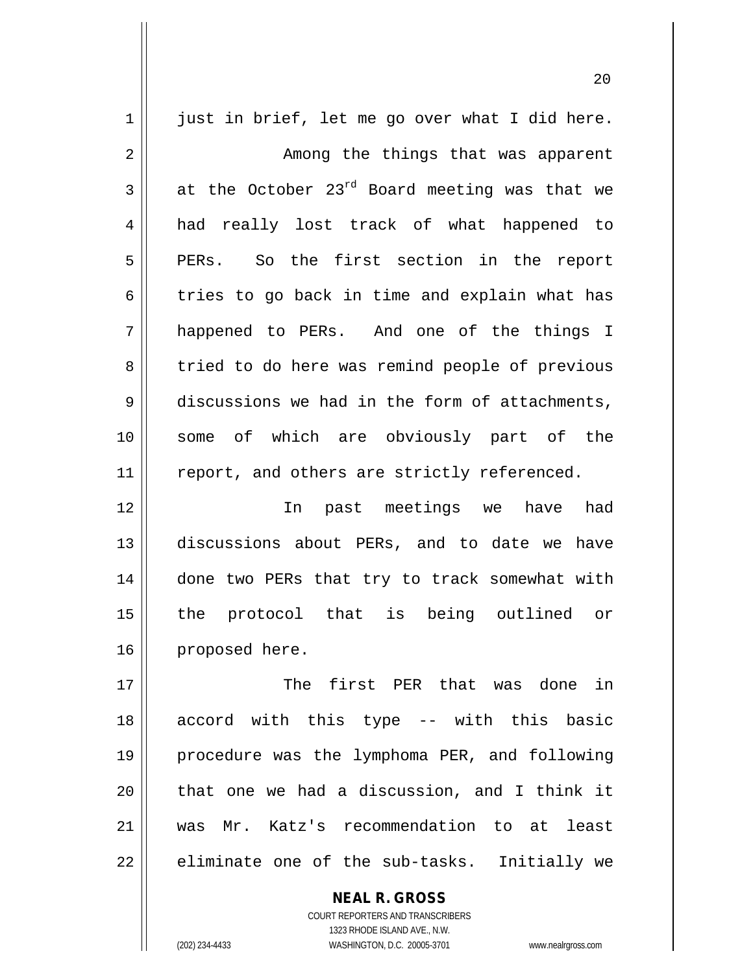| 1  | just in brief, let me go over what I did here. |
|----|------------------------------------------------|
| 2  | Among the things that was apparent             |
| 3  | at the October 23rd Board meeting was that we  |
| 4  | had really lost track of what happened to      |
| 5  | PERs. So the first section in the report       |
| 6  | tries to go back in time and explain what has  |
| 7  | happened to PERs. And one of the things I      |
| 8  | tried to do here was remind people of previous |
| 9  | discussions we had in the form of attachments, |
| 10 | some of which are obviously part of the        |
| 11 | report, and others are strictly referenced.    |
| 12 | In past meetings we have had                   |
| 13 | discussions about PERs, and to date we have    |
| 14 | done two PERs that try to track somewhat with  |
| 15 | protocol that is being outlined or<br>the      |
| 16 | proposed here.                                 |
| 17 | The first PER that was done in                 |
| 18 | accord with this type -- with this basic       |
| 19 | procedure was the lymphoma PER, and following  |
| 20 | that one we had a discussion, and I think it   |
| 21 | was Mr. Katz's recommendation to at least      |
| 22 | eliminate one of the sub-tasks. Initially we   |
|    |                                                |

COURT REPORTERS AND TRANSCRIBERS 1323 RHODE ISLAND AVE., N.W. (202) 234-4433 WASHINGTON, D.C. 20005-3701 www.nealrgross.com

**NEAL R. GROSS**

 $\mathsf{II}$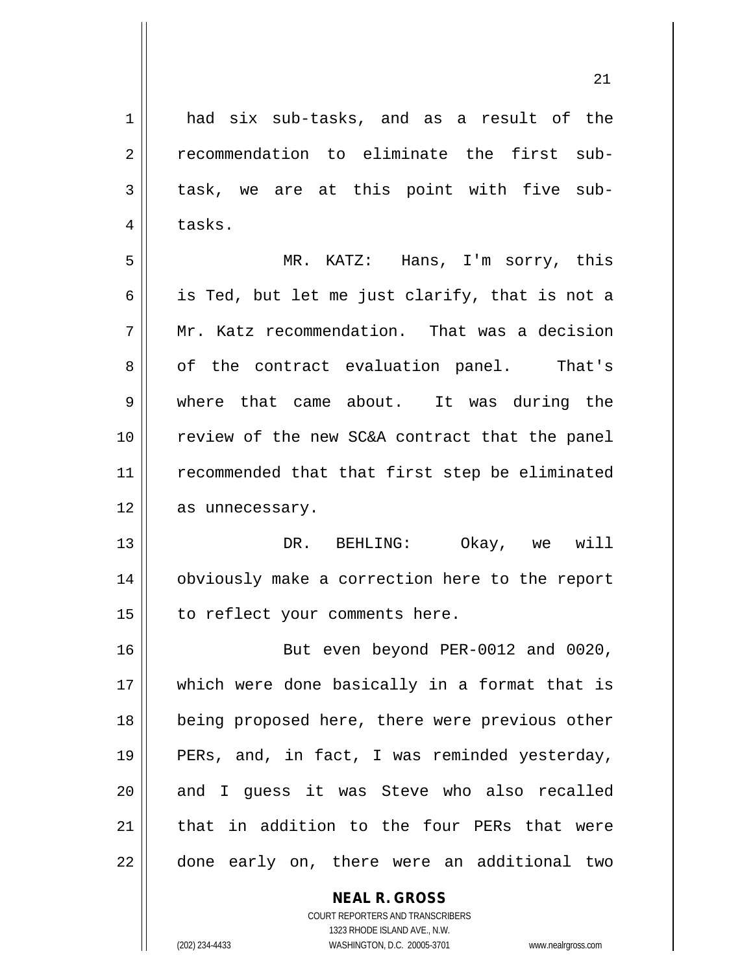1 and six sub-tasks, and as a result of the 2 | recommendation to eliminate the first sub- $3 \parallel$  task, we are at this point with five sub- $4 \parallel$  tasks.

5 MR. KATZ: Hans, I'm sorry, this 6 | is Ted, but let me just clarify, that is not a 7 || Mr. Katz recommendation. That was a decision 8 || of the contract evaluation panel. That's 9 || where that came about. It was during the 10 review of the new SC&A contract that the panel 11 || recommended that that first step be eliminated 12 | as unnecessary.

13 DR. BEHLING: Okay, we will 14 obviously make a correction here to the report  $15$  | to reflect your comments here.

16 But even beyond PER-0012 and 0020, 17 which were done basically in a format that is 18 being proposed here, there were previous other 19 || PERs, and, in fact, I was reminded yesterday, 20 || and I quess it was Steve who also recalled 21 || that in addition to the four PERs that were 22 || done early on, there were an additional two

# **NEAL R. GROSS**

COURT REPORTERS AND TRANSCRIBERS 1323 RHODE ISLAND AVE., N.W. (202) 234-4433 WASHINGTON, D.C. 20005-3701 www.nealrgross.com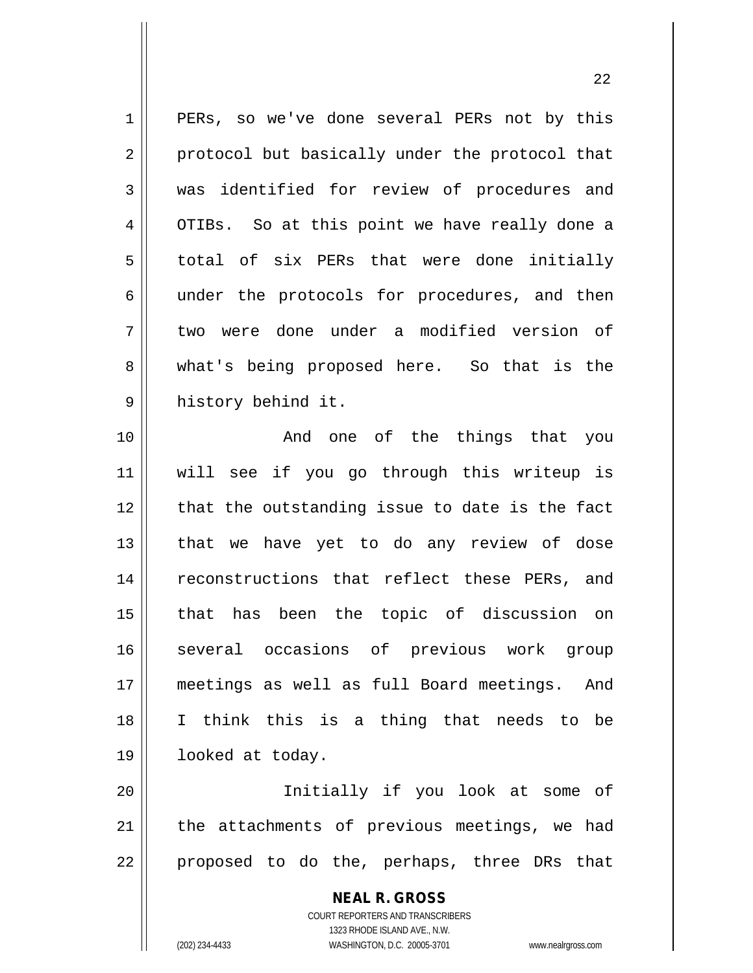1 || PERs, so we've done several PERs not by this 2 || protocol but basically under the protocol that 3 was identified for review of procedures and 4 | OTIBs. So at this point we have really done a 5 || total of six PERs that were done initially 6 || under the protocols for procedures, and then 7 two were done under a modified version of 8 || what's being proposed here. So that is the 9 history behind it. 10 || The Common Common Common Common Common Common Common Common Common Common Common Common Common Common Co 11 will see if you go through this writeup is 12 || that the outstanding issue to date is the fact  $13$  that we have yet to do any review of dose 14 || reconstructions that reflect these PERs, and 15 that has been the topic of discussion on 16 several occasions of previous work group 17 meetings as well as full Board meetings. And 18 I think this is a thing that needs to be 19 looked at today. 20 Initially if you look at some of  $21$  | the attachments of previous meetings, we had

 $22$  || proposed to do the, perhaps, three DRs that

**NEAL R. GROSS** COURT REPORTERS AND TRANSCRIBERS

1323 RHODE ISLAND AVE., N.W.

(202) 234-4433 WASHINGTON, D.C. 20005-3701 www.nealrgross.com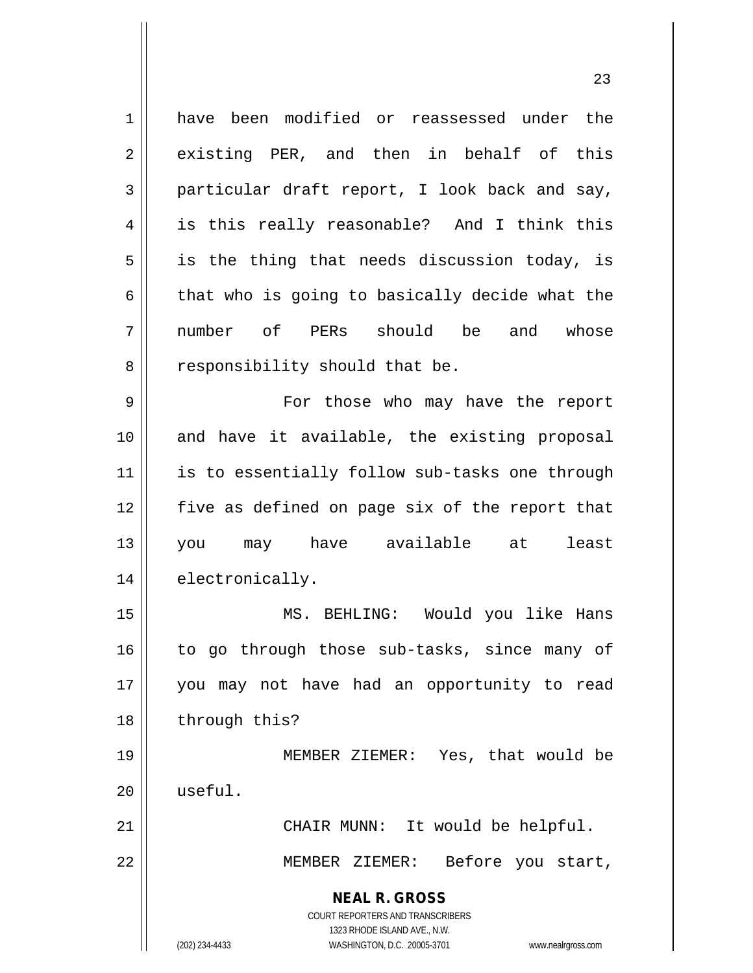| $\mathbf 1$    | have been modified or reassessed under the                          |
|----------------|---------------------------------------------------------------------|
| $\overline{2}$ | existing PER, and then in behalf of this                            |
| 3              | particular draft report, I look back and say,                       |
| 4              | is this really reasonable? And I think this                         |
| 5              | is the thing that needs discussion today, is                        |
| 6              | that who is going to basically decide what the                      |
| 7              | number of PERs should be<br>and<br>whose                            |
| 8              | responsibility should that be.                                      |
| 9              | For those who may have the report                                   |
| 10             | and have it available, the existing proposal                        |
| 11             | is to essentially follow sub-tasks one through                      |
| 12             | five as defined on page six of the report that                      |
| 13             | you may have available at least                                     |
| 14             | electronically.                                                     |
| 15             | MS. BEHLING: Would you like Hans                                    |
| 16             | to go through those sub-tasks, since many of                        |
| 17             | you may not have had an opportunity to read                         |
| 18             | through this?                                                       |
| 19             | MEMBER ZIEMER: Yes, that would be                                   |
| 20             | useful.                                                             |
| 21             | CHAIR MUNN: It would be helpful.                                    |
| 22             | MEMBER ZIEMER: Before you start,                                    |
|                | <b>NEAL R. GROSS</b>                                                |
|                | <b>COURT REPORTERS AND TRANSCRIBERS</b>                             |
|                | 1323 RHODE ISLAND AVE., N.W.                                        |
|                | (202) 234-4433<br>WASHINGTON, D.C. 20005-3701<br>www.nealrgross.com |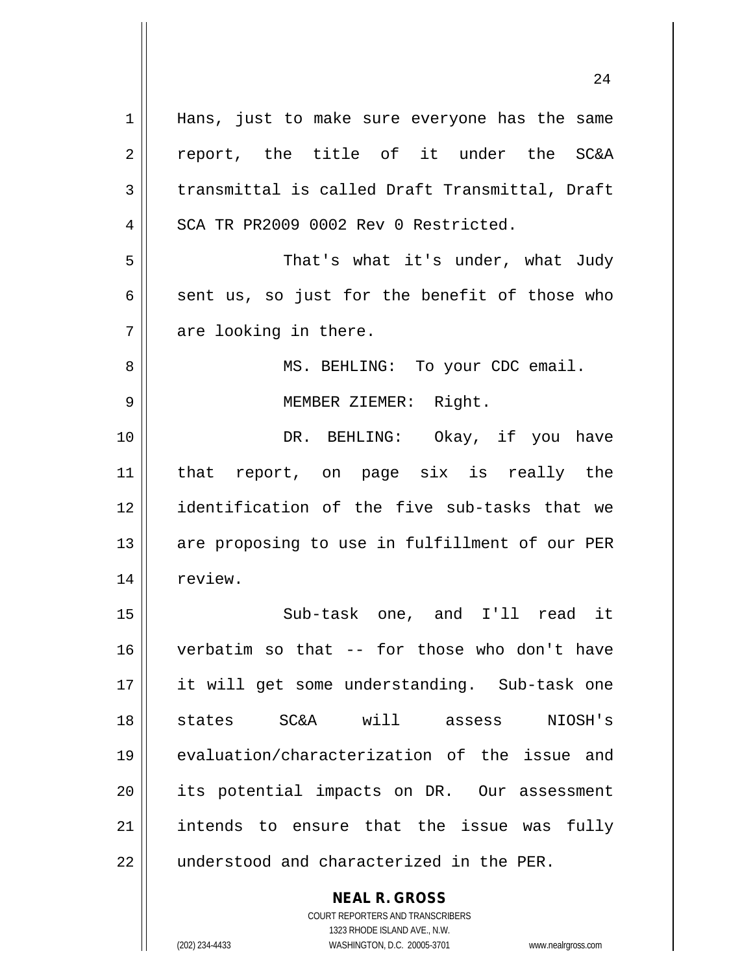**NEAL R. GROSS** 1 || Hans, just to make sure everyone has the same 2 report, the title of it under the SC&A  $3 \parallel$  transmittal is called Draft Transmittal, Draft 4 | SCA TR PR2009 0002 Rev 0 Restricted. 5 That's what it's under, what Judy  $6 \parallel$  sent us, so just for the benefit of those who  $7 \parallel$  are looking in there. 8 MS. BEHLING: To your CDC email. 9 MEMBER ZIEMER: Right. 10 DR. BEHLING: Okay, if you have 11 that report, on page six is really the 12 identification of the five sub-tasks that we 13 || are proposing to use in fulfillment of our PER 14 | review. 15 Sub-task one, and I'll read it 16 verbatim so that -- for those who don't have 17 it will get some understanding. Sub-task one 18 states SC&A will assess NIOSH's 19 evaluation/characterization of the issue and 20 || its potential impacts on DR. Our assessment 21 || intends to ensure that the issue was fully 22 || understood and characterized in the PER.

1323 RHODE ISLAND AVE., N.W. (202) 234-4433 WASHINGTON, D.C. 20005-3701 www.nealrgross.com

COURT REPORTERS AND TRANSCRIBERS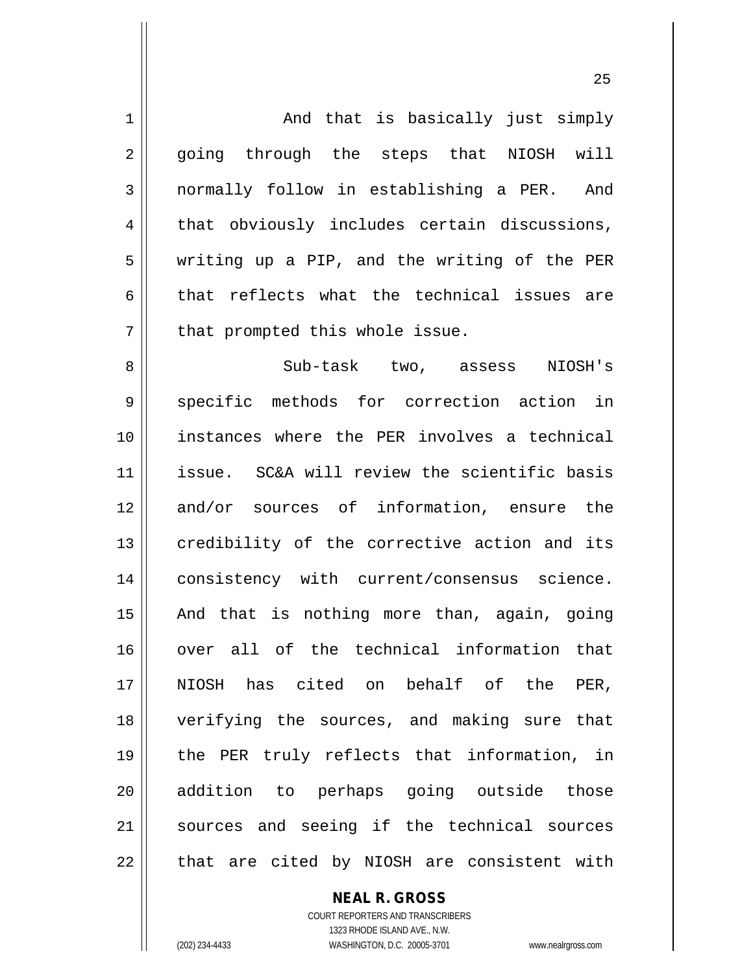| $\mathbf 1$ | And that is basically just simply            |
|-------------|----------------------------------------------|
| 2           | going through the steps that NIOSH will      |
| 3           | normally follow in establishing a PER. And   |
| 4           | that obviously includes certain discussions, |
| 5           | writing up a PIP, and the writing of the PER |
| 6           | that reflects what the technical issues are  |
| 7           | that prompted this whole issue.              |
| 8           | Sub-task two, assess<br>NIOSH's              |
| 9           | specific methods for correction action in    |
| 10          | instances where the PER involves a technical |
| 11          | issue. SC&A will review the scientific basis |
| 12          | and/or sources of information, ensure the    |
| 13          | credibility of the corrective action and its |
| 14          | consistency with current/consensus science.  |
| 15          | And that is nothing more than, again, going  |
| 16          | over all of the technical information that   |
| 17          | NIOSH has cited on behalf of the PER,        |
| 18          | verifying the sources, and making sure that  |
| 19          | the PER truly reflects that information, in  |
| 20          | addition to perhaps going outside those      |
| 21          | sources and seeing if the technical sources  |
| 22          | that are cited by NIOSH are consistent with  |

**NEAL R. GROSS**

COURT REPORTERS AND TRANSCRIBERS 1323 RHODE ISLAND AVE., N.W. (202) 234-4433 WASHINGTON, D.C. 20005-3701 www.nealrgross.com

 $\mathsf{II}$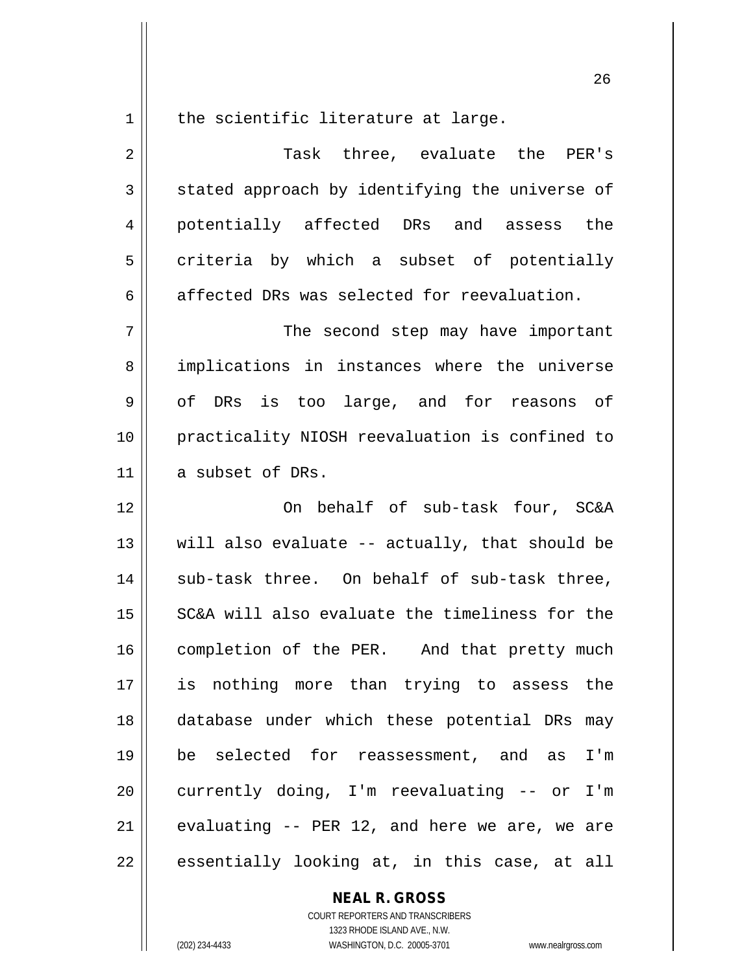$1$  the scientific literature at large.

2 Task three, evaluate the PER's  $3 \parallel$  stated approach by identifying the universe of 4 || potentially affected DRs and assess the  $5 \parallel$  criteria by which a subset of potentially  $6 \parallel$  affected DRs was selected for reevaluation. 7 || The second step may have important 8 implications in instances where the universe 9 of DRs is too large, and for reasons of 10 practicality NIOSH reevaluation is confined to 11 a subset of DRs. 12 || Cn behalf of sub-task four, SC&A 13  $\parallel$  will also evaluate -- actually, that should be 14 || sub-task three. On behalf of sub-task three, 15  $\parallel$  SC&A will also evaluate the timeliness for the 16 | completion of the PER. And that pretty much 17 is nothing more than trying to assess the 18 database under which these potential DRs may 19 be selected for reassessment, and as I'm 20 || currently doing, I'm reevaluating -- or I'm 21  $\parallel$  evaluating -- PER 12, and here we are, we are  $22$  || essentially looking at, in this case, at all

### **NEAL R. GROSS**

COURT REPORTERS AND TRANSCRIBERS 1323 RHODE ISLAND AVE., N.W. (202) 234-4433 WASHINGTON, D.C. 20005-3701 www.nealrgross.com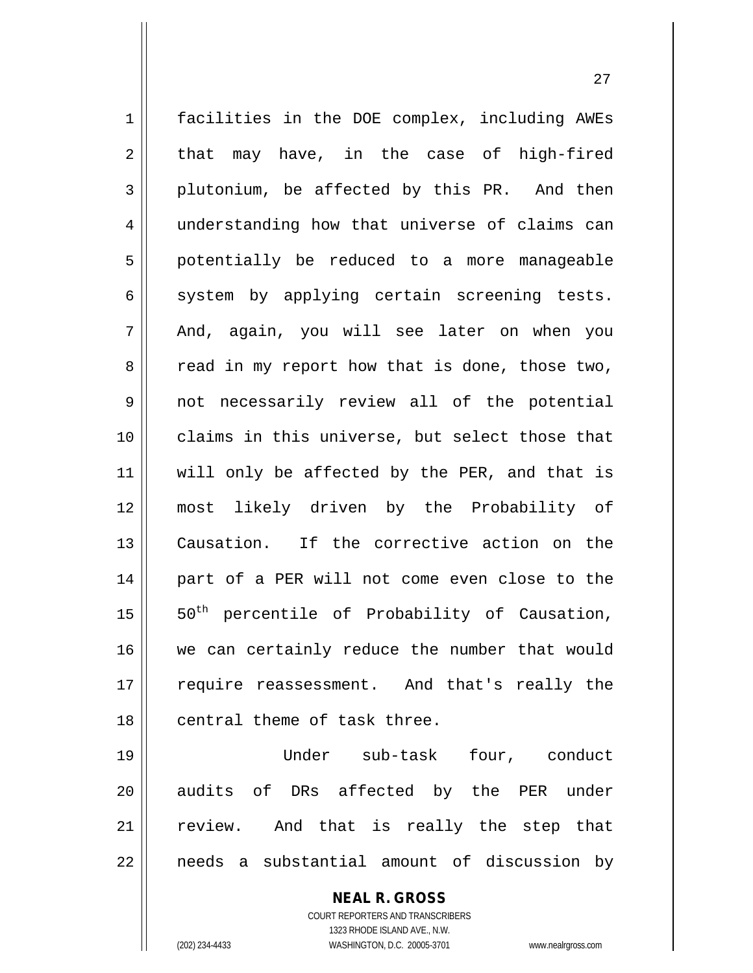1 facilities in the DOE complex, including AWEs  $2 \parallel$  that may have, in the case of high-fired  $3 \parallel$  plutonium, be affected by this PR. And then 4 || understanding how that universe of claims can 5 || potentially be reduced to a more manageable  $6 \parallel$  system by applying certain screening tests. 7 || And, again, you will see later on when you  $8 \parallel$  read in my report how that is done, those two, 9 not necessarily review all of the potential 10 || claims in this universe, but select those that 11 || will only be affected by the PER, and that is 12 most likely driven by the Probability of 13 Causation. If the corrective action on the 14 || part of a PER will not come even close to the 15  $\parallel$  50<sup>th</sup> percentile of Probability of Causation, 16 we can certainly reduce the number that would 17 || require reassessment. And that's really the 18 || central theme of task three. 19 Under sub-task four, conduct 20 || audits of DRs affected by the PER under

21 || review. And that is really the step that  $22$  || needs a substantial amount of discussion by

> **NEAL R. GROSS** COURT REPORTERS AND TRANSCRIBERS

> > 1323 RHODE ISLAND AVE., N.W.

(202) 234-4433 WASHINGTON, D.C. 20005-3701 www.nealrgross.com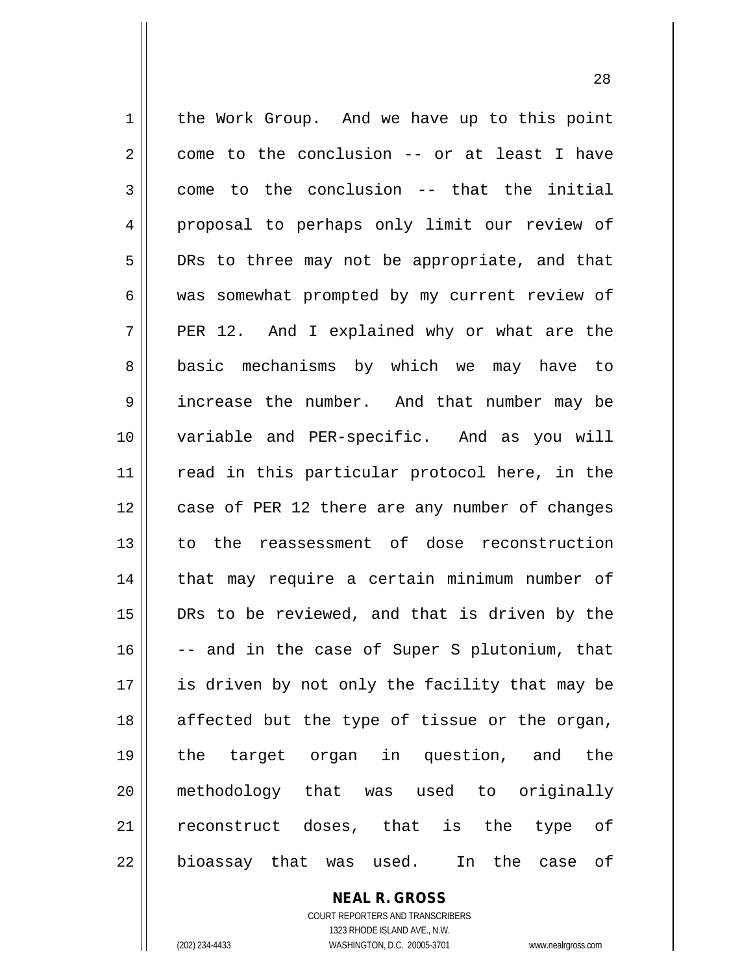1 | the Work Group. And we have up to this point  $2 \parallel$  come to the conclusion -- or at least I have  $3 \parallel$  come to the conclusion -- that the initial 4 proposal to perhaps only limit our review of 5 DRs to three may not be appropriate, and that 6 was somewhat prompted by my current review of  $7 \parallel$  PER 12. And I explained why or what are the 8 | basic mechanisms by which we may have to 9 | increase the number. And that number may be 10 variable and PER-specific. And as you will 11 || read in this particular protocol here, in the 12 || case of PER 12 there are any number of changes 13 to the reassessment of dose reconstruction 14 || that may require a certain minimum number of 15 DRs to be reviewed, and that is driven by the  $16$   $\vert$  -- and in the case of Super S plutonium, that 17 || is driven by not only the facility that may be 18 || affected but the type of tissue or the organ, 19 the target organ in question, and the 20 methodology that was used to originally 21 || reconstruct doses, that is the type of 22 || bioassay that was used. In the case of

> **NEAL R. GROSS** COURT REPORTERS AND TRANSCRIBERS

> > 1323 RHODE ISLAND AVE., N.W.

(202) 234-4433 WASHINGTON, D.C. 20005-3701 www.nealrgross.com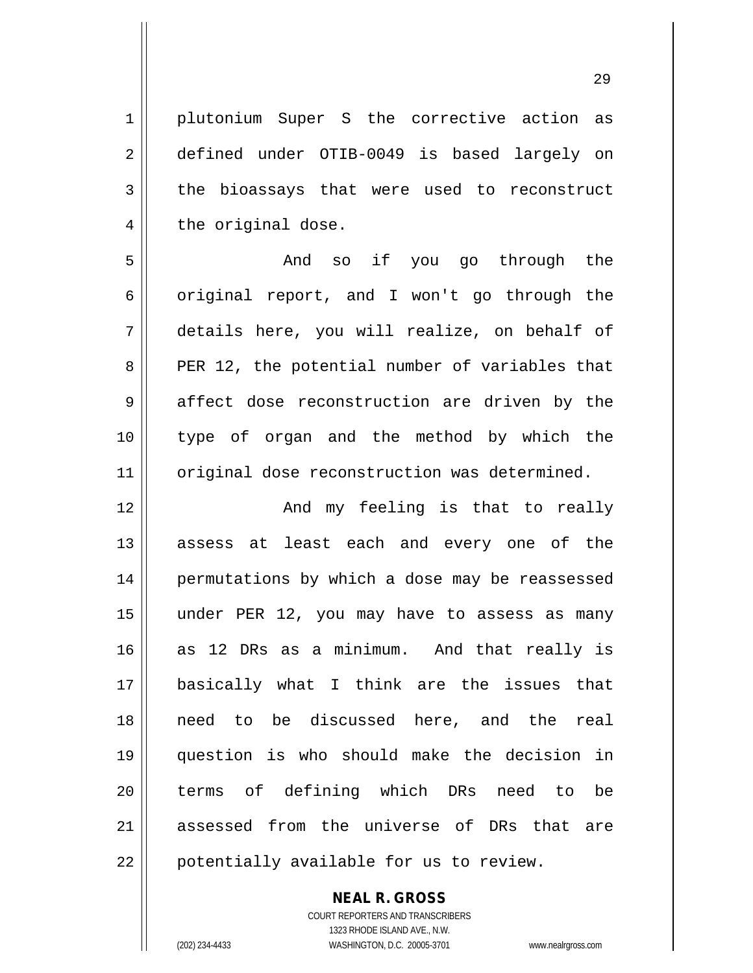1 || plutonium Super S the corrective action as 2 defined under OTIB-0049 is based largely on  $3 \parallel$  the bioassays that were used to reconstruct  $4 \parallel$  the original dose. 5 And so if you go through the  $6 \parallel$  original report, and I won't go through the 7 details here, you will realize, on behalf of  $8 \parallel$  PER 12, the potential number of variables that 9 affect dose reconstruction are driven by the

10 type of organ and the method by which the 11 | original dose reconstruction was determined.

 And my feeling is that to really 13 || assess at least each and every one of the 14 || permutations by which a dose may be reassessed under PER 12, you may have to assess as many as 12 DRs as a minimum. And that really is basically what I think are the issues that need to be discussed here, and the real question is who should make the decision in 20 || terms of defining which DRs need to be 21 assessed from the universe of DRs that are | potentially available for us to review.

> **NEAL R. GROSS** COURT REPORTERS AND TRANSCRIBERS

> > 1323 RHODE ISLAND AVE., N.W.

(202) 234-4433 WASHINGTON, D.C. 20005-3701 www.nealrgross.com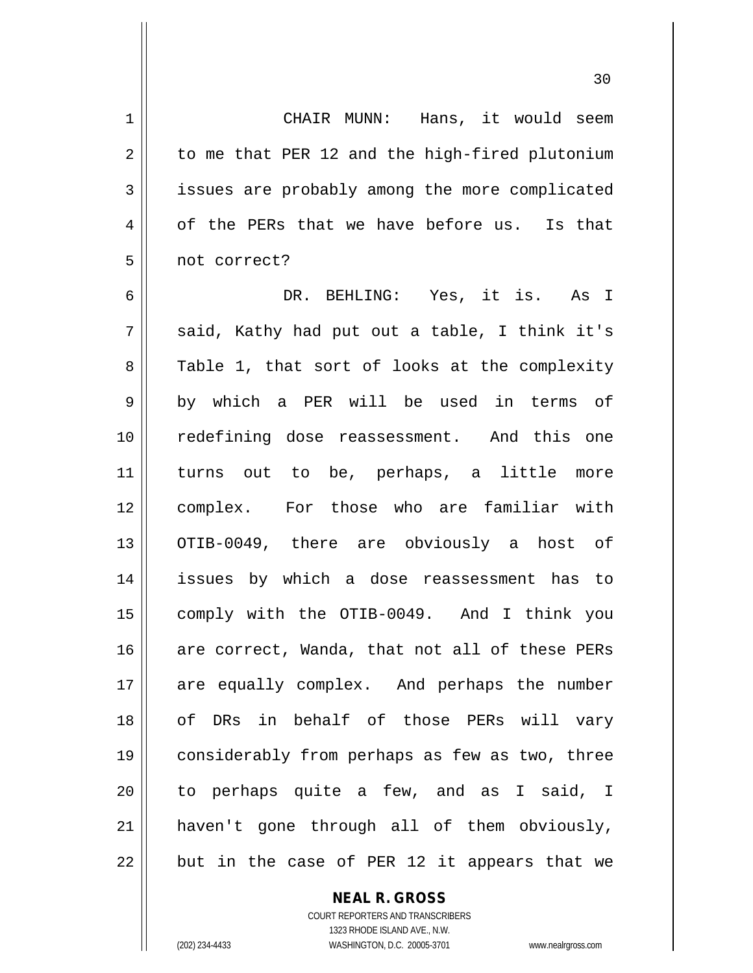1 || CHAIR MUNN: Hans, it would seem  $2 \parallel$  to me that PER 12 and the high-fired plutonium 3 | issues are probably among the more complicated  $4 \parallel$  of the PERs that we have before us. Is that 5 || not correct?

6 DR. BEHLING: Yes, it is. As I  $7 \parallel$  said, Kathy had put out a table, I think it's 8 Table 1, that sort of looks at the complexity 9 || by which a PER will be used in terms of 10 redefining dose reassessment. And this one 11 turns out to be, perhaps, a little more 12 complex. For those who are familiar with 13 || OTIB-0049, there are obviously a host of 14 issues by which a dose reassessment has to 15 comply with the OTIB-0049. And I think you 16 are correct, Wanda, that not all of these PERs 17 are equally complex. And perhaps the number 18 || of DRs in behalf of those PERs will vary 19 considerably from perhaps as few as two, three 20 || to perhaps quite a few, and as I said, I 21 haven't gone through all of them obviously,  $22$  || but in the case of PER 12 it appears that we

> **NEAL R. GROSS** COURT REPORTERS AND TRANSCRIBERS 1323 RHODE ISLAND AVE., N.W. (202) 234-4433 WASHINGTON, D.C. 20005-3701 www.nealrgross.com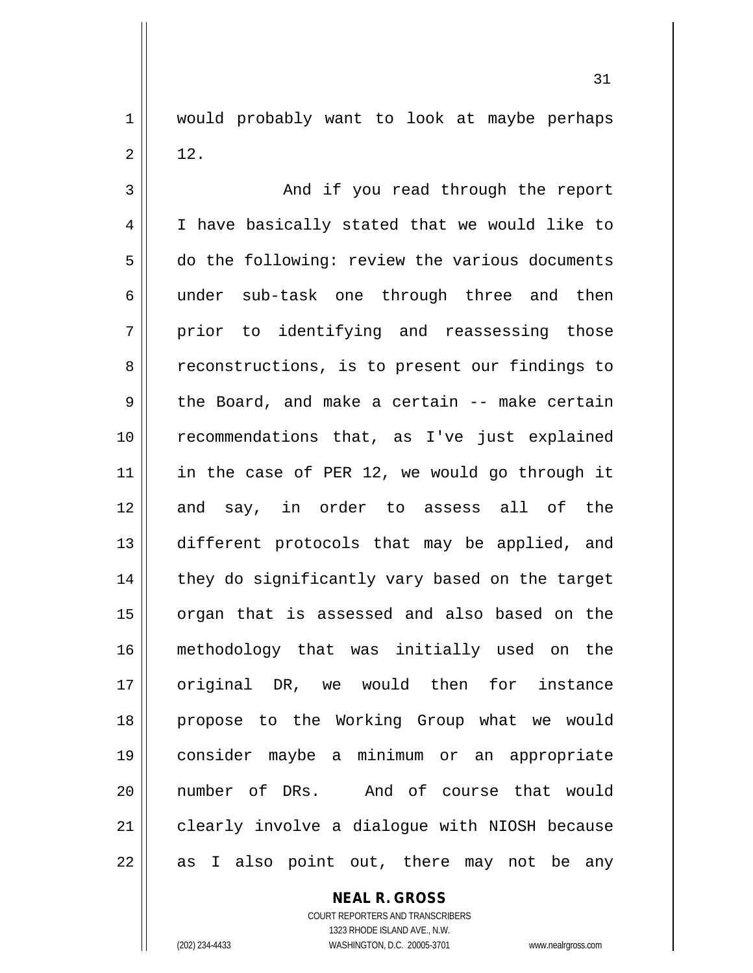1 would probably want to look at maybe perhaps  $2 \parallel 12$ .

3 And if you read through the report 4 | I have basically stated that we would like to 5 do the following: review the various documents 6 || under sub-task one through three and then  $7 \parallel$  prior to identifying and reassessing those 8 ceconstructions, is to present our findings to  $9 \parallel$  the Board, and make a certain -- make certain 10 || recommendations that, as I've just explained 11 || in the case of PER 12, we would go through it 12 and say, in order to assess all of the 13 different protocols that may be applied, and  $14$  | they do significantly vary based on the target 15 || organ that is assessed and also based on the 16 methodology that was initially used on the 17 || original DR, we would then for instance 18 propose to the Working Group what we would 19 consider maybe a minimum or an appropriate 20 number of DRs. And of course that would 21 || clearly involve a dialogue with NIOSH because  $22$  || as I also point out, there may not be any

**NEAL R. GROSS**

COURT REPORTERS AND TRANSCRIBERS 1323 RHODE ISLAND AVE., N.W. (202) 234-4433 WASHINGTON, D.C. 20005-3701 www.nealrgross.com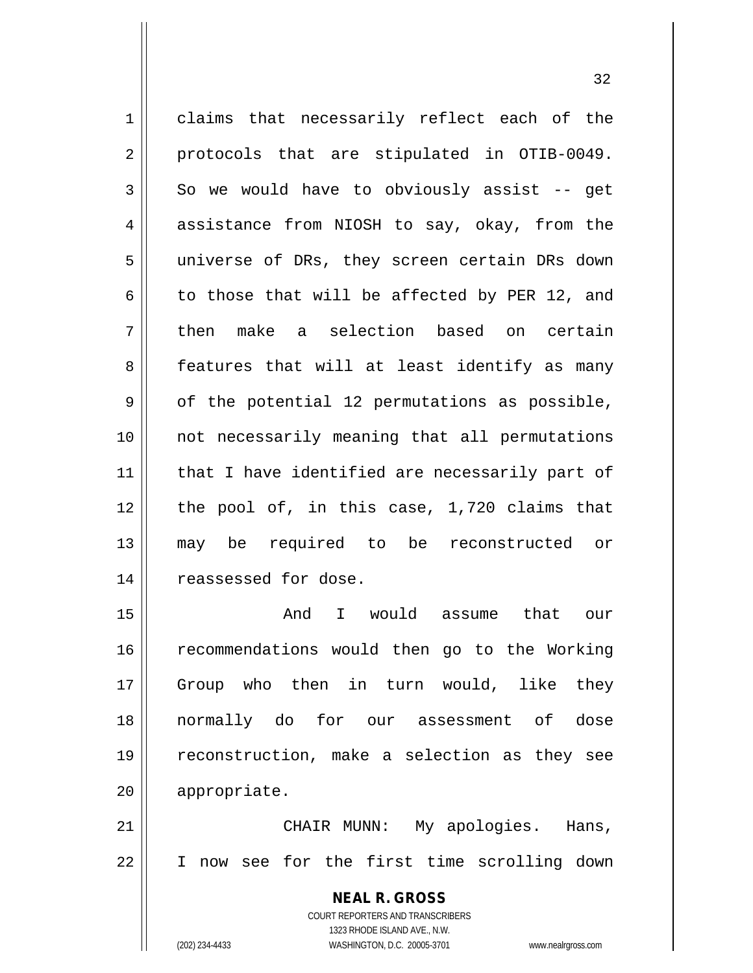1 claims that necessarily reflect each of the 2 || protocols that are stipulated in OTIB-0049.  $3 \parallel$  So we would have to obviously assist -- get 4 assistance from NIOSH to say, okay, from the 5 || universe of DRs, they screen certain DRs down 6 to those that will be affected by PER 12, and 7 then make a selection based on certain 8 || features that will at least identify as many  $9 \parallel$  of the potential 12 permutations as possible, 10 not necessarily meaning that all permutations 11 || that I have identified are necessarily part of  $12$  | the pool of, in this case, 1,720 claims that 13 may be required to be reconstructed or 14 | reassessed for dose. 15 And I would assume that our

16 || recommendations would then go to the Working Group who then in turn would, like they normally do for our assessment of dose reconstruction, make a selection as they see appropriate.

21 CHAIR MUNN: My apologies. Hans, 22 I now see for the first time scrolling down

> **NEAL R. GROSS** COURT REPORTERS AND TRANSCRIBERS 1323 RHODE ISLAND AVE., N.W. (202) 234-4433 WASHINGTON, D.C. 20005-3701 www.nealrgross.com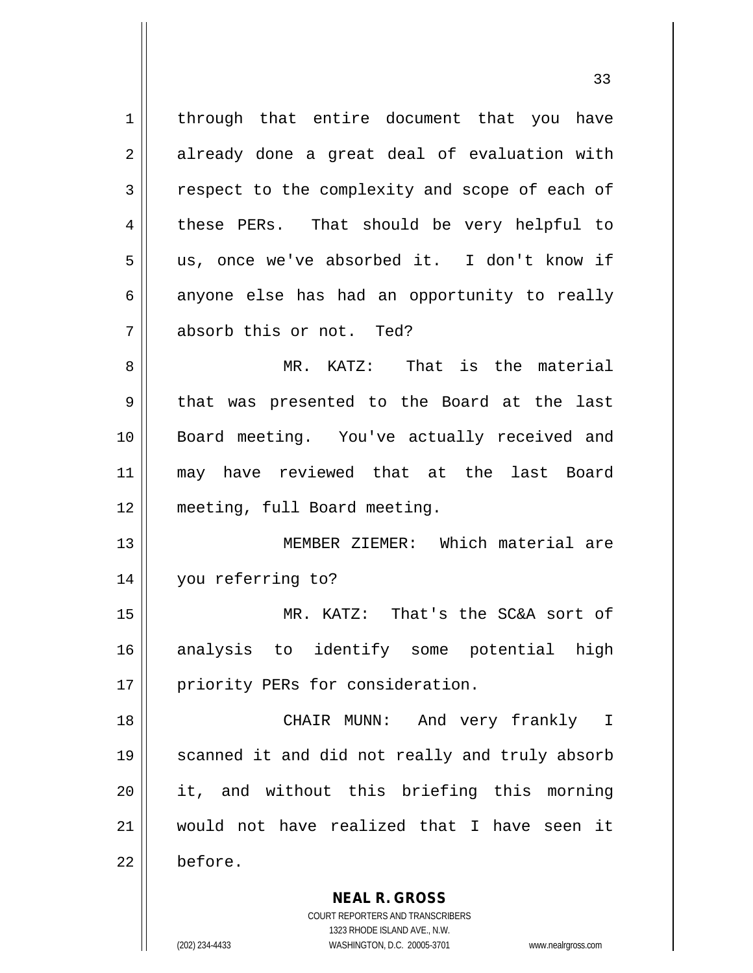1 | through that entire document that you have 2 already done a great deal of evaluation with 3 | respect to the complexity and scope of each of 4 these PERs. That should be very helpful to 5 us, once we've absorbed it. I don't know if  $6 \parallel$  anyone else has had an opportunity to really 7 absorb this or not. Ted? 8 MR. KATZ: That is the material 9 || that was presented to the Board at the last 10 Board meeting. You've actually received and 11 may have reviewed that at the last Board 12 meeting, full Board meeting. 13 MEMBER ZIEMER: Which material are 14 you referring to? 15 MR. KATZ: That's the SC&A sort of 16 analysis to identify some potential high 17 || priority PERs for consideration. 18 CHAIR MUNN: And very frankly I 19 || scanned it and did not really and truly absorb 20 it, and without this briefing this morning 21 would not have realized that I have seen it 22 before.

(202) 234-4433 WASHINGTON, D.C. 20005-3701 www.nealrgross.com

1323 RHODE ISLAND AVE., N.W.

**NEAL R. GROSS** COURT REPORTERS AND TRANSCRIBERS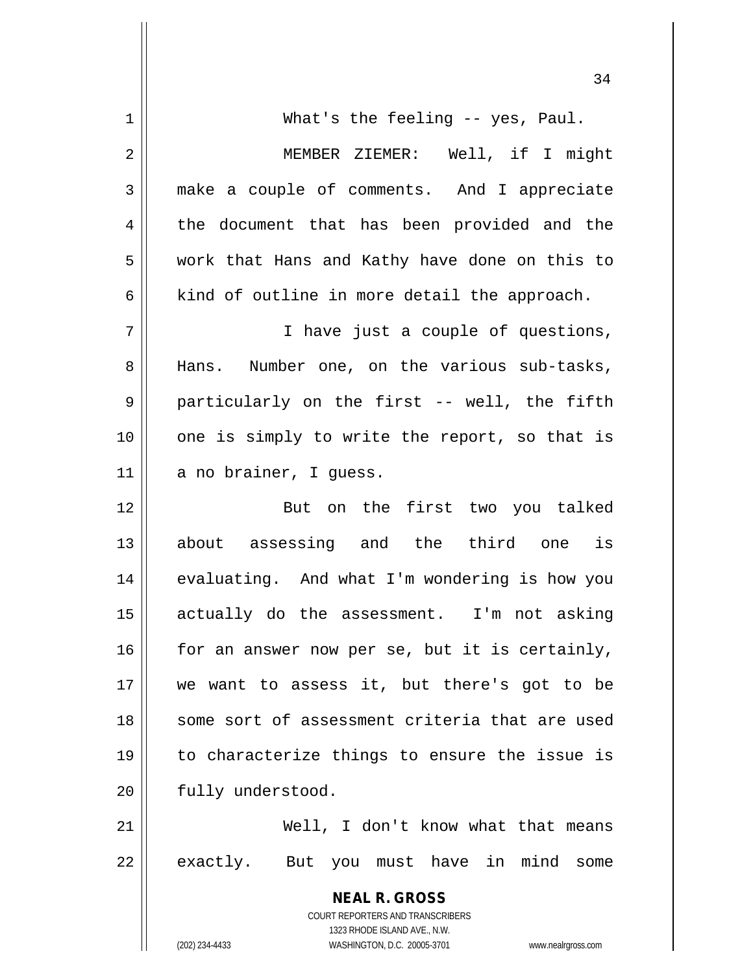| 1  | What's the feeling -- yes, Paul.                                    |
|----|---------------------------------------------------------------------|
| 2  | MEMBER ZIEMER: Well, if I might                                     |
| 3  | make a couple of comments. And I appreciate                         |
| 4  | the document that has been provided and the                         |
| 5  | work that Hans and Kathy have done on this to                       |
| 6  | kind of outline in more detail the approach.                        |
| 7  | I have just a couple of questions,                                  |
| 8  | Hans. Number one, on the various sub-tasks,                         |
| 9  | particularly on the first -- well, the fifth                        |
| 10 | one is simply to write the report, so that is                       |
| 11 | a no brainer, I guess.                                              |
| 12 | But on the first two you talked                                     |
| 13 | about assessing and the third one is                                |
| 14 | evaluating. And what I'm wondering is how you                       |
| 15 | actually do the assessment. I'm not asking                          |
| 16 | for an answer now per se, but it is certainly,                      |
| 17 | we want to assess it, but there's got to be                         |
| 18 | some sort of assessment criteria that are used                      |
| 19 | to characterize things to ensure the issue is                       |
| 20 | fully understood.                                                   |
| 21 | Well, I don't know what that means                                  |
| 22 |                                                                     |
|    | exactly. But you must have in mind some                             |
|    | <b>NEAL R. GROSS</b>                                                |
|    | COURT REPORTERS AND TRANSCRIBERS<br>1323 RHODE ISLAND AVE., N.W.    |
|    | WASHINGTON, D.C. 20005-3701<br>(202) 234-4433<br>www.nealrgross.com |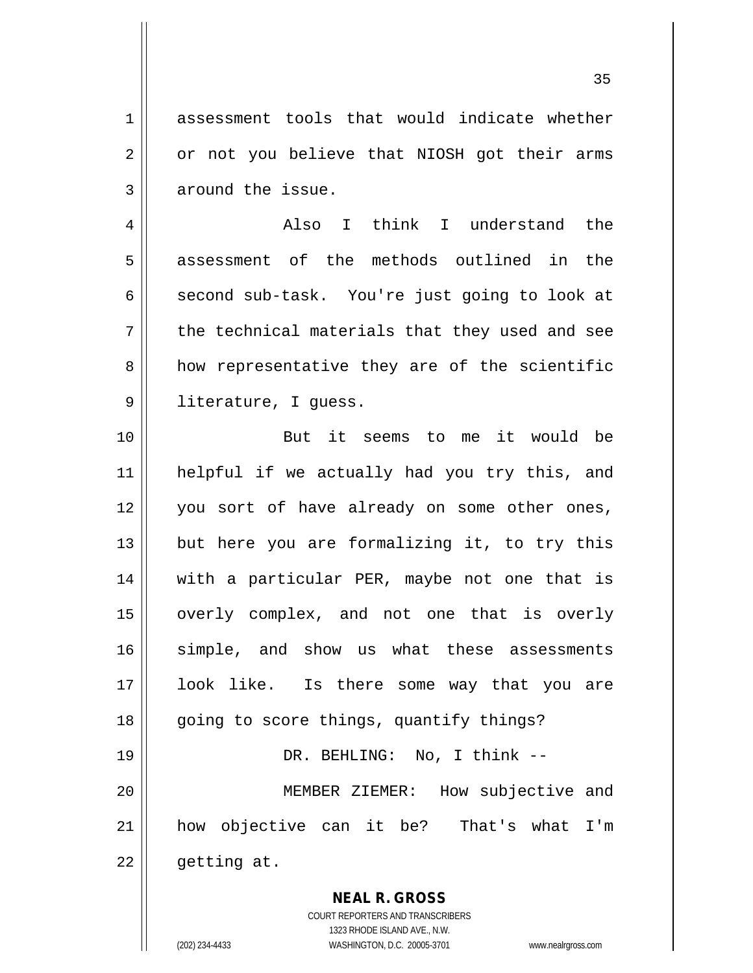1 assessment tools that would indicate whether  $2 \parallel$  or not you believe that NIOSH got their arms 3 around the issue.

4 Also I think I understand the 5 assessment of the methods outlined in the  $6 \parallel$  second sub-task. You're just going to look at  $7 \parallel$  the technical materials that they used and see  $8 \parallel$  how representative they are of the scientific 9 || literature, I guess.

10 But it seems to me it would be 11 helpful if we actually had you try this, and 12 || you sort of have already on some other ones,  $13$  || but here you are formalizing it, to try this 14 || with a particular PER, maybe not one that is 15 || overly complex, and not one that is overly 16 simple, and show us what these assessments 17 look like. Is there some way that you are 18 || going to score things, quantify things? 19 DR. BEHLING: No, I think -- 20 MEMBER ZIEMER: How subjective and 21 how objective can it be? That's what I'm

 $22$  | getting at.

**NEAL R. GROSS** COURT REPORTERS AND TRANSCRIBERS

1323 RHODE ISLAND AVE., N.W. (202) 234-4433 WASHINGTON, D.C. 20005-3701 www.nealrgross.com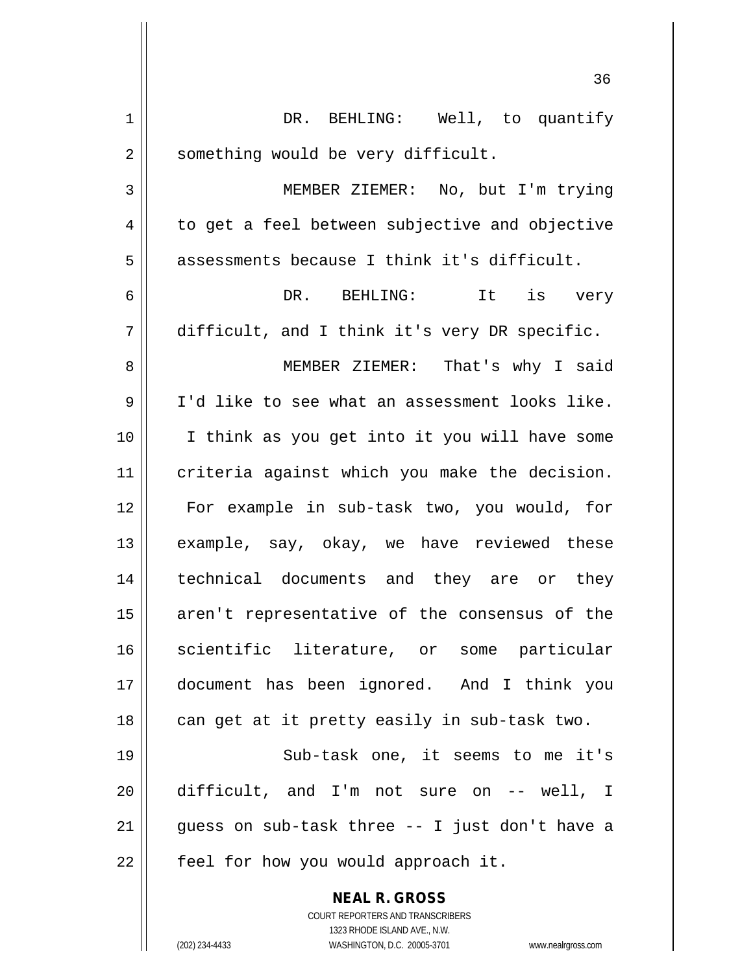|    | 36                                                                  |
|----|---------------------------------------------------------------------|
| 1  | DR. BEHLING: Well, to quantify                                      |
| 2  | something would be very difficult.                                  |
| 3  | MEMBER ZIEMER: No, but I'm trying                                   |
| 4  | to get a feel between subjective and objective                      |
| 5  | assessments because I think it's difficult.                         |
| 6  | DR. BEHLING: It is very                                             |
| 7  | difficult, and I think it's very DR specific.                       |
| 8  | MEMBER ZIEMER: That's why I said                                    |
| 9  | I'd like to see what an assessment looks like.                      |
| 10 | I think as you get into it you will have some                       |
| 11 | criteria against which you make the decision.                       |
| 12 | For example in sub-task two, you would, for                         |
| 13 | example, say, okay, we have reviewed these                          |
| 14 | technical documents and they are or they                            |
| 15 | aren't representative of the consensus of the                       |
| 16 | scientific literature, or some particular                           |
| 17 | document has been ignored. And I think you                          |
| 18 | can get at it pretty easily in sub-task two.                        |
| 19 | Sub-task one, it seems to me it's                                   |
| 20 | difficult, and I'm not sure on -- well, I                           |
| 21 | guess on sub-task three -- I just don't have a                      |
| 22 | feel for how you would approach it.                                 |
|    | <b>NEAL R. GROSS</b>                                                |
|    | COURT REPORTERS AND TRANSCRIBERS<br>1323 RHODE ISLAND AVE., N.W.    |
|    | (202) 234-4433<br>WASHINGTON, D.C. 20005-3701<br>www.nealrgross.com |

 $\mathsf{I}$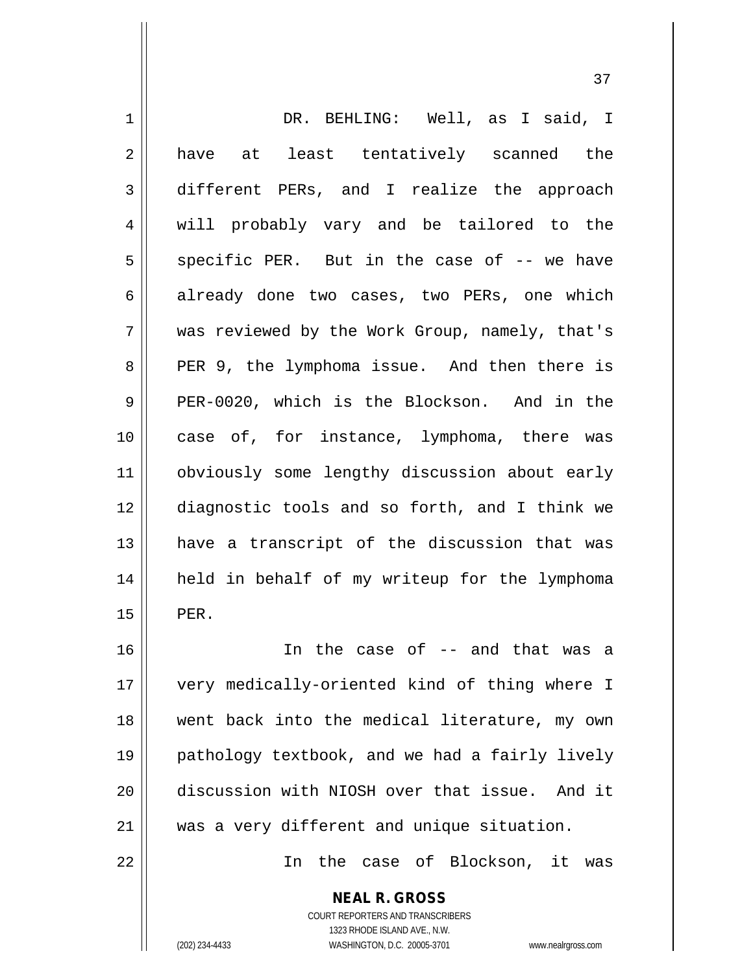| $\mathbf 1$    | DR. BEHLING: Well, as I said, I                                                          |
|----------------|------------------------------------------------------------------------------------------|
| $\overline{2}$ | have at least tentatively scanned the                                                    |
| 3              | different PERs, and I realize the approach                                               |
| 4              | will probably vary and be tailored to the                                                |
| 5              | specific PER. But in the case of -- we have                                              |
| 6              | already done two cases, two PERs, one which                                              |
| 7              | was reviewed by the Work Group, namely, that's                                           |
| 8              | PER 9, the lymphoma issue. And then there is                                             |
| 9              | PER-0020, which is the Blockson. And in the                                              |
| 10             | case of, for instance, lymphoma, there was                                               |
| 11             | obviously some lengthy discussion about early                                            |
| 12             | diagnostic tools and so forth, and I think we                                            |
| 13             | have a transcript of the discussion that was                                             |
| 14             | held in behalf of my writeup for the lymphoma                                            |
| 15             | PER.                                                                                     |
| 16             | In the case of -- and that was a                                                         |
| 17             | very medically-oriented kind of thing where I                                            |
| 18             | went back into the medical literature, my own                                            |
| 19             | pathology textbook, and we had a fairly lively                                           |
| 20             | discussion with NIOSH over that issue. And it                                            |
| 21             | was a very different and unique situation.                                               |
| 22             | In the case of Blockson, it was                                                          |
|                | <b>NEAL R. GROSS</b><br>COURT REPORTERS AND TRANSCRIBERS<br>1323 RHODE ISLAND AVE., N.W. |
|                | (202) 234-4433<br>WASHINGTON, D.C. 20005-3701<br>www.nealrgross.com                      |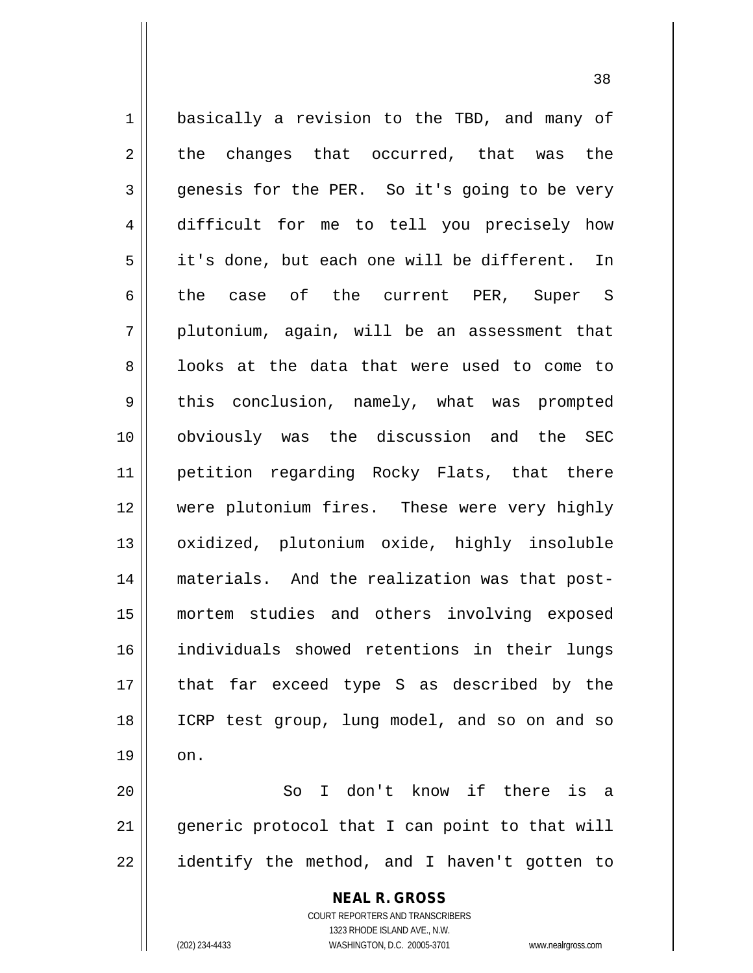1 | basically a revision to the TBD, and many of  $2 \parallel$  the changes that occurred, that was the 3 genesis for the PER. So it's going to be very 4 difficult for me to tell you precisely how 5 it's done, but each one will be different. In 6 the case of the current PER, Super S  $7 \parallel$  plutonium, again, will be an assessment that 8 || looks at the data that were used to come to 9 this conclusion, namely, what was prompted 10 obviously was the discussion and the SEC 11 petition regarding Rocky Flats, that there 12 were plutonium fires. These were very highly 13 || oxidized, plutonium oxide, highly insoluble 14 materials. And the realization was that post-15 mortem studies and others involving exposed 16 individuals showed retentions in their lungs 17 || that far exceed type S as described by the 18 || ICRP test group, lung model, and so on and so  $19 \parallel \quad$  on. 20 So I don't know if there is a 21 || generic protocol that I can point to that will

 $22$  || identify the method, and I haven't gotten to

**NEAL R. GROSS** COURT REPORTERS AND TRANSCRIBERS

1323 RHODE ISLAND AVE., N.W.

(202) 234-4433 WASHINGTON, D.C. 20005-3701 www.nealrgross.com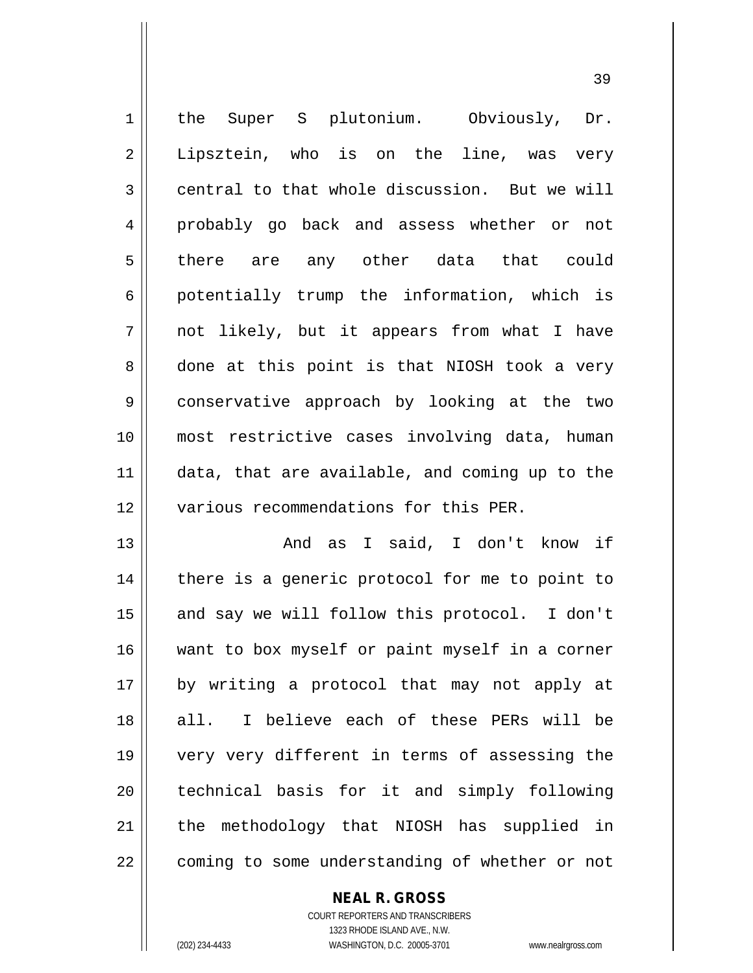| $\mathbf 1$ | the Super S plutonium. Obviously, Dr.          |
|-------------|------------------------------------------------|
| 2           | Lipsztein, who is on the line, was very        |
| 3           | central to that whole discussion. But we will  |
| 4           | probably go back and assess whether or not     |
| 5           | there are any other data that could            |
| 6           | potentially trump the information, which is    |
| 7           | not likely, but it appears from what I have    |
| 8           | done at this point is that NIOSH took a very   |
| 9           | conservative approach by looking at the two    |
| 10          | most restrictive cases involving data, human   |
| 11          | data, that are available, and coming up to the |
| 12          | various recommendations for this PER.          |
| 13          | And as I said, I don't know if                 |
| 14          | there is a generic protocol for me to point to |
| 15          | and say we will follow this protocol. I don't  |
| 16          | want to box myself or paint myself in a corner |
| 17          | by writing a protocol that may not apply at    |
| 18          | I believe each of these PERs will be<br>all.   |
| 19          | very very different in terms of assessing the  |
| 20          | technical basis for it and simply following    |
| 21          | the methodology that NIOSH has supplied in     |
| 22          | coming to some understanding of whether or not |

**NEAL R. GROSS**

COURT REPORTERS AND TRANSCRIBERS 1323 RHODE ISLAND AVE., N.W. (202) 234-4433 WASHINGTON, D.C. 20005-3701 www.nealrgross.com

 $\prod$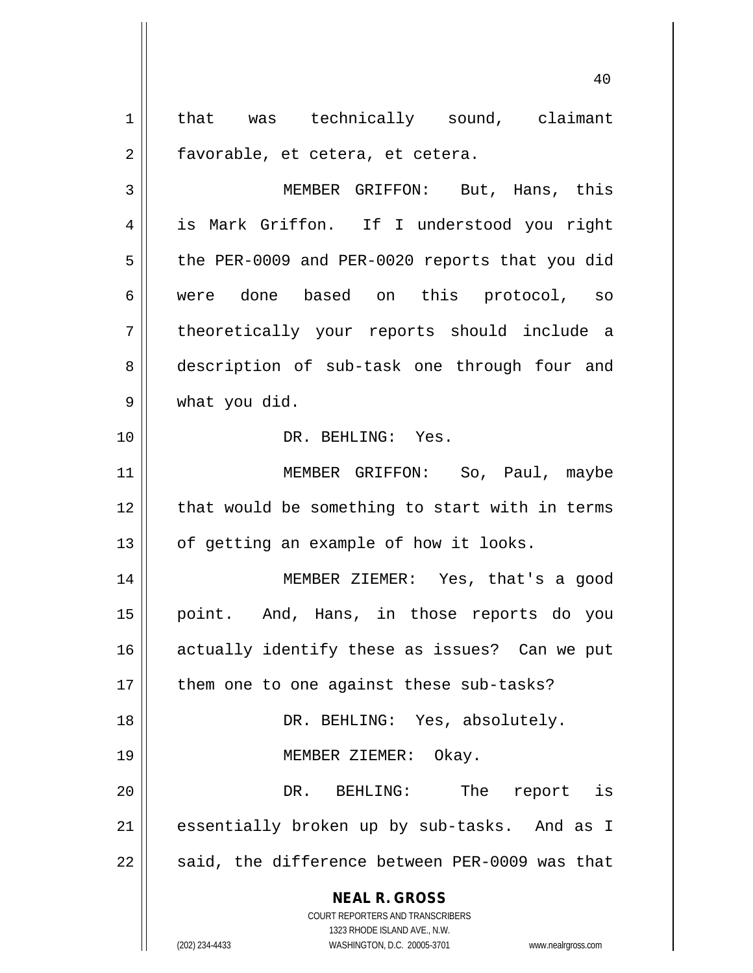1 || that was technically sound, claimant  $2 \parallel$  favorable, et cetera, et cetera.

3 || MEMBER GRIFFON: But, Hans, this 4 is Mark Griffon. If I understood you right  $5 \parallel$  the PER-0009 and PER-0020 reports that you did 6 were done based on this protocol, so 7 theoretically your reports should include a 8 description of sub-task one through four and 9 what you did.

10 DR. BEHLING: Yes.

11 || MEMBER GRIFFON: So, Paul, maybe 12 || that would be something to start with in terms  $13$  | of getting an example of how it looks.

14 || MEMBER ZIEMER: Yes, that's a good 15 point. And, Hans, in those reports do you 16 || actually identify these as issues? Can we put 17 || them one to one against these sub-tasks? 18 DR. BEHLING: Yes, absolutely. 19 || MEMBER ZIEMER: Okay. 20 DR. BEHLING: The report is 21 || essentially broken up by sub-tasks. And as I

 $22$  || said, the difference between PER-0009 was that

**NEAL R. GROSS**

COURT REPORTERS AND TRANSCRIBERS 1323 RHODE ISLAND AVE., N.W. (202) 234-4433 WASHINGTON, D.C. 20005-3701 www.nealrgross.com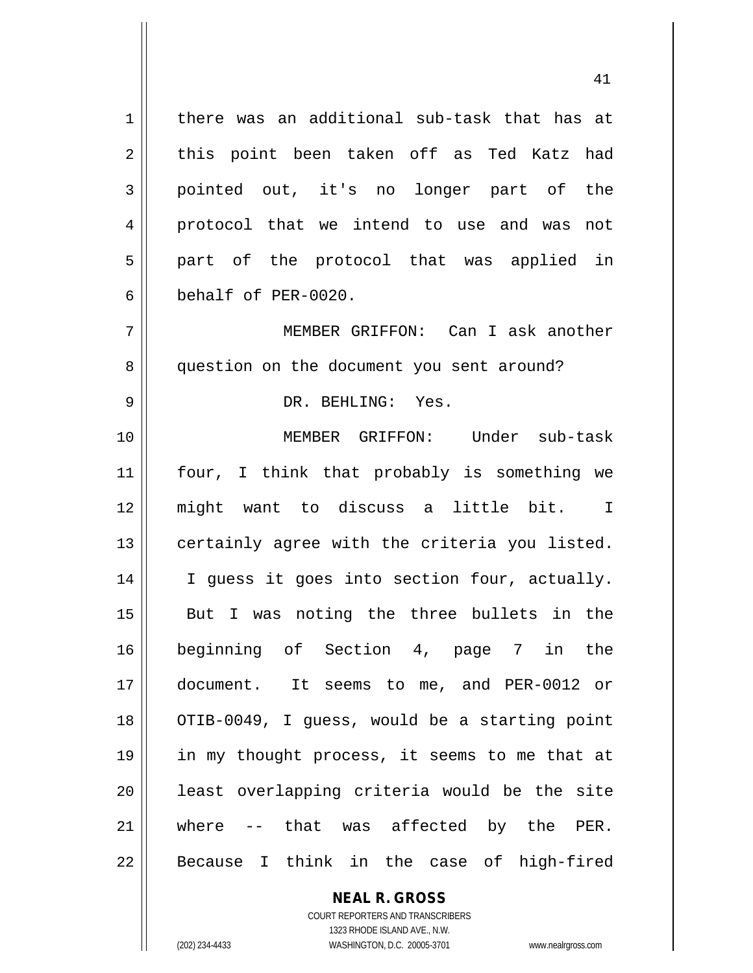$1 \parallel$  there was an additional sub-task that has at 2 this point been taken off as Ted Katz had 3 pointed out, it's no longer part of the 4 protocol that we intend to use and was not  $5$  || part of the protocol that was applied in 6 behalf of PER-0020.

7 MEMBER GRIFFON: Can I ask another 8 || question on the document you sent around?

## 9 DR. BEHLING: Yes.

 MEMBER GRIFFON: Under sub-task four, I think that probably is something we might want to discuss a little bit. I 13 || certainly agree with the criteria you listed. 14 || I guess it goes into section four, actually. But I was noting the three bullets in the beginning of Section 4, page 7 in the document. It seems to me, and PER-0012 or 18 || OTIB-0049, I guess, would be a starting point in my thought process, it seems to me that at 20 || least overlapping criteria would be the site where -- that was affected by the PER. || Because I think in the case of high-fired

## **NEAL R. GROSS**

COURT REPORTERS AND TRANSCRIBERS 1323 RHODE ISLAND AVE., N.W. (202) 234-4433 WASHINGTON, D.C. 20005-3701 www.nealrgross.com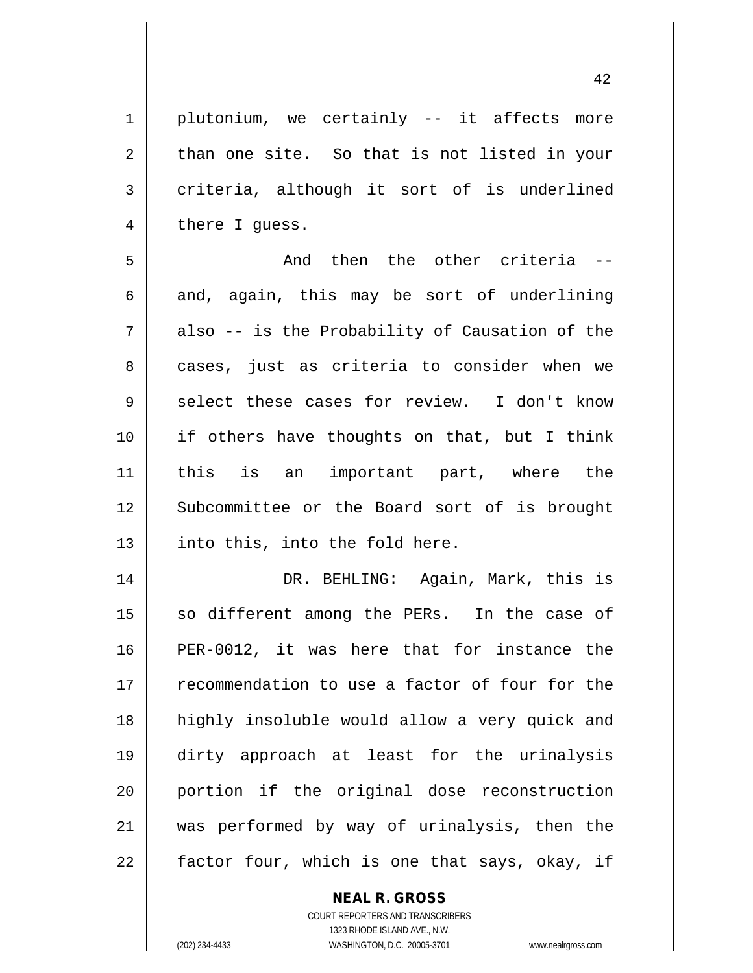1 || plutonium, we certainly -- it affects more  $2 \parallel$  than one site. So that is not listed in your  $3 \parallel$  criteria, although it sort of is underlined  $4 \parallel$  there I guess. 5 And then the other criteria --  $6 \parallel$  and, again, this may be sort of underlining  $7 \parallel$  also -- is the Probability of Causation of the 8 || cases, just as criteria to consider when we  $9 \parallel$  select these cases for review. I don't know 10 || if others have thoughts on that, but I think 11 this is an important part, where the 12 || Subcommittee or the Board sort of is brought  $13$  | into this, into the fold here. 14 DR. BEHLING: Again, Mark, this is  $15$  so different among the PERs. In the case of 16 PER-0012, it was here that for instance the 17 recommendation to use a factor of four for the 18 highly insoluble would allow a very quick and 19 dirty approach at least for the urinalysis 20 portion if the original dose reconstruction 21 was performed by way of urinalysis, then the  $22$  | factor four, which is one that says, okay, if

**NEAL R. GROSS**

COURT REPORTERS AND TRANSCRIBERS 1323 RHODE ISLAND AVE., N.W. (202) 234-4433 WASHINGTON, D.C. 20005-3701 www.nealrgross.com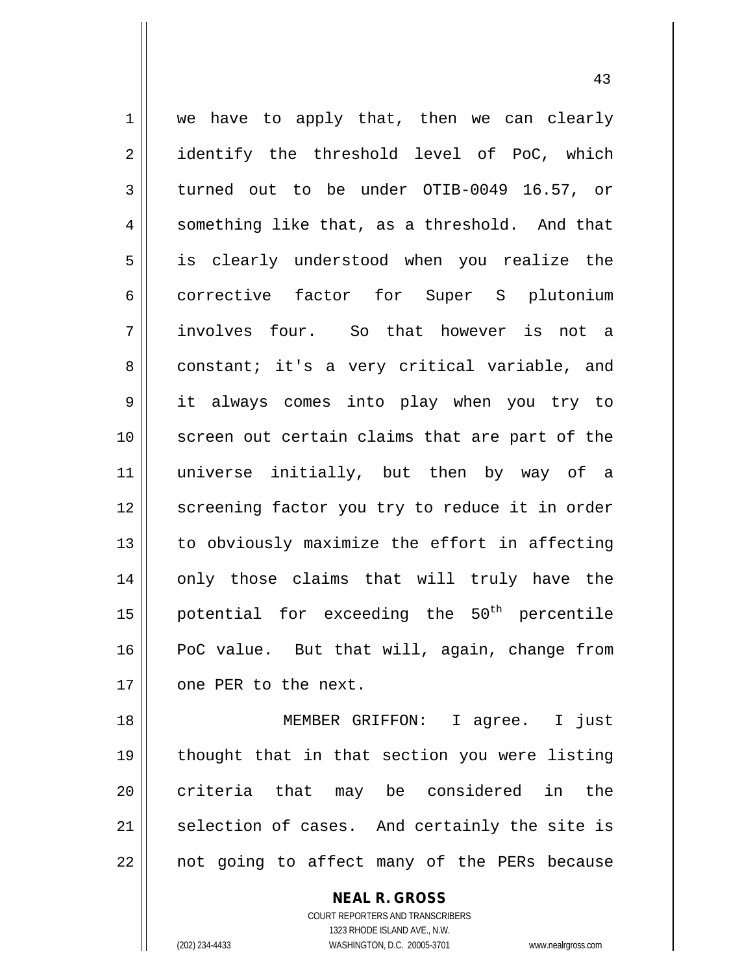$1 \parallel$  we have to apply that, then we can clearly 2 || identify the threshold level of PoC, which 3 turned out to be under OTIB-0049 16.57, or  $4 \parallel$  something like that, as a threshold. And that 5 is clearly understood when you realize the 6 corrective factor for Super S plutonium 7 involves four. So that however is not a 8 constant; it's a very critical variable, and 9 it always comes into play when you try to 10 screen out certain claims that are part of the 11 universe initially, but then by way of a 12 || screening factor you try to reduce it in order  $13$  | to obviously maximize the effort in affecting 14 || only those claims that will truly have the 15  $\parallel$  potential for exceeding the 50<sup>th</sup> percentile 16 PoC value. But that will, again, change from 17 | one PER to the next.

18 MEMBER GRIFFON: I agree. I just 19 thought that in that section you were listing 20 || criteria that may be considered in the  $21$  selection of cases. And certainly the site is 22 || not going to affect many of the PERs because

> **NEAL R. GROSS** COURT REPORTERS AND TRANSCRIBERS 1323 RHODE ISLAND AVE., N.W. (202) 234-4433 WASHINGTON, D.C. 20005-3701 www.nealrgross.com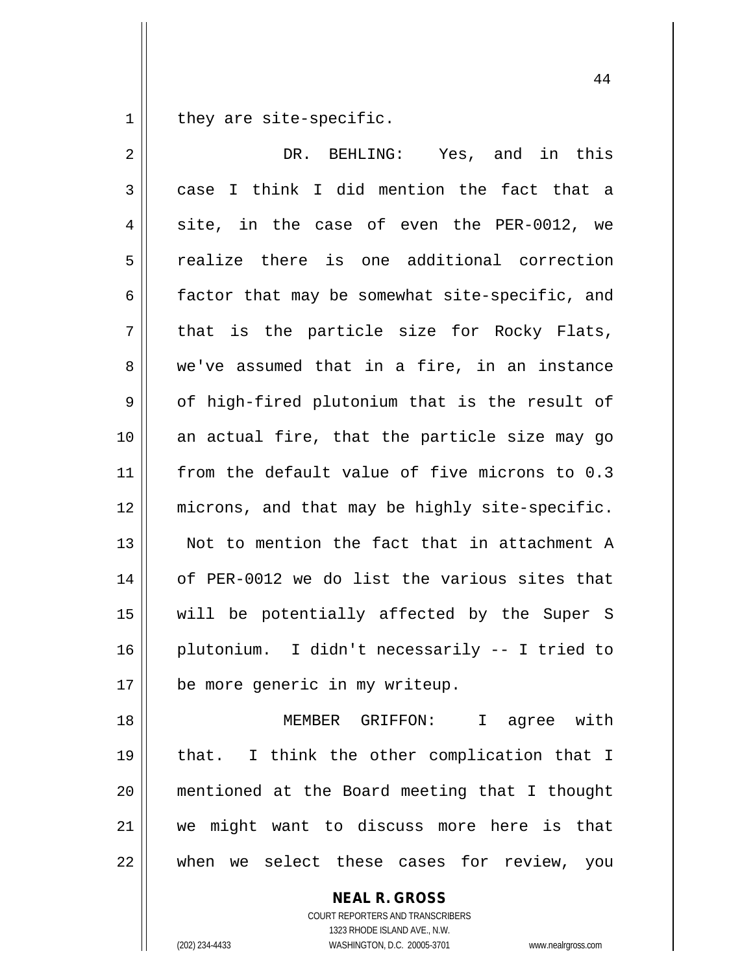$1 \parallel$  they are site-specific.

| $\overline{2}$ | DR. BEHLING: Yes, and in this                  |
|----------------|------------------------------------------------|
| 3              | case I think I did mention the fact that a     |
| 4              | site, in the case of even the PER-0012, we     |
| 5              | realize there is one additional correction     |
| 6              | factor that may be somewhat site-specific, and |
| 7              | that is the particle size for Rocky Flats,     |
| 8              | we've assumed that in a fire, in an instance   |
| $\mathsf 9$    | of high-fired plutonium that is the result of  |
| 10             | an actual fire, that the particle size may go  |
| 11             | from the default value of five microns to 0.3  |
| 12             | microns, and that may be highly site-specific. |
| 13             | Not to mention the fact that in attachment A   |
| 14             | of PER-0012 we do list the various sites that  |
| 15             | will be potentially affected by the Super S    |
| 16             | plutonium. I didn't necessarily -- I tried to  |
| 17             | be more generic in my writeup.                 |
| 18             | MEMBER GRIFFON: I agree with                   |
| 19             | that. I think the other complication that I    |
| 20             | mentioned at the Board meeting that I thought  |
| 21             | we might want to discuss more here is that     |
|                |                                                |

| when we select these cases for review, you

**NEAL R. GROSS**

COURT REPORTERS AND TRANSCRIBERS 1323 RHODE ISLAND AVE., N.W. (202) 234-4433 WASHINGTON, D.C. 20005-3701 www.nealrgross.com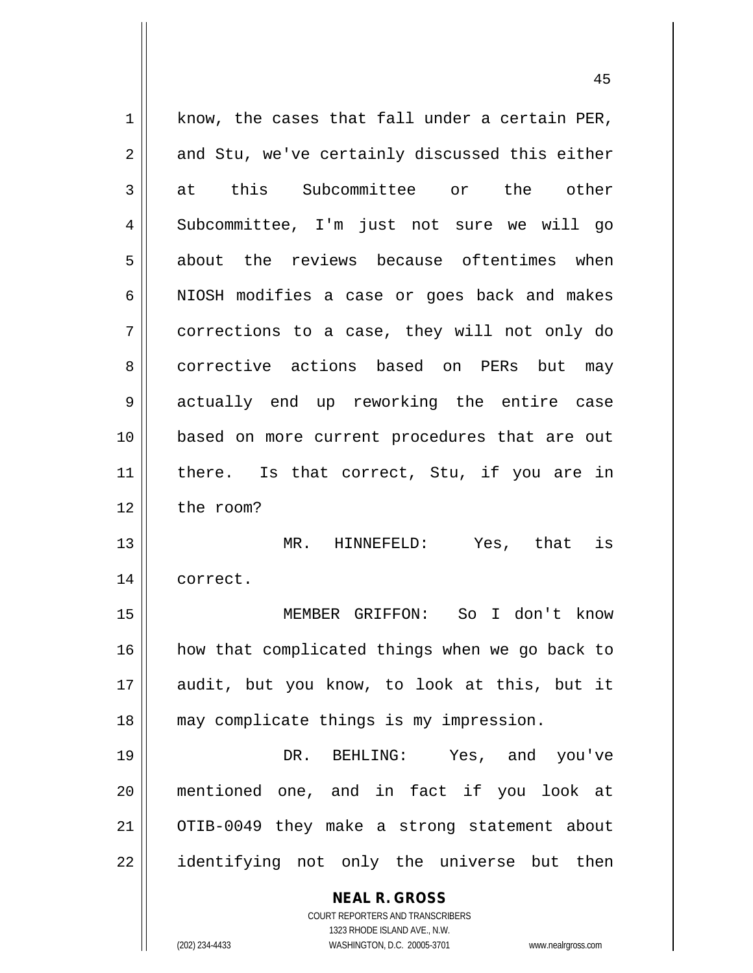**NEAL R. GROSS** COURT REPORTERS AND TRANSCRIBERS 1323 RHODE ISLAND AVE., N.W.  $1 \parallel$  know, the cases that fall under a certain PER,  $2 \parallel$  and Stu, we've certainly discussed this either 3 at this Subcommittee or the other 4 Subcommittee, I'm just not sure we will go 5 about the reviews because oftentimes when 6 | NIOSH modifies a case or goes back and makes 7 corrections to a case, they will not only do 8 corrective actions based on PERs but may 9 actually end up reworking the entire case 10 based on more current procedures that are out 11 || there. Is that correct, Stu, if you are in 12 l the room? 13 MR. HINNEFELD: Yes, that is 14 correct. 15 MEMBER GRIFFON: So I don't know 16 || how that complicated things when we go back to 17 audit, but you know, to look at this, but it 18 may complicate things is my impression. 19 DR. BEHLING: Yes, and you've 20 mentioned one, and in fact if you look at 21 OTIB-0049 they make a strong statement about 22 || identifying not only the universe but then

(202) 234-4433 WASHINGTON, D.C. 20005-3701 www.nealrgross.com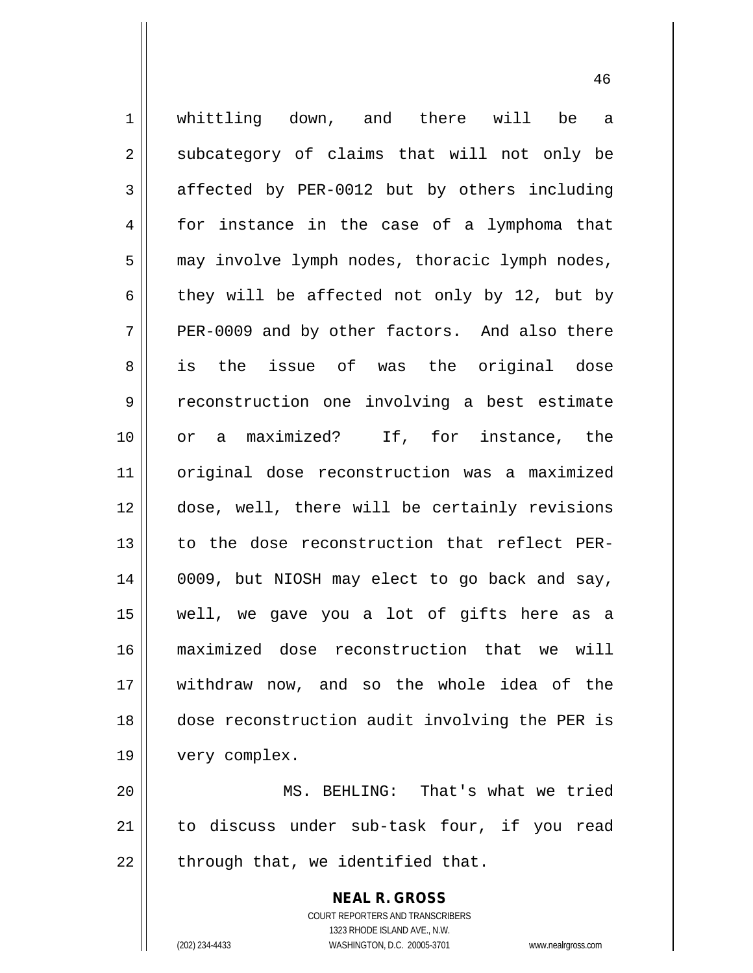1 || whittling down, and there will be a  $2 \parallel$  subcategory of claims that will not only be  $3 \parallel$  affected by PER-0012 but by others including 4 for instance in the case of a lymphoma that 5 | may involve lymph nodes, thoracic lymph nodes, 6 they will be affected not only by 12, but by  $7 \parallel$  PER-0009 and by other factors. And also there 8 as is the issue of was the original dose 9 | reconstruction one involving a best estimate 10 || or a maximized? If, for instance, the 11 original dose reconstruction was a maximized 12 dose, well, there will be certainly revisions 13 to the dose reconstruction that reflect PER-14 || 0009, but NIOSH may elect to go back and say, 15 well, we gave you a lot of gifts here as a 16 maximized dose reconstruction that we will 17 withdraw now, and so the whole idea of the 18 dose reconstruction audit involving the PER is 19 very complex. 20 MS. BEHLING: That's what we tried 21 to discuss under sub-task four, if you read

 $22$  | through that, we identified that.

**NEAL R. GROSS** COURT REPORTERS AND TRANSCRIBERS 1323 RHODE ISLAND AVE., N.W.

(202) 234-4433 WASHINGTON, D.C. 20005-3701 www.nealrgross.com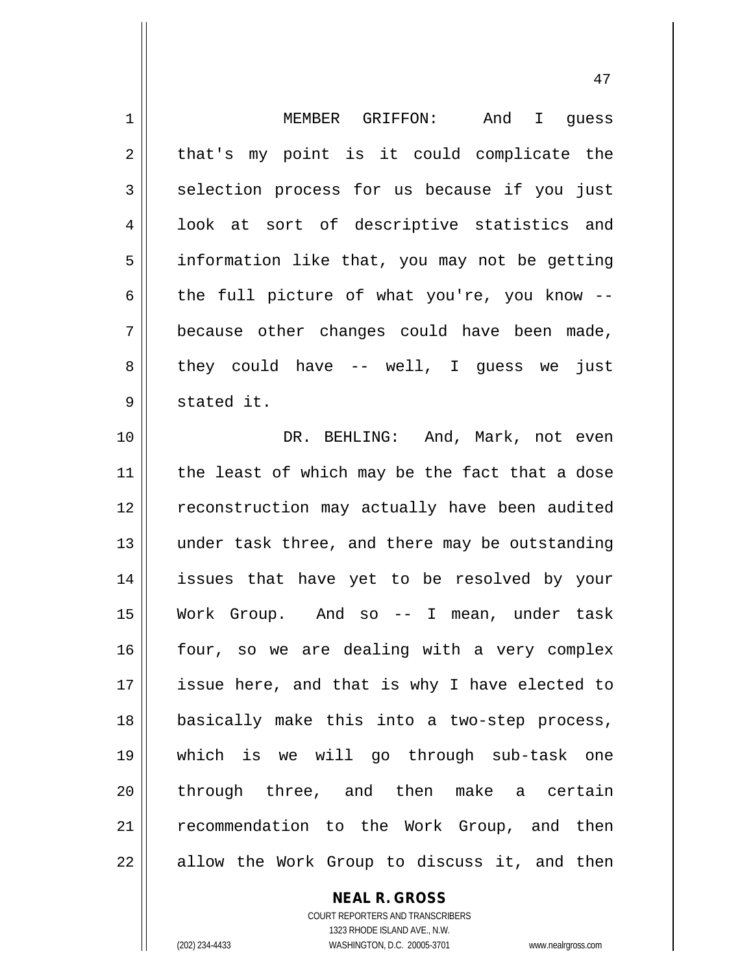| $\mathbf 1$    | MEMBER GRIFFON:<br>And I guess                 |
|----------------|------------------------------------------------|
| 2              | that's my point is it could complicate the     |
| 3              | selection process for us because if you just   |
| $\overline{4}$ | look at sort of descriptive statistics and     |
| 5              | information like that, you may not be getting  |
| 6              | the full picture of what you're, you know --   |
| 7              | because other changes could have been made,    |
| 8              | they could have $--$ well, I guess we just     |
| 9              | stated it.                                     |
| 10             | DR. BEHLING: And, Mark, not even               |
| 11             | the least of which may be the fact that a dose |
| 12             | reconstruction may actually have been audited  |
| 13             | under task three, and there may be outstanding |
| 14             | issues that have yet to be resolved by your    |
| 15             | Work Group. And so -- I mean, under task       |
| 16             | four, so we are dealing with a very complex    |
| 17             | issue here, and that is why I have elected to  |
| 18             | basically make this into a two-step process,   |
| 19             | which is we will go through sub-task one       |
| 20             | through three, and then make a certain         |
| 21             | recommendation to the Work Group, and then     |
| 22             | allow the Work Group to discuss it, and then   |

**NEAL R. GROSS**

COURT REPORTERS AND TRANSCRIBERS 1323 RHODE ISLAND AVE., N.W. (202) 234-4433 WASHINGTON, D.C. 20005-3701 www.nealrgross.com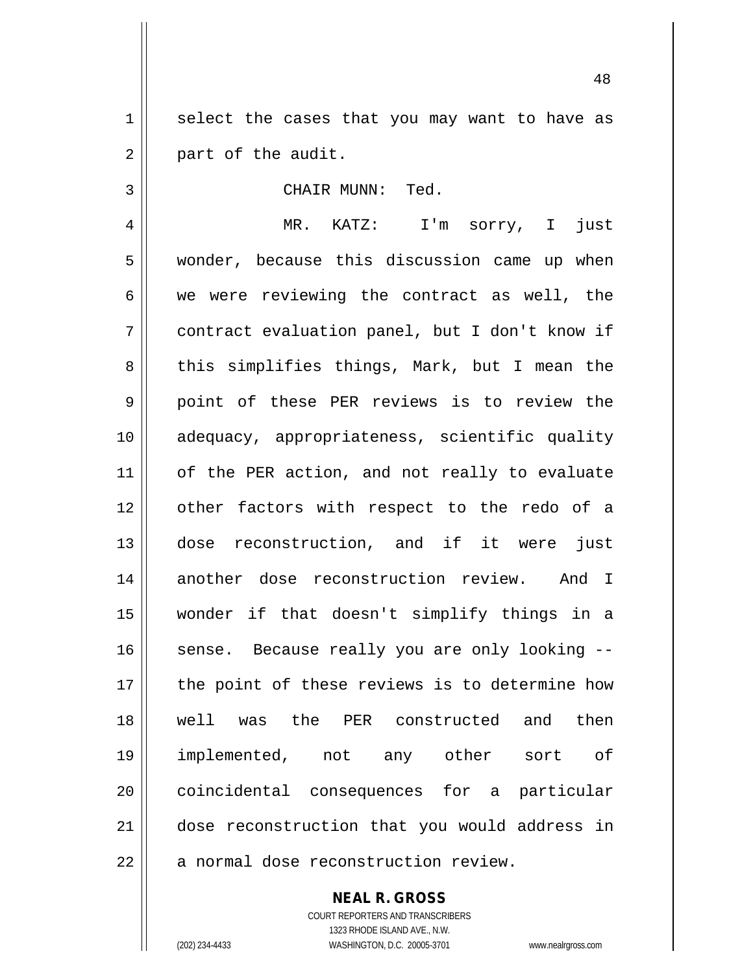1 select the cases that you may want to have as  $2 \parallel$  part of the audit.

## 3 || CHAIR MUNN: Ted.

4 MR. KATZ: I'm sorry, I just 5 Wonder, because this discussion came up when  $6 \parallel$  we were reviewing the contract as well, the 7 contract evaluation panel, but I don't know if 8 || this simplifies things, Mark, but I mean the 9 || point of these PER reviews is to review the 10 adequacy, appropriateness, scientific quality 11 | of the PER action, and not really to evaluate 12 || other factors with respect to the redo of a 13 dose reconstruction, and if it were just 14 another dose reconstruction review. And I 15 wonder if that doesn't simplify things in a 16 || sense. Because really you are only looking --17 || the point of these reviews is to determine how 18 well was the PER constructed and then 19 implemented, not any other sort of 20 || coincidental consequences for a particular 21 dose reconstruction that you would address in 22 || a normal dose reconstruction review.

**NEAL R. GROSS**

COURT REPORTERS AND TRANSCRIBERS 1323 RHODE ISLAND AVE., N.W. (202) 234-4433 WASHINGTON, D.C. 20005-3701 www.nealrgross.com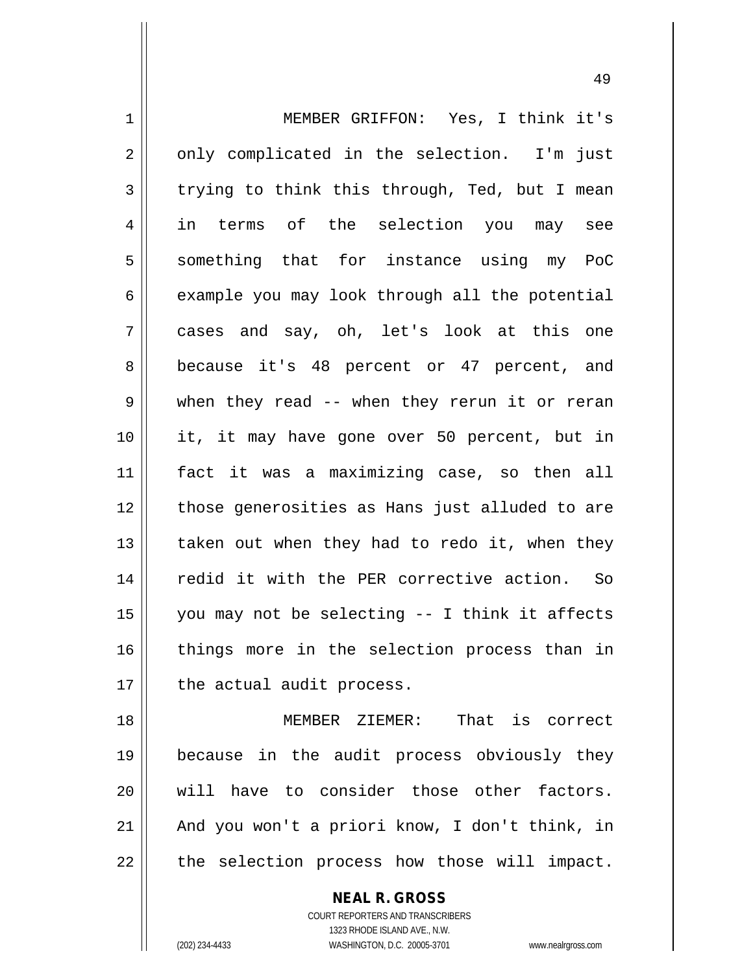| $\mathbf 1$    | MEMBER GRIFFON: Yes, I think it's              |
|----------------|------------------------------------------------|
| 2              | only complicated in the selection. I'm just    |
| 3              | trying to think this through, Ted, but I mean  |
| $\overline{4}$ | in terms of the selection you may see          |
| 5              | something that for instance using my PoC       |
| 6              | example you may look through all the potential |
| 7              | cases and say, oh, let's look at this one      |
| 8              | because it's 48 percent or 47 percent, and     |
| $\mathsf 9$    | when they read -- when they rerun it or reran  |
| 10             | it, it may have gone over 50 percent, but in   |
| 11             | fact it was a maximizing case, so then all     |
| 12             | those generosities as Hans just alluded to are |
| 13             | taken out when they had to redo it, when they  |
| 14             | redid it with the PER corrective action. So    |
| 15             | you may not be selecting -- I think it affects |
| 16             | things more in the selection process than in   |
| 17             | the actual audit process.                      |
| 18             | MEMBER ZIEMER: That is correct                 |
| 19             | because in the audit process obviously they    |
| 20             | will have to consider those other factors.     |
| 21             | And you won't a priori know, I don't think, in |

the selection process how those will impact.

**NEAL R. GROSS** COURT REPORTERS AND TRANSCRIBERS

1323 RHODE ISLAND AVE., N.W. (202) 234-4433 WASHINGTON, D.C. 20005-3701 www.nealrgross.com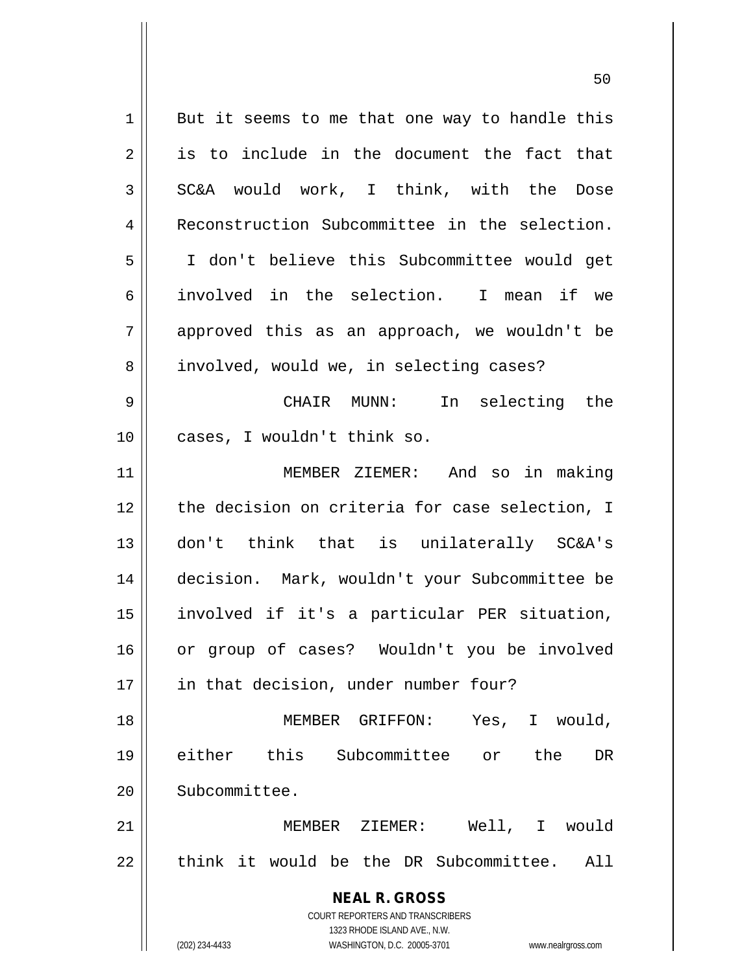| 1  | But it seems to me that one way to handle this                      |
|----|---------------------------------------------------------------------|
| 2  | is to include in the document the fact that                         |
| 3  | SC&A would work, I think, with the Dose                             |
| 4  | Reconstruction Subcommittee in the selection.                       |
| 5  | I don't believe this Subcommittee would get                         |
| 6  | involved in the selection. I mean if we                             |
| 7  | approved this as an approach, we wouldn't be                        |
| 8  | involved, would we, in selecting cases?                             |
| 9  | CHAIR MUNN:<br>In selecting the                                     |
| 10 | cases, I wouldn't think so.                                         |
| 11 | MEMBER ZIEMER: And so in making                                     |
| 12 | the decision on criteria for case selection, I                      |
| 13 | don't think that is unilaterally SC&A's                             |
| 14 | decision. Mark, wouldn't your Subcommittee be                       |
| 15 | involved if it's a particular PER situation,                        |
| 16 | or group of cases? Wouldn't you be involved                         |
| 17 | in that decision, under number four?                                |
| 18 | MEMBER GRIFFON: Yes, I would,                                       |
| 19 | either this Subcommittee or the<br>DR                               |
| 20 | Subcommittee.                                                       |
| 21 | MEMBER ZIEMER: Well, I would                                        |
| 22 | think it would be the DR Subcommittee. All                          |
|    | <b>NEAL R. GROSS</b>                                                |
|    | <b>COURT REPORTERS AND TRANSCRIBERS</b>                             |
|    | 1323 RHODE ISLAND AVE., N.W.                                        |
|    | (202) 234-4433<br>WASHINGTON, D.C. 20005-3701<br>www.nealrgross.com |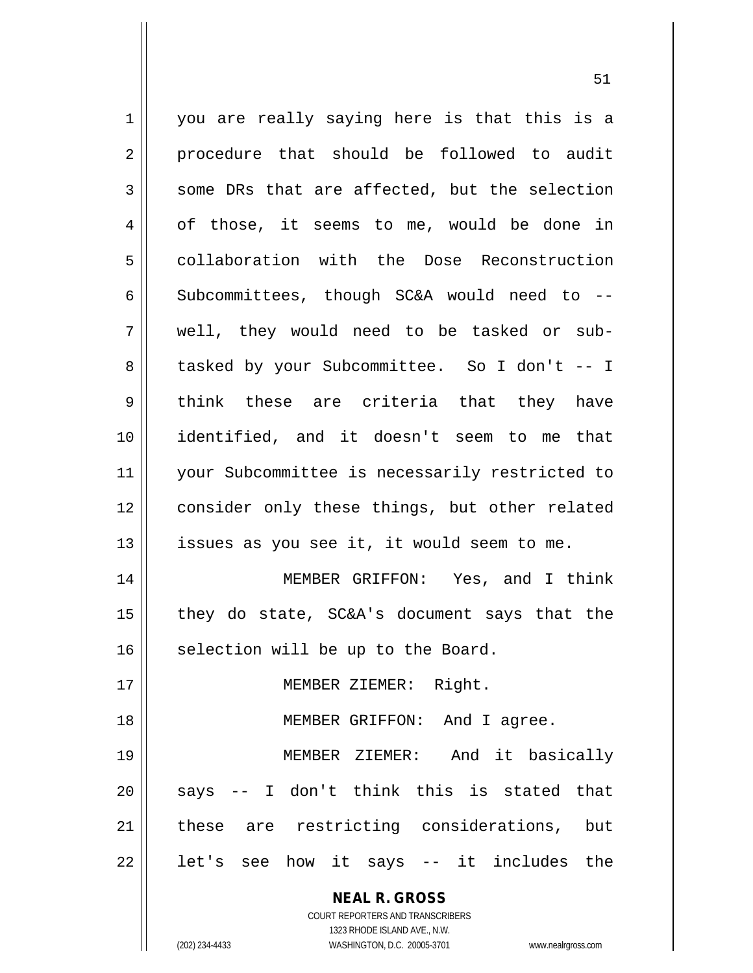| $\mathbf 1$    | you are really saying here is that this is a                        |
|----------------|---------------------------------------------------------------------|
| $\overline{2}$ | procedure that should be followed to audit                          |
| $\mathfrak{Z}$ | some DRs that are affected, but the selection                       |
| 4              | of those, it seems to me, would be done in                          |
| 5              | collaboration with the Dose Reconstruction                          |
| $\epsilon$     | Subcommittees, though SC&A would need to --                         |
| 7              | well, they would need to be tasked or sub-                          |
| 8              | tasked by your Subcommittee. So I don't -- I                        |
| 9              | think these are criteria that they have                             |
| 10             | identified, and it doesn't seem to me that                          |
| 11             | your Subcommittee is necessarily restricted to                      |
| 12             | consider only these things, but other related                       |
| 13             | issues as you see it, it would seem to me.                          |
| 14             | MEMBER GRIFFON: Yes, and I think                                    |
| 15             | they do state, SC&A's document says that the                        |
| 16             | selection will be up to the Board.                                  |
| 17             | MEMBER ZIEMER: Right.                                               |
| 18             | MEMBER GRIFFON:<br>And I agree.                                     |
| 19             | MEMBER ZIEMER: And it basically                                     |
| 20             | -- I don't think this is stated that<br>says                        |
| 21             | these are restricting considerations,<br>but                        |
| 22             | it says -- it includes the<br>let's see how                         |
|                | <b>NEAL R. GROSS</b>                                                |
|                | COURT REPORTERS AND TRANSCRIBERS                                    |
|                | 1323 RHODE ISLAND AVE., N.W.                                        |
|                | (202) 234-4433<br>WASHINGTON, D.C. 20005-3701<br>www.nealrgross.com |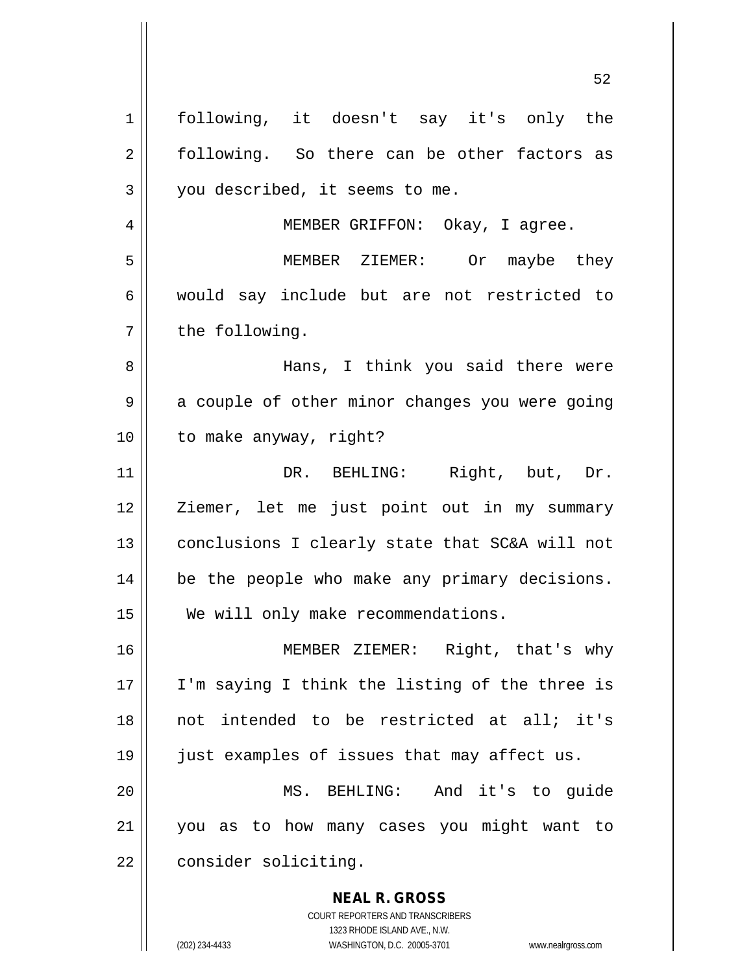**NEAL R. GROSS** 1 || following, it doesn't say it's only the 2 following. So there can be other factors as  $3 \parallel$  you described, it seems to me. 4 || MEMBER GRIFFON: Okay, I agree. 5 MEMBER ZIEMER: Or maybe they 6 || would say include but are not restricted to  $7 \parallel$  the following. 8 Hans, I think you said there were  $9 \parallel$  a couple of other minor changes you were going 10 || to make anyway, right? 11 DR. BEHLING: Right, but, Dr. 12 || Ziemer, let me just point out in my summary 13 || conclusions I clearly state that SC&A will not 14 | be the people who make any primary decisions. 15 || We will only make recommendations. 16 MEMBER ZIEMER: Right, that's why 17 || I'm saying I think the listing of the three is 18 not intended to be restricted at all; it's 19 just examples of issues that may affect us. 20 MS. BEHLING: And it's to guide 21 you as to how many cases you might want to 22 | consider soliciting.

> COURT REPORTERS AND TRANSCRIBERS 1323 RHODE ISLAND AVE., N.W.

(202) 234-4433 WASHINGTON, D.C. 20005-3701 www.nealrgross.com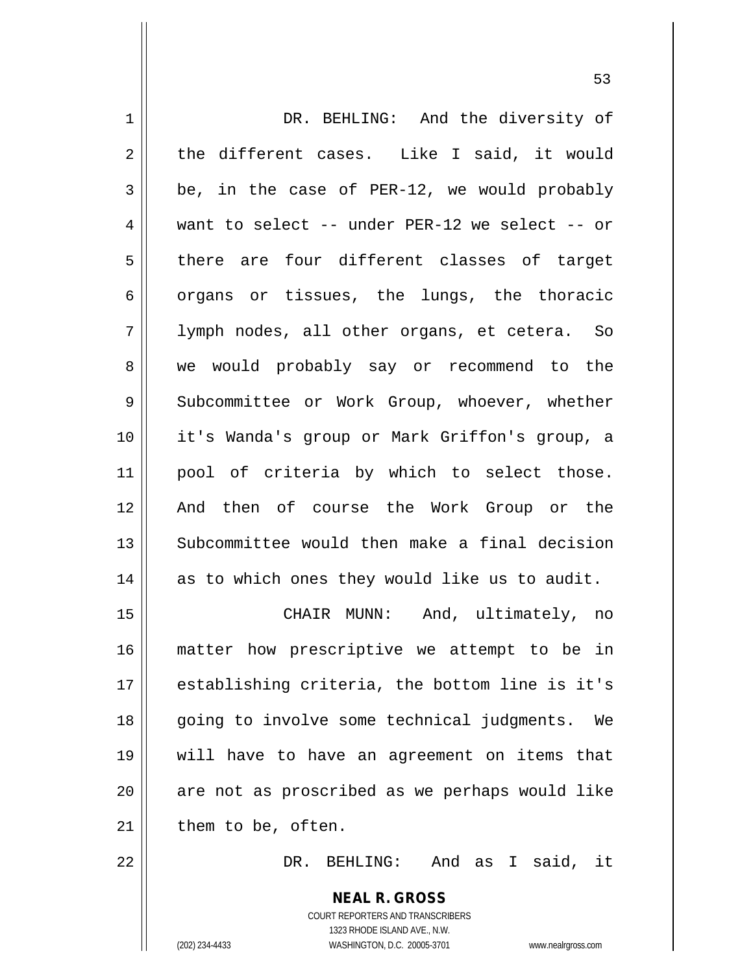| 1  | DR. BEHLING: And the diversity of                        |
|----|----------------------------------------------------------|
| 2  | the different cases. Like I said, it would               |
| 3  | be, in the case of PER-12, we would probably             |
| 4  | want to select -- under PER-12 we select -- or           |
| 5  | there are four different classes of target               |
| 6  | organs or tissues, the lungs, the thoracic               |
| 7  | lymph nodes, all other organs, et cetera. So             |
| 8  | we would probably say or recommend to the                |
| 9  | Subcommittee or Work Group, whoever, whether             |
| 10 | it's Wanda's group or Mark Griffon's group, a            |
| 11 | pool of criteria by which to select those.               |
| 12 | And then of course the Work Group or the                 |
| 13 | Subcommittee would then make a final decision            |
| 14 | as to which ones they would like us to audit.            |
| 15 | CHAIR MUNN: And, ultimately, no                          |
| 16 | matter how prescriptive we attempt to be in              |
| 17 | establishing criteria, the bottom line is it's           |
| 18 | going to involve some technical judgments. We            |
| 19 | will have to have an agreement on items that             |
| 20 | are not as proscribed as we perhaps would like           |
| 21 | them to be, often.                                       |
| 22 | DR. BEHLING: And as I said, it                           |
|    | <b>NEAL R. GROSS</b><br>COURT REPORTERS AND TRANSCRIBERS |

1323 RHODE ISLAND AVE., N.W.

 $\prod$ 

(202) 234-4433 WASHINGTON, D.C. 20005-3701 www.nealrgross.com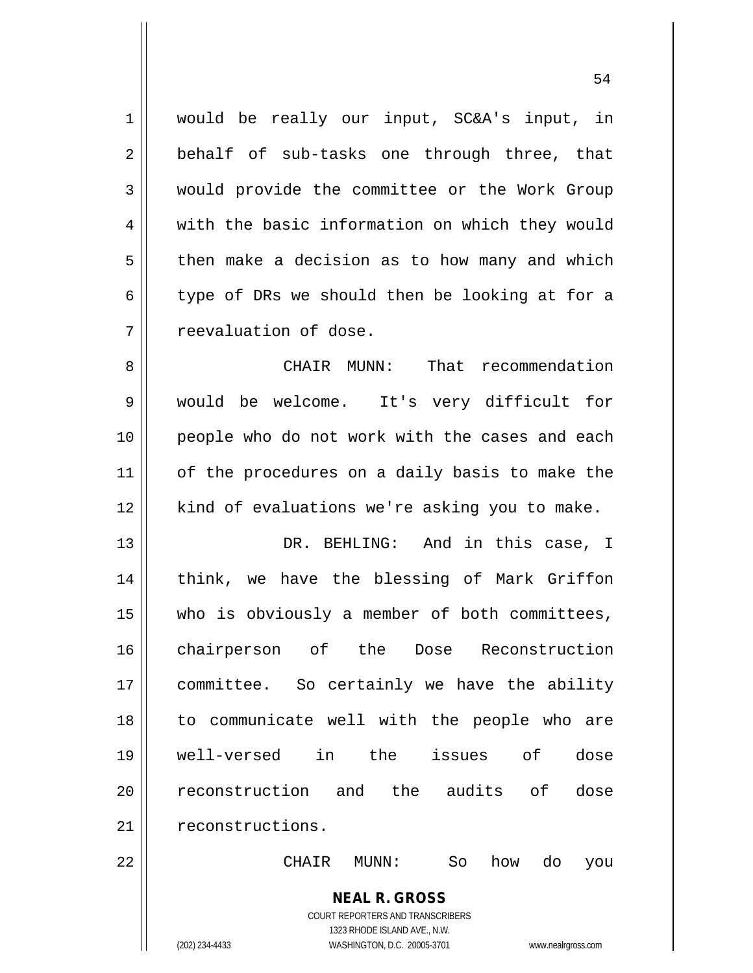1 would be really our input, SC&A's input, in 2 || behalf of sub-tasks one through three, that 3 Would provide the committee or the Work Group 4 with the basic information on which they would  $5 \parallel$  then make a decision as to how many and which  $6 \parallel$  type of DRs we should then be looking at for a 7 reevaluation of dose.

8 CHAIR MUNN: That recommendation 9 would be welcome. It's very difficult for 10 people who do not work with the cases and each 11 || of the procedures on a daily basis to make the 12 || kind of evaluations we're asking you to make.

13 DR. BEHLING: And in this case, I 14 || think, we have the blessing of Mark Griffon 15 who is obviously a member of both committees, 16 chairperson of the Dose Reconstruction 17 committee. So certainly we have the ability 18 to communicate well with the people who are 19 well-versed in the issues of dose 20 || reconstruction and the audits of dose 21 | reconstructions.

22 CHAIR MUNN: So how do you

**NEAL R. GROSS** COURT REPORTERS AND TRANSCRIBERS

1323 RHODE ISLAND AVE., N.W.

(202) 234-4433 WASHINGTON, D.C. 20005-3701 www.nealrgross.com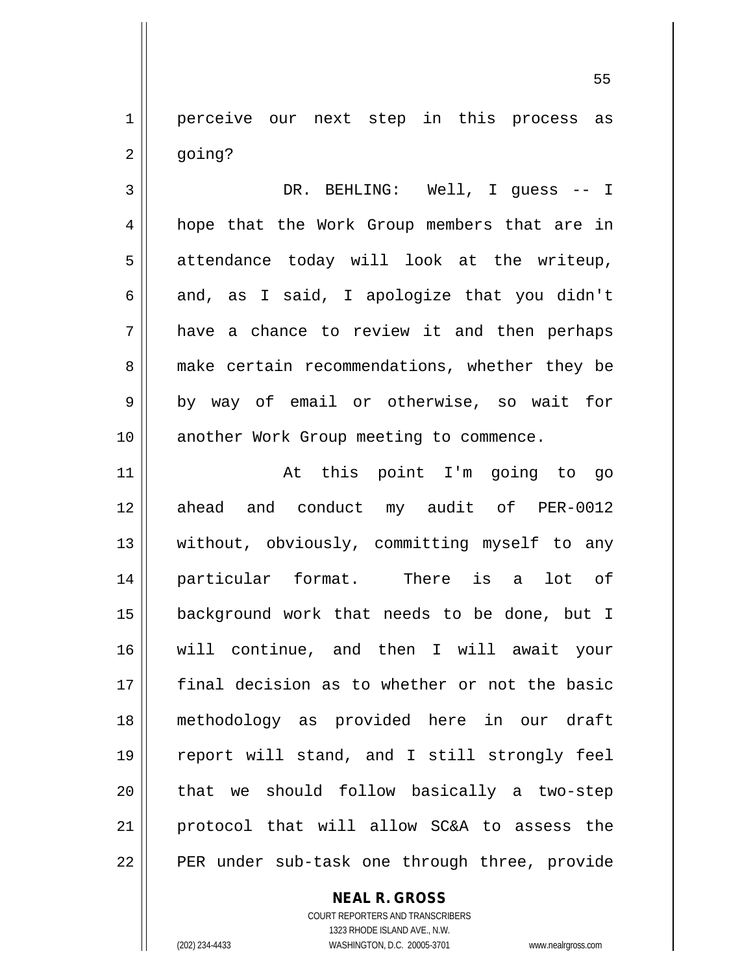1 || perceive our next step in this process as  $2 \parallel$  going?

3 DR. BEHLING: Well, I guess -- I 4 || hope that the Work Group members that are in  $5 \parallel$  attendance today will look at the writeup, 6 and, as I said, I apologize that you didn't 7 have a chance to review it and then perhaps 8 make certain recommendations, whether they be  $9 \parallel$  by way of email or otherwise, so wait for 10 || another Work Group meeting to commence.

 At this point I'm going to go 12 ahead and conduct my audit of PER-0012 13 || without, obviously, committing myself to any particular format. There is a lot of background work that needs to be done, but I will continue, and then I will await your final decision as to whether or not the basic methodology as provided here in our draft report will stand, and I still strongly feel 20 || that we should follow basically a two-step protocol that will allow SC&A to assess the || PER under sub-task one through three, provide

**NEAL R. GROSS**

COURT REPORTERS AND TRANSCRIBERS 1323 RHODE ISLAND AVE., N.W. (202) 234-4433 WASHINGTON, D.C. 20005-3701 www.nealrgross.com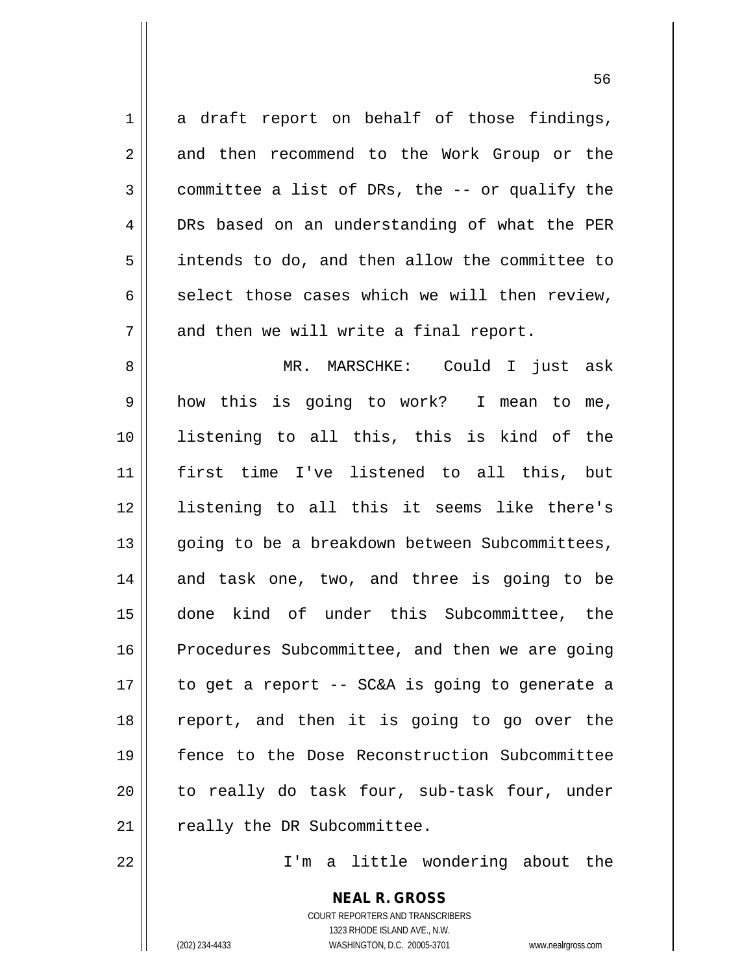$1 \parallel$  a draft report on behalf of those findings, 2 || and then recommend to the Work Group or the  $3 \parallel$  committee a list of DRs, the -- or qualify the 4 DRs based on an understanding of what the PER 5 intends to do, and then allow the committee to  $6 \parallel$  select those cases which we will then review,  $7 \parallel$  and then we will write a final report. 8 MR. MARSCHKE: Could I just ask 9 how this is going to work? I mean to me, 10 listening to all this, this is kind of the 11 first time I've listened to all this, but 12 listening to all this it seems like there's 13 || going to be a breakdown between Subcommittees, 14 and task one, two, and three is going to be 15 done kind of under this Subcommittee, the 16 | Procedures Subcommittee, and then we are going  $17$  | to get a report -- SC&A is going to generate a 18 report, and then it is going to go over the 19 fence to the Dose Reconstruction Subcommittee 20 || to really do task four, sub-task four, under  $21$  | really the DR Subcommittee.

22 I'm a little wondering about the

**NEAL R. GROSS** COURT REPORTERS AND TRANSCRIBERS 1323 RHODE ISLAND AVE., N.W. (202) 234-4433 WASHINGTON, D.C. 20005-3701 www.nealrgross.com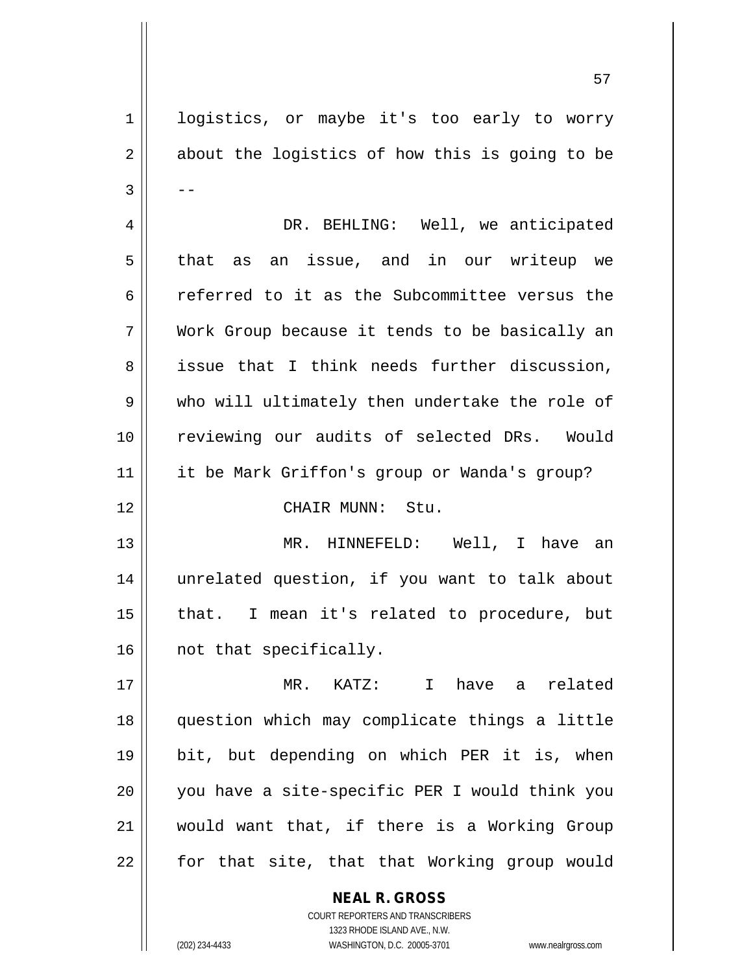1 | logistics, or maybe it's too early to worry  $2 \parallel$  about the logistics of how this is going to be  $3 \parallel - -$  DR. BEHLING: Well, we anticipated that as an issue, and in our writeup we referred to it as the Subcommittee versus the Work Group because it tends to be basically an 8 || issue that I think needs further discussion, 9 who will ultimately then undertake the role of reviewing our audits of selected DRs. Would it be Mark Griffon's group or Wanda's group? CHAIR MUNN: Stu. MR. HINNEFELD: Well, I have an unrelated question, if you want to talk about 15 || that. I mean it's related to procedure, but 16 || not that specifically. MR. KATZ: I have a related question which may complicate things a little bit, but depending on which PER it is, when you have a site-specific PER I would think you would want that, if there is a Working Group | for that site, that that Working group would

> COURT REPORTERS AND TRANSCRIBERS 1323 RHODE ISLAND AVE., N.W. (202) 234-4433 WASHINGTON, D.C. 20005-3701 www.nealrgross.com

**NEAL R. GROSS**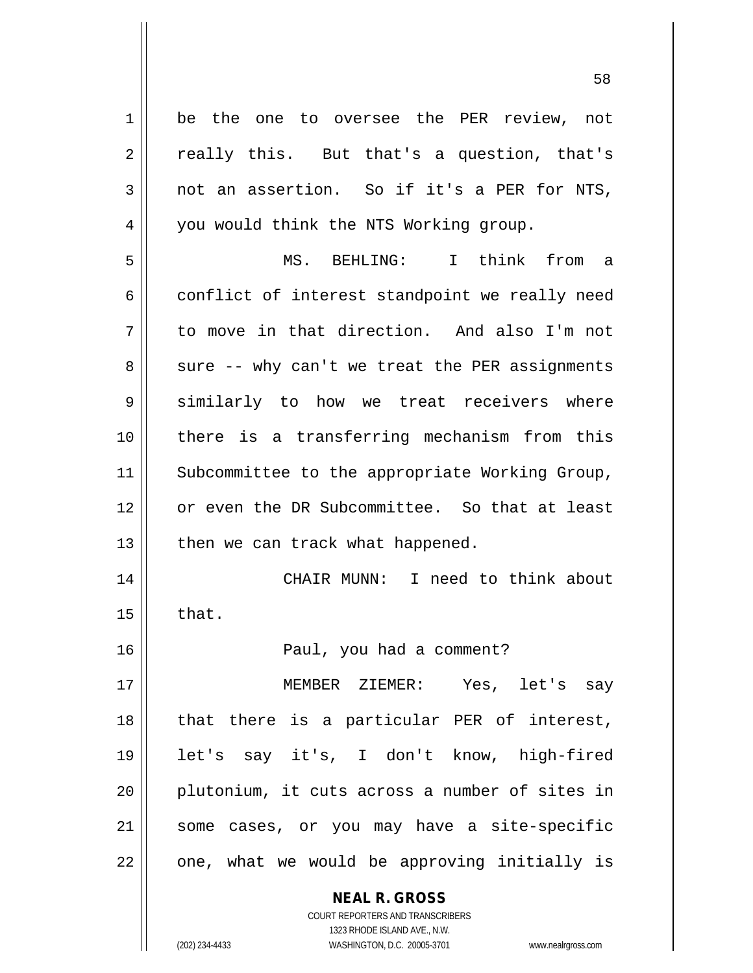**NEAL R. GROSS** 1 be the one to oversee the PER review, not  $2 \parallel$  really this. But that's a question, that's 3 not an assertion. So if it's a PER for NTS, 4 | you would think the NTS Working group. 5 MS. BEHLING: I think from a  $6 \parallel$  conflict of interest standpoint we really need 7 d to move in that direction. And also I'm not  $8 \parallel$  sure -- why can't we treat the PER assignments 9 || similarly to how we treat receivers where 10 there is a transferring mechanism from this 11 || Subcommittee to the appropriate Working Group, 12 || or even the DR Subcommittee. So that at least  $13$  | then we can track what happened. 14 CHAIR MUNN: I need to think about  $15$  | that. 16 Paul, you had a comment? 17 MEMBER ZIEMER: Yes, let's say 18 || that there is a particular PER of interest, 19 let's say it's, I don't know, high-fired 20 || plutonium, it cuts across a number of sites in 21 some cases, or you may have a site-specific  $22$  |  $\degree$  one, what we would be approving initially is

1323 RHODE ISLAND AVE., N.W. (202) 234-4433 WASHINGTON, D.C. 20005-3701 www.nealrgross.com

COURT REPORTERS AND TRANSCRIBERS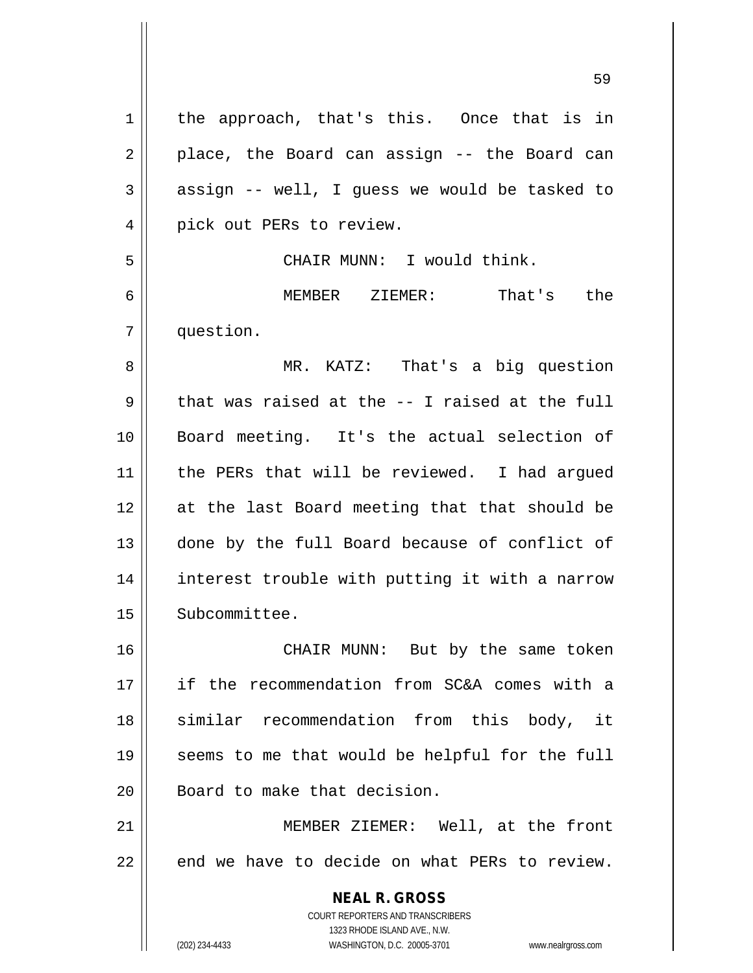**NEAL R. GROSS** COURT REPORTERS AND TRANSCRIBERS 1323 RHODE ISLAND AVE., N.W. 1 | the approach, that's this. Once that is in  $2 \parallel$  place, the Board can assign -- the Board can  $3 \parallel$  assign -- well, I guess we would be tasked to 4 || pick out PERs to review. 5 || CHAIR MUNN: I would think. 6 MEMBER ZIEMER: That's the 7 question. 8 MR. KATZ: That's a big question  $9 \parallel$  that was raised at the -- I raised at the full 10 Board meeting. It's the actual selection of 11 || the PERs that will be reviewed. I had argued 12 at the last Board meeting that that should be 13 || done by the full Board because of conflict of 14 || interest trouble with putting it with a narrow 15 | Subcommittee. 16 CHAIR MUNN: But by the same token 17 if the recommendation from SC&A comes with a 18 || similar recommendation from this body, it 19 seems to me that would be helpful for the full 20 | Board to make that decision. 21 || MEMBER ZIEMER: Well, at the front  $22$   $\parallel$  end we have to decide on what PERs to review.

(202) 234-4433 WASHINGTON, D.C. 20005-3701 www.nealrgross.com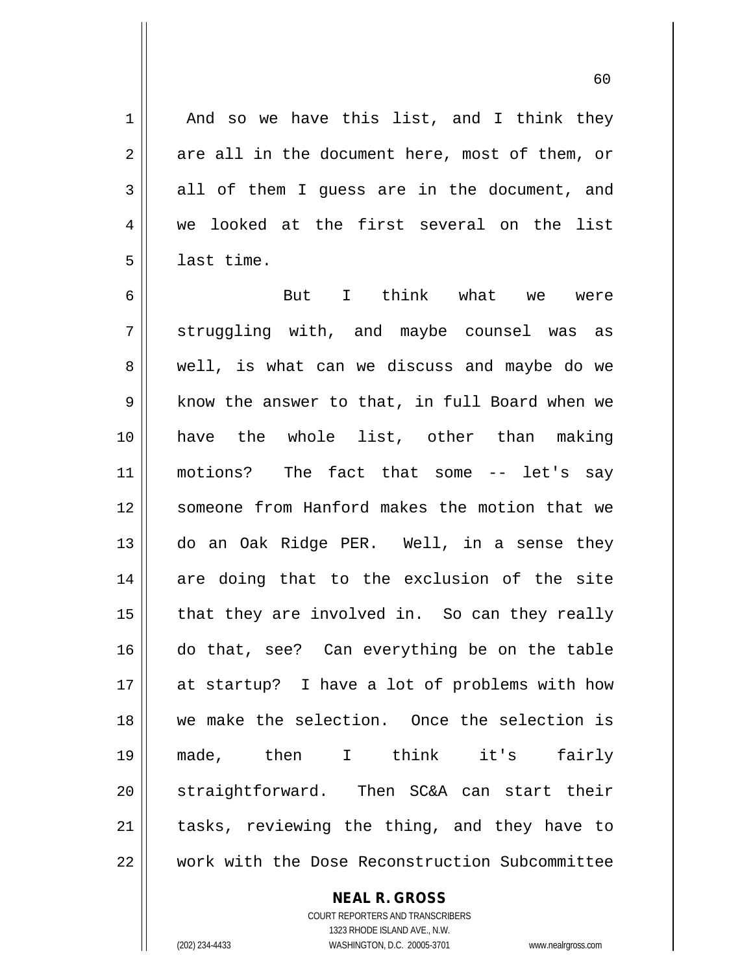$1 \parallel$  And so we have this list, and I think they  $2 \parallel$  are all in the document here, most of them, or  $3 \parallel$  all of them I quess are in the document, and 4 we looked at the first several on the list  $5 \parallel$  last time.

6 But I think what we were 7 Struggling with, and maybe counsel was as 8 || well, is what can we discuss and maybe do we 9 Super 1 know the answer to that, in full Board when we 10 have the whole list, other than making 11 motions? The fact that some -- let's say 12 || someone from Hanford makes the motion that we 13 do an Oak Ridge PER. Well, in a sense they 14 are doing that to the exclusion of the site  $15$  || that they are involved in. So can they really 16 do that, see? Can everything be on the table 17 at startup? I have a lot of problems with how 18 we make the selection. Once the selection is 19 made, then I think it's fairly 20 || straightforward. Then SC&A can start their 21 || tasks, reviewing the thing, and they have to 22 work with the Dose Reconstruction Subcommittee

**NEAL R. GROSS**

COURT REPORTERS AND TRANSCRIBERS 1323 RHODE ISLAND AVE., N.W. (202) 234-4433 WASHINGTON, D.C. 20005-3701 www.nealrgross.com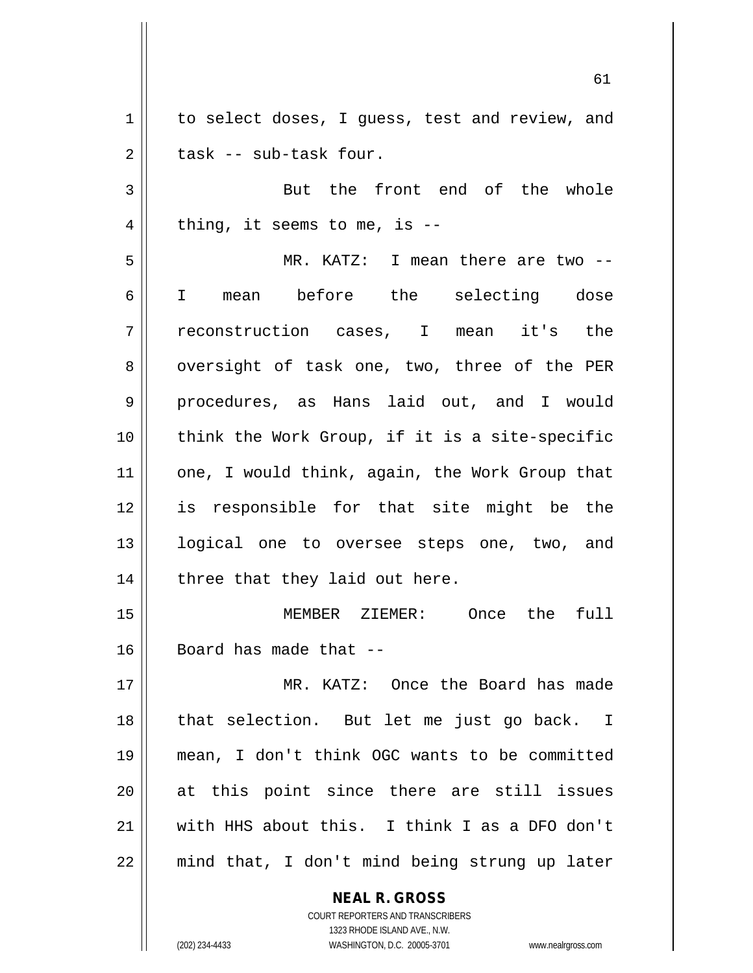1 | to select doses, I guess, test and review, and  $2 \parallel$  task -- sub-task four.

3 || But the front end of the whole  $4 \parallel$  thing, it seems to me, is --

5 MR. KATZ: I mean there are two -- 6 I mean before the selecting dose 7 reconstruction cases, I mean it's the 8 || oversight of task one, two, three of the PER 9 procedures, as Hans laid out, and I would  $10$  || think the Work Group, if it is a site-specific 11 || one, I would think, again, the Work Group that 12 is responsible for that site might be the 13 || logical one to oversee steps one, two, and 14 || three that they laid out here.

15 MEMBER ZIEMER: Once the full  $16$  | Board has made that  $-$ 

 MR. KATZ: Once the Board has made that selection. But let me just go back. I mean, I don't think OGC wants to be committed at this point since there are still issues with HHS about this. I think I as a DFO don't mind that, I don't mind being strung up later

> **NEAL R. GROSS** COURT REPORTERS AND TRANSCRIBERS 1323 RHODE ISLAND AVE., N.W. (202) 234-4433 WASHINGTON, D.C. 20005-3701 www.nealrgross.com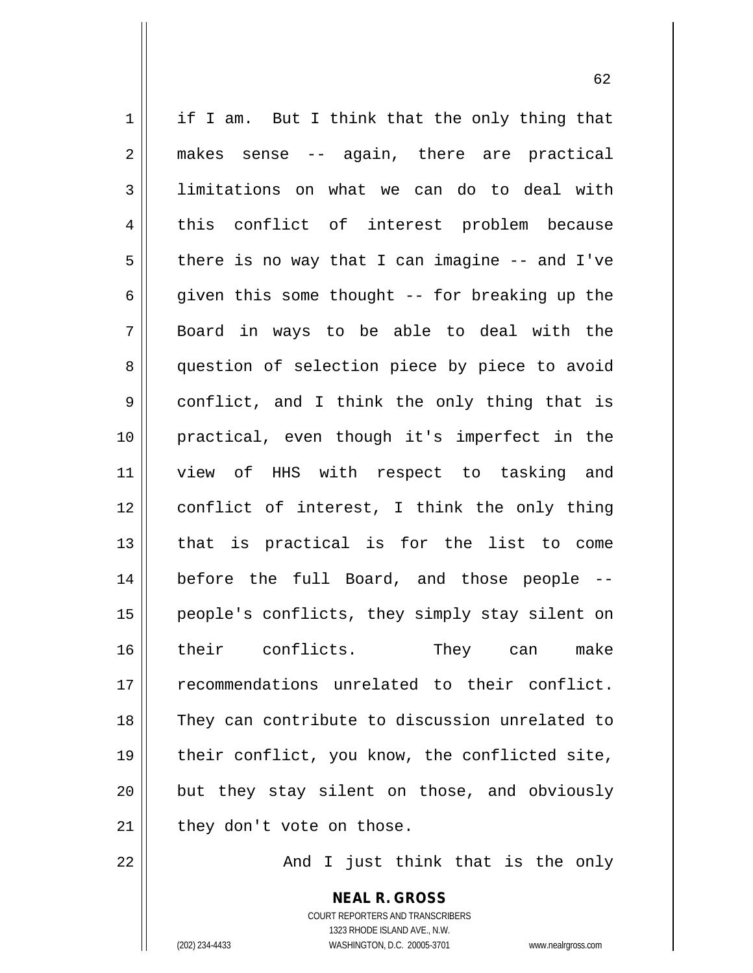$1 \parallel$  if I am. But I think that the only thing that 2 makes sense -- again, there are practical 3 limitations on what we can do to deal with 4 || this conflict of interest problem because  $5 \parallel$  there is no way that I can imagine -- and I've  $6 \parallel$  given this some thought -- for breaking up the 7 Board in ways to be able to deal with the 8 || question of selection piece by piece to avoid 9 conflict, and I think the only thing that is 10 practical, even though it's imperfect in the 11 || view of HHS with respect to tasking and 12 conflict of interest, I think the only thing 13 that is practical is for the list to come 14 before the full Board, and those people -- 15 people's conflicts, they simply stay silent on 16 their conflicts. They can make 17 || recommendations unrelated to their conflict. 18 They can contribute to discussion unrelated to 19 || their conflict, you know, the conflicted site, 20 || but they stay silent on those, and obviously  $21$  | they don't vote on those.

22 And I just think that is the only

**NEAL R. GROSS** COURT REPORTERS AND TRANSCRIBERS 1323 RHODE ISLAND AVE., N.W. (202) 234-4433 WASHINGTON, D.C. 20005-3701 www.nealrgross.com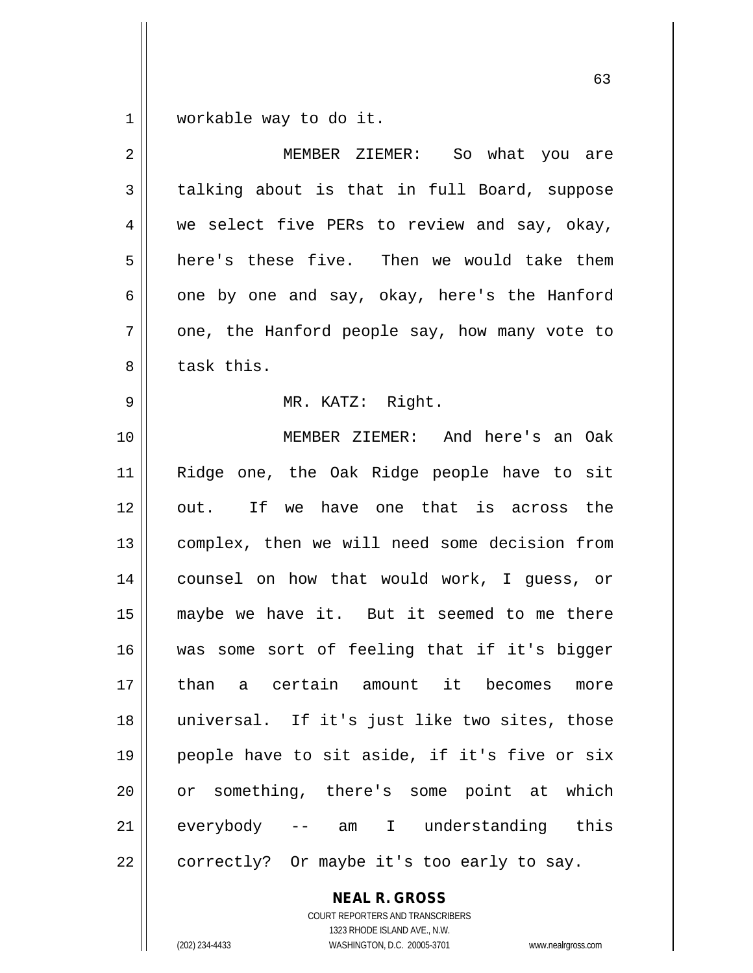1 | workable way to do it.

| $\overline{2}$ | MEMBER ZIEMER: So what you are                |
|----------------|-----------------------------------------------|
| 3              | talking about is that in full Board, suppose  |
| 4              | we select five PERs to review and say, okay,  |
| 5              | here's these five. Then we would take them    |
| 6              | one by one and say, okay, here's the Hanford  |
| 7              | one, the Hanford people say, how many vote to |
| 8              | task this.                                    |
| 9              | MR. KATZ: Right.                              |
| 10             | MEMBER ZIEMER: And here's an Oak              |
| 11             | Ridge one, the Oak Ridge people have to sit   |
| 12             | out. If we have one that is across the        |
| 13             | complex, then we will need some decision from |
| 14             | counsel on how that would work, I guess, or   |
| 15             | maybe we have it. But it seemed to me there   |
| 16             | was some sort of feeling that if it's bigger  |
| 17             | than a certain amount it becomes more         |
| 18             | universal. If it's just like two sites, those |
| 19             | people have to sit aside, if it's five or six |
| 20             | or something, there's some point at which     |
| 21             | -- am I understanding this<br>everybody       |
| 22             | correctly? Or maybe it's too early to say.    |

**NEAL R. GROSS** COURT REPORTERS AND TRANSCRIBERS

1323 RHODE ISLAND AVE., N.W. (202) 234-4433 WASHINGTON, D.C. 20005-3701 www.nealrgross.com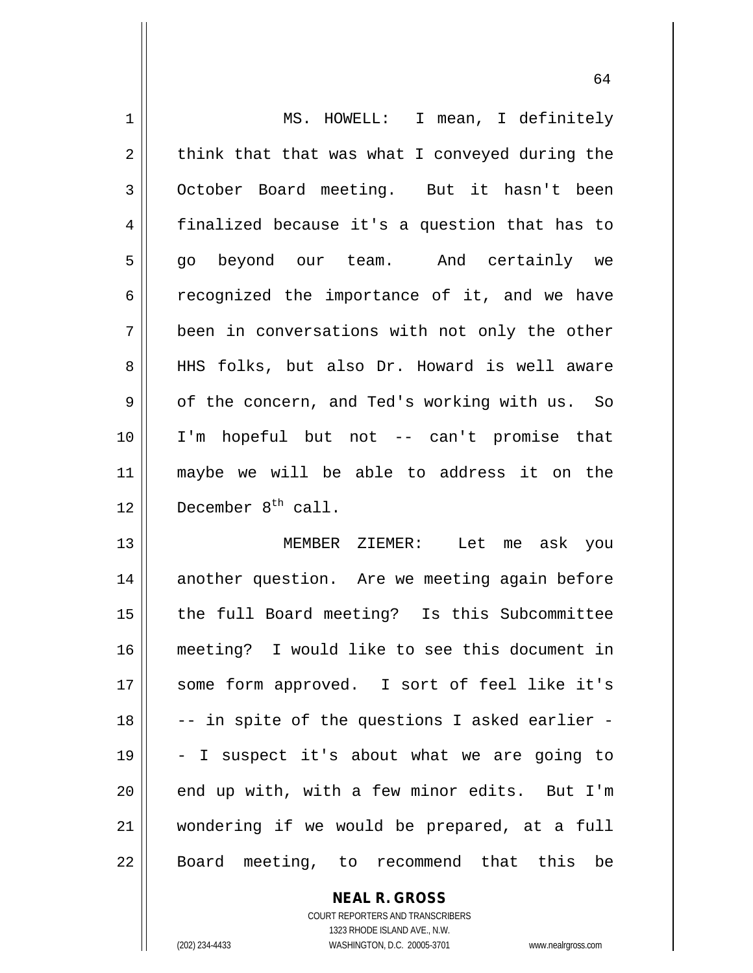| $\mathbf 1$    | MS. HOWELL: I mean, I definitely               |
|----------------|------------------------------------------------|
| $\overline{2}$ | think that that was what I conveyed during the |
| 3              | October Board meeting. But it hasn't been      |
| 4              | finalized because it's a question that has to  |
| 5              | go beyond our team. And certainly we           |
| 6              | recognized the importance of it, and we have   |
| 7              | been in conversations with not only the other  |
| 8              | HHS folks, but also Dr. Howard is well aware   |
| 9              | of the concern, and Ted's working with us. So  |
| 10             | I'm hopeful but not -- can't promise that      |
| 11             | maybe we will be able to address it on the     |
| 12             | December 8 <sup>th</sup> call.                 |
| 13             | MEMBER ZIEMER: Let me ask you                  |
| 14             | another question. Are we meeting again before  |
| 15             | the full Board meeting? Is this Subcommittee   |
| 16             | meeting? I would like to see this document in  |
| 17             |                                                |
|                | some form approved. I sort of feel like it's   |
| 18             | -- in spite of the questions I asked earlier - |
| 19             | - I suspect it's about what we are going to    |
| 20             | end up with, with a few minor edits. But I'm   |
| 21             | wondering if we would be prepared, at a full   |

**NEAL R. GROSS** COURT REPORTERS AND TRANSCRIBERS

1323 RHODE ISLAND AVE., N.W.

(202) 234-4433 WASHINGTON, D.C. 20005-3701 www.nealrgross.com

 $\mathsf{I}$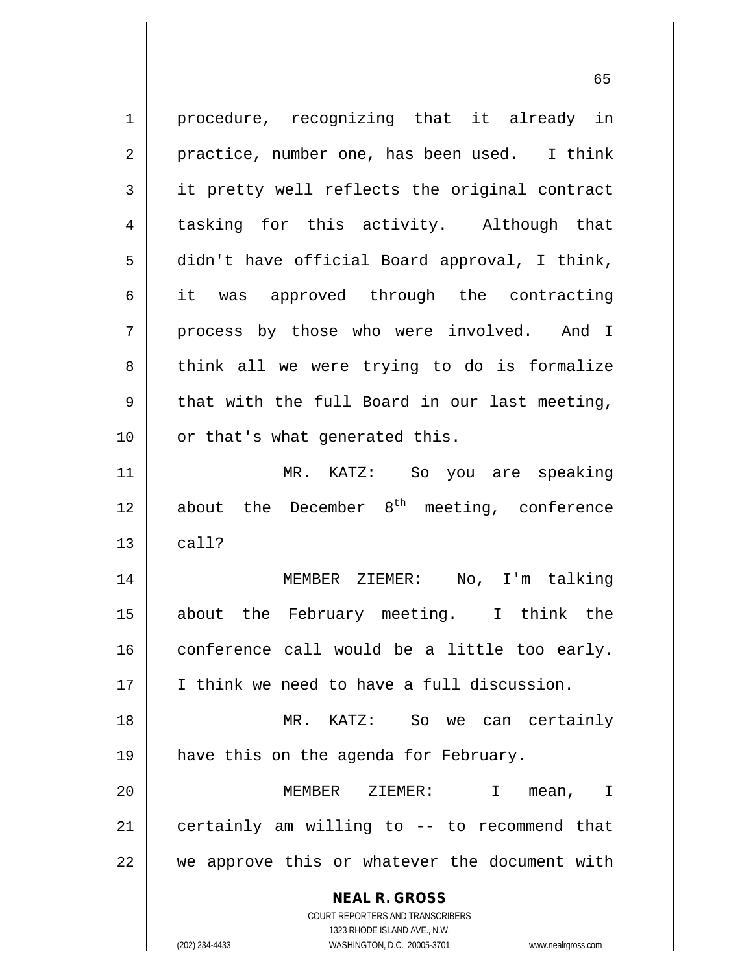**NEAL R. GROSS** COURT REPORTERS AND TRANSCRIBERS 1323 RHODE ISLAND AVE., N.W. 1 || procedure, recognizing that it already in  $2 \parallel$  practice, number one, has been used. I think 3 it pretty well reflects the original contract 4 tasking for this activity. Although that 5 didn't have official Board approval, I think, 6 it was approved through the contracting 7 || process by those who were involved. And I 8 || think all we were trying to do is formalize  $9 \parallel$  that with the full Board in our last meeting, 10 || or that's what generated this. 11 MR. KATZ: So you are speaking 12  $\parallel$  about the December 8<sup>th</sup> meeting, conference  $13 \parallel$  call? 14 MEMBER ZIEMER: No, I'm talking 15 about the February meeting. I think the  $16$  conference call would be a little too early. 17 I think we need to have a full discussion. 18 MR. KATZ: So we can certainly 19 || have this on the agenda for February. 20 MEMBER ZIEMER: I mean, I 21 certainly am willing to -- to recommend that  $22$   $\parallel$  we approve this or whatever the document with

(202) 234-4433 WASHINGTON, D.C. 20005-3701 www.nealrgross.com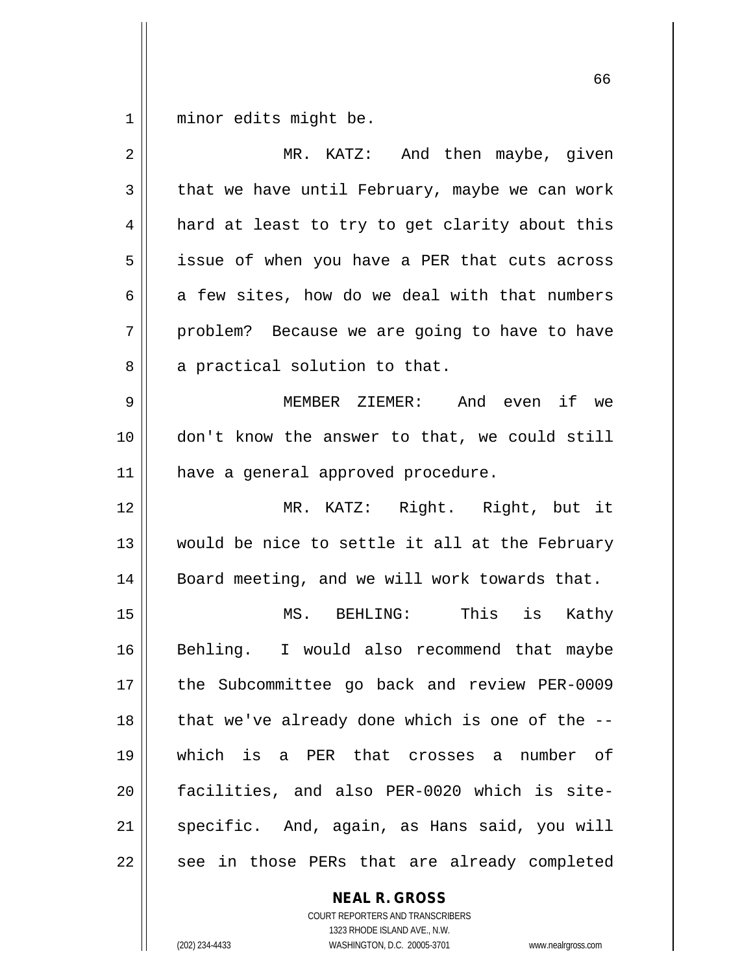minor edits might be.

| $\overline{2}$ | MR. KATZ: And then maybe, given                |
|----------------|------------------------------------------------|
| 3              | that we have until February, maybe we can work |
| 4              | hard at least to try to get clarity about this |
| 5              | issue of when you have a PER that cuts across  |
| 6              | a few sites, how do we deal with that numbers  |
| 7              | problem? Because we are going to have to have  |
| 8              | a practical solution to that.                  |
| 9              | MEMBER ZIEMER: And even if we                  |
| 10             | don't know the answer to that, we could still  |
| 11             | have a general approved procedure.             |
| 12             | MR. KATZ: Right. Right, but it                 |
| 13             | would be nice to settle it all at the February |
| 14             | Board meeting, and we will work towards that.  |
| 15             | MS. BEHLING: This is Kathy                     |
| 16             | Behling. I would also recommend that maybe     |
| 17             | the Subcommittee go back and review PER-0009   |
| 18             | that we've already done which is one of the -- |
| 19             | which is a PER that crosses a<br>number of     |
| 20             | facilities, and also PER-0020 which is site-   |
| 21             | specific. And, again, as Hans said, you will   |
| 22             | see in those PERs that are already completed   |

**NEAL R. GROSS** COURT REPORTERS AND TRANSCRIBERS

1323 RHODE ISLAND AVE., N.W.

(202) 234-4433 WASHINGTON, D.C. 20005-3701 www.nealrgross.com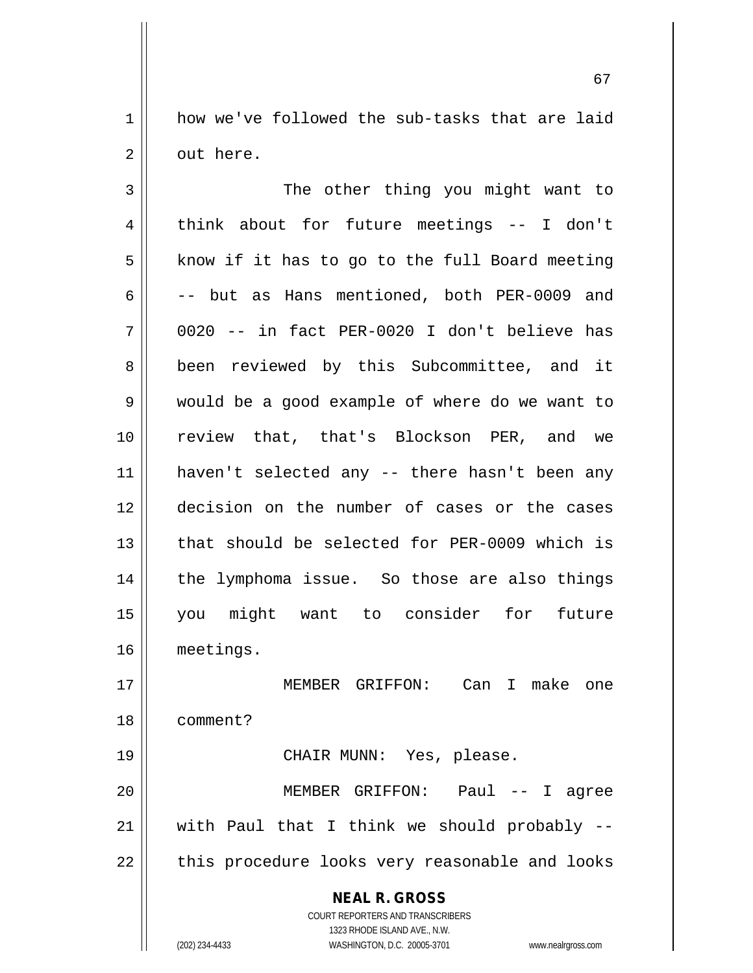1 how we've followed the sub-tasks that are laid 2 | out here.

3 || The other thing you might want to 4 think about for future meetings -- I don't | know if it has to go to the full Board meeting  $\vert$  -- but as Hans mentioned, both PER-0009 and 0020 -- in fact PER-0020 I don't believe has 8 || been reviewed by this Subcommittee, and it would be a good example of where do we want to 10 || review that, that's Blockson PER, and we haven't selected any -- there hasn't been any decision on the number of cases or the cases 13 that should be selected for PER-0009 which is the lymphoma issue. So those are also things you might want to consider for future meetings. MEMBER GRIFFON: Can I make one comment?

20 MEMBER GRIFFON: Paul -- I agree  $21$  with Paul that I think we should probably  $22$  || this procedure looks very reasonable and looks

19 CHAIR MUNN: Yes, please.

**NEAL R. GROSS** COURT REPORTERS AND TRANSCRIBERS 1323 RHODE ISLAND AVE., N.W.

(202) 234-4433 WASHINGTON, D.C. 20005-3701 www.nealrgross.com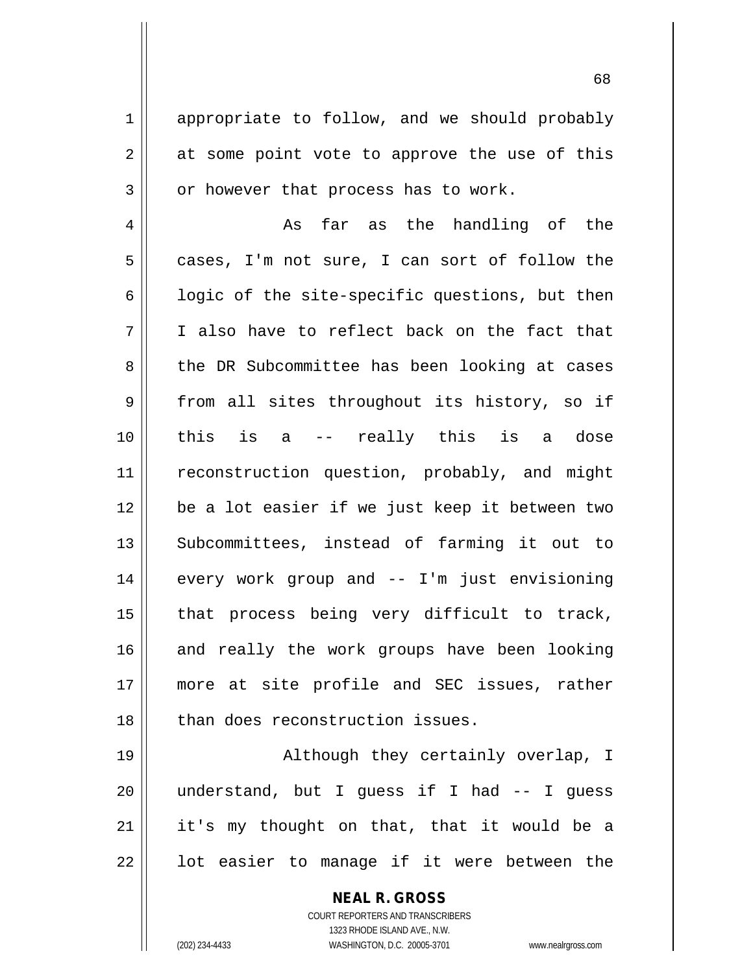1 appropriate to follow, and we should probably  $2 \parallel$  at some point vote to approve the use of this  $3 \parallel$  or however that process has to work.

4 || As far as the handling of the  $5 \parallel$  cases, I'm not sure, I can sort of follow the  $6 \parallel$  logic of the site-specific questions, but then 7 I also have to reflect back on the fact that 8 the DR Subcommittee has been looking at cases 9 from all sites throughout its history, so if 10 this is a -- really this is a dose 11 || reconstruction question, probably, and might 12 be a lot easier if we just keep it between two 13 || Subcommittees, instead of farming it out to 14 every work group and -- I'm just envisioning  $15$  | that process being very difficult to track, 16 and really the work groups have been looking 17 more at site profile and SEC issues, rather 18 || than does reconstruction issues.

19 || Although they certainly overlap, I 20 understand, but I guess if I had -- I guess 21 || it's my thought on that, that it would be a  $22$  ||  $\phantom{1}$  lot easier to manage if it were between the

## **NEAL R. GROSS**

COURT REPORTERS AND TRANSCRIBERS 1323 RHODE ISLAND AVE., N.W. (202) 234-4433 WASHINGTON, D.C. 20005-3701 www.nealrgross.com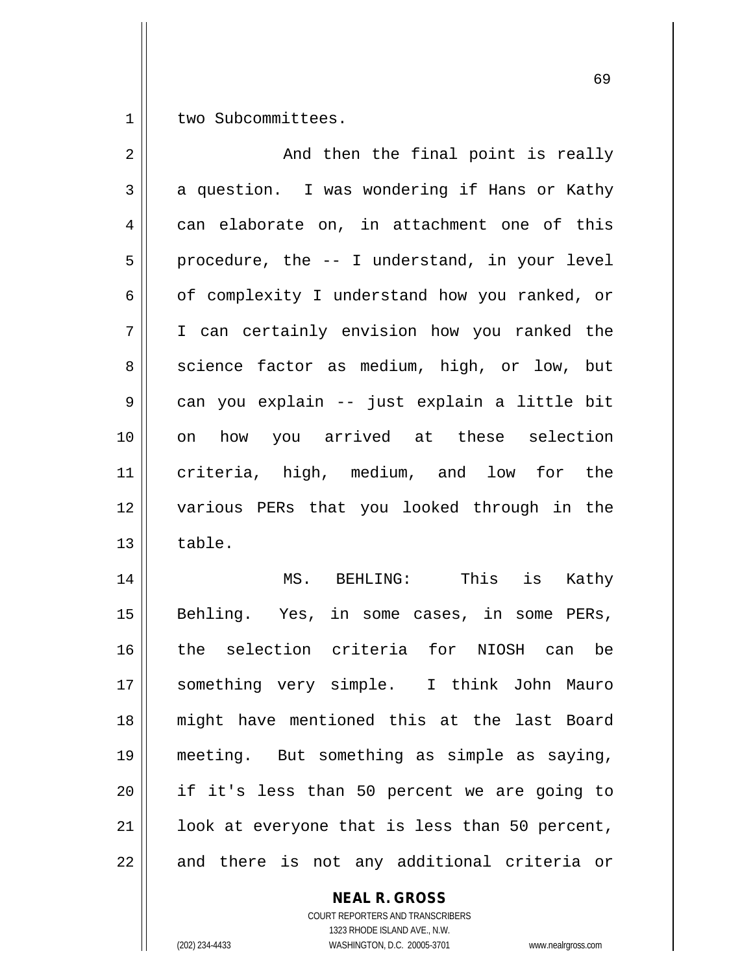1 | two Subcommittees.

| $\overline{2}$ | And then the final point is really             |
|----------------|------------------------------------------------|
| 3              | a question. I was wondering if Hans or Kathy   |
| 4              | can elaborate on, in attachment one of this    |
| 5              | procedure, the -- I understand, in your level  |
| 6              | of complexity I understand how you ranked, or  |
| 7              | I can certainly envision how you ranked the    |
| 8              | science factor as medium, high, or low, but    |
| 9              | can you explain -- just explain a little bit   |
| 10             | on how you arrived at these selection          |
| 11             | criteria, high, medium, and low for the        |
| 12             | various PERs that you looked through in the    |
| 13             | table.                                         |
| 14             | MS. BEHLING: This is Kathy                     |
| 15             | Behling. Yes, in some cases, in some PERs,     |
| 16             | the selection criteria for NIOSH can be        |
| 17             | something very simple. I think John Mauro      |
| 18             | might have mentioned this at the last Board    |
| 19             | meeting. But something as simple as saying,    |
| 20             | if it's less than 50 percent we are going to   |
| 21             | look at everyone that is less than 50 percent, |
| 22             | and there is not any additional criteria or    |

**NEAL R. GROSS**

COURT REPORTERS AND TRANSCRIBERS 1323 RHODE ISLAND AVE., N.W. (202) 234-4433 WASHINGTON, D.C. 20005-3701 www.nealrgross.com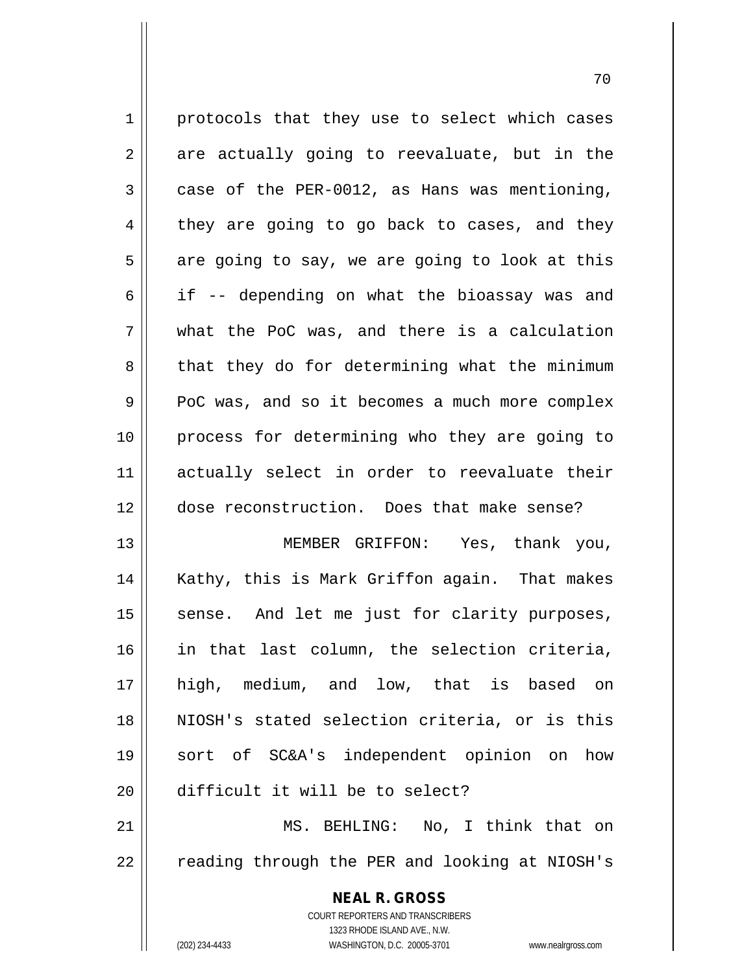1 || protocols that they use to select which cases  $2 \parallel$  are actually going to reevaluate, but in the  $3 \parallel$  case of the PER-0012, as Hans was mentioning,  $4 \parallel$  they are going to go back to cases, and they  $5 \parallel$  are going to say, we are going to look at this  $6 \parallel$  if -- depending on what the bioassay was and  $7 \parallel$  what the PoC was, and there is a calculation  $8$  || that they do for determining what the minimum 9 PoC was, and so it becomes a much more complex 10 process for determining who they are going to 11 actually select in order to reevaluate their 12 dose reconstruction. Does that make sense? 13 MEMBER GRIFFON: Yes, thank you,

14 || Kathy, this is Mark Griffon again. That makes 15 || sense. And let me just for clarity purposes, in that last column, the selection criteria, high, medium, and low, that is based on NIOSH's stated selection criteria, or is this sort of SC&A's independent opinion on how difficult it will be to select?

21 || MS. BEHLING: No, I think that on 22 || reading through the PER and looking at NIOSH's

> **NEAL R. GROSS** COURT REPORTERS AND TRANSCRIBERS 1323 RHODE ISLAND AVE., N.W. (202) 234-4433 WASHINGTON, D.C. 20005-3701 www.nealrgross.com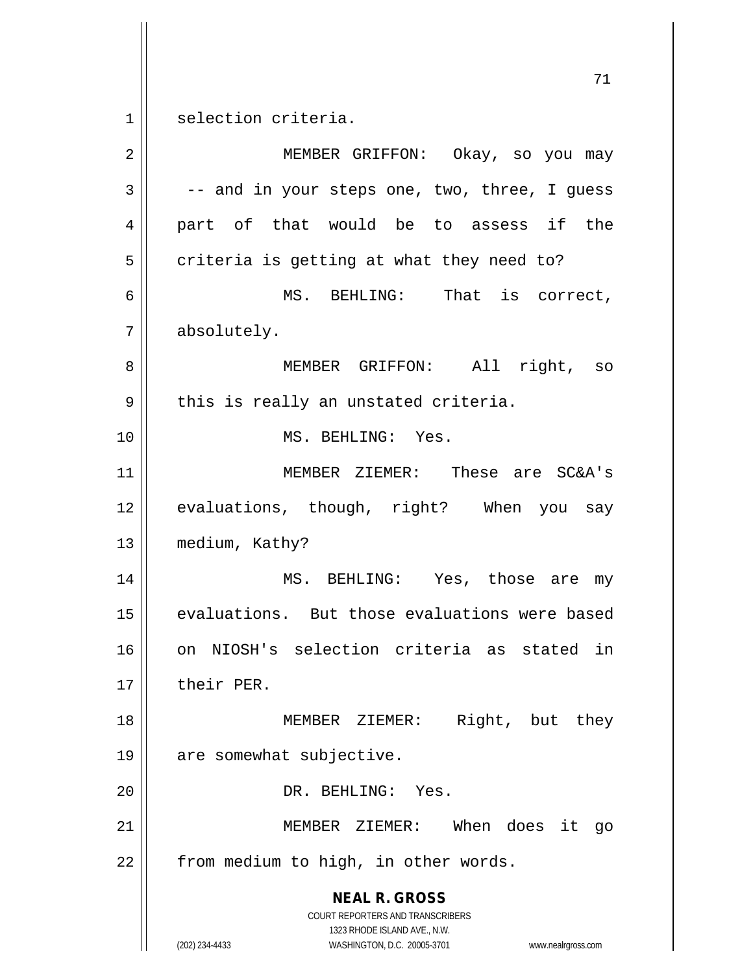selection criteria.

| $\overline{2}$ | MEMBER GRIFFON: Okay, so you may                                                                                                                                |
|----------------|-----------------------------------------------------------------------------------------------------------------------------------------------------------------|
| 3              | -- and in your steps one, two, three, I guess                                                                                                                   |
| 4              | part of that would be to assess if the                                                                                                                          |
| 5              | criteria is getting at what they need to?                                                                                                                       |
| 6              | MS. BEHLING: That is correct,                                                                                                                                   |
| 7              | absolutely.                                                                                                                                                     |
| 8              | MEMBER GRIFFON: All right, so                                                                                                                                   |
| 9              | this is really an unstated criteria.                                                                                                                            |
| 10             | MS. BEHLING: Yes.                                                                                                                                               |
| 11             | MEMBER ZIEMER: These are SC&A's                                                                                                                                 |
| 12             | evaluations, though, right? When you say                                                                                                                        |
| 13             | medium, Kathy?                                                                                                                                                  |
| 14             | MS. BEHLING: Yes, those are my                                                                                                                                  |
| 15             | evaluations. But those evaluations were based                                                                                                                   |
| 16             | on NIOSH's selection criteria as stated in                                                                                                                      |
| 17             | their PER.                                                                                                                                                      |
| 18             | Right, but they<br>MEMBER ZIEMER:                                                                                                                               |
| 19             | are somewhat subjective.                                                                                                                                        |
| 20             | DR. BEHLING: Yes.                                                                                                                                               |
| 21             | MEMBER ZIEMER: When does it<br>qo                                                                                                                               |
| 22             | from medium to high, in other words.                                                                                                                            |
|                | <b>NEAL R. GROSS</b><br>COURT REPORTERS AND TRANSCRIBERS<br>1323 RHODE ISLAND AVE., N.W.<br>(202) 234-4433<br>WASHINGTON, D.C. 20005-3701<br>www.nealrgross.com |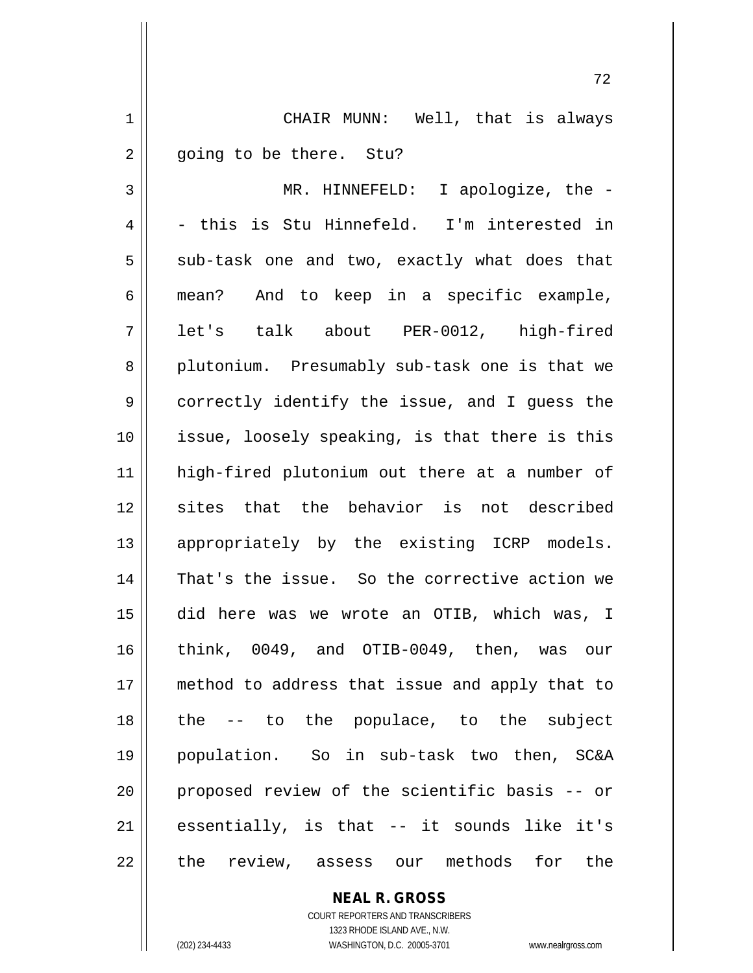1 | CHAIR MUNN: Well, that is always 2 | going to be there. Stu?

3 MR. HINNEFELD: I apologize, the -  $4 \parallel$  - this is Stu Hinnefeld. I'm interested in  $5 \parallel$  sub-task one and two, exactly what does that 6 mean? And to keep in a specific example, 7 || let's talk about PER-0012, high-fired 8 plutonium. Presumably sub-task one is that we 9 correctly identify the issue, and I guess the 10 || issue, loosely speaking, is that there is this 11 high-fired plutonium out there at a number of 12 sites that the behavior is not described 13 || appropriately by the existing ICRP models. 14 || That's the issue. So the corrective action we 15 did here was we wrote an OTIB, which was, I 16 think, 0049, and OTIB-0049, then, was our 17 method to address that issue and apply that to 18 the -- to the populace, to the subject 19 population. So in sub-task two then, SC&A 20 || proposed review of the scientific basis -- or  $21$  essentially, is that  $-$  it sounds like it's 22 || the review, assess our methods for the

> **NEAL R. GROSS** COURT REPORTERS AND TRANSCRIBERS

> > 1323 RHODE ISLAND AVE., N.W.

(202) 234-4433 WASHINGTON, D.C. 20005-3701 www.nealrgross.com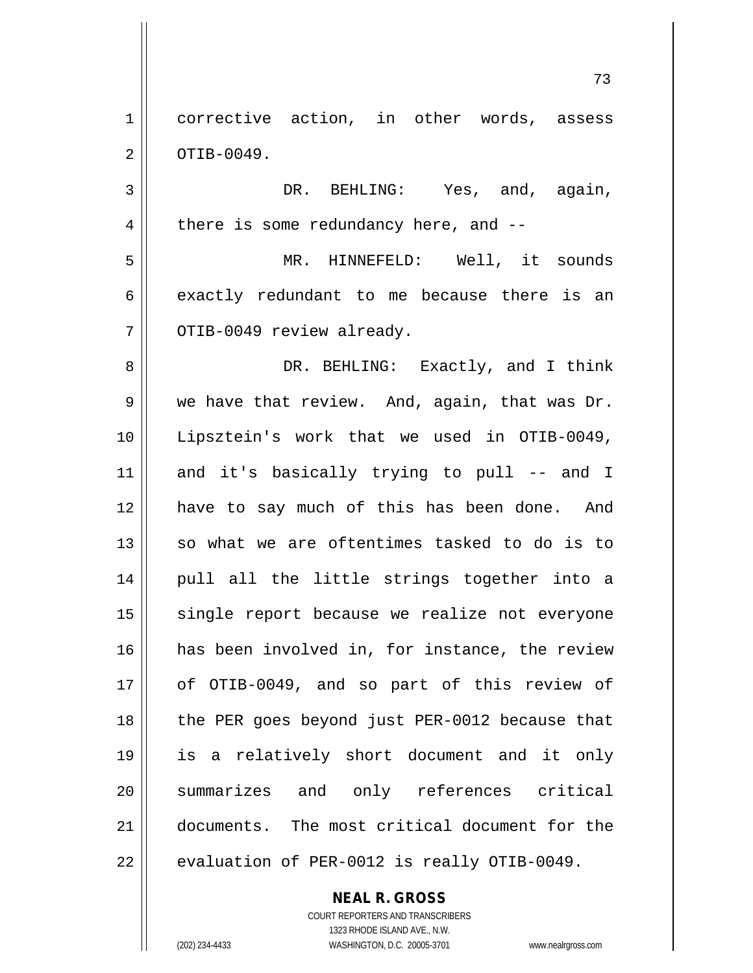1 corrective action, in other words, assess  $2 \parallel$  OTIB-0049.

3 | DR. BEHLING: Yes, and, again,  $4 \parallel$  there is some redundancy here, and  $-$ 

5 MR. HINNEFELD: Well, it sounds  $6 \parallel$  exactly redundant to me because there is an  $7$  |  $\circ$ TIB-0049 review already.

8 DR. BEHLING: Exactly, and I think  $9 \parallel$  we have that review. And, again, that was Dr. 10 Lipsztein's work that we used in OTIB-0049, 11 and it's basically trying to pull -- and I 12 have to say much of this has been done. And  $13$  so what we are oftentimes tasked to do is to 14 || pull all the little strings together into a 15 || single report because we realize not everyone 16 has been involved in, for instance, the review 17 || of OTIB-0049, and so part of this review of 18 || the PER goes beyond just PER-0012 because that 19 is a relatively short document and it only 20 || summarizes and only references critical 21 documents. The most critical document for the  $22$  | evaluation of PER-0012 is really OTIB-0049.

> **NEAL R. GROSS** COURT REPORTERS AND TRANSCRIBERS

1323 RHODE ISLAND AVE., N.W. (202) 234-4433 WASHINGTON, D.C. 20005-3701 www.nealrgross.com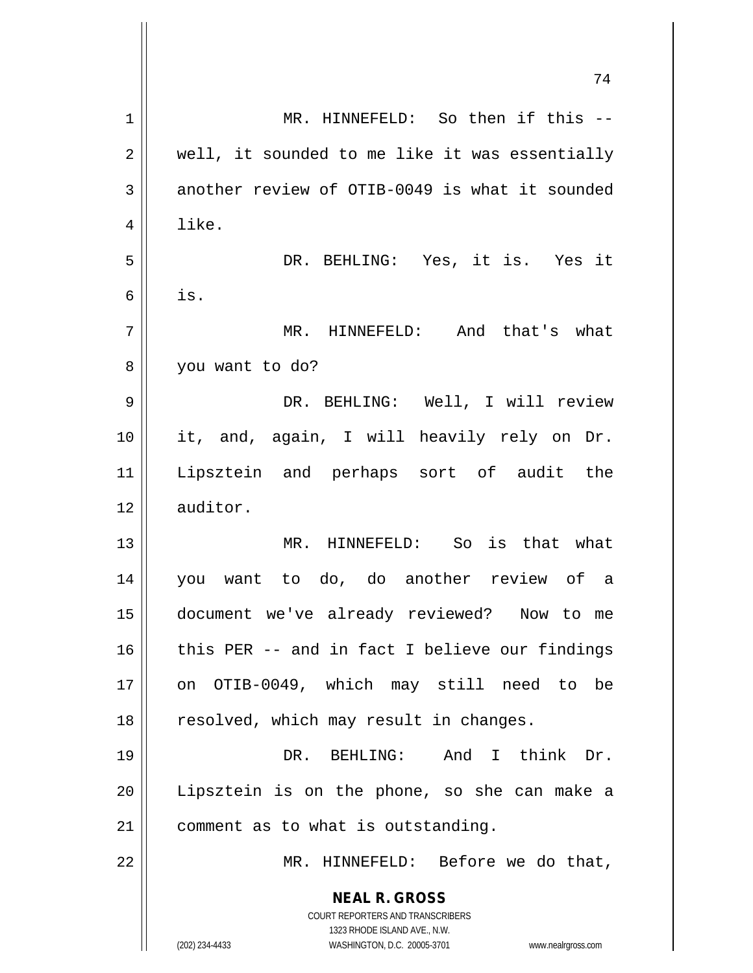|                | 74                                                                  |
|----------------|---------------------------------------------------------------------|
| 1              | MR. HINNEFELD: So then if this --                                   |
| 2              | well, it sounded to me like it was essentially                      |
| 3              | another review of OTIB-0049 is what it sounded                      |
| $\overline{4}$ | like.                                                               |
| 5              | DR. BEHLING: Yes, it is. Yes it                                     |
| 6              | is.                                                                 |
| 7              | MR. HINNEFELD: And that's what                                      |
| 8              | you want to do?                                                     |
| 9              | DR. BEHLING: Well, I will review                                    |
| 10             | it, and, again, I will heavily rely on Dr.                          |
| 11             | Lipsztein and perhaps sort of audit the                             |
| 12             | auditor.                                                            |
| 13             | MR. HINNEFELD: So is that what                                      |
| 14             | you want to do, do another review of a                              |
| 15             | document we've already reviewed? Now to me                          |
| 16             | this PER -- and in fact I believe our findings                      |
| 17             | on OTIB-0049, which may still need to be                            |
| 18             | resolved, which may result in changes.                              |
| 19             | DR. BEHLING: And I think Dr.                                        |
| 20             | Lipsztein is on the phone, so she can make a                        |
| 21             | comment as to what is outstanding.                                  |
| 22             | MR. HINNEFELD: Before we do that,                                   |
|                | <b>NEAL R. GROSS</b>                                                |
|                | COURT REPORTERS AND TRANSCRIBERS<br>1323 RHODE ISLAND AVE., N.W.    |
|                | (202) 234-4433<br>WASHINGTON, D.C. 20005-3701<br>www.nealrgross.com |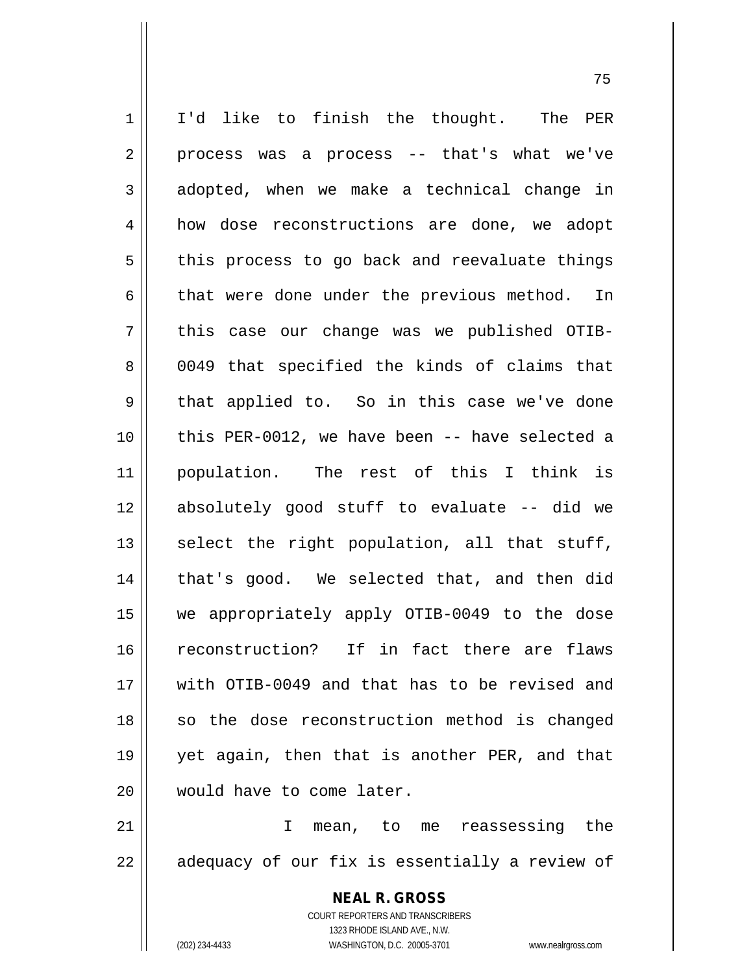1 || I'd like to finish the thought. The PER  $2 \parallel$  process was a process -- that's what we've  $3 \parallel$  adopted, when we make a technical change in 4 | how dose reconstructions are done, we adopt  $5 \parallel$  this process to go back and reevaluate things  $6 \parallel$  that were done under the previous method. In  $7 \parallel$  this case our change was we published OTIB-8 0049 that specified the kinds of claims that 9 || that applied to. So in this case we've done 10 this PER-0012, we have been -- have selected a 11 population. The rest of this I think is 12 absolutely good stuff to evaluate -- did we 13  $\parallel$  select the right population, all that stuff, 14 || that's good. We selected that, and then did 15 we appropriately apply OTIB-0049 to the dose 16 reconstruction? If in fact there are flaws 17 with OTIB-0049 and that has to be revised and 18 || so the dose reconstruction method is changed 19 yet again, then that is another PER, and that 20 || would have to come later.

21 I mean, to me reassessing the 22 || adequacy of our fix is essentially a review of

> **NEAL R. GROSS** COURT REPORTERS AND TRANSCRIBERS 1323 RHODE ISLAND AVE., N.W. (202) 234-4433 WASHINGTON, D.C. 20005-3701 www.nealrgross.com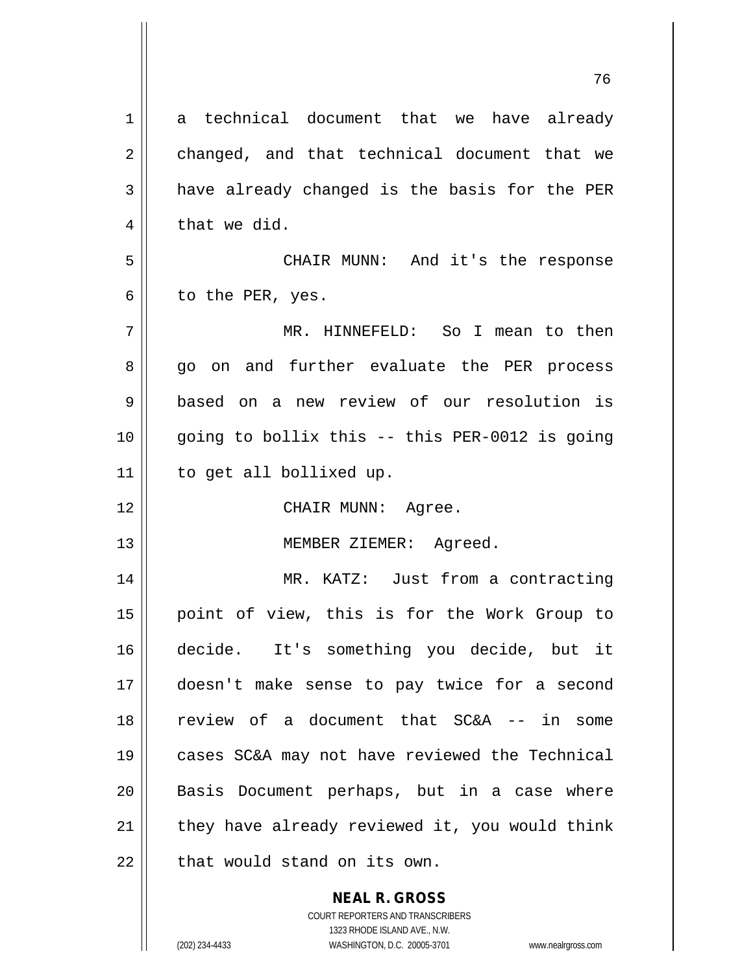| 1  | a technical document that we have already      |
|----|------------------------------------------------|
| 2  | changed, and that technical document that we   |
| 3  | have already changed is the basis for the PER  |
| 4  | that we did.                                   |
| 5  | CHAIR MUNN: And it's the response              |
| 6  | to the PER, yes.                               |
| 7  | MR. HINNEFELD: So I mean to then               |
| 8  | go on and further evaluate the PER process     |
| 9  | based on a new review of our resolution is     |
| 10 | going to bollix this -- this PER-0012 is going |
| 11 | to get all bollixed up.                        |
| 12 | CHAIR MUNN: Agree.                             |
| 13 | MEMBER ZIEMER: Agreed.                         |
| 14 | MR. KATZ: Just from a contracting              |
| 15 | point of view, this is for the Work Group to   |
| 16 | decide. It's something you decide, but it      |
| 17 | doesn't make sense to pay twice for a second   |
| 18 | review of a document that SC&A -- in some      |
| 19 | cases SC&A may not have reviewed the Technical |
| 20 | Basis Document perhaps, but in a case where    |
| 21 | they have already reviewed it, you would think |
| 22 | that would stand on its own.                   |
|    | <b>NEAL R. GROSS</b>                           |

COURT REPORTERS AND TRANSCRIBERS 1323 RHODE ISLAND AVE., N.W. (202) 234-4433 WASHINGTON, D.C. 20005-3701 www.nealrgross.com

 $\mathsf{II}$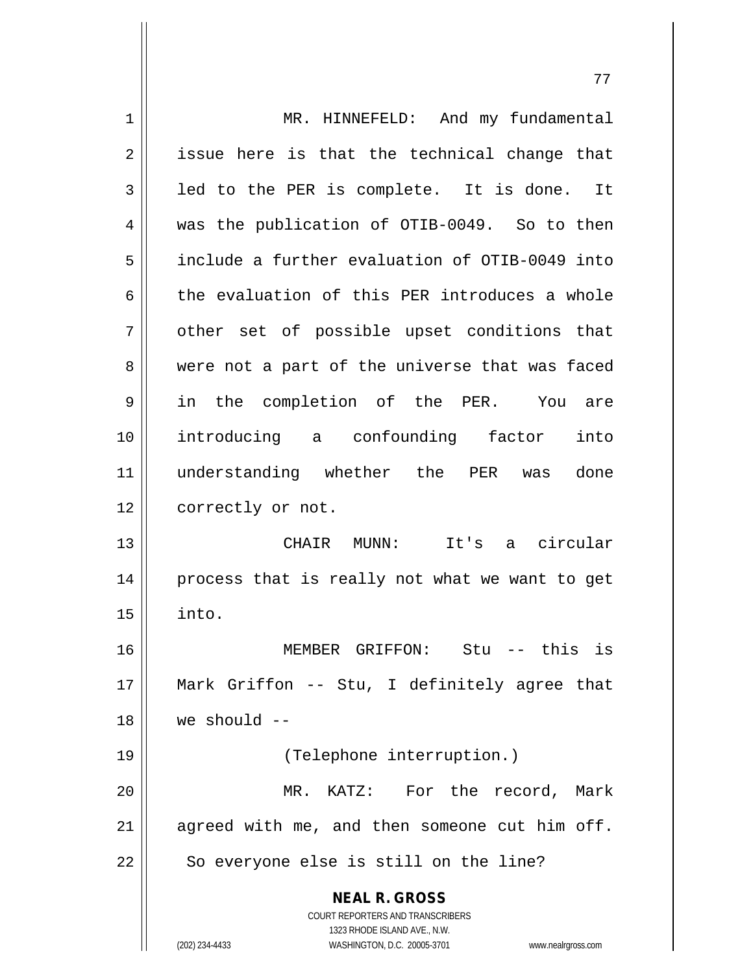| 1  | MR. HINNEFELD: And my fundamental                                   |
|----|---------------------------------------------------------------------|
| 2  | issue here is that the technical change that                        |
| 3  | led to the PER is complete. It is done. It                          |
| 4  | was the publication of OTIB-0049. So to then                        |
| 5  | include a further evaluation of OTIB-0049 into                      |
| 6  | the evaluation of this PER introduces a whole                       |
| 7  | other set of possible upset conditions that                         |
| 8  | were not a part of the universe that was faced                      |
| 9  | in the completion of the PER. You<br>are                            |
| 10 | introducing a confounding factor<br>into                            |
| 11 | understanding whether the PER was<br>done                           |
| 12 | correctly or not.                                                   |
| 13 | CHAIR MUNN: It's a circular                                         |
| 14 | process that is really not what we want to get                      |
| 15 | into.                                                               |
| 16 | MEMBER GRIFFON:<br>$Stu$ -- this is                                 |
| 17 | Mark Griffon -- Stu, I definitely agree that                        |
| 18 | we should $--$                                                      |
| 19 | (Telephone interruption.)                                           |
| 20 | MR. KATZ: For the record, Mark                                      |
| 21 | agreed with me, and then someone cut him off.                       |
| 22 | So everyone else is still on the line?                              |
|    | <b>NEAL R. GROSS</b>                                                |
|    | <b>COURT REPORTERS AND TRANSCRIBERS</b>                             |
|    | 1323 RHODE ISLAND AVE., N.W.                                        |
|    | (202) 234-4433<br>WASHINGTON, D.C. 20005-3701<br>www.nealrgross.com |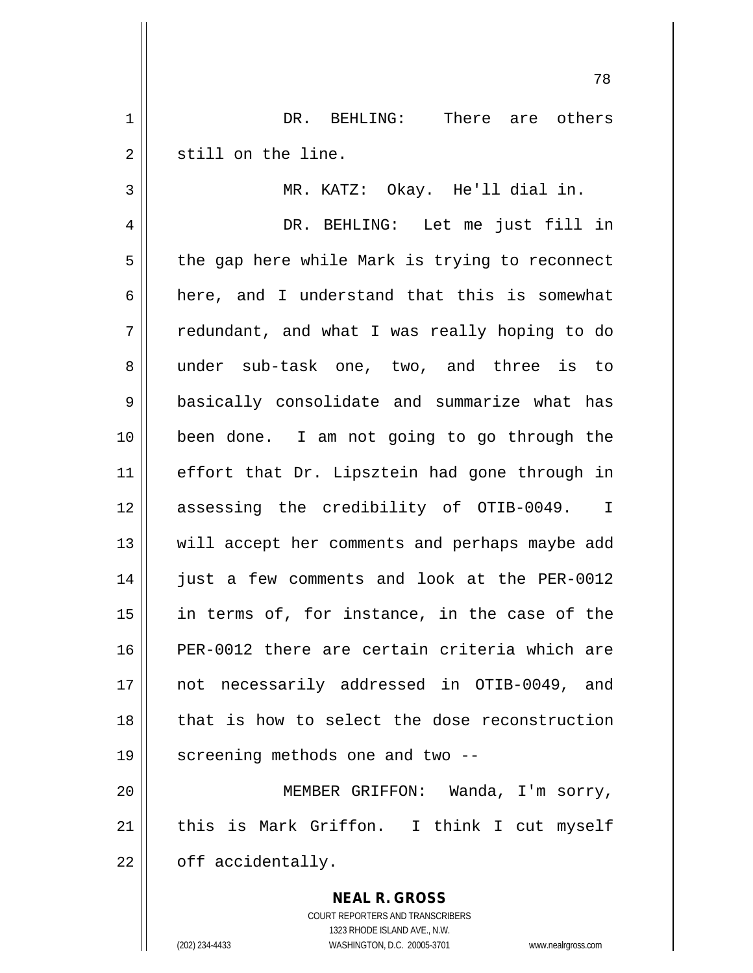1 DR. BEHLING: There are others 2 | still on the line.

3 MR. KATZ: Okay. He'll dial in.

78

4 DR. BEHLING: Let me just fill in  $5 \parallel$  the gap here while Mark is trying to reconnect 6 here, and I understand that this is somewhat  $7 \parallel$  redundant, and what I was really hoping to do 8 under sub-task one, two, and three is to 9 basically consolidate and summarize what has 10 been done. I am not going to go through the 11 || effort that Dr. Lipsztein had gone through in 12 assessing the credibility of OTIB-0049. I 13 || will accept her comments and perhaps maybe add 14 just a few comments and look at the PER-0012  $15$  || in terms of, for instance, in the case of the 16 PER-0012 there are certain criteria which are 17 not necessarily addressed in OTIB-0049, and 18 that is how to select the dose reconstruction 19  $\parallel$  screening methods one and two --

20 MEMBER GRIFFON: Wanda, I'm sorry, 21 || this is Mark Griffon. I think I cut myself  $22$  | off accidentally.

> **NEAL R. GROSS** COURT REPORTERS AND TRANSCRIBERS 1323 RHODE ISLAND AVE., N.W. (202) 234-4433 WASHINGTON, D.C. 20005-3701 www.nealrgross.com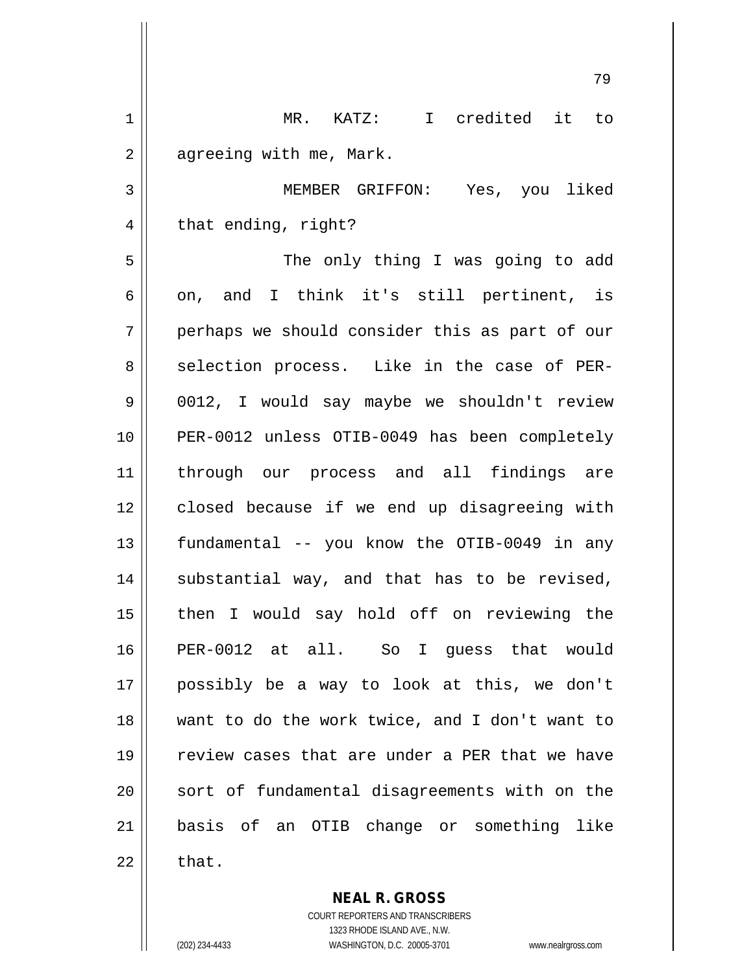|             | 79                                             |
|-------------|------------------------------------------------|
| $\mathbf 1$ | MR. KATZ: I credited it to                     |
| 2           | agreeing with me, Mark.                        |
| 3           | MEMBER GRIFFON: Yes, you liked                 |
| 4           | that ending, right?                            |
| 5           | The only thing I was going to add              |
| 6           | on, and I think it's still pertinent, is       |
| 7           | perhaps we should consider this as part of our |
| 8           | selection process. Like in the case of PER-    |
| 9           | 0012, I would say maybe we shouldn't review    |
| 10          | PER-0012 unless OTIB-0049 has been completely  |
| 11          | through our process and all findings are       |
| 12          | closed because if we end up disagreeing with   |
| 13          | fundamental -- you know the OTIB-0049 in any   |
| 14          | substantial way, and that has to be revised,   |
| 15          | then I would say hold off on reviewing the     |
| 16          | PER-0012 at all. So I guess that would         |
| 17          | possibly be a way to look at this, we don't    |
| 18          | want to do the work twice, and I don't want to |
| 19          | review cases that are under a PER that we have |
| 20          | sort of fundamental disagreements with on the  |
| 21          | basis of an OTIB change or something like      |
| 22          | that.                                          |

**NEAL R. GROSS** COURT REPORTERS AND TRANSCRIBERS 1323 RHODE ISLAND AVE., N.W.

 $\mathsf{II}$ 

 $\mathsf{II}$ 

(202) 234-4433 WASHINGTON, D.C. 20005-3701 www.nealrgross.com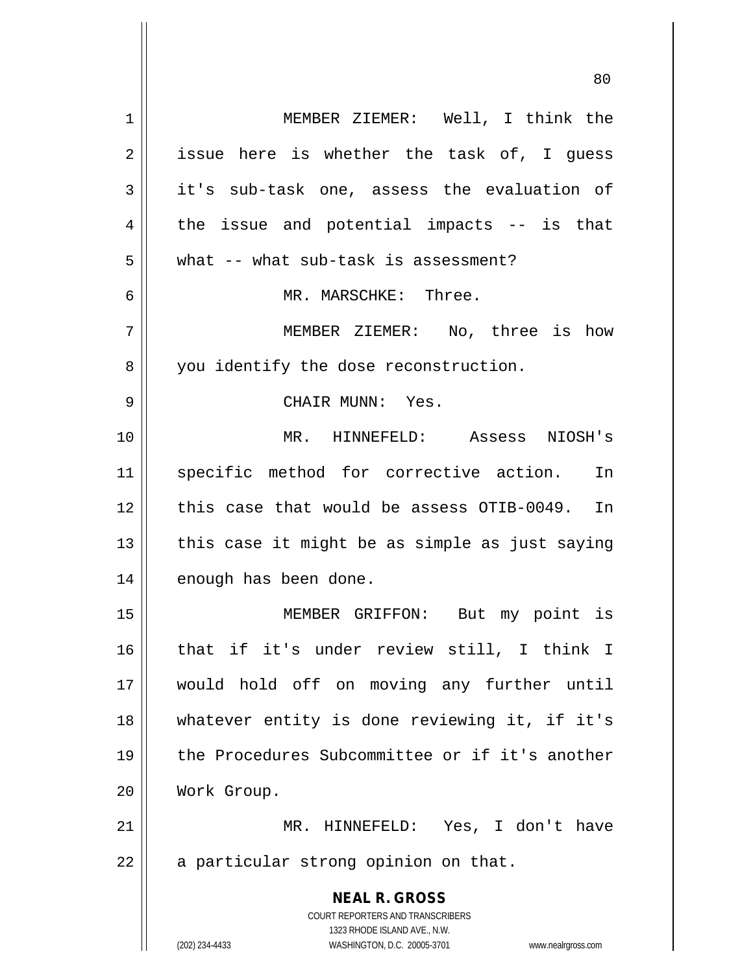| $\mathbf 1$ | MEMBER ZIEMER: Well, I think the                                    |
|-------------|---------------------------------------------------------------------|
| 2           | issue here is whether the task of, I guess                          |
| 3           | it's sub-task one, assess the evaluation of                         |
| 4           | the issue and potential impacts $-$ is that                         |
| 5           | what -- what sub-task is assessment?                                |
| 6           | MR. MARSCHKE: Three.                                                |
| 7           | MEMBER ZIEMER: No, three is how                                     |
| 8           | you identify the dose reconstruction.                               |
| 9           | CHAIR MUNN: Yes.                                                    |
| 10          | MR. HINNEFELD: Assess NIOSH's                                       |
| 11          | specific method for corrective action. In                           |
| 12          | this case that would be assess OTIB-0049. In                        |
| 13          | this case it might be as simple as just saying                      |
| 14          | enough has been done.                                               |
| 15          | MEMBER GRIFFON: But my point is                                     |
| 16          | that if it's under review still, I think I                          |
|             |                                                                     |
| 17          | would hold off on moving any further until                          |
| 18          | whatever entity is done reviewing it, if it's                       |
| 19          | the Procedures Subcommittee or if it's another                      |
| 20          | Work Group.                                                         |
| 21          | MR. HINNEFELD: Yes, I don't have                                    |
| 22          | a particular strong opinion on that.                                |
|             | <b>NEAL R. GROSS</b>                                                |
|             | COURT REPORTERS AND TRANSCRIBERS                                    |
|             | 1323 RHODE ISLAND AVE., N.W.                                        |
|             | (202) 234-4433<br>WASHINGTON, D.C. 20005-3701<br>www.nealrgross.com |

 $\overline{\mathbf{1}}$ 

 $\mathbf{\mathcal{H}}$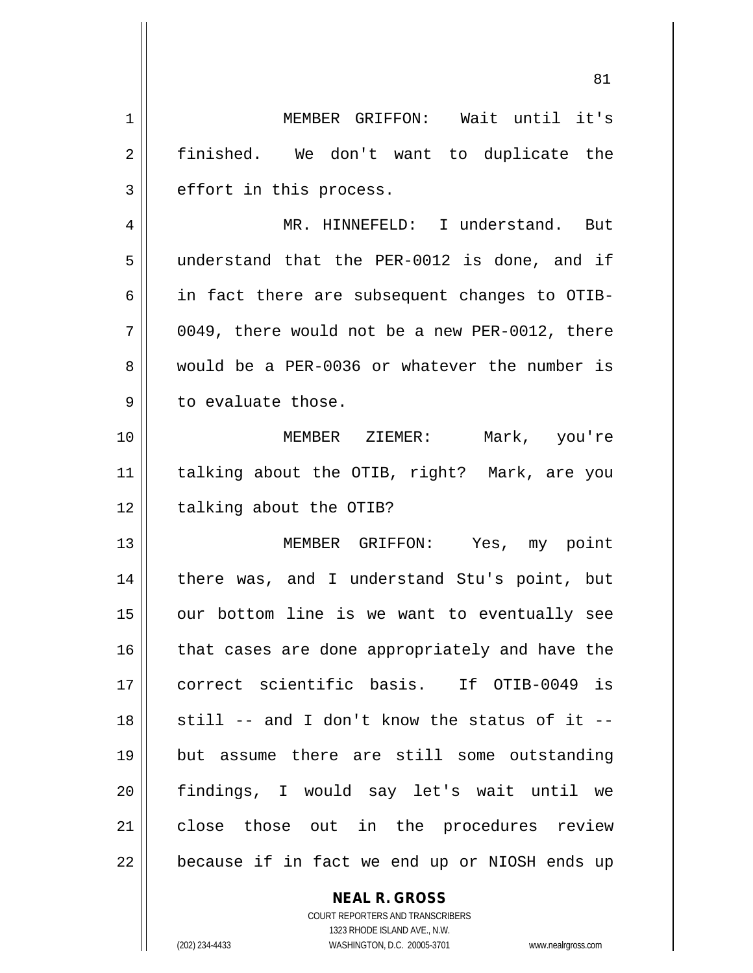1 MEMBER GRIFFON: Wait until it's 2 || finished. We don't want to duplicate the  $3 \parallel$  effort in this process. 4 MR. HINNEFELD: I understand. But 5 understand that the PER-0012 is done, and if  $6 \parallel$  in fact there are subsequent changes to OTIB- $7 \parallel$  0049, there would not be a new PER-0012, there 8 would be a PER-0036 or whatever the number is  $9 \parallel$  to evaluate those. 10 MEMBER ZIEMER: Mark, you're 11 talking about the OTIB, right? Mark, are you  $12$  | talking about the OTIB? 13 MEMBER GRIFFON: Yes, my point 14 || there was, and I understand Stu's point, but  $15$  | our bottom line is we want to eventually see 16 || that cases are done appropriately and have the 17 || correct scientific basis. If OTIB-0049 is  $18$   $\parallel$  still -- and I don't know the status of it --19 but assume there are still some outstanding 20 findings, I would say let's wait until we 21 || close those out in the procedures review 22 || because if in fact we end up or NIOSH ends up

> **NEAL R. GROSS** COURT REPORTERS AND TRANSCRIBERS 1323 RHODE ISLAND AVE., N.W.

(202) 234-4433 WASHINGTON, D.C. 20005-3701 www.nealrgross.com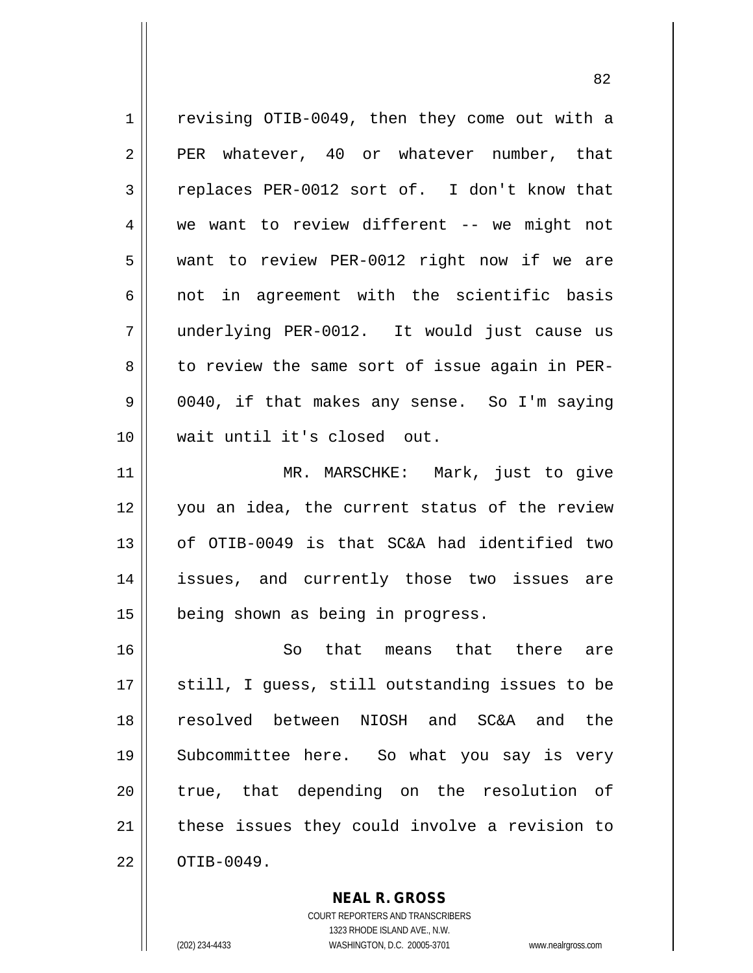| $\mathbf 1$ | revising OTIB-0049, then they come out with a  |
|-------------|------------------------------------------------|
| 2           | PER whatever, 40 or whatever number, that      |
| 3           | replaces PER-0012 sort of. I don't know that   |
| 4           | we want to review different -- we might not    |
| 5           | want to review PER-0012 right now if we are    |
| 6           | not in agreement with the scientific basis     |
| 7           | underlying PER-0012. It would just cause us    |
| 8           | to review the same sort of issue again in PER- |
| 9           | 0040, if that makes any sense. So I'm saying   |
| 10          | wait until it's closed out.                    |
| 11          | MR. MARSCHKE: Mark, just to give               |
| 12          | you an idea, the current status of the review  |
| 13          | of OTIB-0049 is that SC&A had identified two   |
| 14          | issues, and currently those two issues are     |
| 15          | being shown as being in progress.              |
| 16          | So that means that there are                   |
| 17          | still, I guess, still outstanding issues to be |
| 18          | resolved between NIOSH and SC&A and the        |
| 19          | Subcommittee here. So what you say is very     |
| 20          | true, that depending on the resolution of      |
| 21          | these issues they could involve a revision to  |
| 22          | OTIB-0049.                                     |

**NEAL R. GROSS** COURT REPORTERS AND TRANSCRIBERS

1323 RHODE ISLAND AVE., N.W.

(202) 234-4433 WASHINGTON, D.C. 20005-3701 www.nealrgross.com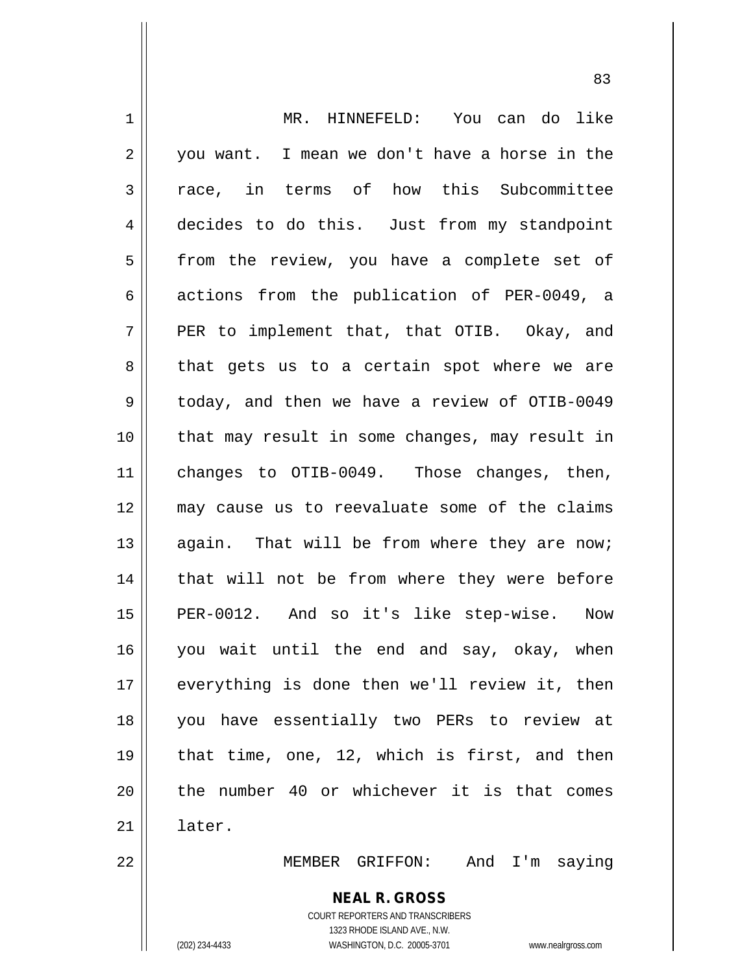**NEAL R. GROSS** 1 MR. HINNEFELD: You can do like  $2 \parallel$  you want. I mean we don't have a horse in the 3 T race, in terms of how this Subcommittee 4 decides to do this. Just from my standpoint  $5 \parallel$  from the review, you have a complete set of 6  $\parallel$  actions from the publication of PER-0049, a  $7 \parallel$  PER to implement that, that OTIB. Okay, and 8 || that gets us to a certain spot where we are 9 | today, and then we have a review of OTIB-0049 10 that may result in some changes, may result in 11 || changes to OTIB-0049. Those changes, then, 12 may cause us to reevaluate some of the claims 13 || again. That will be from where they are now; 14 || that will not be from where they were before 15 || PER-0012. And so it's like step-wise. Now 16 you wait until the end and say, okay, when 17 everything is done then we'll review it, then 18 you have essentially two PERs to review at 19  $\parallel$  that time, one, 12, which is first, and then 20 || the number 40 or whichever it is that comes 21 later. 22 MEMBER GRIFFON: And I'm saying

> COURT REPORTERS AND TRANSCRIBERS 1323 RHODE ISLAND AVE., N.W.

(202) 234-4433 WASHINGTON, D.C. 20005-3701 www.nealrgross.com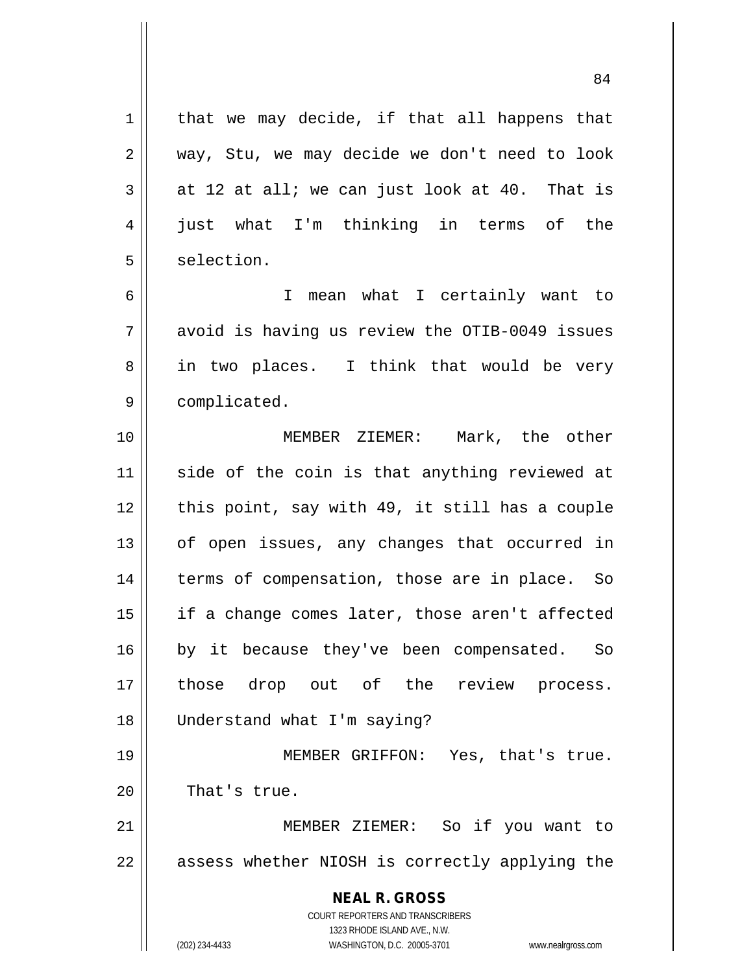**NEAL R. GROSS** COURT REPORTERS AND TRANSCRIBERS  $1$  that we may decide, if that all happens that  $2 \parallel$  way, Stu, we may decide we don't need to look  $3 \parallel$  at 12 at all; we can just look at 40. That is 4 just what I'm thinking in terms of the  $5 \parallel$  selection. 6 I mean what I certainly want to  $7 \parallel$  avoid is having us review the OTIB-0049 issues 8 || in two places. I think that would be very 9 | complicated. 10 || **MEMBER ZIEMER:** Mark, the other 11 || side of the coin is that anything reviewed at  $12$  | this point, say with 49, it still has a couple  $13$  | of open issues, any changes that occurred in 14 || terms of compensation, those are in place. So  $15$  || if a change comes later, those aren't affected 16 || by it because they've been compensated. So 17 those drop out of the review process. 18 Understand what I'm saying? 19 || MEMBER GRIFFON: Yes, that's true. 20 || That's true. 21 MEMBER ZIEMER: So if you want to 22 || assess whether NIOSH is correctly applying the

1323 RHODE ISLAND AVE., N.W.

(202) 234-4433 WASHINGTON, D.C. 20005-3701 www.nealrgross.com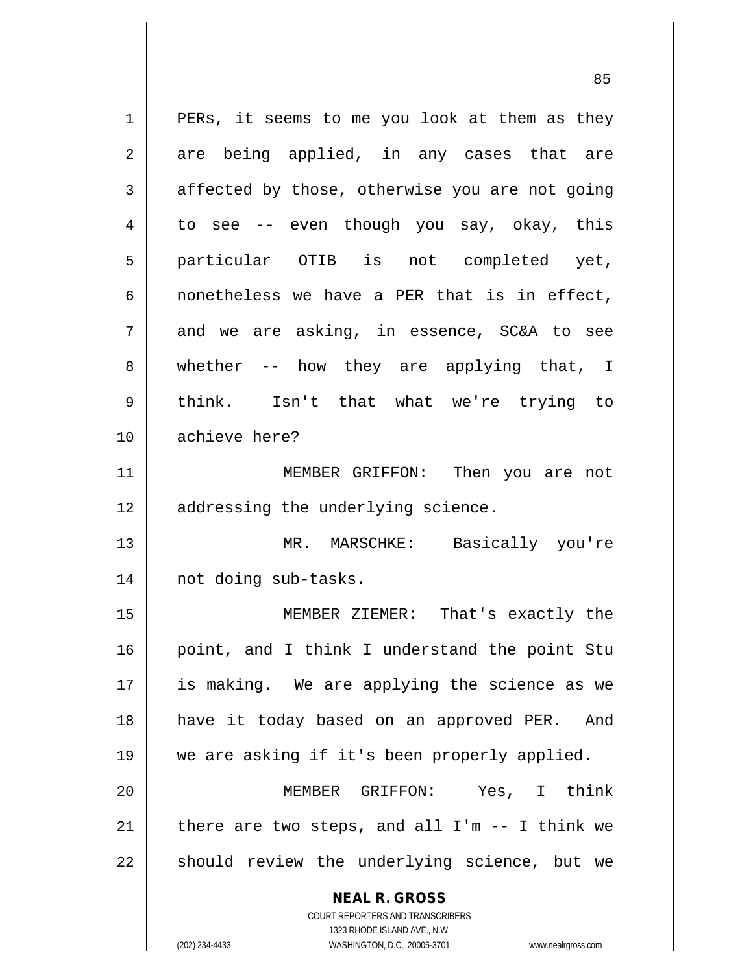| $\mathbf 1$ | PERs, it seems to me you look at them as they                       |
|-------------|---------------------------------------------------------------------|
| 2           | are being applied, in any cases that are                            |
| 3           | affected by those, otherwise you are not going                      |
| 4           | to see -- even though you say, okay, this                           |
| 5           | particular OTIB is not completed yet,                               |
| 6           | nonetheless we have a PER that is in effect,                        |
| 7           | and we are asking, in essence, SC&A to see                          |
| 8           | whether $--$ how they are applying that, I                          |
| 9           | think. Isn't that what we're trying to                              |
| 10          | achieve here?                                                       |
| 11          | MEMBER GRIFFON: Then you are not                                    |
| 12          | addressing the underlying science.                                  |
| 13          | MR. MARSCHKE: Basically you're                                      |
| 14          | not doing sub-tasks.                                                |
| 15          | MEMBER ZIEMER: That's exactly the                                   |
| 16          | point, and I think I understand the point Stu                       |
| 17          | is making. We are applying the science as we                        |
| 18          | have it today based on an approved PER. And                         |
| 19          | we are asking if it's been properly applied.                        |
| 20          | MEMBER GRIFFON: Yes,<br>I think                                     |
| 21          | there are two steps, and all $I'm -- I think we$                    |
| 22          | should review the underlying science, but we                        |
|             |                                                                     |
|             | <b>NEAL R. GROSS</b>                                                |
|             | COURT REPORTERS AND TRANSCRIBERS<br>1323 RHODE ISLAND AVE., N.W.    |
|             | (202) 234-4433<br>WASHINGTON, D.C. 20005-3701<br>www.nealrgross.com |

 $\mathsf{I}$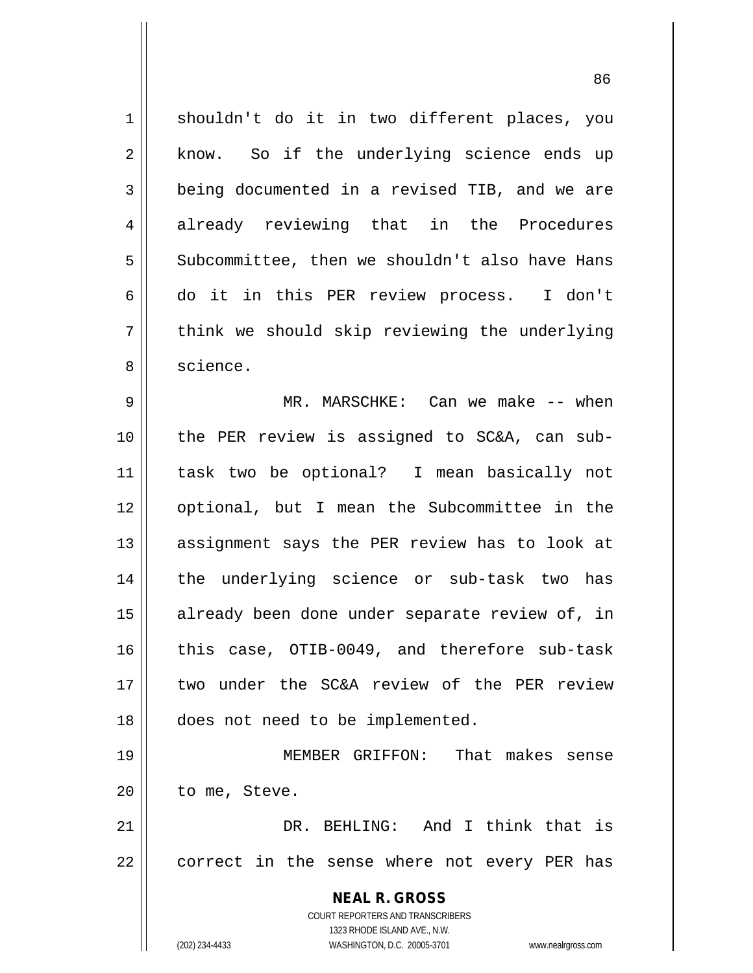1 shouldn't do it in two different places, you 2 || know. So if the underlying science ends up 3 **being documented in a revised TIB, and we are** 4 already reviewing that in the Procedures 5 Subcommittee, then we shouldn't also have Hans 6 do it in this PER review process. I don't  $7 \parallel$  think we should skip reviewing the underlying 8 || science. 9 MR. MARSCHKE: Can we make -- when 10 the PER review is assigned to SC&A, can sub-11 task two be optional? I mean basically not 12 optional, but I mean the Subcommittee in the 13 || assignment says the PER review has to look at 14 the underlying science or sub-task two has 15 || already been done under separate review of, in 16 || this case, OTIB-0049, and therefore sub-task 17 two under the SC&A review of the PER review 18 does not need to be implemented. 19 MEMBER GRIFFON: That makes sense  $20$  | to me, Steve. 21 DR. BEHLING: And I think that is  $22$  || correct in the sense where not every PER has

> COURT REPORTERS AND TRANSCRIBERS 1323 RHODE ISLAND AVE., N.W. (202) 234-4433 WASHINGTON, D.C. 20005-3701 www.nealrgross.com

**NEAL R. GROSS**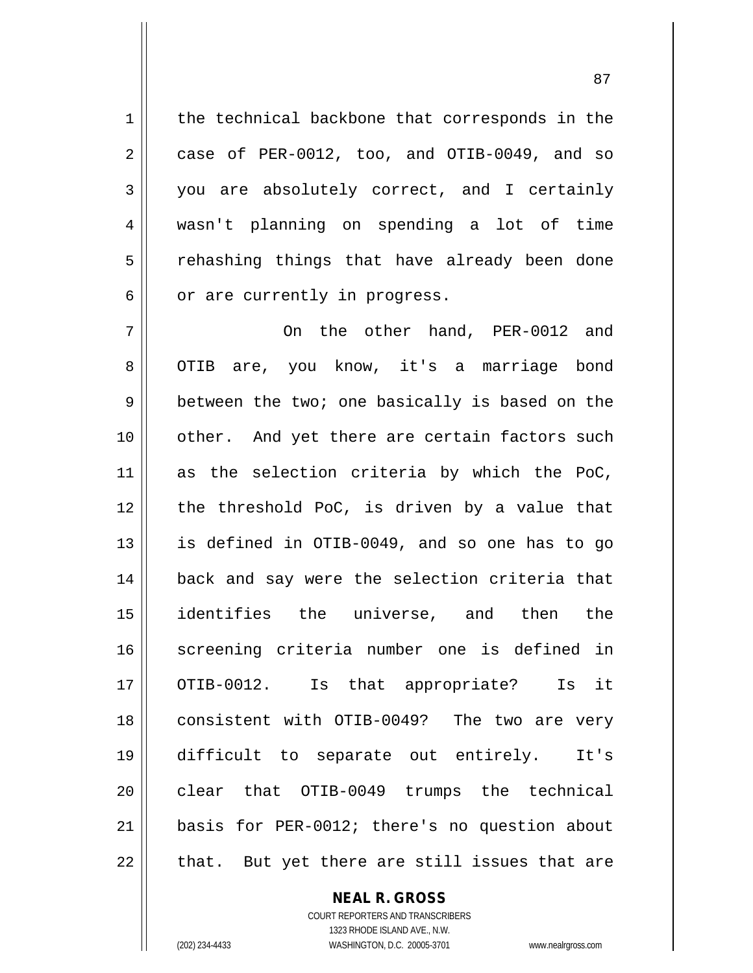1 | the technical backbone that corresponds in the  $2 \parallel$  case of PER-0012, too, and OTIB-0049, and so 3 you are absolutely correct, and I certainly 4 wasn't planning on spending a lot of time 5 || rehashing things that have already been done  $6 \parallel$  or are currently in progress.

7 On the other hand, PER-0012 and 8 || OTIB are, you know, it's a marriage bond 9 || between the two; one basically is based on the 10 || other. And yet there are certain factors such 11 as the selection criteria by which the PoC, 12 || the threshold PoC, is driven by a value that 13 is defined in OTIB-0049, and so one has to go 14 || back and say were the selection criteria that 15 identifies the universe, and then the 16 || screening criteria number one is defined in 17 || OTIB-0012. Is that appropriate? Is it 18 || consistent with OTIB-0049? The two are very 19 difficult to separate out entirely. It's 20 clear that OTIB-0049 trumps the technical 21 basis for PER-0012; there's no question about  $22$  || that. But yet there are still issues that are

## **NEAL R. GROSS**

COURT REPORTERS AND TRANSCRIBERS 1323 RHODE ISLAND AVE., N.W. (202) 234-4433 WASHINGTON, D.C. 20005-3701 www.nealrgross.com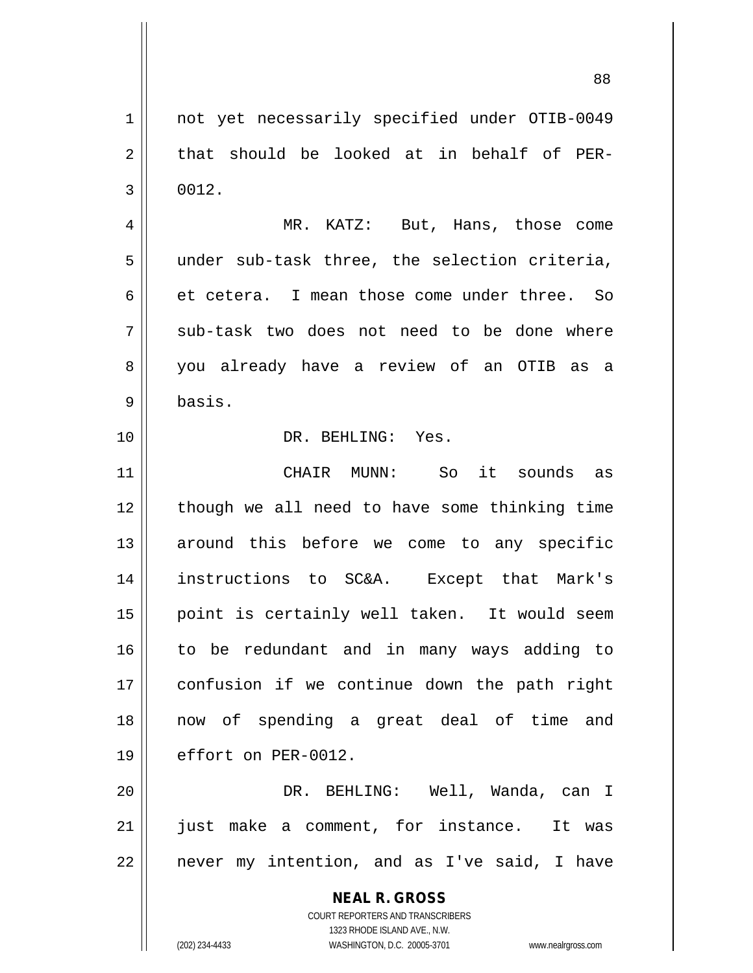1 | not yet necessarily specified under OTIB-0049  $2 \parallel$  that should be looked at in behalf of PER- $3 \parallel 0012$ . 4 MR. KATZ: But, Hans, those come

 $5$  || under sub-task three, the selection criteria, 6 et cetera. I mean those come under three. So  $7 \parallel$  sub-task two does not need to be done where 8 || you already have a review of an OTIB as a 9 basis.

## 10 DR. BEHLING: Yes.

11 CHAIR MUNN: So it sounds as 12 || though we all need to have some thinking time 13 around this before we come to any specific 14 instructions to SC&A. Except that Mark's 15 || point is certainly well taken. It would seem 16 to be redundant and in many ways adding to 17 confusion if we continue down the path right 18 now of spending a great deal of time and 19 | effort on PER-0012.

20 DR. BEHLING: Well, Wanda, can I 21 || just make a comment, for instance. It was  $22$  | never my intention, and as I've said, I have

> **NEAL R. GROSS** COURT REPORTERS AND TRANSCRIBERS 1323 RHODE ISLAND AVE., N.W.

(202) 234-4433 WASHINGTON, D.C. 20005-3701 www.nealrgross.com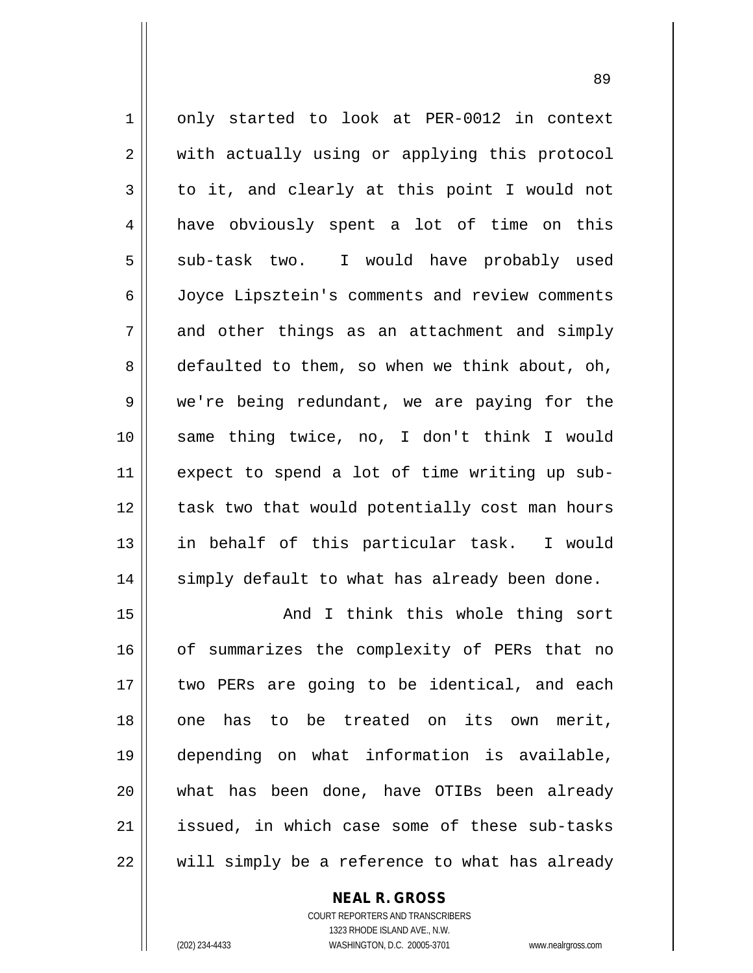1 | only started to look at PER-0012 in context 2 || with actually using or applying this protocol  $3 \parallel$  to it, and clearly at this point I would not 4 || have obviously spent a lot of time on this 5 sub-task two. I would have probably used 6 Joyce Lipsztein's comments and review comments  $7 \parallel$  and other things as an attachment and simply  $8 \parallel$  defaulted to them, so when we think about, oh, 9 we're being redundant, we are paying for the 10 same thing twice, no, I don't think I would 11 expect to spend a lot of time writing up sub-12 || task two that would potentially cost man hours 13 in behalf of this particular task. I would 14 || simply default to what has already been done.

15 || And I think this whole thing sort 16 || of summarizes the complexity of PERs that no 17 two PERs are going to be identical, and each 18 || one has to be treated on its own merit, 19 depending on what information is available, 20 what has been done, have OTIBs been already 21 || issued, in which case some of these sub-tasks 22 || will simply be a reference to what has already

> **NEAL R. GROSS** COURT REPORTERS AND TRANSCRIBERS 1323 RHODE ISLAND AVE., N.W.

(202) 234-4433 WASHINGTON, D.C. 20005-3701 www.nealrgross.com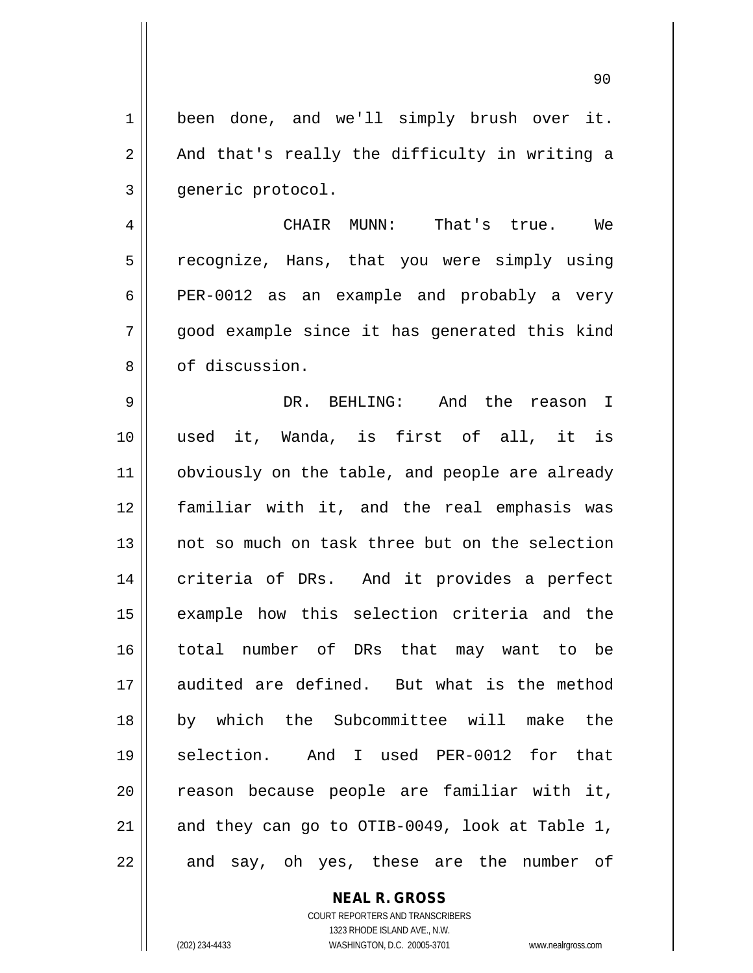1 || been done, and we'll simply brush over it.  $2 \parallel$  And that's really the difficulty in writing a 3 | qeneric protocol.

4 CHAIR MUNN: That's true. We 5 recognize, Hans, that you were simply using 6 **PER-0012** as an example and probably a very  $7 \parallel$  good example since it has generated this kind 8 0 of discussion.

 DR. BEHLING: And the reason I used it, Wanda, is first of all, it is 11 | obviously on the table, and people are already familiar with it, and the real emphasis was not so much on task three but on the selection 14 || criteria of DRs. And it provides a perfect 15 || example how this selection criteria and the total number of DRs that may want to be audited are defined. But what is the method by which the Subcommittee will make the selection. And I used PER-0012 for that 20 || reason because people are familiar with it,  $\parallel$  and they can go to OTIB-0049, look at Table 1, || and say, oh yes, these are the number of

> COURT REPORTERS AND TRANSCRIBERS 1323 RHODE ISLAND AVE., N.W. (202) 234-4433 WASHINGTON, D.C. 20005-3701 www.nealrgross.com

**NEAL R. GROSS**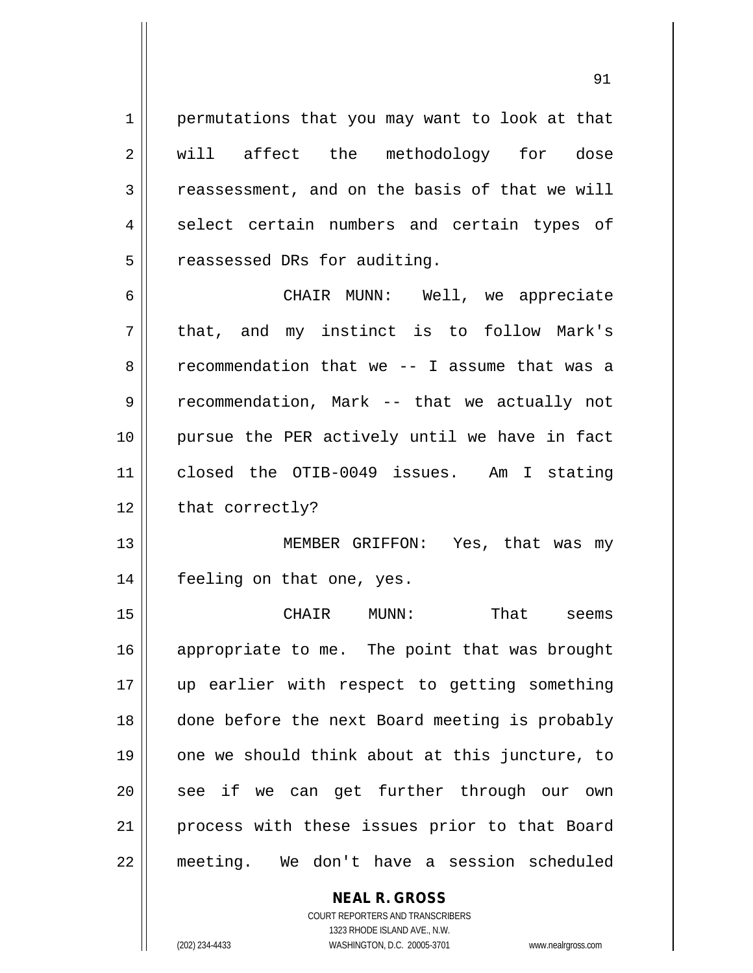1 permutations that you may want to look at that 2 || will affect the methodology for dose  $3 \parallel$  reassessment, and on the basis of that we will 4 || select certain numbers and certain types of  $5$  || reassessed DRs for auditing.

6 CHAIR MUNN: Well, we appreciate 7 || that, and my instinct is to follow Mark's 8 cecommendation that we -- I assume that was a 9 || recommendation, Mark -- that we actually not 10 pursue the PER actively until we have in fact 11 closed the OTIB-0049 issues. Am I stating  $12$  | that correctly?

13 MEMBER GRIFFON: Yes, that was my 14 feeling on that one, yes.

 CHAIR MUNN: That seems 16 || appropriate to me. The point that was brought up earlier with respect to getting something done before the next Board meeting is probably one we should think about at this juncture, to 20 || see if we can get further through our own 21 || process with these issues prior to that Board meeting. We don't have a session scheduled

## **NEAL R. GROSS**

COURT REPORTERS AND TRANSCRIBERS 1323 RHODE ISLAND AVE., N.W. (202) 234-4433 WASHINGTON, D.C. 20005-3701 www.nealrgross.com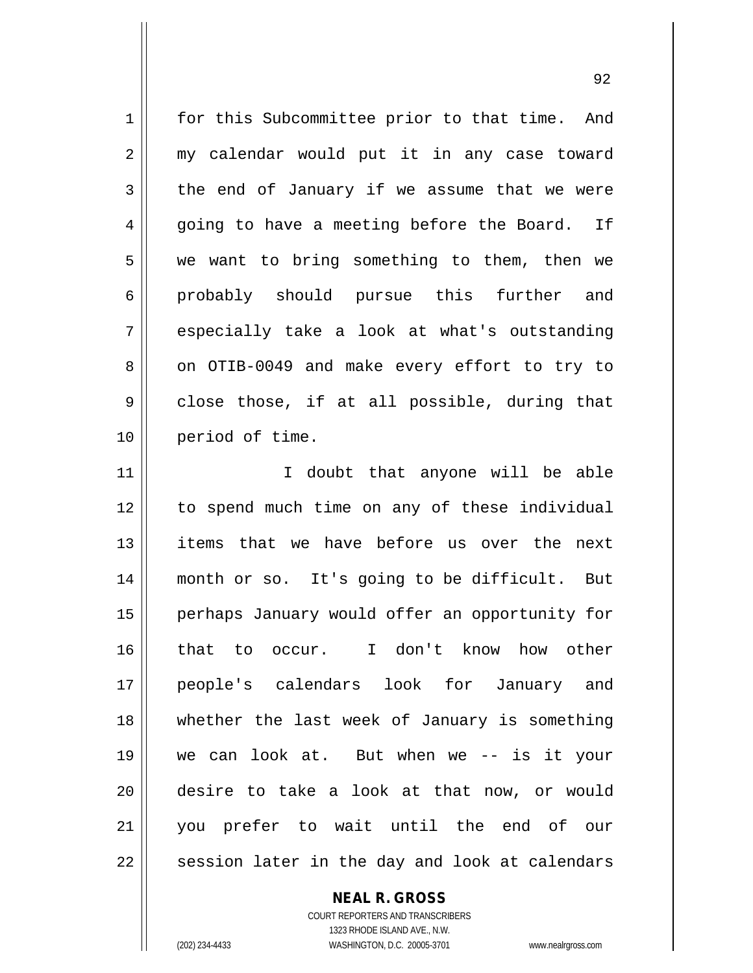1 for this Subcommittee prior to that time. And 2 || my calendar would put it in any case toward  $3 \parallel$  the end of January if we assume that we were  $4 \parallel$  going to have a meeting before the Board. If  $5 \parallel$  we want to bring something to them, then we 6 probably should pursue this further and  $7 \parallel$  especially take a look at what's outstanding 8 || on OTIB-0049 and make every effort to try to  $9 \parallel$  close those, if at all possible, during that 10 || period of time. 11 || T doubt that anyone will be able 12 to spend much time on any of these individual 13 items that we have before us over the next 14 month or so. It's going to be difficult. But 15 || perhaps January would offer an opportunity for 16 that to occur. I don't know how other 17 people's calendars look for January and 18 whether the last week of January is something 19 we can look at. But when we -- is it your 20 desire to take a look at that now, or would 21 you prefer to wait until the end of our  $22 \parallel$  session later in the day and look at calendars

## **NEAL R. GROSS**

COURT REPORTERS AND TRANSCRIBERS 1323 RHODE ISLAND AVE., N.W. (202) 234-4433 WASHINGTON, D.C. 20005-3701 www.nealrgross.com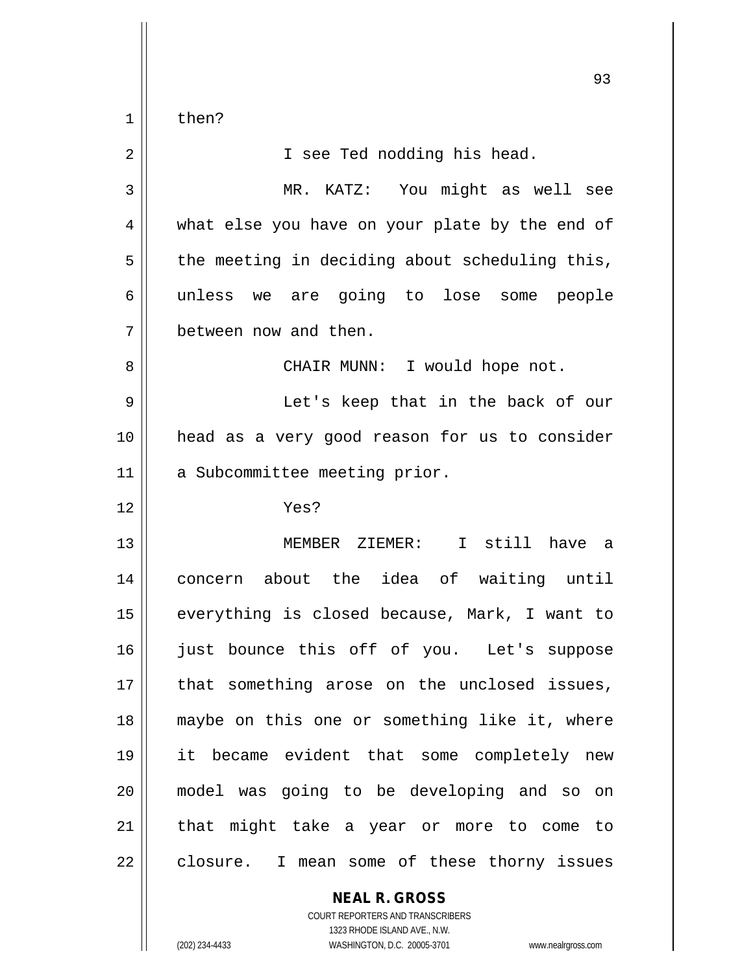$1 \parallel$  then?

| $\overline{2}$ | I see Ted nodding his head.                    |
|----------------|------------------------------------------------|
| 3              | MR. KATZ: You might as well see                |
| 4              | what else you have on your plate by the end of |
| 5              | the meeting in deciding about scheduling this, |
| 6              | unless we are going to lose some people        |
| 7              | between now and then.                          |
| 8              | CHAIR MUNN: I would hope not.                  |
| 9              | Let's keep that in the back of our             |
| 10             | head as a very good reason for us to consider  |
| 11             | a Subcommittee meeting prior.                  |
| 12             | Yes?                                           |
| 13             | MEMBER ZIEMER: I still have a                  |
| 14             | concern about the idea of waiting until        |
| 15             | everything is closed because, Mark, I want to  |
| 16             | just bounce this off of you. Let's suppose     |
| $17\,$         | that something arose on the unclosed issues,   |
| 18             | maybe on this one or something like it, where  |
| 19             | it became evident that some completely new     |
| 20             | model was going to be developing and so on     |
| 21             | that might take a year or more to come to      |
| 22             | closure. I mean some of these thorny issues    |

**NEAL R. GROSS** COURT REPORTERS AND TRANSCRIBERS

1323 RHODE ISLAND AVE., N.W.

(202) 234-4433 WASHINGTON, D.C. 20005-3701 www.nealrgross.com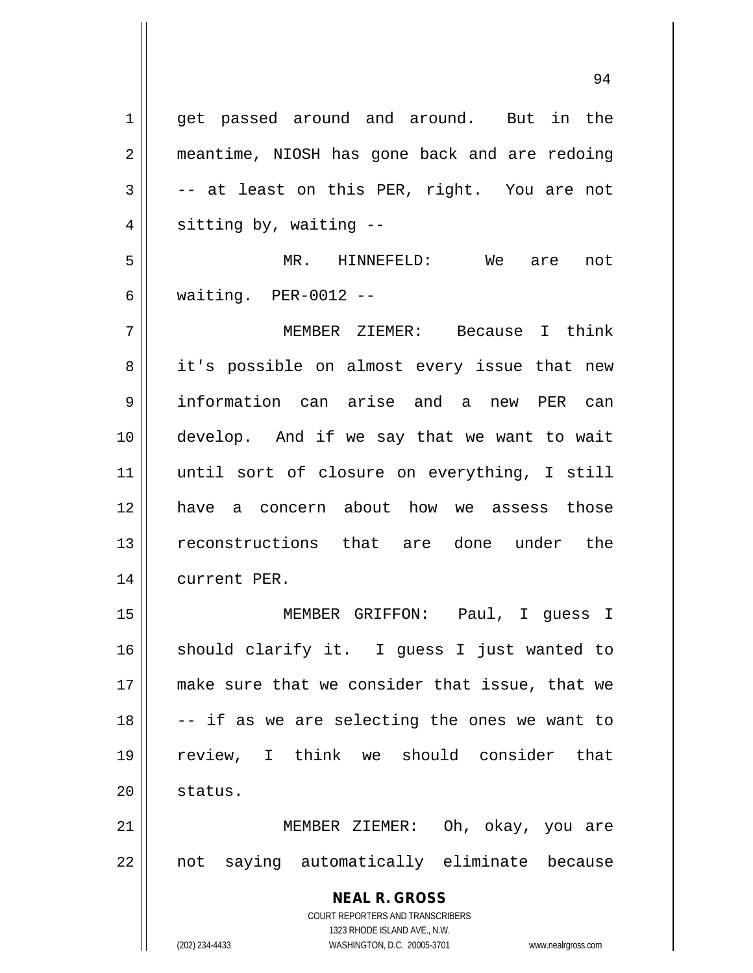**NEAL R. GROSS** COURT REPORTERS AND TRANSCRIBERS 1323 RHODE ISLAND AVE., N.W. 1 || get passed around and around. But in the 2 | meantime, NIOSH has gone back and are redoing  $3 \parallel$  -- at least on this PER, right. You are not  $4 \parallel$  sitting by, waiting  $-$ 5 MR. HINNEFELD: We are not 6 waiting. PER-0012 -- 7 MEMBER ZIEMER: Because I think 8 || it's possible on almost every issue that new 9 information can arise and a new PER can 10 develop. And if we say that we want to wait 11 until sort of closure on everything, I still 12 have a concern about how we assess those 13 reconstructions that are done under the 14 || current PER. 15 MEMBER GRIFFON: Paul, I guess I 16 || should clarify it. I guess I just wanted to 17 make sure that we consider that issue, that we  $18$   $\vert$  -- if as we are selecting the ones we want to 19 review, I think we should consider that 20 || status. 21 MEMBER ZIEMER: Oh, okay, you are  $22$  || not saying automatically eliminate because

(202) 234-4433 WASHINGTON, D.C. 20005-3701 www.nealrgross.com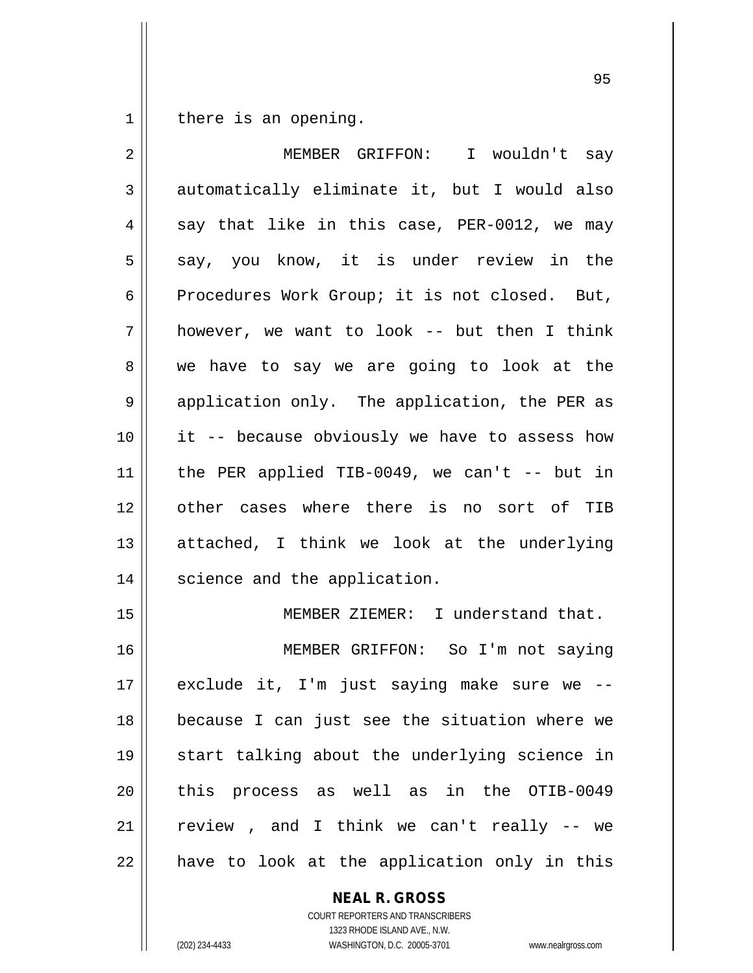$1 \parallel$  there is an opening.

| $\overline{2}$ | MEMBER GRIFFON: I wouldn't say                |
|----------------|-----------------------------------------------|
| 3              | automatically eliminate it, but I would also  |
| 4              | say that like in this case, PER-0012, we may  |
| 5              | say, you know, it is under review in the      |
| 6              | Procedures Work Group; it is not closed. But, |
| 7              | however, we want to look -- but then I think  |
| 8              | we have to say we are going to look at the    |
| $\mathsf 9$    | application only. The application, the PER as |
| 10             | it -- because obviously we have to assess how |
| 11             | the PER applied TIB-0049, we can't $-$ but in |
| 12             | other cases where there is no sort of TIB     |
| 13             | attached, I think we look at the underlying   |
| 14             | science and the application.                  |
| 15             | MEMBER ZIEMER: I understand that.             |
| 16             | MEMBER GRIFFON: So I'm not saying             |
| 17             | exclude it, I'm just saying make sure we --   |
| 18             | because I can just see the situation where we |
| 19             | start talking about the underlying science in |
| 20             | process as well as in the OTIB-0049<br>this   |
| 21             | review, and I think we can't really -- we     |
| 22             | have to look at the application only in this  |

**NEAL R. GROSS**

COURT REPORTERS AND TRANSCRIBERS 1323 RHODE ISLAND AVE., N.W. (202) 234-4433 WASHINGTON, D.C. 20005-3701 www.nealrgross.com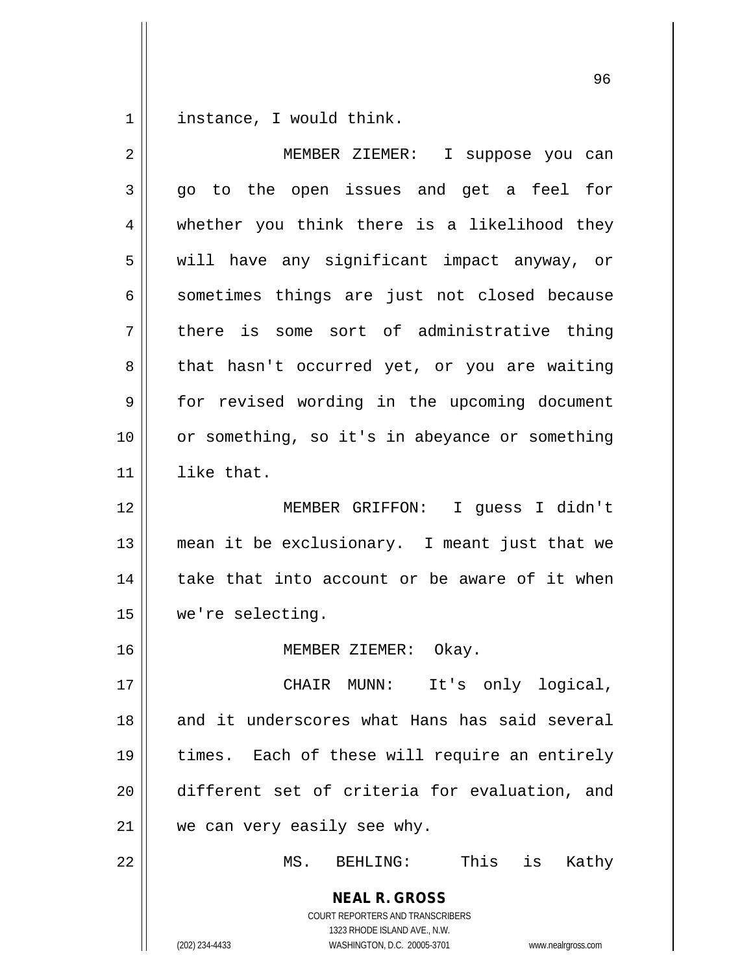instance, I would think.

| $\overline{2}$ | MEMBER ZIEMER: I suppose you can                                                                                                                                |
|----------------|-----------------------------------------------------------------------------------------------------------------------------------------------------------------|
| 3              | go to the open issues and get a feel for                                                                                                                        |
| 4              | whether you think there is a likelihood they                                                                                                                    |
| 5              | will have any significant impact anyway, or                                                                                                                     |
| 6              | sometimes things are just not closed because                                                                                                                    |
| 7              | there is some sort of administrative thing                                                                                                                      |
| 8              | that hasn't occurred yet, or you are waiting                                                                                                                    |
| 9              | for revised wording in the upcoming document                                                                                                                    |
| 10             | or something, so it's in abeyance or something                                                                                                                  |
| 11             | like that.                                                                                                                                                      |
| 12             | MEMBER GRIFFON: I guess I didn't                                                                                                                                |
| 13             | mean it be exclusionary. I meant just that we                                                                                                                   |
| 14             | take that into account or be aware of it when                                                                                                                   |
| 15             | we're selecting.                                                                                                                                                |
| 16             | MEMBER ZIEMER: Okay.                                                                                                                                            |
| 17             | CHAIR MUNN: It's only logical,                                                                                                                                  |
| 18             | and it underscores what Hans has said several                                                                                                                   |
| 19             | times. Each of these will require an entirely                                                                                                                   |
| 20             | different set of criteria for evaluation, and                                                                                                                   |
| 21             | we can very easily see why.                                                                                                                                     |
| 22             | MS.<br>BEHLING:<br>This<br>is<br>Kathy                                                                                                                          |
|                | <b>NEAL R. GROSS</b><br>COURT REPORTERS AND TRANSCRIBERS<br>1323 RHODE ISLAND AVE., N.W.<br>(202) 234-4433<br>WASHINGTON, D.C. 20005-3701<br>www.nealrgross.com |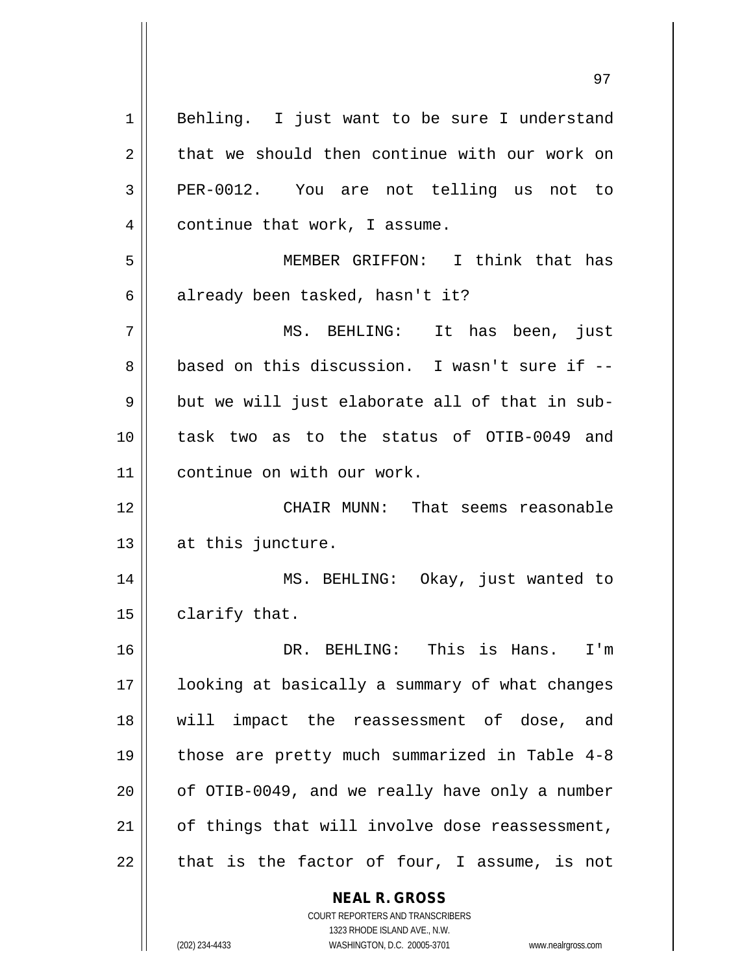**NEAL R. GROSS** 1 || Behling. I just want to be sure I understand  $2 \parallel$  that we should then continue with our work on 3 PER-0012. You are not telling us not to 4 | continue that work, I assume. 5 MEMBER GRIFFON: I think that has  $6 \parallel$  already been tasked, hasn't it? 7 MS. BEHLING: It has been, just 8 based on this discussion. I wasn't sure if -- $9 \parallel$  but we will just elaborate all of that in sub-10 task two as to the status of OTIB-0049 and 11 || continue on with our work. 12 CHAIR MUNN: That seems reasonable  $13$  || at this juncture. 14 || MS. BEHLING: Okay, just wanted to  $15$  | clarify that. 16 DR. BEHLING: This is Hans. I'm 17 || looking at basically a summary of what changes 18 || will impact the reassessment of dose, and 19 those are pretty much summarized in Table 4-8  $20$  | of OTIB-0049, and we really have only a number  $21$  | of things that will involve dose reassessment,  $22$  | that is the factor of four, I assume, is not

1323 RHODE ISLAND AVE., N.W. (202) 234-4433 WASHINGTON, D.C. 20005-3701 www.nealrgross.com

COURT REPORTERS AND TRANSCRIBERS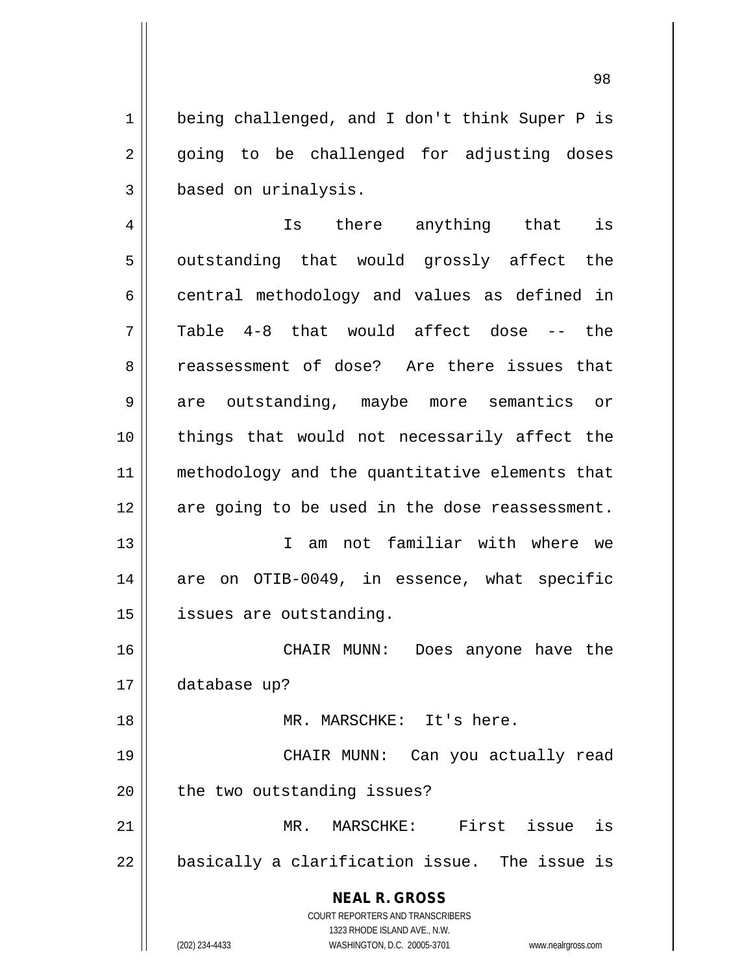1 | being challenged, and I don't think Super P is 2 || going to be challenged for adjusting doses 3 based on urinalysis.

4 || Is there anything that is 5 || outstanding that would grossly affect the  $6 \parallel$  central methodology and values as defined in  $7 \parallel$  Table 4-8 that would affect dose -- the 8 Teassessment of dose? Are there issues that 9 are outstanding, maybe more semantics or 10 things that would not necessarily affect the 11 methodology and the quantitative elements that 12 || are going to be used in the dose reassessment. 13 I am not familiar with where we

14 || are on OTIB-0049, in essence, what specific 15 | issues are outstanding.

16 CHAIR MUNN: Does anyone have the 17 database up? 18 MR. MARSCHKE: It's here.

19 CHAIR MUNN: Can you actually read  $20$  | the two outstanding issues?

21 MR. MARSCHKE: First issue is  $22$  || basically a clarification issue. The issue is

> **NEAL R. GROSS** COURT REPORTERS AND TRANSCRIBERS

> > 1323 RHODE ISLAND AVE., N.W.

(202) 234-4433 WASHINGTON, D.C. 20005-3701 www.nealrgross.com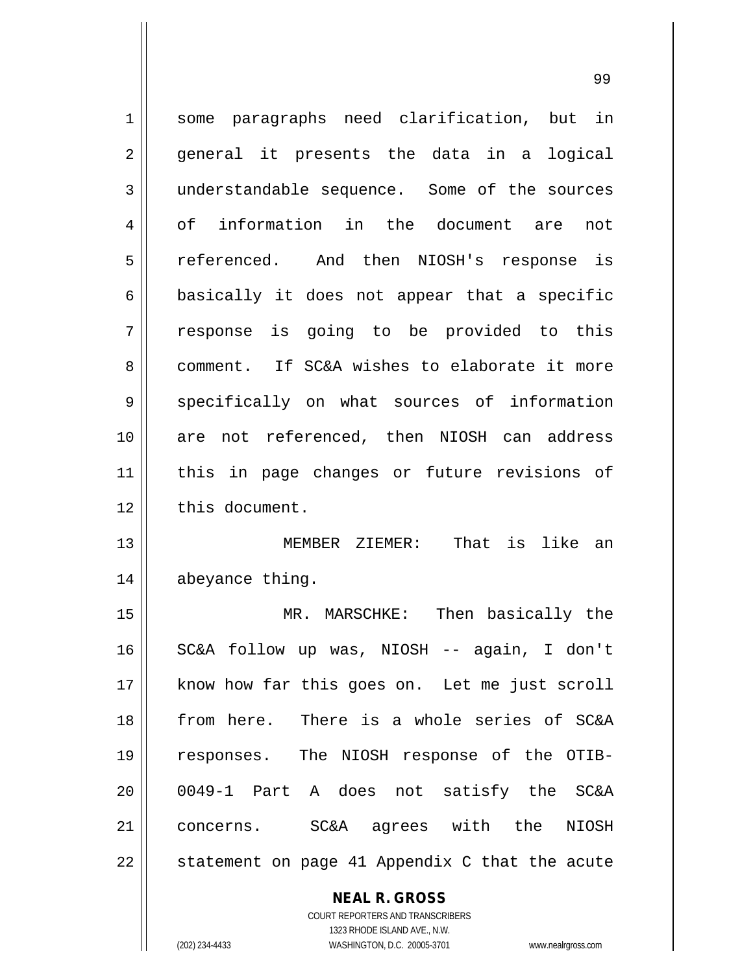1 || some paragraphs need clarification, but in 2 || general it presents the data in a logical 3 understandable sequence. Some of the sources 4 || of information in the document are not 5 || referenced. And then NIOSH's response is  $6 \parallel$  basically it does not appear that a specific 7 response is going to be provided to this 8 comment. If SC&A wishes to elaborate it more 9 specifically on what sources of information 10 are not referenced, then NIOSH can address 11 this in page changes or future revisions of 12 this document. 13 MEMBER ZIEMER: That is like an 14 | abeyance thing. 15 MR. MARSCHKE: Then basically the 16 SC&A follow up was, NIOSH -- again, I don't 17 || know how far this goes on. Let me just scroll 18 from here. There is a whole series of SC&A 19 responses. The NIOSH response of the OTIB-20 0049-1 Part A does not satisfy the SC&A 21 concerns. SC&A agrees with the NIOSH  $22$  || statement on page 41 Appendix C that the acute

> **NEAL R. GROSS** COURT REPORTERS AND TRANSCRIBERS

1323 RHODE ISLAND AVE., N.W. (202) 234-4433 WASHINGTON, D.C. 20005-3701 www.nealrgross.com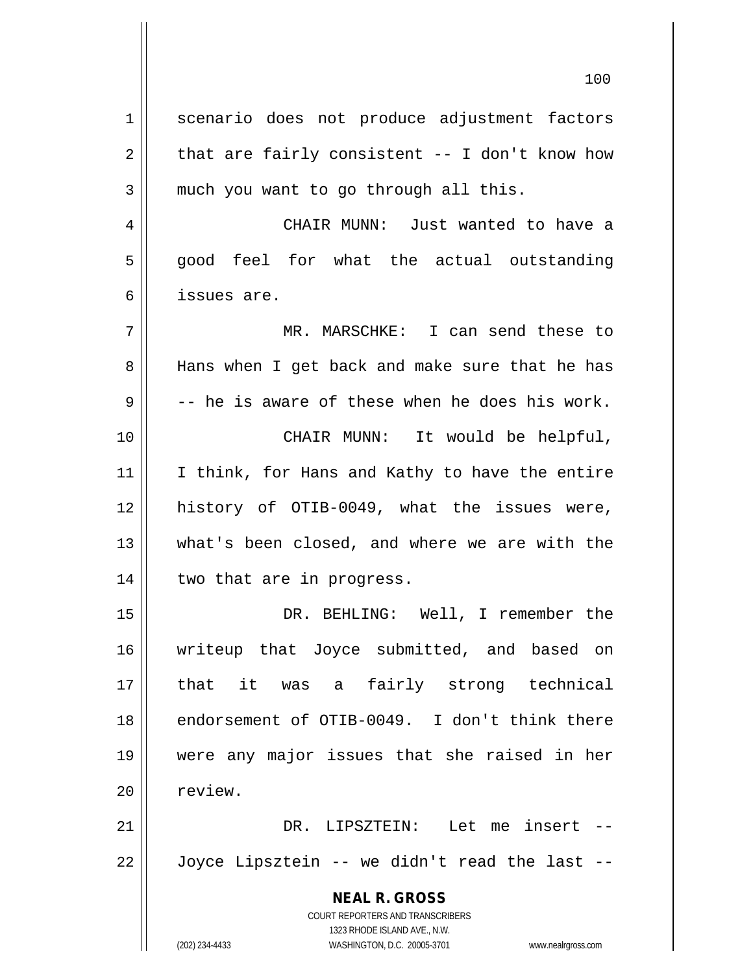**NEAL R. GROSS** COURT REPORTERS AND TRANSCRIBERS 1323 RHODE ISLAND AVE., N.W. (202) 234-4433 WASHINGTON, D.C. 20005-3701 www.nealrgross.com 1 || scenario does not produce adjustment factors  $2 \parallel$  that are fairly consistent -- I don't know how  $3 \parallel$  much you want to go through all this. 4 CHAIR MUNN: Just wanted to have a  $5 \parallel$  good feel for what the actual outstanding 6 issues are. 7 MR. MARSCHKE: I can send these to 8 || Hans when I get back and make sure that he has  $9 \parallel$  -- he is aware of these when he does his work. 10 CHAIR MUNN: It would be helpful, 11 || I think, for Hans and Kathy to have the entire 12 history of OTIB-0049, what the issues were, 13 what's been closed, and where we are with the 14 || two that are in progress. 15 DR. BEHLING: Well, I remember the 16 writeup that Joyce submitted, and based on 17 that it was a fairly strong technical 18 || endorsement of OTIB-0049. I don't think there 19 were any major issues that she raised in her 20 | review. 21 DR. LIPSZTEIN: Let me insert --  $22 \parallel$  Joyce Lipsztein -- we didn't read the last --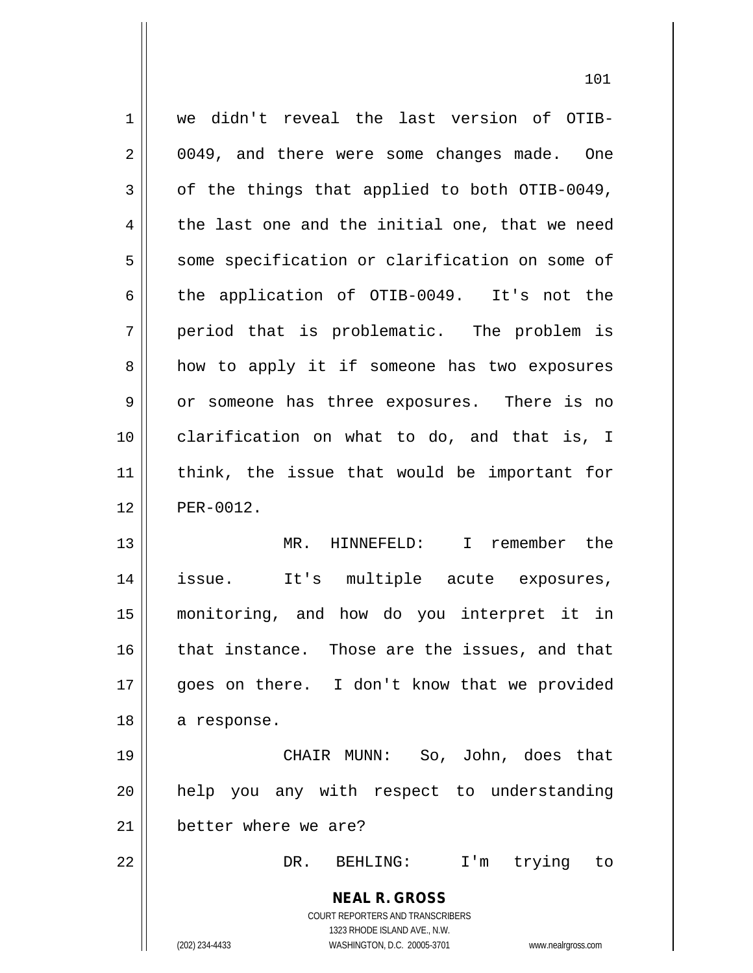| $\mathbf 1$ | we didn't reveal the last version of OTIB-                          |
|-------------|---------------------------------------------------------------------|
| 2           | 0049, and there were some changes made. One                         |
| 3           | of the things that applied to both OTIB-0049,                       |
| 4           | the last one and the initial one, that we need                      |
| 5           | some specification or clarification on some of                      |
| 6           | the application of OTIB-0049. It's not the                          |
| 7           | period that is problematic. The problem is                          |
| 8           | how to apply it if someone has two exposures                        |
| 9           | or someone has three exposures. There is no                         |
| 10          | clarification on what to do, and that is, I                         |
| 11          | think, the issue that would be important for                        |
| 12          | PER-0012.                                                           |
| 13          | MR. HINNEFELD: I remember the                                       |
| 14          | issue. It's multiple acute exposures,                               |
| 15          | monitoring, and how do you interpret it in                          |
| 16          | that instance. Those are the issues, and that                       |
| 17          | goes on there. I don't know that we provided                        |
| 18          | a response.                                                         |
| 19          | CHAIR MUNN: So, John, does that                                     |
| 20          | help you any with respect to understanding                          |
| 21          | better where we are?                                                |
| 22          | DR. BEHLING:<br>I'm trying to                                       |
|             | <b>NEAL R. GROSS</b>                                                |
|             | COURT REPORTERS AND TRANSCRIBERS                                    |
|             | 1323 RHODE ISLAND AVE., N.W.                                        |
|             | (202) 234-4433<br>WASHINGTON, D.C. 20005-3701<br>www.nealrgross.com |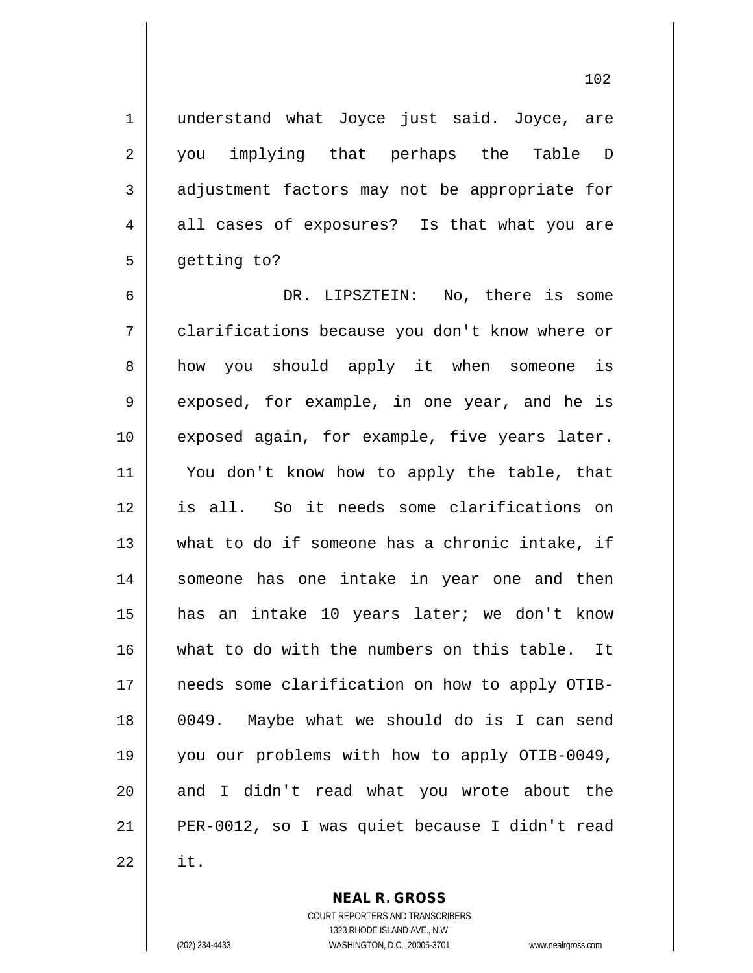1 || understand what Joyce just said. Joyce, are 2 || you implying that perhaps the Table D 3 adjustment factors may not be appropriate for  $4 \parallel$  all cases of exposures? Is that what you are 5 getting to?

 DR. LIPSZTEIN: No, there is some clarifications because you don't know where or 8 || how you should apply it when someone is 9 exposed, for example, in one year, and he is 10 || exposed again, for example, five years later. You don't know how to apply the table, that is all. So it needs some clarifications on what to do if someone has a chronic intake, if someone has one intake in year one and then has an intake 10 years later; we don't know 16 what to do with the numbers on this table. It 17 || needs some clarification on how to apply OTIB- 0049. Maybe what we should do is I can send you our problems with how to apply OTIB-0049, 20 || and I didn't read what you wrote about the PER-0012, so I was quiet because I didn't read  $\parallel$  it.

**NEAL R. GROSS**

COURT REPORTERS AND TRANSCRIBERS 1323 RHODE ISLAND AVE., N.W. (202) 234-4433 WASHINGTON, D.C. 20005-3701 www.nealrgross.com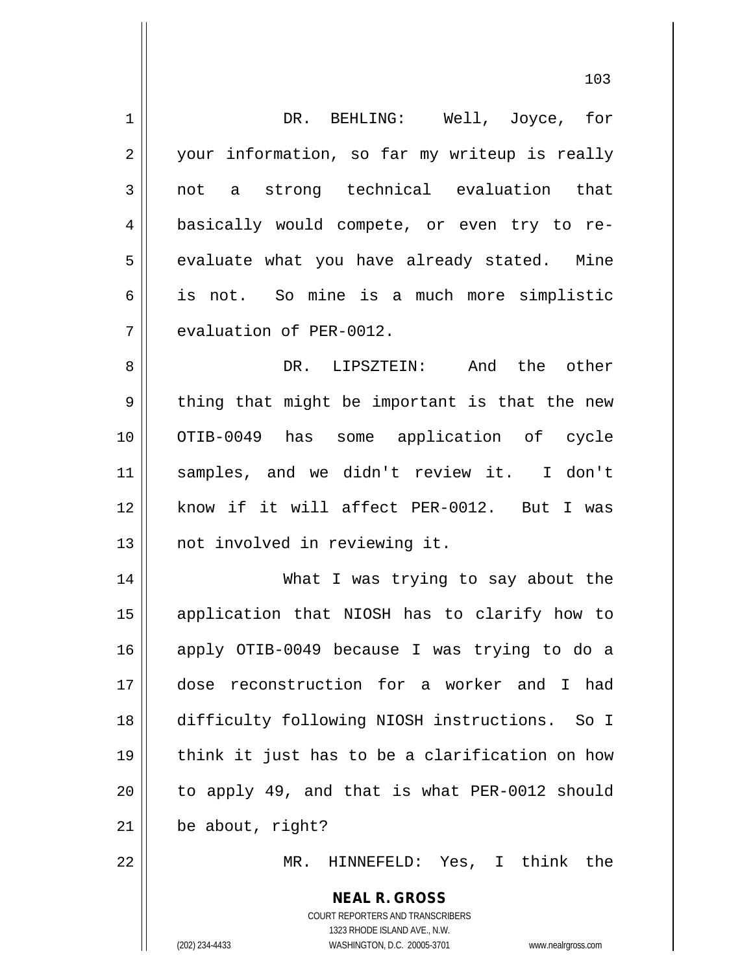| $\mathbf 1$    | DR. BEHLING: Well, Joyce, for                                                                                                                                   |
|----------------|-----------------------------------------------------------------------------------------------------------------------------------------------------------------|
| $\overline{2}$ | your information, so far my writeup is really                                                                                                                   |
| 3              | not a strong technical evaluation that                                                                                                                          |
| $\overline{4}$ | basically would compete, or even try to re-                                                                                                                     |
| 5              | evaluate what you have already stated. Mine                                                                                                                     |
| 6              | is not. So mine is a much more simplistic                                                                                                                       |
| 7              | evaluation of PER-0012.                                                                                                                                         |
| 8              | And the other<br>DR. LIPSZTEIN:                                                                                                                                 |
| $\mathsf 9$    | thing that might be important is that the new                                                                                                                   |
| 10             | OTIB-0049 has some application of cycle                                                                                                                         |
| 11             | samples, and we didn't review it. I don't                                                                                                                       |
| 12             | know if it will affect PER-0012. But I was                                                                                                                      |
| 13             | not involved in reviewing it.                                                                                                                                   |
| 14             | What I was trying to say about the                                                                                                                              |
| 15             | application that NIOSH has to clarify how to                                                                                                                    |
| 16             | apply OTIB-0049 because I was trying to do a                                                                                                                    |
| 17             | dose reconstruction for a worker and I had                                                                                                                      |
| 18             | difficulty following NIOSH instructions. So I                                                                                                                   |
| 19             | think it just has to be a clarification on how                                                                                                                  |
| 20             | to apply 49, and that is what PER-0012 should                                                                                                                   |
| 21             | be about, right?                                                                                                                                                |
| 22             | HINNEFELD: Yes, I think the<br>$MR$ .                                                                                                                           |
|                | <b>NEAL R. GROSS</b><br>COURT REPORTERS AND TRANSCRIBERS<br>1323 RHODE ISLAND AVE., N.W.<br>(202) 234-4433<br>WASHINGTON, D.C. 20005-3701<br>www.nealrgross.com |
|                |                                                                                                                                                                 |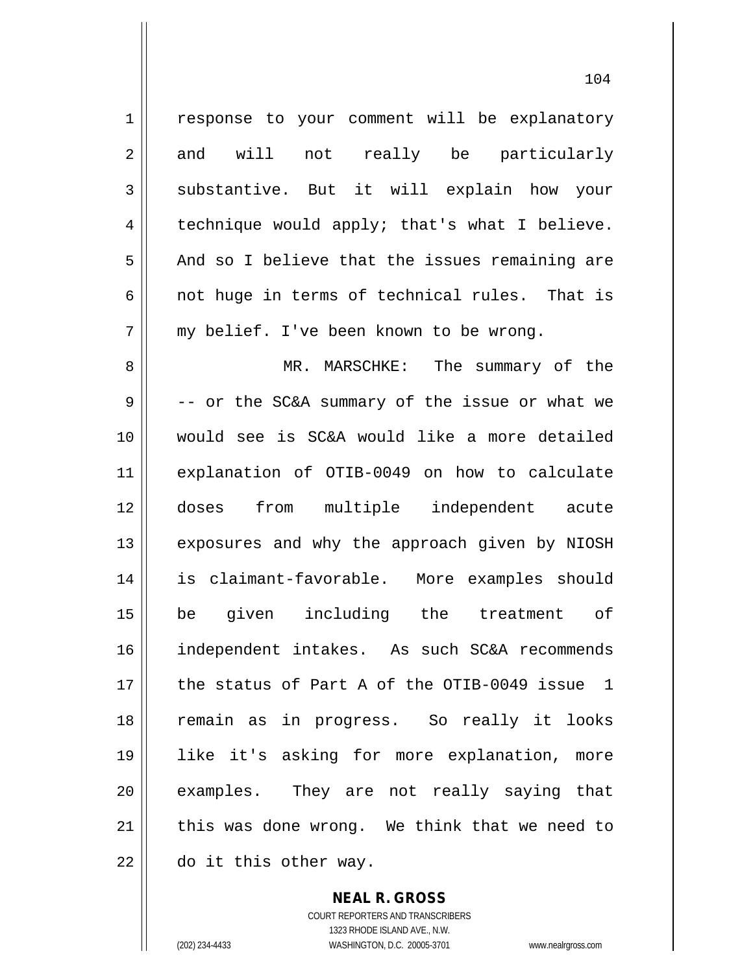1 | response to your comment will be explanatory 2 and will not really be particularly 3 Substantive. But it will explain how your  $4 \parallel$  technique would apply; that's what I believe. 5 And so I believe that the issues remaining are 6 || not huge in terms of technical rules. That is 7 || my belief. I've been known to be wrong. 8 MR. MARSCHKE: The summary of the  $9 \parallel$  -- or the SC&A summary of the issue or what we 10 would see is SC&A would like a more detailed 11 explanation of OTIB-0049 on how to calculate 12 doses from multiple independent acute 13 || exposures and why the approach given by NIOSH 14 is claimant-favorable. More examples should 15 be given including the treatment of 16 independent intakes. As such SC&A recommends 17 the status of Part A of the OTIB-0049 issue 1 18 remain as in progress. So really it looks 19 like it's asking for more explanation, more 20 examples. They are not really saying that  $21$  || this was done wrong. We think that we need to  $22$  || do it this other way.

> **NEAL R. GROSS** COURT REPORTERS AND TRANSCRIBERS

> > 1323 RHODE ISLAND AVE., N.W.

(202) 234-4433 WASHINGTON, D.C. 20005-3701 www.nealrgross.com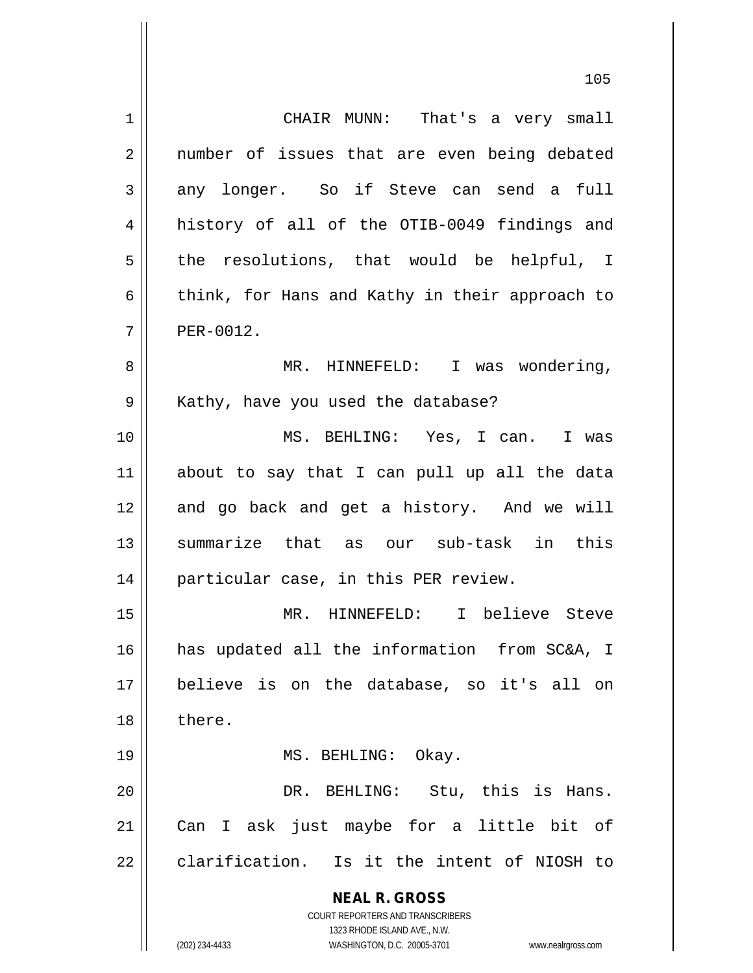**NEAL R. GROSS** COURT REPORTERS AND TRANSCRIBERS 1323 RHODE ISLAND AVE., N.W. (202) 234-4433 WASHINGTON, D.C. 20005-3701 www.nealrgross.com 1 CHAIR MUNN: That's a very small 2 || number of issues that are even being debated  $3 \parallel$  any longer. So if Steve can send a full 4 history of all of the OTIB-0049 findings and  $5$  the resolutions, that would be helpful, I 6 | think, for Hans and Kathy in their approach to  $7$  | PER-0012. 8 MR. HINNEFELD: I was wondering, 9 | Kathy, have you used the database? 10 MS. BEHLING: Yes, I can. I was 11 about to say that I can pull up all the data 12 || and go back and get a history. And we will 13 summarize that as our sub-task in this 14 || particular case, in this PER review. 15 MR. HINNEFELD: I believe Steve 16 has updated all the information from SC&A, I 17 believe is on the database, so it's all on 18 l there. 19 || MS. BEHLING: Okay. 20 DR. BEHLING: Stu, this is Hans. 21 Can I ask just maybe for a little bit of 22 clarification. Is it the intent of NIOSH to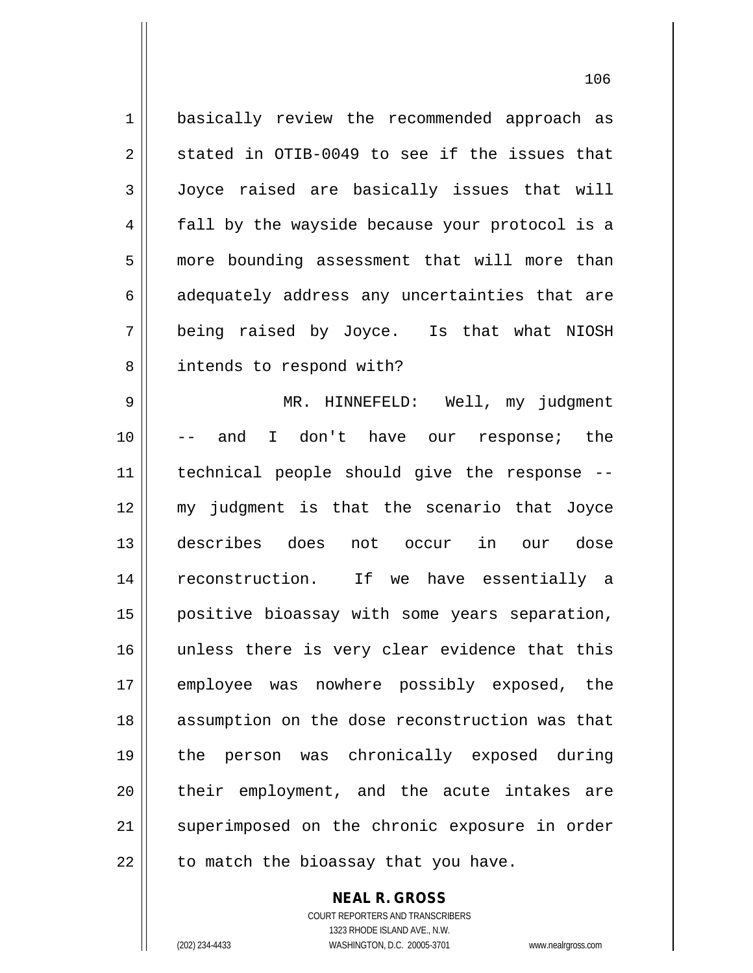1 || basically review the recommended approach as  $2 \parallel$  stated in OTIB-0049 to see if the issues that 3 Joyce raised are basically issues that will 4 fall by the wayside because your protocol is a 5 | more bounding assessment that will more than  $6 \parallel$  adequately address any uncertainties that are 7 being raised by Joyce. Is that what NIOSH 8 | intends to respond with? 9 MR. HINNEFELD: Well, my judgment 10 -- and I don't have our response; the 11 technical people should give the response -- 12 my judgment is that the scenario that Joyce 13 describes does not occur in our dose 14 || reconstruction. If we have essentially a 15 positive bioassay with some years separation, 16 || unless there is very clear evidence that this 17 || employee was nowhere possibly exposed, the 18 || assumption on the dose reconstruction was that 19 the person was chronically exposed during 20 || their employment, and the acute intakes are 21 || superimposed on the chronic exposure in order  $22$  || to match the bioassay that you have.

> COURT REPORTERS AND TRANSCRIBERS 1323 RHODE ISLAND AVE., N.W. (202) 234-4433 WASHINGTON, D.C. 20005-3701 www.nealrgross.com

**NEAL R. GROSS**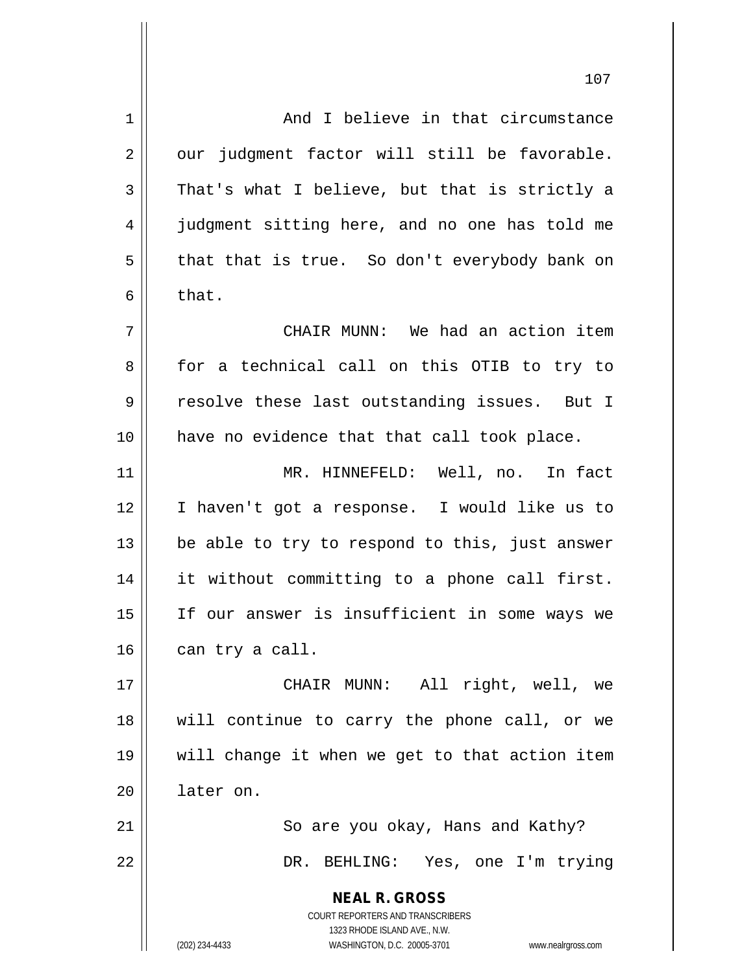**NEAL R. GROSS** COURT REPORTERS AND TRANSCRIBERS 1323 RHODE ISLAND AVE., N.W. (202) 234-4433 WASHINGTON, D.C. 20005-3701 www.nealrgross.com 1 and I believe in that circumstance  $2 \parallel$  our judgment factor will still be favorable.  $3 \parallel$  That's what I believe, but that is strictly a 4 judgment sitting here, and no one has told me  $5 \parallel$  that that is true. So don't everybody bank on  $6 \parallel$  that. 7 CHAIR MUNN: We had an action item 8 for a technical call on this OTIB to try to 9 || resolve these last outstanding issues. But I 10 have no evidence that that call took place. 11 MR. HINNEFELD: Well, no. In fact 12 I haven't got a response. I would like us to 13  $\parallel$  be able to try to respond to this, just answer 14 it without committing to a phone call first. 15 If our answer is insufficient in some ways we  $16$  | can try a call. 17 CHAIR MUNN: All right, well, we 18 will continue to carry the phone call, or we 19 will change it when we get to that action item 20 later on. 21 || So are you okay, Hans and Kathy? 22 DR. BEHLING: Yes, one I'm trying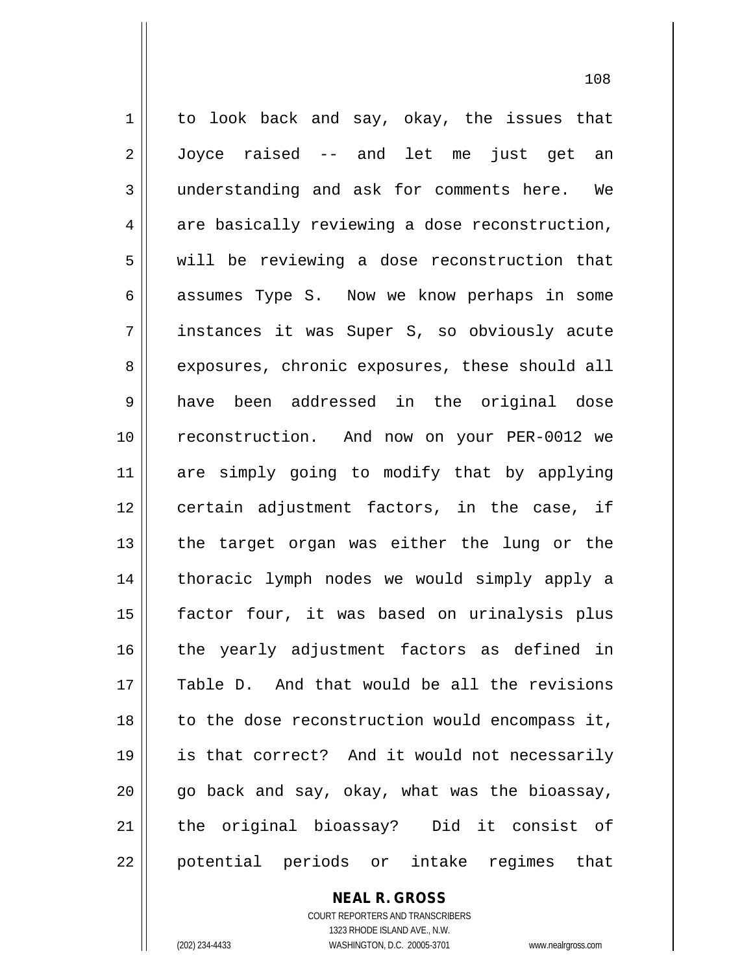1 || to look back and say, okay, the issues that 2 Joyce raised -- and let me just get an 3 understanding and ask for comments here. We  $4 \parallel$  are basically reviewing a dose reconstruction,  $5 \parallel$  will be reviewing a dose reconstruction that 6 assumes Type S. Now we know perhaps in some 7 instances it was Super S, so obviously acute 8 || exposures, chronic exposures, these should all 9 have been addressed in the original dose 10 reconstruction. And now on your PER-0012 we 11 are simply going to modify that by applying 12 || certain adjustment factors, in the case, if  $13$  || the target organ was either the lung or the 14 || thoracic lymph nodes we would simply apply a 15 factor four, it was based on urinalysis plus  $16$  || the yearly adjustment factors as defined in 17 Table D. And that would be all the revisions 18 || to the dose reconstruction would encompass it, 19 is that correct? And it would not necessarily 20 go back and say, okay, what was the bioassay, 21 || the original bioassay? Did it consist of 22 || potential periods or intake regimes that

**NEAL R. GROSS**

COURT REPORTERS AND TRANSCRIBERS 1323 RHODE ISLAND AVE., N.W. (202) 234-4433 WASHINGTON, D.C. 20005-3701 www.nealrgross.com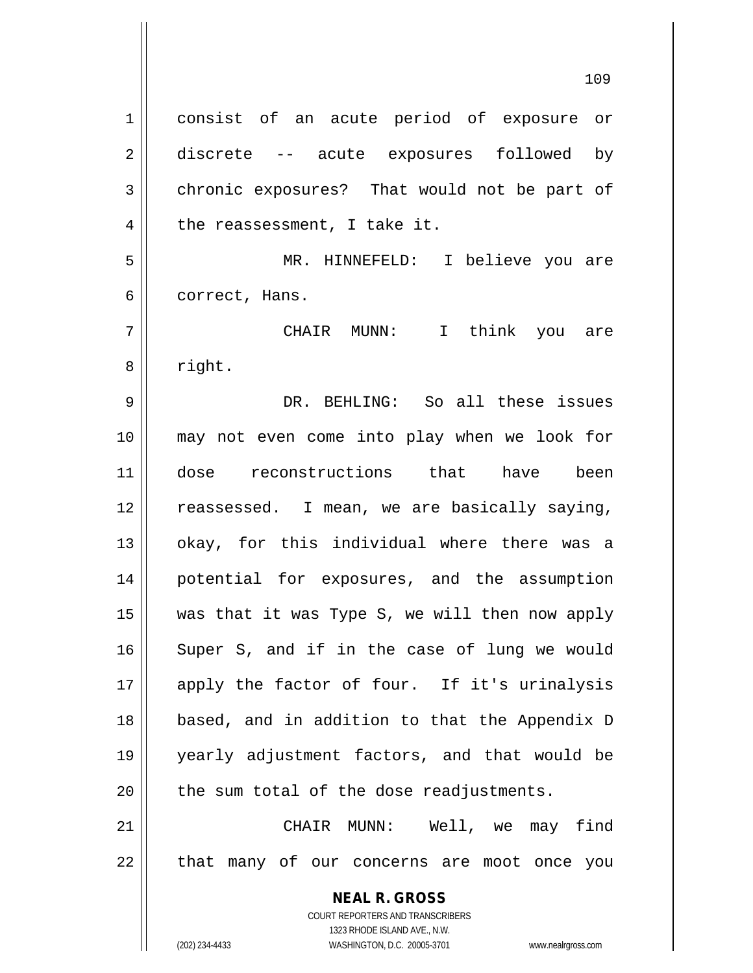**NEAL R. GROSS** COURT REPORTERS AND TRANSCRIBERS 1323 RHODE ISLAND AVE., N.W. 1 consist of an acute period of exposure or 2 discrete -- acute exposures followed by 3 chronic exposures? That would not be part of  $4 \parallel$  the reassessment, I take it. 5 MR. HINNEFELD: I believe you are 6 | correct, Hans. 7 CHAIR MUNN: I think you are 8 | right. 9 DR. BEHLING: So all these issues 10 may not even come into play when we look for 11 dose reconstructions that have been 12 || reassessed. I mean, we are basically saying, 13 || okay, for this individual where there was a 14 potential for exposures, and the assumption 15  $\parallel$  was that it was Type S, we will then now apply 16 || Super S, and if in the case of lung we would 17 apply the factor of four. If it's urinalysis 18 based, and in addition to that the Appendix D 19 yearly adjustment factors, and that would be  $20$  || the sum total of the dose readjustments. 21 CHAIR MUNN: Well, we may find 22 || that many of our concerns are moot once you

(202) 234-4433 WASHINGTON, D.C. 20005-3701 www.nealrgross.com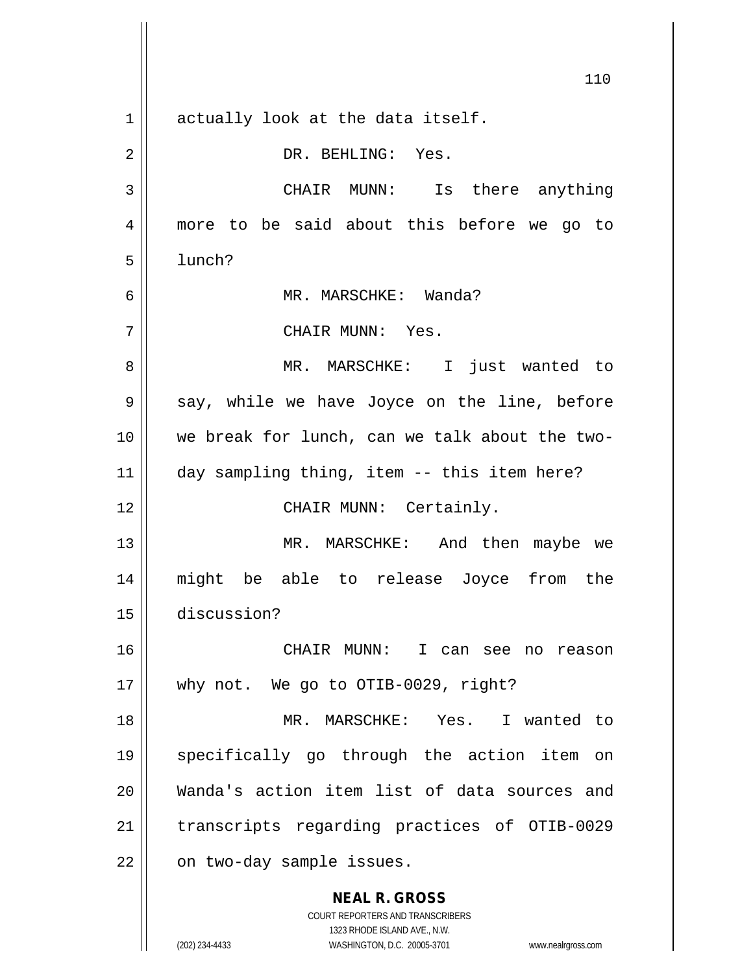**NEAL R. GROSS** COURT REPORTERS AND TRANSCRIBERS 1323 RHODE ISLAND AVE., N.W. 110  $1$  actually look at the data itself. 2 || DR. BEHLING: Yes. 3 CHAIR MUNN: Is there anything 4 more to be said about this before we go to  $5 \parallel$  lunch? 6 MR. MARSCHKE: Wanda? 7 CHAIR MUNN: Yes. 8 MR. MARSCHKE: I just wanted to  $9 \parallel$  say, while we have Joyce on the line, before 10 we break for lunch, can we talk about the two-11 day sampling thing, item -- this item here? 12 || CHAIR MUNN: Certainly. 13 || MR. MARSCHKE: And then maybe we 14 might be able to release Joyce from the 15 discussion? 16 CHAIR MUNN: I can see no reason 17 || why not. We go to OTIB-0029, right? 18 MR. MARSCHKE: Yes. I wanted to 19 specifically go through the action item on 20 Wanda's action item list of data sources and 21 || transcripts regarding practices of OTIB-0029 22 | on two-day sample issues.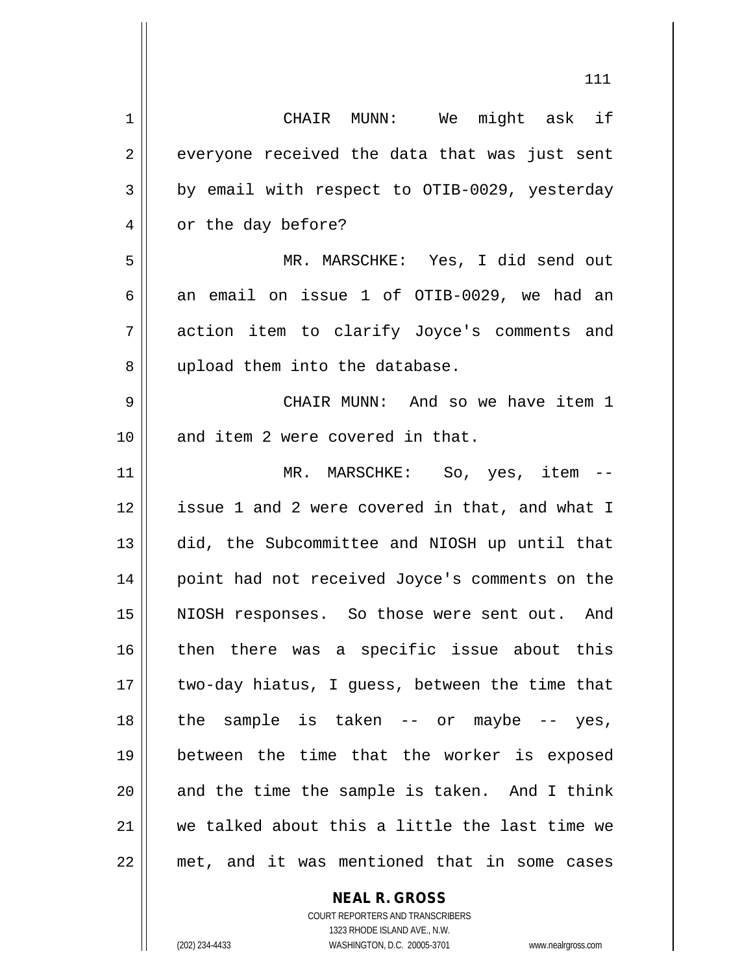| 1  | CHAIR MUNN: We might ask if                    |
|----|------------------------------------------------|
| 2  | everyone received the data that was just sent  |
| 3  | by email with respect to OTIB-0029, yesterday  |
| 4  | or the day before?                             |
| 5  | MR. MARSCHKE: Yes, I did send out              |
| 6  | an email on issue 1 of OTIB-0029, we had an    |
| 7  | action item to clarify Joyce's comments and    |
| 8  | upload them into the database.                 |
| 9  | CHAIR MUNN: And so we have item 1              |
| 10 | and item 2 were covered in that.               |
| 11 | MR. MARSCHKE: So, yes, item --                 |
| 12 | issue 1 and 2 were covered in that, and what I |
| 13 | did, the Subcommittee and NIOSH up until that  |
| 14 | point had not received Joyce's comments on the |
| 15 | NIOSH responses. So those were sent out. And   |
| 16 | then there was a specific issue about this     |
| 17 | two-day hiatus, I guess, between the time that |
| 18 | the sample is taken $--$ or maybe $--$ yes,    |
| 19 | between the time that the worker is exposed    |
| 20 | and the time the sample is taken. And I think  |
| 21 | we talked about this a little the last time we |
| 22 | met, and it was mentioned that in some cases   |

**NEAL R. GROSS**

COURT REPORTERS AND TRANSCRIBERS 1323 RHODE ISLAND AVE., N.W. (202) 234-4433 WASHINGTON, D.C. 20005-3701 www.nealrgross.com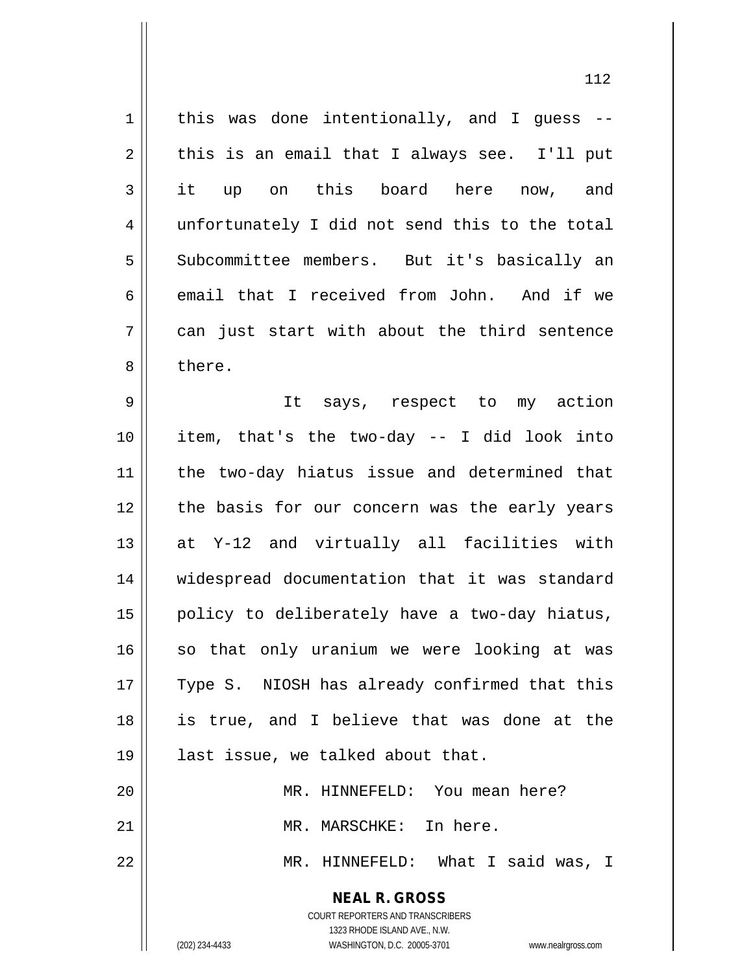**NEAL R. GROSS** COURT REPORTERS AND TRANSCRIBERS 1323 RHODE ISLAND AVE., N.W.  $1$  | this was done intentionally, and I guess -- $2 \parallel$  this is an email that I always see. I'll put 3 || it up on this board here now, and 4 unfortunately I did not send this to the total 5 Subcommittee members. But it's basically an 6 email that I received from John. And if we  $7 \parallel$  can just start with about the third sentence 8 l there. 9 It says, respect to my action 10 item, that's the two-day -- I did look into 11 || the two-day hiatus issue and determined that 12 || the basis for our concern was the early years  $13$  at Y-12 and virtually all facilities with 14 widespread documentation that it was standard  $15$  | policy to deliberately have a two-day hiatus,  $16$  so that only uranium we were looking at was 17 || Type S. NIOSH has already confirmed that this 18 is true, and I believe that was done at the 19 || last issue, we talked about that. 20 || MR. HINNEFELD: You mean here? 21 MR. MARSCHKE: In here. 22 MR. HINNEFELD: What I said was, I

(202) 234-4433 WASHINGTON, D.C. 20005-3701 www.nealrgross.com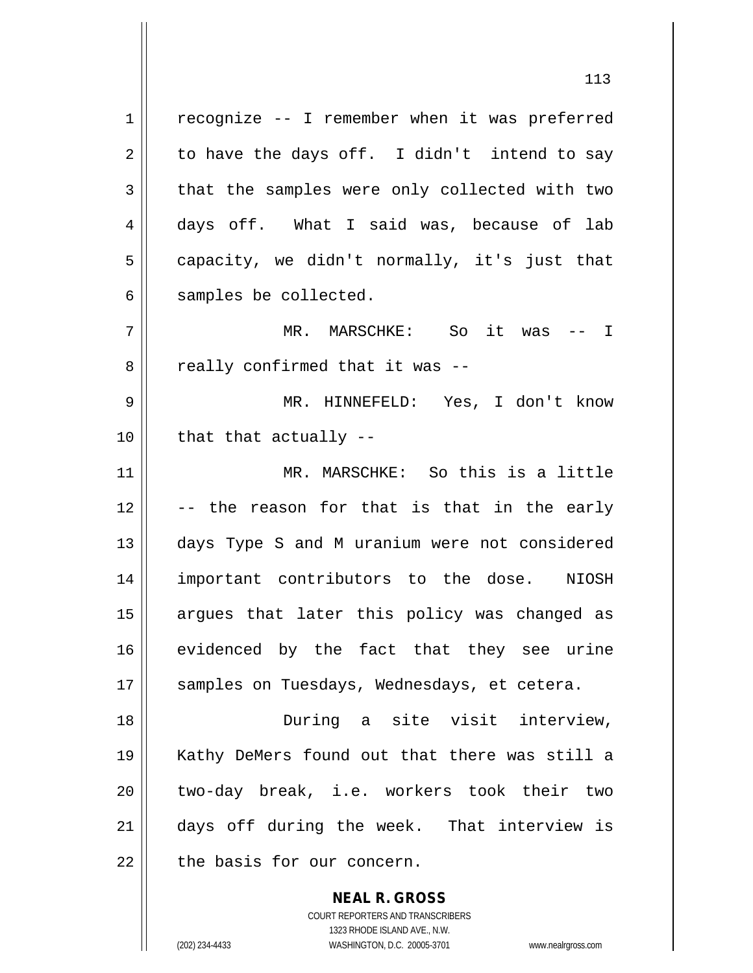$1 \parallel$  recognize -- I remember when it was preferred  $2 \parallel$  to have the days off. I didn't intend to say  $3 \parallel$  that the samples were only collected with two 4 days off. What I said was, because of lab  $5 \parallel$  capacity, we didn't normally, it's just that  $6 \parallel$  samples be collected. 7 MR. MARSCHKE: So it was -- I  $8$  | really confirmed that it was  $-$ -9 MR. HINNEFELD: Yes, I don't know  $10$  || that that actually  $-$ 11 MR. MARSCHKE: So this is a little  $12$   $\vert$  -- the reason for that is that in the early 13 || days Type S and M uranium were not considered 14 important contributors to the dose. NIOSH 15 || argues that later this policy was changed as 16 || evidenced by the fact that they see urine 17 || samples on Tuesdays, Wednesdays, et cetera. 18 During a site visit interview, 19 Kathy DeMers found out that there was still a 20 || two-day break, i.e. workers took their two 21 days off during the week. That interview is  $22$   $\parallel$  the basis for our concern.

> COURT REPORTERS AND TRANSCRIBERS 1323 RHODE ISLAND AVE., N.W. (202) 234-4433 WASHINGTON, D.C. 20005-3701 www.nealrgross.com

**NEAL R. GROSS**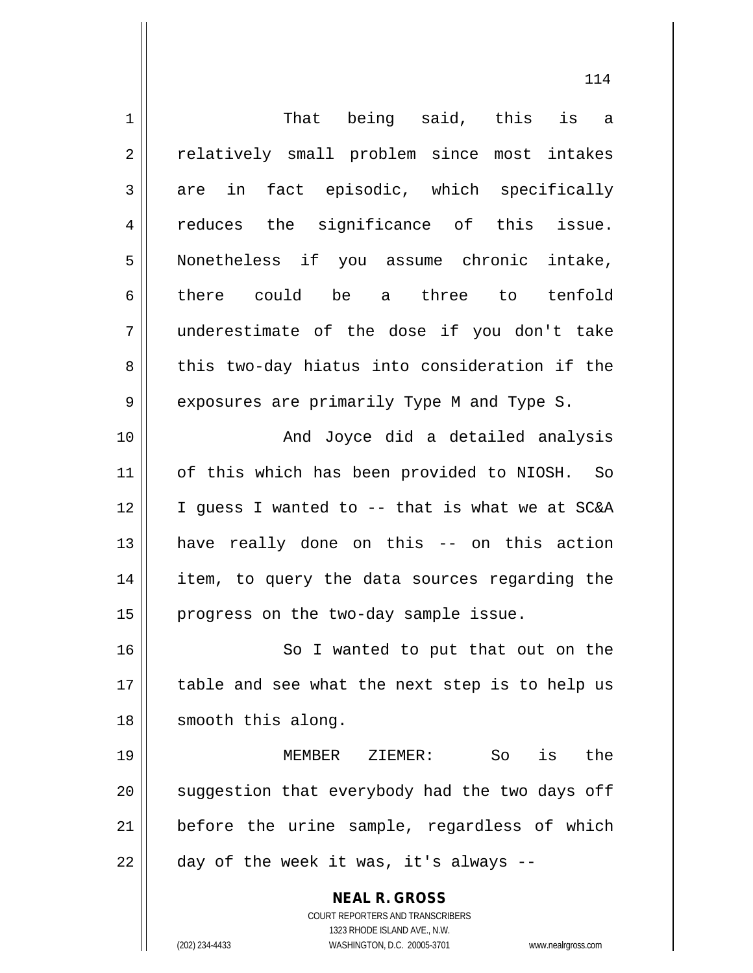| $\mathbf 1$    | That being said, this is a                                          |
|----------------|---------------------------------------------------------------------|
| $\overline{2}$ | relatively small problem since most intakes                         |
| 3              | are in fact episodic, which specifically                            |
| 4              | reduces the significance of this issue.                             |
| 5              | Nonetheless if you assume chronic intake,                           |
| 6              | there could be a three to tenfold                                   |
| 7              | underestimate of the dose if you don't take                         |
| 8              | this two-day hiatus into consideration if the                       |
| $\mathsf 9$    | exposures are primarily Type M and Type S.                          |
| 10             | And Joyce did a detailed analysis                                   |
| 11             | of this which has been provided to NIOSH. So                        |
| 12             | I guess I wanted to -- that is what we at SC&A                      |
| 13             | have really done on this -- on this action                          |
| 14             | item, to query the data sources regarding the                       |
| 15             | progress on the two-day sample issue.                               |
| 16             | So I wanted to put that out on the                                  |
| 17             | table and see what the next step is to help us                      |
| 18             | smooth this along.                                                  |
| 19             | is<br>the<br>MEMBER<br>ZIEMER:<br>So                                |
| 20             | suggestion that everybody had the two days off                      |
| 21             | before the urine sample, regardless of which                        |
| 22             | day of the week it was, it's always --                              |
|                | <b>NEAL R. GROSS</b>                                                |
|                | COURT REPORTERS AND TRANSCRIBERS                                    |
|                | 1323 RHODE ISLAND AVE., N.W.                                        |
|                | (202) 234-4433<br>WASHINGTON, D.C. 20005-3701<br>www.nealrgross.com |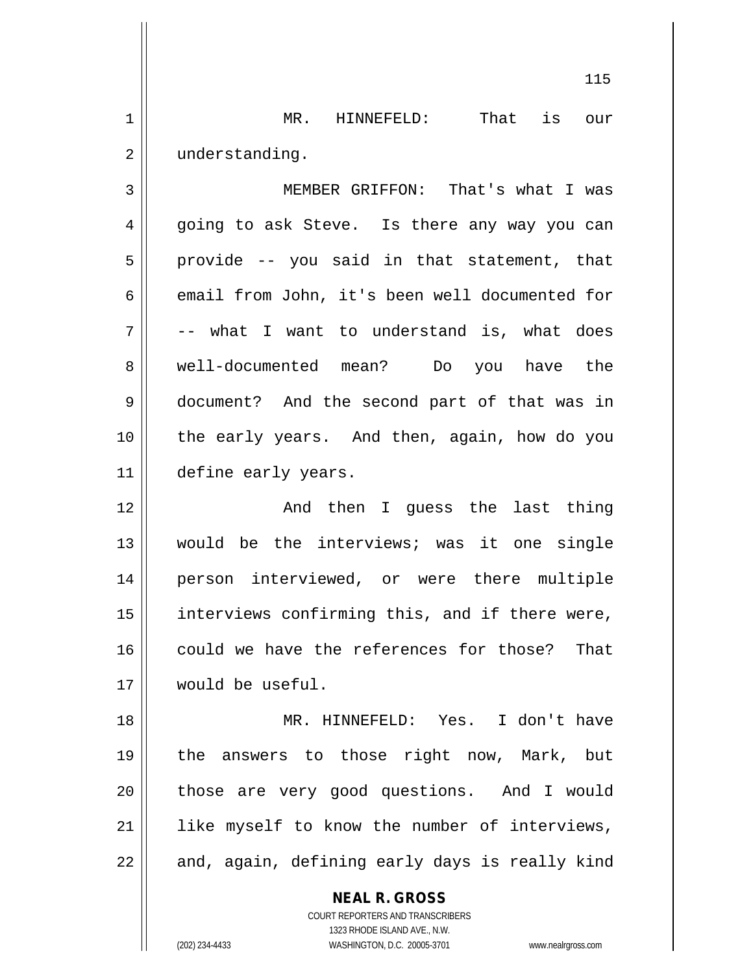1 || MR. HINNEFELD: That is our 2 | understanding.

3 MEMBER GRIFFON: That's what I was 4 || going to ask Steve. Is there any way you can  $5 \parallel$  provide -- you said in that statement, that 6 email from John, it's been well documented for  $7 \parallel$  -- what I want to understand is, what does 8 well-documented mean? Do you have the 9 document? And the second part of that was in 10 the early years. And then, again, how do you 11 define early years.

 And then I guess the last thing would be the interviews; was it one single person interviewed, or were there multiple 15 || interviews confirming this, and if there were, 16 could we have the references for those? That would be useful.

18 MR. HINNEFELD: Yes. I don't have 19 the answers to those right now, Mark, but 20 || those are very good questions. And I would 21 || like myself to know the number of interviews,  $22$  || and, again, defining early days is really kind

> **NEAL R. GROSS** COURT REPORTERS AND TRANSCRIBERS 1323 RHODE ISLAND AVE., N.W.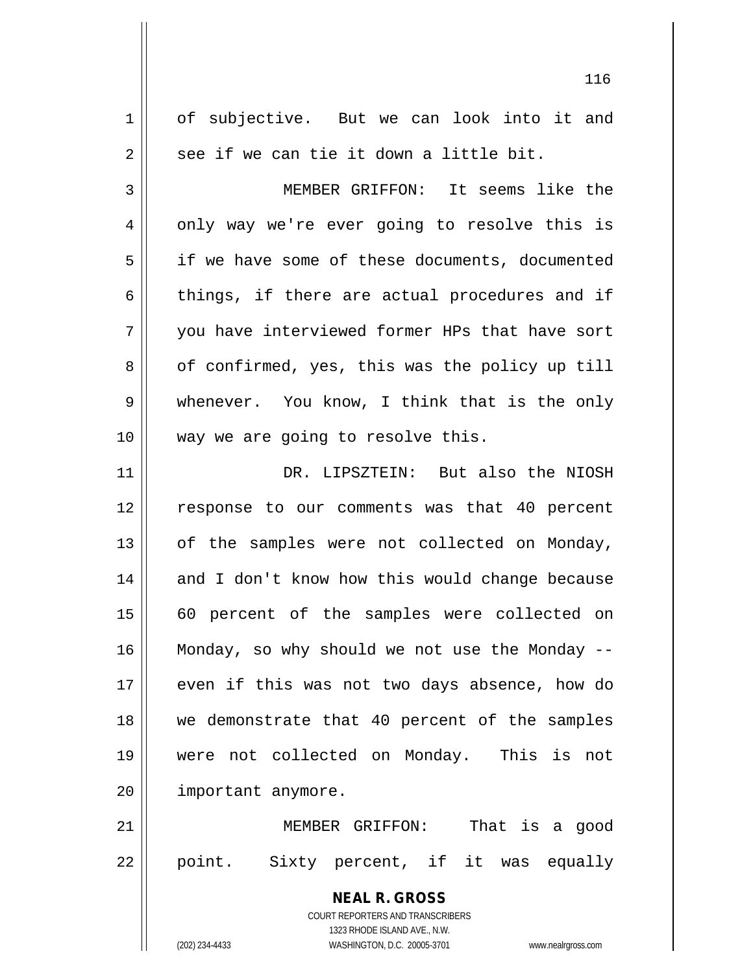| $\mathbf 1$ | of subjective. But we can look into it and                          |
|-------------|---------------------------------------------------------------------|
| 2           | see if we can tie it down a little bit.                             |
| 3           | MEMBER GRIFFON: It seems like the                                   |
| 4           | only way we're ever going to resolve this is                        |
| 5           | if we have some of these documents, documented                      |
| 6           | things, if there are actual procedures and if                       |
| 7           | you have interviewed former HPs that have sort                      |
| 8           | of confirmed, yes, this was the policy up till                      |
| 9           | whenever. You know, I think that is the only                        |
| 10          | way we are going to resolve this.                                   |
| 11          | DR. LIPSZTEIN: But also the NIOSH                                   |
| 12          | response to our comments was that 40 percent                        |
| 13          | of the samples were not collected on Monday,                        |
| 14          | and I don't know how this would change because                      |
| 15          | 60 percent of the samples were collected on                         |
| 16          | Monday, so why should we not use the Monday --                      |
| 17          | even if this was not two days absence, how do                       |
| 18          | we demonstrate that 40 percent of the samples                       |
| 19          | were not collected on Monday. This is not                           |
| 20          | important anymore.                                                  |
| 21          | That is a good<br>MEMBER GRIFFON:                                   |
| 22          | point. Sixty percent, if it was equally                             |
|             |                                                                     |
|             | <b>NEAL R. GROSS</b>                                                |
|             | COURT REPORTERS AND TRANSCRIBERS<br>1323 RHODE ISLAND AVE., N.W.    |
|             | (202) 234-4433<br>WASHINGTON, D.C. 20005-3701<br>www.nealrgross.com |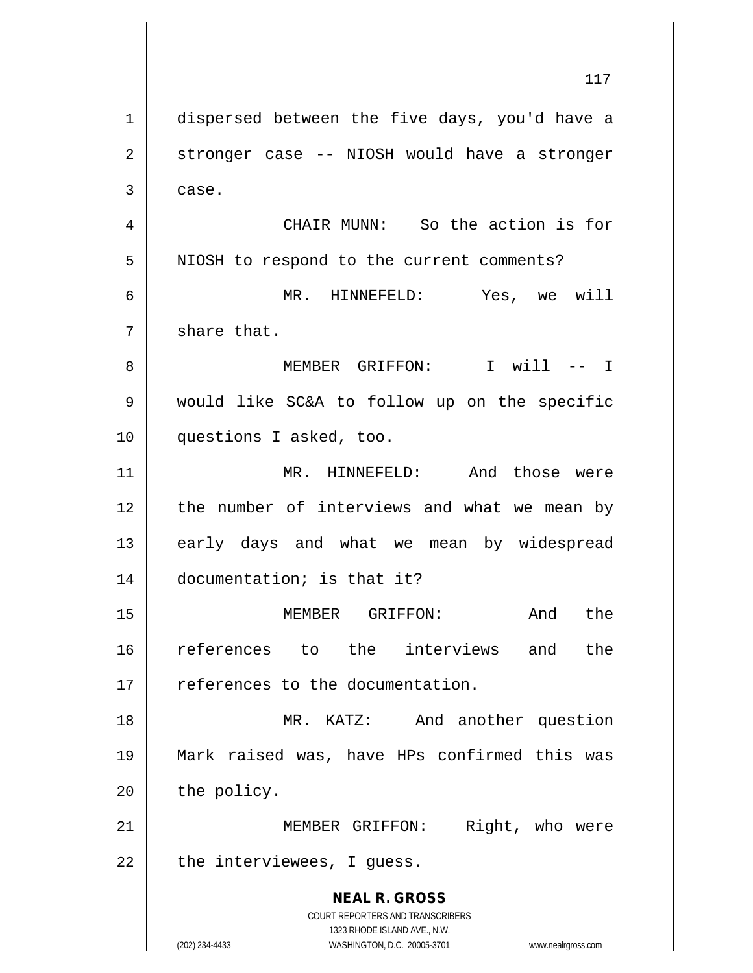**NEAL R. GROSS** COURT REPORTERS AND TRANSCRIBERS 1323 RHODE ISLAND AVE., N.W. (202) 234-4433 WASHINGTON, D.C. 20005-3701 www.nealrgross.com 1 dispersed between the five days, you'd have a 2 || stronger case -- NIOSH would have a stronger  $3 \parallel$  case. 4 CHAIR MUNN: So the action is for 5 | NIOSH to respond to the current comments? 6 MR. HINNEFELD: Yes, we will  $7 \parallel$  share that. 8 MEMBER GRIFFON: I will -- I 9 would like SC&A to follow up on the specific 10 questions I asked, too. 11 MR. HINNEFELD: And those were 12 the number of interviews and what we mean by 13 || early days and what we mean by widespread 14 documentation; is that it? 15 MEMBER GRIFFON: And the 16 references to the interviews and the 17 | references to the documentation. 18 || MR. KATZ: And another question 19 Mark raised was, have HPs confirmed this was  $20$  | the policy. 21 || MEMBER GRIFFON: Right, who were  $22$  || the interviewees, I guess.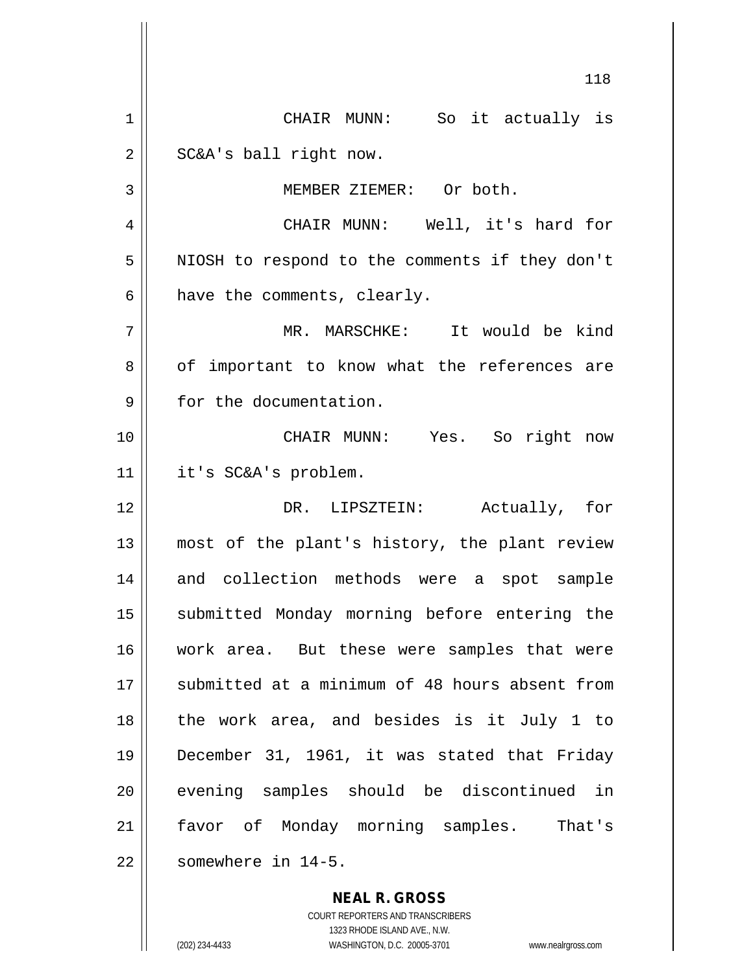118 1 CHAIR MUNN: So it actually is  $2 \parallel$  SC&A's ball right now. 3 | MEMBER ZIEMER: Or both. 4 CHAIR MUNN: Well, it's hard for 5 | NIOSH to respond to the comments if they don't  $6$  || have the comments, clearly. 7 MR. MARSCHKE: It would be kind  $8 \parallel$  of important to know what the references are 9 | for the documentation. 10 CHAIR MUNN: Yes. So right now 11 it's SC&A's problem. 12 DR. LIPSZTEIN: Actually, for 13 most of the plant's history, the plant review 14 and collection methods were a spot sample 15 || submitted Monday morning before entering the 16 work area. But these were samples that were 17 || submitted at a minimum of 48 hours absent from 18 the work area, and besides is it July 1 to 19 December 31, 1961, it was stated that Friday 20 || evening samples should be discontinued in 21 favor of Monday morning samples. That's  $22$   $\parallel$  somewhere in 14-5.

> **NEAL R. GROSS** COURT REPORTERS AND TRANSCRIBERS

> > 1323 RHODE ISLAND AVE., N.W.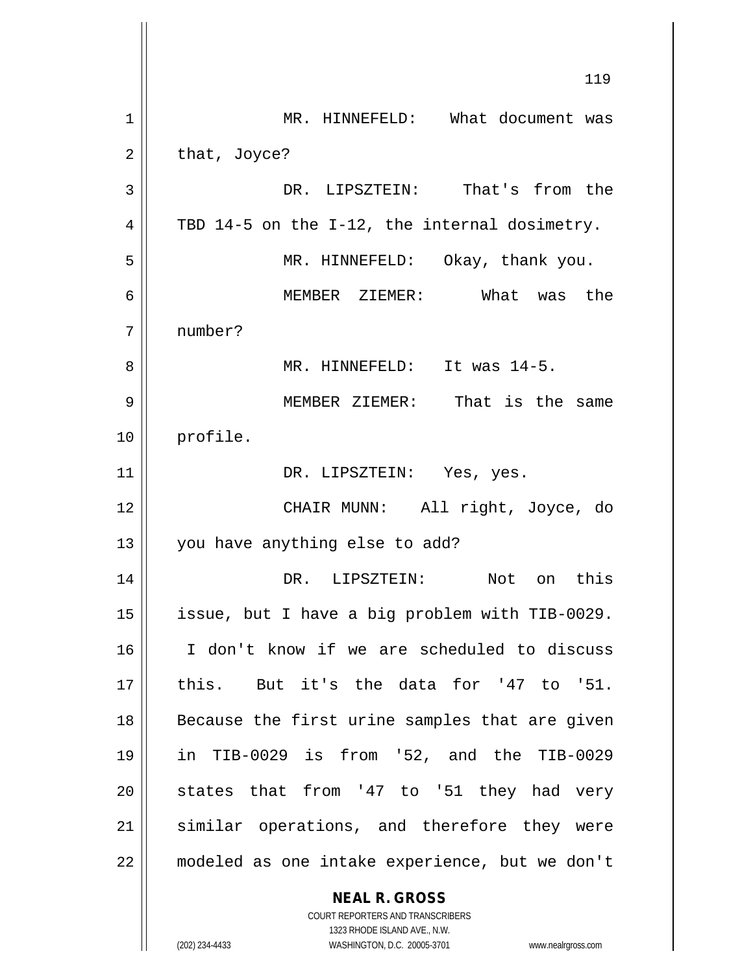**NEAL R. GROSS** 119 1 || MR. HINNEFELD: What document was  $2 \parallel$  that, Joyce? 3 DR. LIPSZTEIN: That's from the 4  $\parallel$  TBD 14-5 on the I-12, the internal dosimetry. 5 MR. HINNEFELD: Okay, thank you. 6 MEMBER ZIEMER: What was the 7 number? 8 MR. HINNEFELD: It was 14-5. 9 MEMBER ZIEMER: That is the same 10 || profile. 11 || DR. LIPSZTEIN: Yes, yes. 12 CHAIR MUNN: All right, Joyce, do 13 || you have anything else to add? 14 DR. LIPSZTEIN: Not on this 15 | issue, but I have a big problem with TIB-0029. 16 I don't know if we are scheduled to discuss 17 || this. But it's the data for '47 to '51. 18 Because the first urine samples that are given 19 in TIB-0029 is from '52, and the TIB-0029  $20$  states that from '47 to '51 they had very 21 || similar operations, and therefore they were 22 modeled as one intake experience, but we don't

> COURT REPORTERS AND TRANSCRIBERS 1323 RHODE ISLAND AVE., N.W.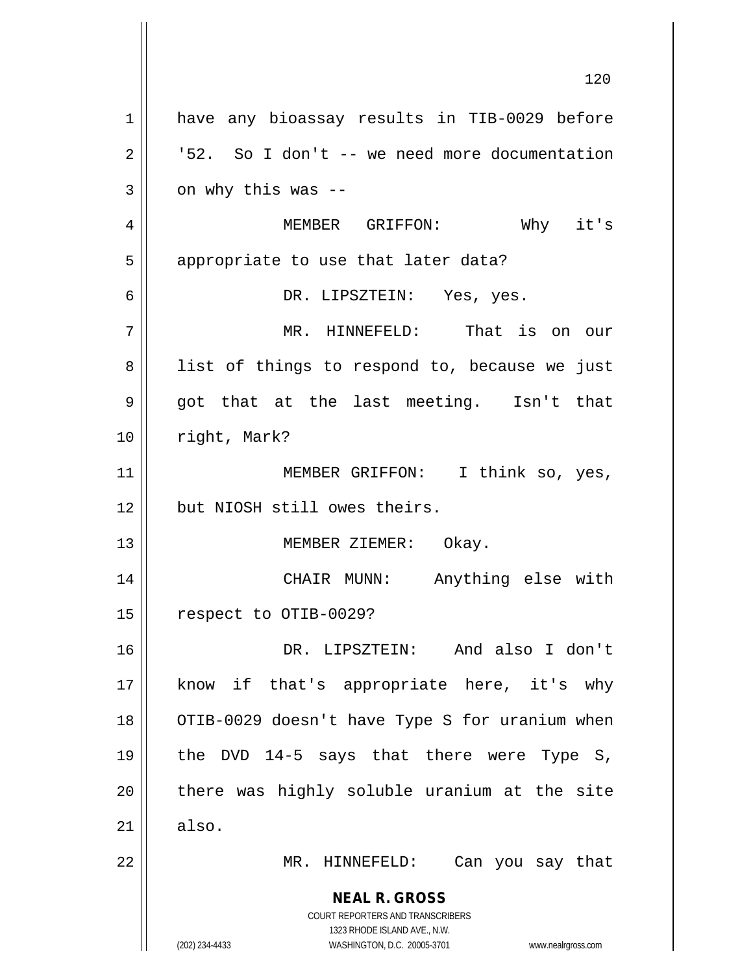**NEAL R. GROSS** COURT REPORTERS AND TRANSCRIBERS 1323 RHODE ISLAND AVE., N.W. (202) 234-4433 WASHINGTON, D.C. 20005-3701 www.nealrgross.com 1 || have any bioassay results in TIB-0029 before  $2 \parallel$  '52. So I don't -- we need more documentation  $3 \parallel$  on why this was --4 MEMBER GRIFFON: Why it's  $5$  | appropriate to use that later data? 6 DR. LIPSZTEIN: Yes, yes. 7 MR. HINNEFELD: That is on our 8 || list of things to respond to, because we just 9 got that at the last meeting. Isn't that 10 | right, Mark? 11 || MEMBER GRIFFON: I think so, yes, 12 but NIOSH still owes theirs. 13 || MEMBER ZIEMER: Okay. 14 CHAIR MUNN: Anything else with 15 | respect to OTIB-0029? 16 DR. LIPSZTEIN: And also I don't 17 || know if that's appropriate here, it's why 18 || OTIB-0029 doesn't have Type S for uranium when 19 the DVD 14-5 says that there were Type S,  $20$  || there was highly soluble uranium at the site  $21 \parallel$  also. 22 MR. HINNEFELD: Can you say that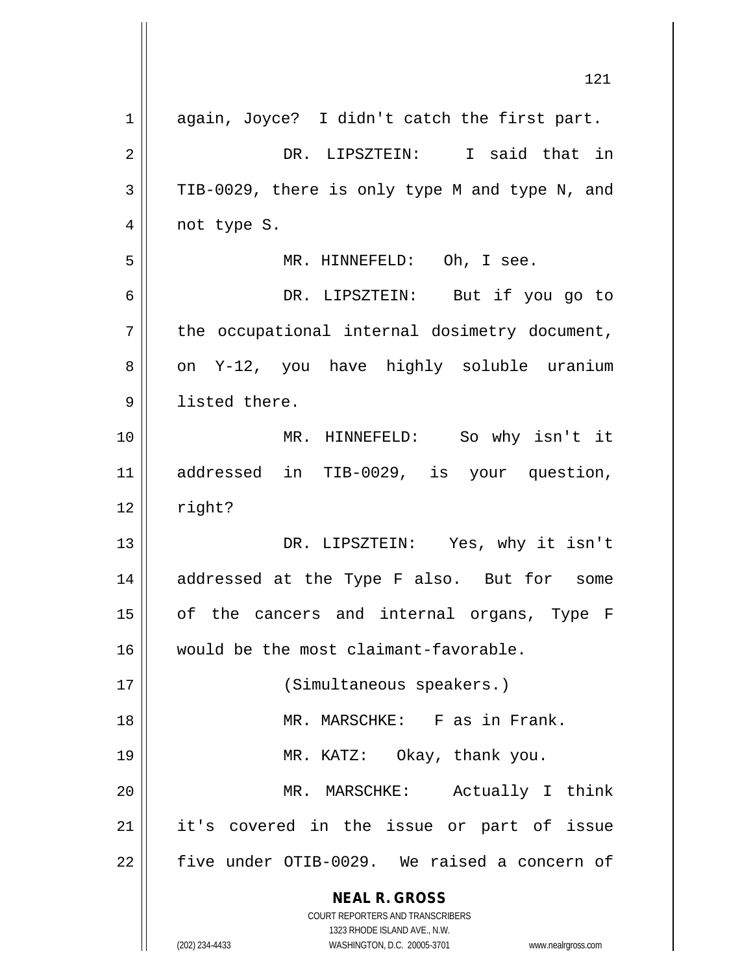|    | 121                                                                                                 |
|----|-----------------------------------------------------------------------------------------------------|
| 1  | again, Joyce? I didn't catch the first part.                                                        |
| 2  | DR. LIPSZTEIN: I said that in                                                                       |
| 3  | TIB-0029, there is only type M and type N, and                                                      |
| 4  | not type S.                                                                                         |
| 5  | MR. HINNEFELD: Oh, I see.                                                                           |
| 6  | DR. LIPSZTEIN: But if you go to                                                                     |
| 7  | the occupational internal dosimetry document,                                                       |
| 8  | on Y-12, you have highly soluble uranium                                                            |
| 9  | listed there.                                                                                       |
| 10 | MR. HINNEFELD: So why isn't it                                                                      |
| 11 | addressed in TIB-0029, is your question,                                                            |
| 12 | right?                                                                                              |
| 13 | DR. LIPSZTEIN: Yes, why it isn't                                                                    |
| 14 | addressed at the Type F also. But for some                                                          |
| 15 | of the cancers and internal organs, Type F                                                          |
| 16 | would be the most claimant-favorable.                                                               |
| 17 | (Simultaneous speakers.)                                                                            |
| 18 | MR. MARSCHKE: F as in Frank.                                                                        |
| 19 | MR. KATZ: Okay, thank you.                                                                          |
| 20 | Actually I think<br>MR. MARSCHKE:                                                                   |
| 21 | it's covered in the issue or part of issue                                                          |
| 22 | five under OTIB-0029. We raised a concern of                                                        |
|    | <b>NEAL R. GROSS</b>                                                                                |
|    | <b>COURT REPORTERS AND TRANSCRIBERS</b>                                                             |
|    | 1323 RHODE ISLAND AVE., N.W.<br>WASHINGTON, D.C. 20005-3701<br>(202) 234-4433<br>www.nealrgross.com |

 $\mathbb{I}$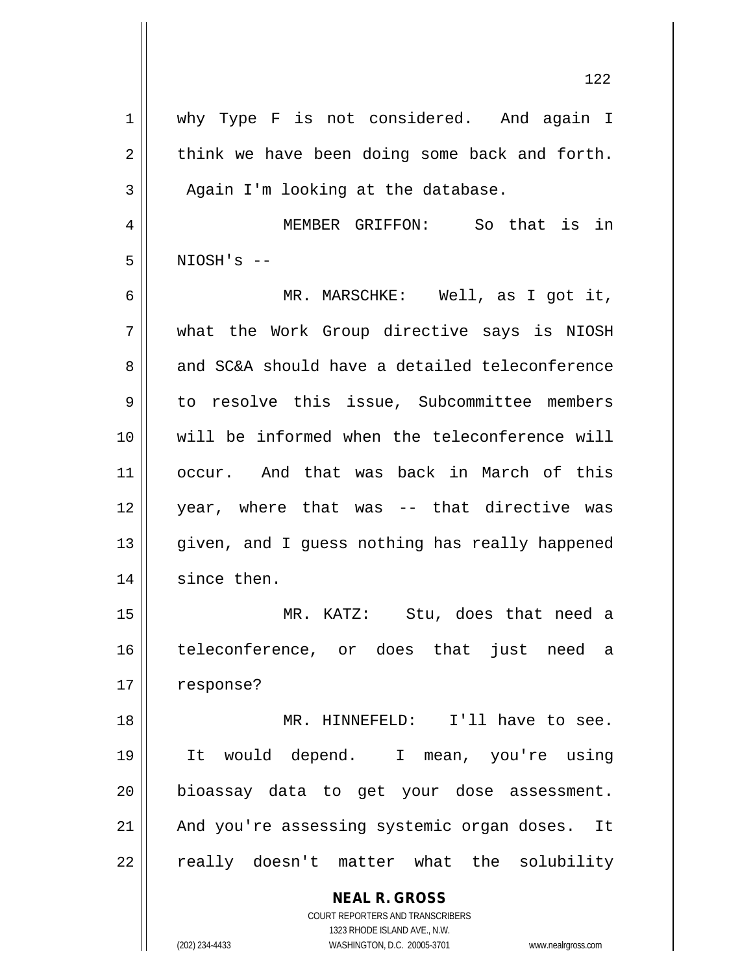| $\mathbf 1$    | why Type F is not considered. And again I                                                           |
|----------------|-----------------------------------------------------------------------------------------------------|
| $\overline{2}$ | think we have been doing some back and forth.                                                       |
| 3              | Again I'm looking at the database.                                                                  |
| 4              | MEMBER GRIFFON: So that is in                                                                       |
| 5              | $NIOSH'S$ --                                                                                        |
| 6              | MR. MARSCHKE: Well, as I got it,                                                                    |
| 7              | what the Work Group directive says is NIOSH                                                         |
| 8              | and SC&A should have a detailed teleconference                                                      |
| 9              | to resolve this issue, Subcommittee members                                                         |
| 10             | will be informed when the teleconference will                                                       |
| 11             | occur. And that was back in March of this                                                           |
| 12             | year, where that was -- that directive was                                                          |
| 13             | given, and I guess nothing has really happened                                                      |
| 14             | since then.                                                                                         |
| 15             | MR. KATZ: Stu, does that need a                                                                     |
| 16             | teleconference, or does that just need a                                                            |
| 17             | response?                                                                                           |
| 18             | MR. HINNEFELD: I'll have to see.                                                                    |
| 19             | It would depend. I mean, you're using                                                               |
| 20             | bioassay data to get your dose assessment.                                                          |
| 21             | And you're assessing systemic organ doses. It                                                       |
| 22             | really doesn't matter what the solubility                                                           |
|                | <b>NEAL R. GROSS</b><br>COURT REPORTERS AND TRANSCRIBERS                                            |
|                | 1323 RHODE ISLAND AVE., N.W.<br>(202) 234-4433<br>WASHINGTON, D.C. 20005-3701<br>www.nealrgross.com |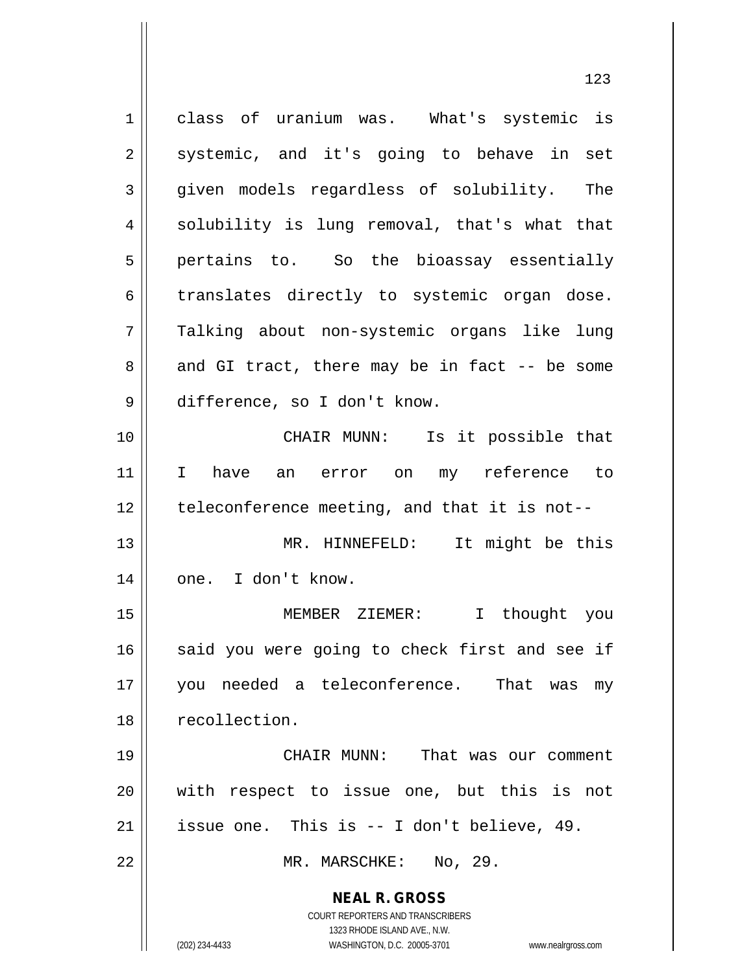**NEAL R. GROSS** COURT REPORTERS AND TRANSCRIBERS 1323 RHODE ISLAND AVE., N.W. 1 class of uranium was. What's systemic is  $2 \parallel$  systemic, and it's going to behave in set 3 given models regardless of solubility. The  $4 \parallel$  solubility is lung removal, that's what that  $5$  | pertains to. So the bioassay essentially 6 translates directly to systemic organ dose. 7 Talking about non-systemic organs like lung  $8 \parallel$  and GI tract, there may be in fact -- be some 9 difference, so I don't know. 10 || CHAIR MUNN: Is it possible that 11 I have an error on my reference to  $12$  | teleconference meeting, and that it is not--13 MR. HINNEFELD: It might be this 14 || one. I don't know. 15 MEMBER ZIEMER: I thought you  $16$  said you were going to check first and see if 17 you needed a teleconference. That was my 18 || recollection. 19 CHAIR MUNN: That was our comment 20 || with respect to issue one, but this is not 21 | issue one. This is  $-$  I don't believe, 49. 22 || MR. MARSCHKE: No, 29.

(202) 234-4433 WASHINGTON, D.C. 20005-3701 www.nealrgross.com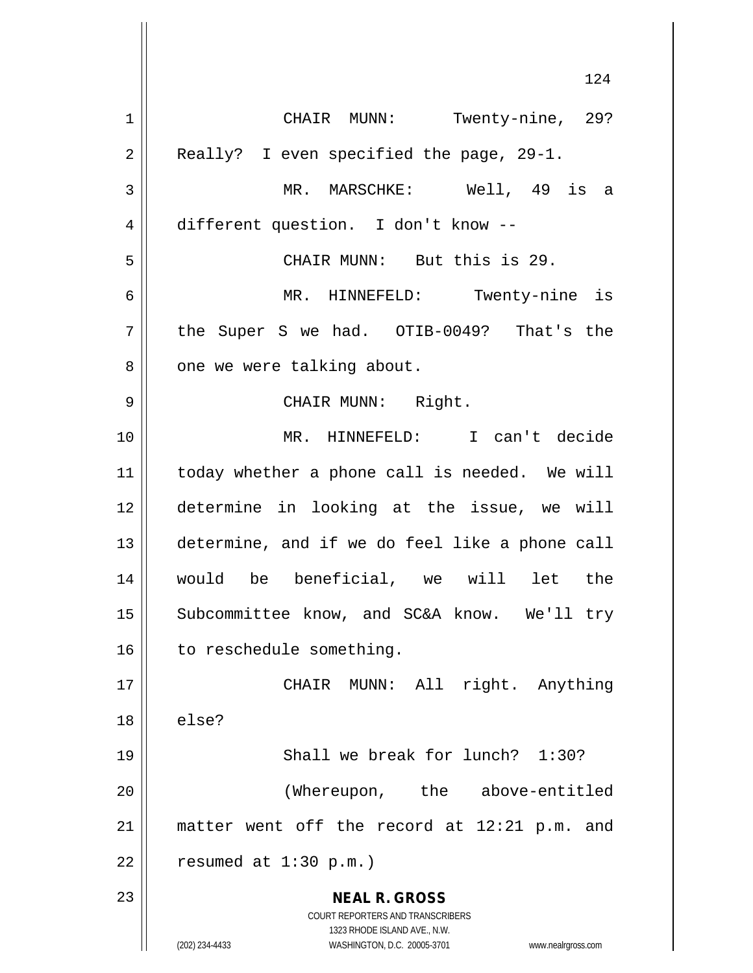**NEAL R. GROSS** COURT REPORTERS AND TRANSCRIBERS 1323 RHODE ISLAND AVE., N.W. (202) 234-4433 WASHINGTON, D.C. 20005-3701 www.nealrgross.com 124 1 CHAIR MUNN: Twenty-nine, 29? 2 || Really? I even specified the page, 29-1. 3 MR. MARSCHKE: Well, 49 is a 4 different question. I don't know --5 CHAIR MUNN: But this is 29. 6 MR. HINNEFELD: Twenty-nine is  $7 \parallel$  the Super S we had. OTIB-0049? That's the 8 || one we were talking about. 9 CHAIR MUNN: Right. 10 MR. HINNEFELD: I can't decide 11 | today whether a phone call is needed. We will 12 determine in looking at the issue, we will 13 determine, and if we do feel like a phone call 14 would be beneficial, we will let the 15 || Subcommittee know, and SC&A know. We'll try 16 | to reschedule something. 17 || CHAIR MUNN: All right. Anything  $18 \parallel$  else? 19 || Shall we break for lunch? 1:30? 20 (Whereupon, the above-entitled 21 matter went off the record at 12:21 p.m. and  $22$  | resumed at 1:30 p.m.) 23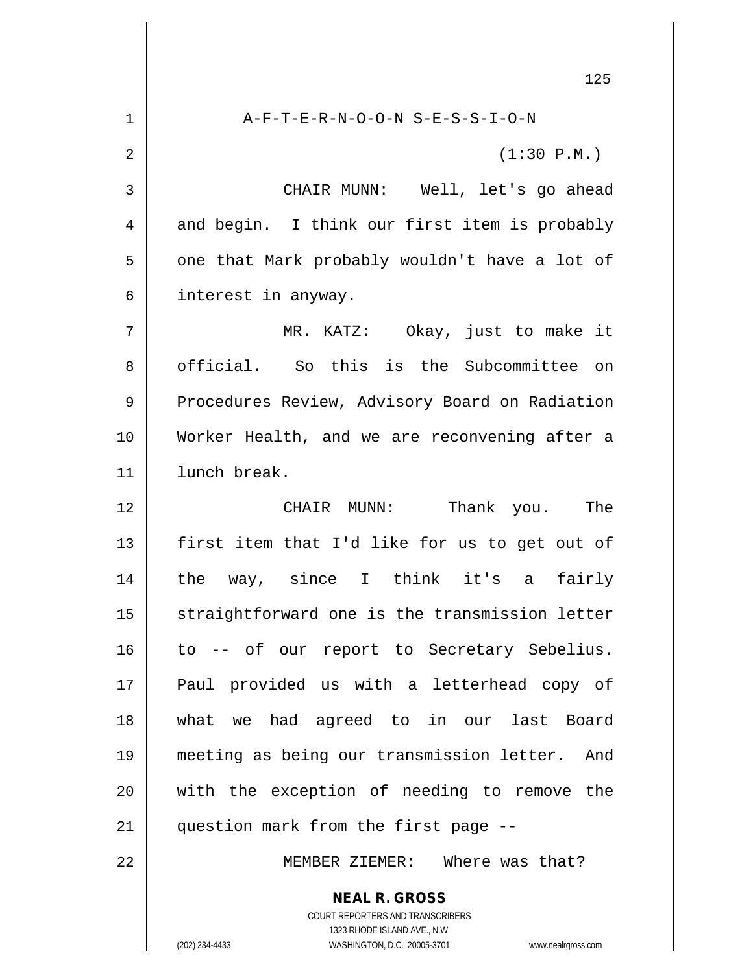**NEAL R. GROSS** 125 1 A-F-T-E-R-N-O-O-N S-E-S-S-I-O-N  $2 \parallel$  (1:30 P.M.) 3 CHAIR MUNN: Well, let's go ahead 4 and begin. I think our first item is probably  $5 \parallel$  one that Mark probably wouldn't have a lot of 6 | interest in anyway. 7 MR. KATZ: Okay, just to make it 8 official. So this is the Subcommittee on 9 | Procedures Review, Advisory Board on Radiation 10 Worker Health, and we are reconvening after a 11 lunch break. 12 CHAIR MUNN: Thank you. The 13  $\parallel$  first item that I'd like for us to get out of 14 the way, since I think it's a fairly 15 || straightforward one is the transmission letter 16 || to -- of our report to Secretary Sebelius. 17 Paul provided us with a letterhead copy of 18 what we had agreed to in our last Board 19 meeting as being our transmission letter. And 20 with the exception of needing to remove the 21 || question mark from the first page --22 MEMBER ZIEMER: Where was that?

> COURT REPORTERS AND TRANSCRIBERS 1323 RHODE ISLAND AVE., N.W.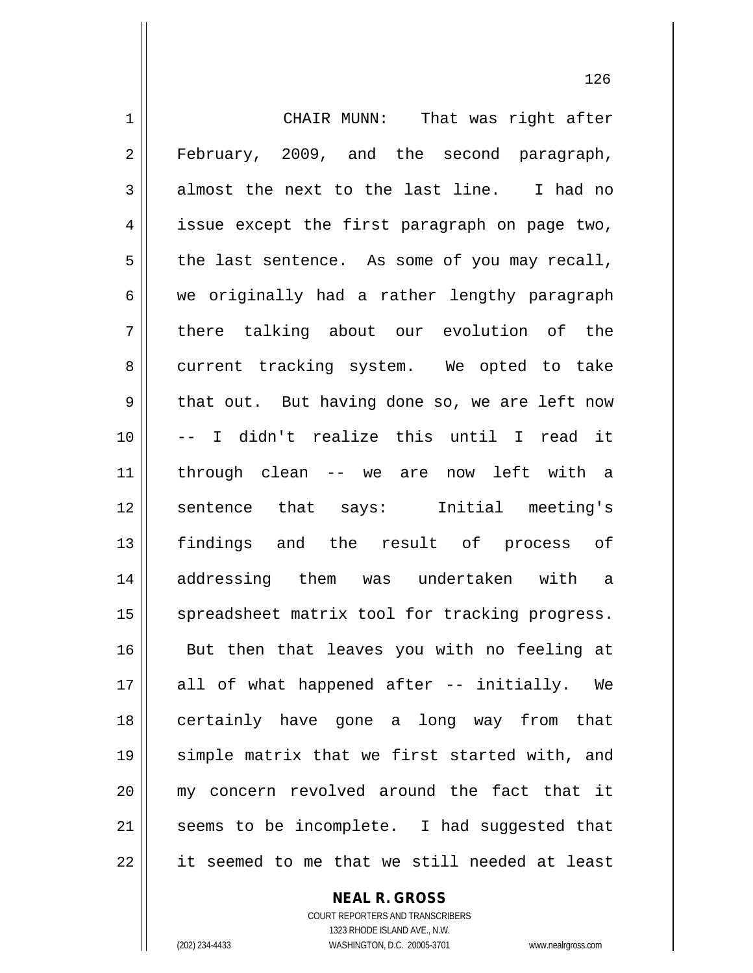1 | CHAIR MUNN: That was right after 2 || February, 2009, and the second paragraph,  $3 \parallel$  almost the next to the last line. I had no 4 | issue except the first paragraph on page two,  $5 \parallel$  the last sentence. As some of you may recall,  $6 \parallel$  we originally had a rather lengthy paragraph 7 || there talking about our evolution of the 8 current tracking system. We opted to take  $9 \parallel$  that out. But having done so, we are left now 10 -- I didn't realize this until I read it 11 through clean -- we are now left with a 12 || sentence that says: Initial meeting's 13 findings and the result of process of 14 addressing them was undertaken with a 15 || spreadsheet matrix tool for tracking progress. 16 || But then that leaves you with no feeling at 17 || all of what happened after -- initially. We 18 certainly have gone a long way from that 19 simple matrix that we first started with, and 20 my concern revolved around the fact that it  $21$  seems to be incomplete. I had suggested that  $22$  || it seemed to me that we still needed at least

**NEAL R. GROSS**

COURT REPORTERS AND TRANSCRIBERS 1323 RHODE ISLAND AVE., N.W. (202) 234-4433 WASHINGTON, D.C. 20005-3701 www.nealrgross.com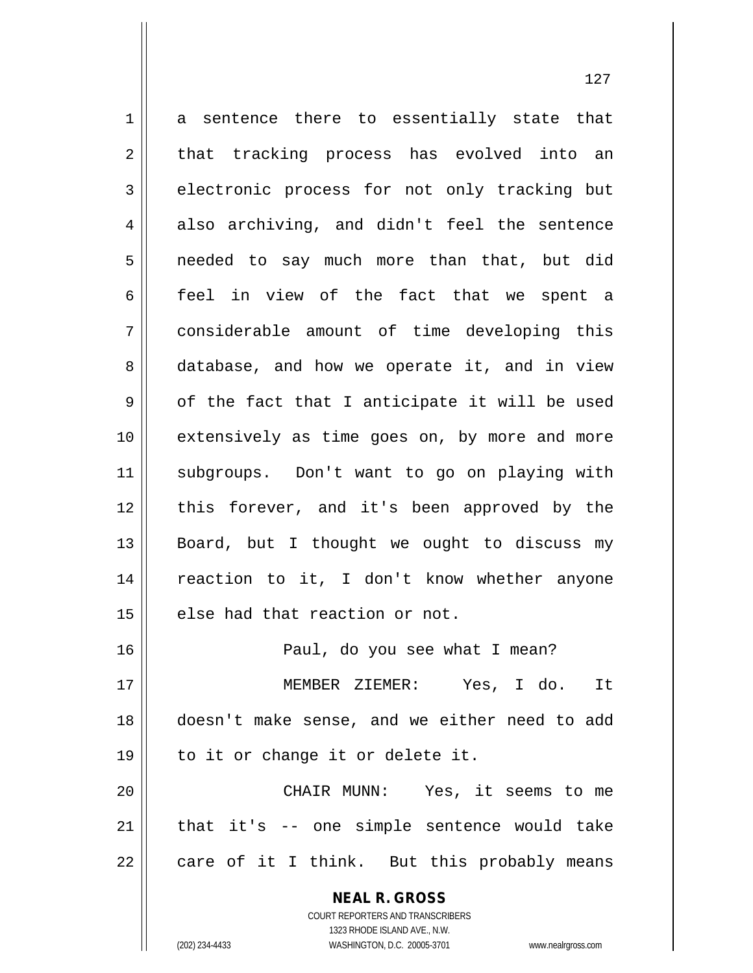**NEAL R. GROSS** 1 a sentence there to essentially state that 2 || that tracking process has evolved into an 3 electronic process for not only tracking but  $4 \parallel$  also archiving, and didn't feel the sentence 5 || needed to say much more than that, but did 6 feel in view of the fact that we spent a 7 considerable amount of time developing this 8 || database, and how we operate it, and in view  $9 \parallel$  of the fact that I anticipate it will be used 10 extensively as time goes on, by more and more 11 subgroups. Don't want to go on playing with 12 || this forever, and it's been approved by the 13  $\parallel$  Board, but I thought we ought to discuss my 14 || reaction to it, I don't know whether anyone  $15$  | else had that reaction or not. 16 Paul, do you see what I mean? 17 MEMBER ZIEMER: Yes, I do. It 18 doesn't make sense, and we either need to add 19 to it or change it or delete it. 20 CHAIR MUNN: Yes, it seems to me  $21$  | that it's  $-$  one simple sentence would take  $22 \parallel$  care of it I think. But this probably means

> COURT REPORTERS AND TRANSCRIBERS 1323 RHODE ISLAND AVE., N.W.

(202) 234-4433 WASHINGTON, D.C. 20005-3701 www.nealrgross.com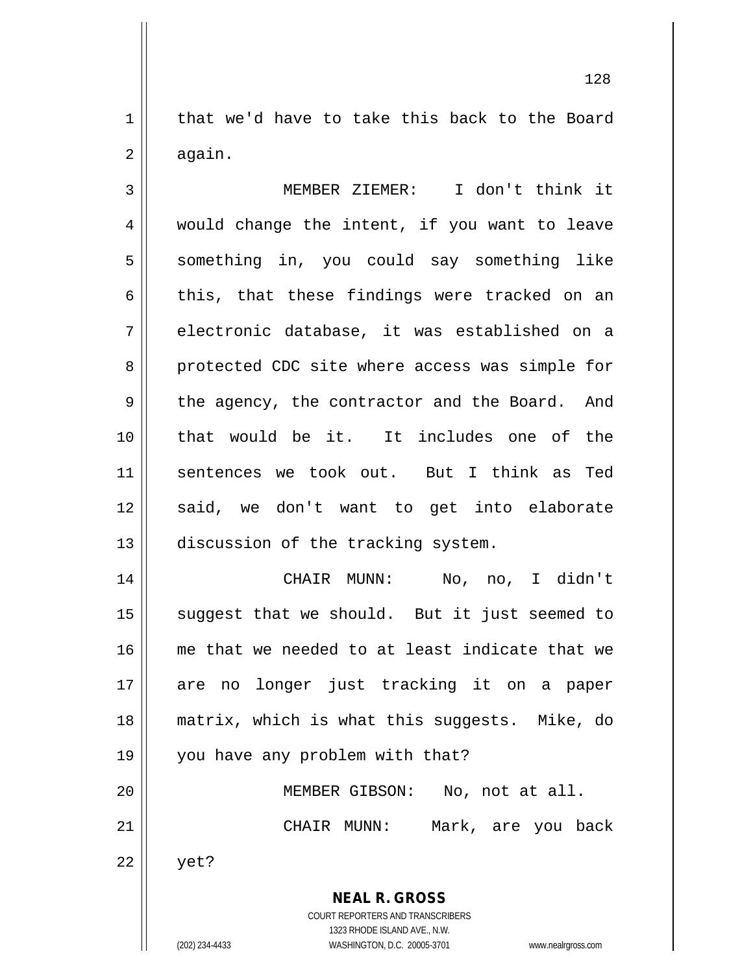$1 \parallel$  that we'd have to take this back to the Board  $2 \parallel$  again.

3 MEMBER ZIEMER: I don't think it 4 would change the intent, if you want to leave 5 || something in, you could say something like  $6 \parallel$  this, that these findings were tracked on an 7 electronic database, it was established on a 8 || protected CDC site where access was simple for 9 || the agency, the contractor and the Board. And 10 that would be it. It includes one of the 11 sentences we took out. But I think as Ted 12 || said, we don't want to get into elaborate 13 || discussion of the tracking system.

 CHAIR MUNN: No, no, I didn't suggest that we should. But it just seemed to me that we needed to at least indicate that we are no longer just tracking it on a paper matrix, which is what this suggests. Mike, do 19 || you have any problem with that? MEMBER GIBSON: No, not at all. CHAIR MUNN: Mark, are you back  $22 \parallel$  yet?

> **NEAL R. GROSS** COURT REPORTERS AND TRANSCRIBERS

> > 1323 RHODE ISLAND AVE., N.W.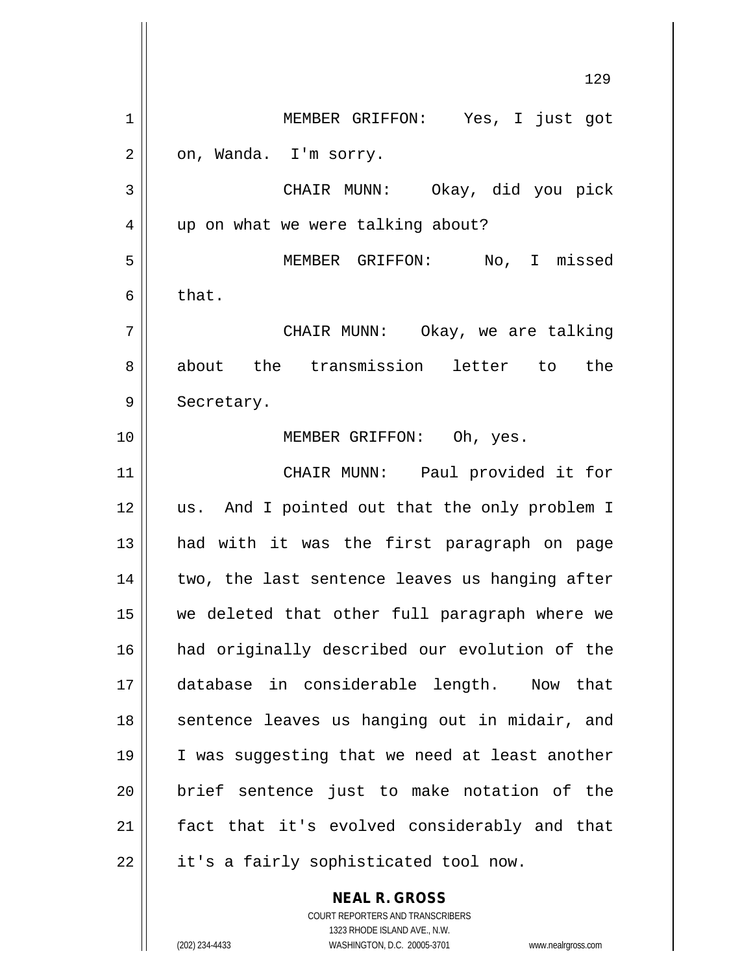129 MEMBER GRIFFON: Yes, I just got  $2 \parallel$  on, Wanda. I'm sorry. CHAIR MUNN: Okay, did you pick 4 || up on what we were talking about? MEMBER GRIFFON: No, I missed  $6 \parallel$  that. CHAIR MUNN: Okay, we are talking 8 about the transmission letter to the 9 | Secretary. MEMBER GRIFFON: Oh, yes. CHAIR MUNN: Paul provided it for 12 || us. And I pointed out that the only problem I 13 || had with it was the first paragraph on page | two, the last sentence leaves us hanging after we deleted that other full paragraph where we had originally described our evolution of the database in considerable length. Now that 18 || sentence leaves us hanging out in midair, and I was suggesting that we need at least another || brief sentence just to make notation of the fact that it's evolved considerably and that | it's a fairly sophisticated tool now.

> **NEAL R. GROSS** COURT REPORTERS AND TRANSCRIBERS 1323 RHODE ISLAND AVE., N.W.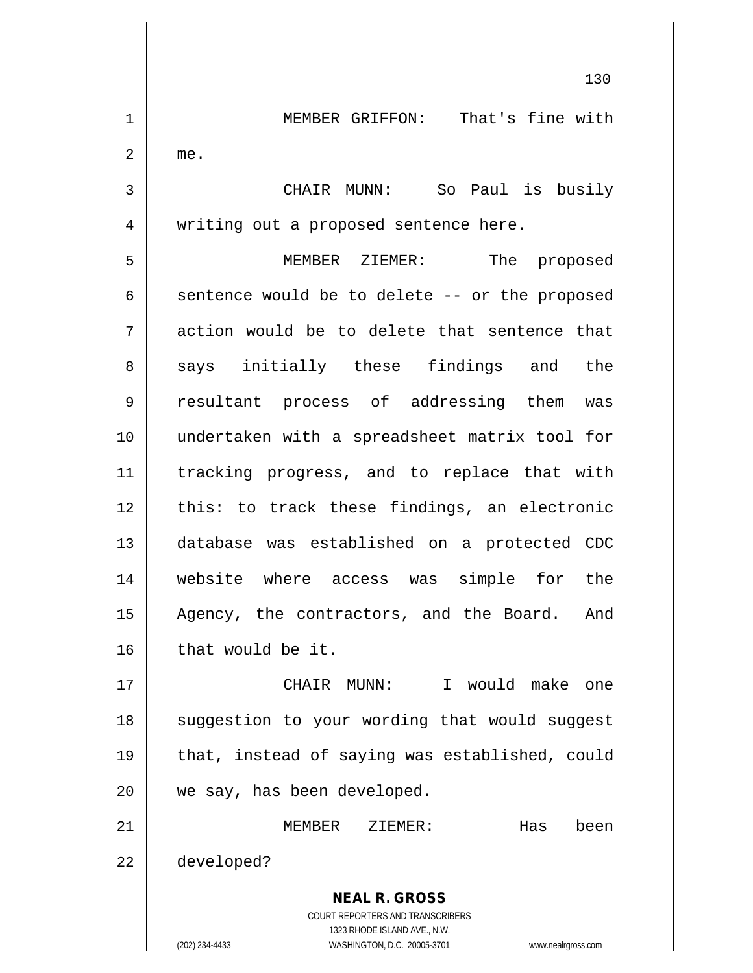**NEAL R. GROSS** COURT REPORTERS AND TRANSCRIBERS 1323 RHODE ISLAND AVE., N.W. (202) 234-4433 WASHINGTON, D.C. 20005-3701 www.nealrgross.com 1 || MEMBER GRIFFON: That's fine with  $2 \parallel$  me. 3 CHAIR MUNN: So Paul is busily 4 || writing out a proposed sentence here. 5 MEMBER ZIEMER: The proposed  $6 \parallel$  sentence would be to delete -- or the proposed  $7$  || action would be to delete that sentence that 8 || says initially these findings and the 9 resultant process of addressing them was 10 undertaken with a spreadsheet matrix tool for 11 tracking progress, and to replace that with 12 || this: to track these findings, an electronic 13 database was established on a protected CDC 14 website where access was simple for the 15 || Agency, the contractors, and the Board. And  $16$  | that would be it. 17 CHAIR MUNN: I would make one 18 || suggestion to your wording that would suggest 19 || that, instead of saying was established, could 20 || we say, has been developed. 21 MEMBER ZIEMER: Has been 22 developed?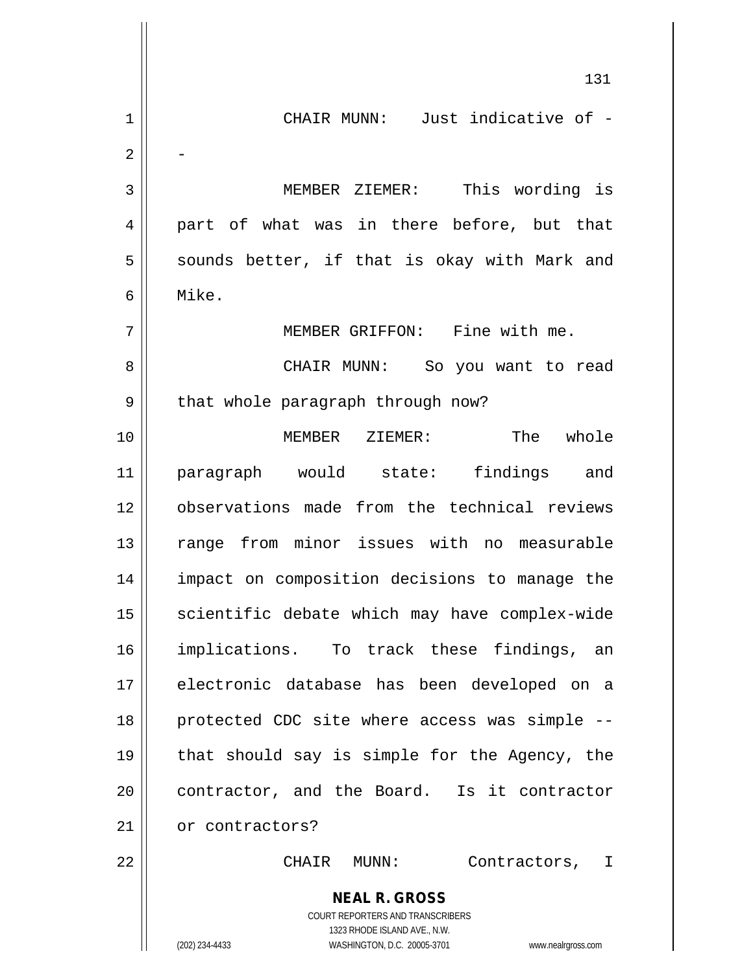|                | 131                                                                 |
|----------------|---------------------------------------------------------------------|
| $\mathbf 1$    | CHAIR MUNN: Just indicative of -                                    |
| 2              |                                                                     |
| 3              | MEMBER ZIEMER: This wording is                                      |
| $\overline{4}$ | part of what was in there before, but that                          |
| 5              | sounds better, if that is okay with Mark and                        |
| 6              | Mike.                                                               |
| 7              | MEMBER GRIFFON: Fine with me.                                       |
| 8              | CHAIR MUNN: So you want to read                                     |
| 9              | that whole paragraph through now?                                   |
| 10             | The whole<br>MEMBER ZIEMER:                                         |
| 11             | paragraph would state: findings and                                 |
| 12             | observations made from the technical reviews                        |
| 13             | range from minor issues with no measurable                          |
| 14             | impact on composition decisions to manage the                       |
| 15             | scientific debate which may have complex-wide                       |
| 16             | implications. To track these findings, an                           |
| 17             | electronic database has been developed on a                         |
| 18             | protected CDC site where access was simple --                       |
| 19             | that should say is simple for the Agency, the                       |
| 20             | contractor, and the Board. Is it contractor                         |
| 21             | or contractors?                                                     |
| 22             | CHAIR<br>MUNN :<br>Contractors, I                                   |
|                | <b>NEAL R. GROSS</b><br>COURT REPORTERS AND TRANSCRIBERS            |
|                | 1323 RHODE ISLAND AVE., N.W.                                        |
|                | (202) 234-4433<br>WASHINGTON, D.C. 20005-3701<br>www.nealrgross.com |

 $\mathbb{I}$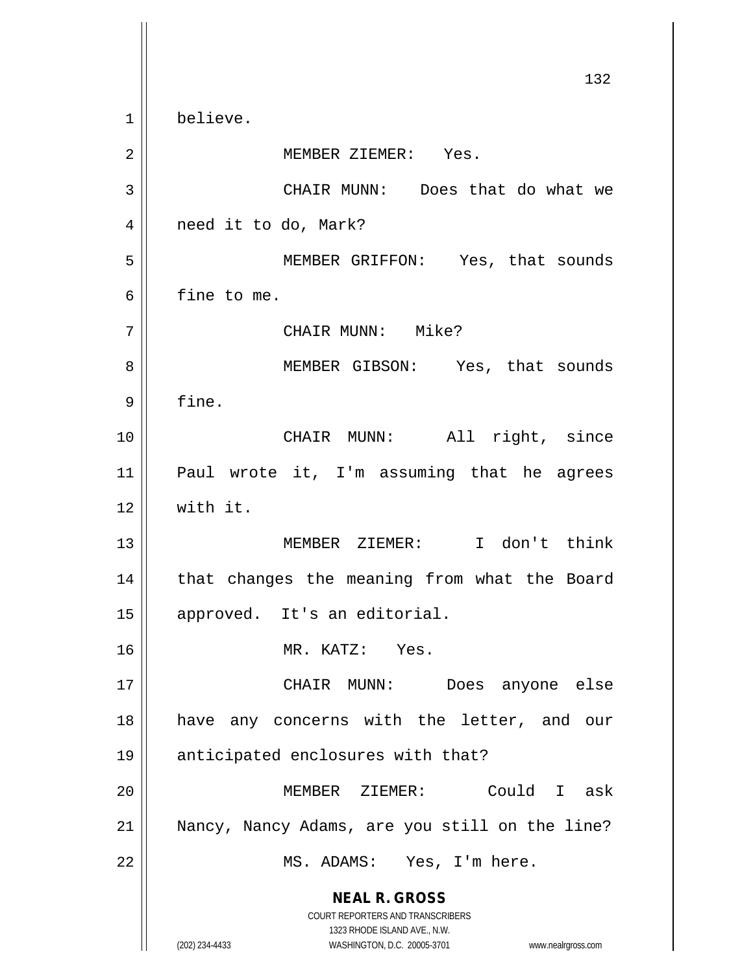**NEAL R. GROSS** COURT REPORTERS AND TRANSCRIBERS 1323 RHODE ISLAND AVE., N.W. (202) 234-4433 WASHINGTON, D.C. 20005-3701 www.nealrgross.com 132 1 believe. 2 | NEMBER ZIEMER: Yes. 3 CHAIR MUNN: Does that do what we 4 | need it to do, Mark? 5 MEMBER GRIFFON: Yes, that sounds 6 fine to me. 7 CHAIR MUNN: Mike? 8 || MEMBER GIBSON: Yes, that sounds  $9 \parallel$  fine. 10 || CHAIR MUNN: All right, since 11 Paul wrote it, I'm assuming that he agrees 12 with it. 13 MEMBER ZIEMER: I don't think 14 || that changes the meaning from what the Board 15 | approved. It's an editorial. 16 MR. KATZ: Yes. 17 CHAIR MUNN: Does anyone else 18 || have any concerns with the letter, and our 19 || anticipated enclosures with that? 20 MEMBER ZIEMER: Could I ask 21 Nancy, Nancy Adams, are you still on the line? 22 || MS. ADAMS: Yes, I'm here.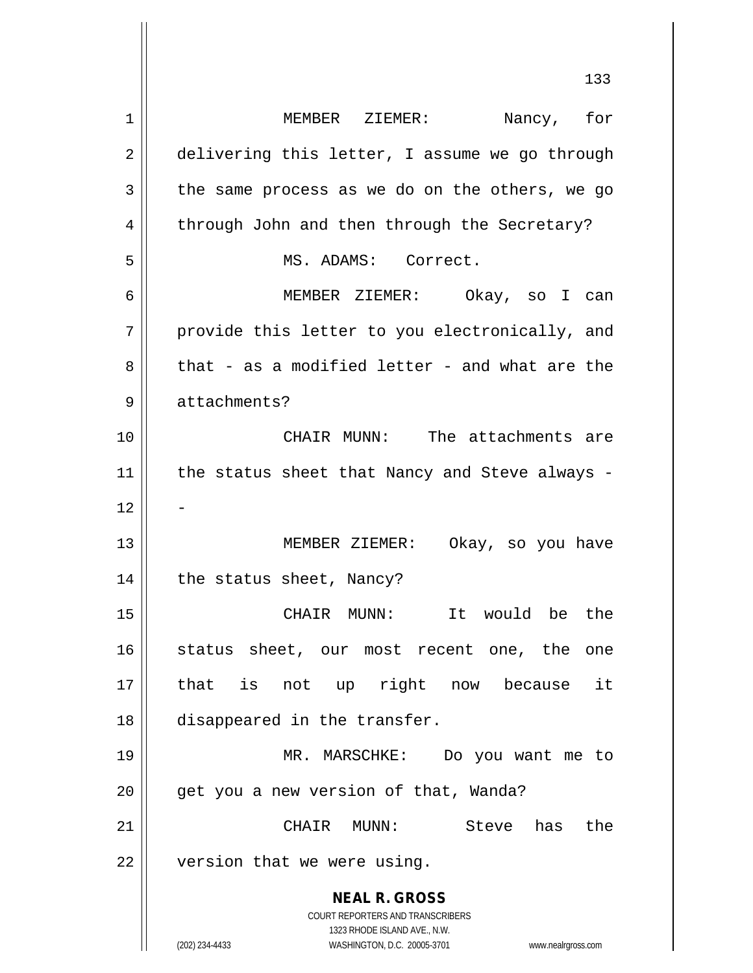**NEAL R. GROSS** COURT REPORTERS AND TRANSCRIBERS 1323 RHODE ISLAND AVE., N.W. (202) 234-4433 WASHINGTON, D.C. 20005-3701 www.nealrgross.com 133 1 MEMBER ZIEMER: Nancy, for 2 delivering this letter, I assume we go through  $3 \parallel$  the same process as we do on the others, we go 4 through John and then through the Secretary? 5 | MS. ADAMS: Correct. 6 MEMBER ZIEMER: Okay, so I can 7 || provide this letter to you electronically, and  $8 \parallel$  that - as a modified letter - and what are the 9 | attachments? 10 CHAIR MUNN: The attachments are  $11$  | the status sheet that Nancy and Steve always - $12$ 13 || MEMBER ZIEMER: Okay, so you have 14 || the status sheet, Nancy? 15 CHAIR MUNN: It would be the 16 status sheet, our most recent one, the one 17 that is not up right now because it 18 disappeared in the transfer. 19 MR. MARSCHKE: Do you want me to 20 | get you a new version of that, Wanda? 21 CHAIR MUNN: Steve has the 22 | version that we were using.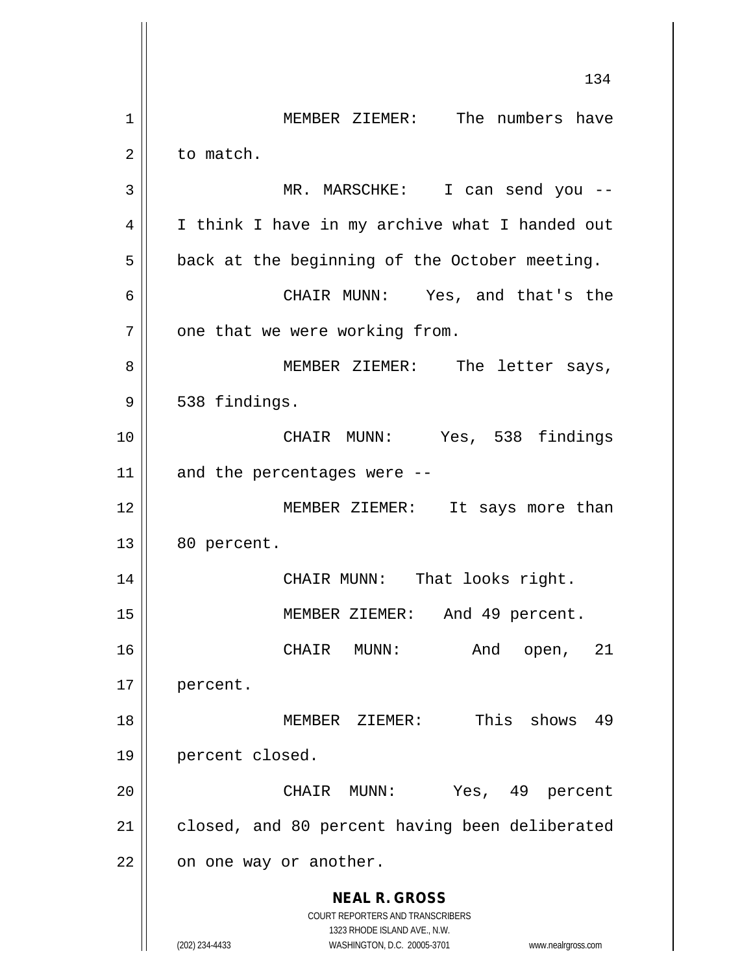**NEAL R. GROSS** COURT REPORTERS AND TRANSCRIBERS 1323 RHODE ISLAND AVE., N.W. (202) 234-4433 WASHINGTON, D.C. 20005-3701 www.nealrgross.com 134 1 | MEMBER ZIEMER: The numbers have 2 | to match. 3 MR. MARSCHKE: I can send you -- 4 | I think I have in my archive what I handed out  $5 \parallel$  back at the beginning of the October meeting. 6 CHAIR MUNN: Yes, and that's the  $7$  | one that we were working from. 8 || MEMBER ZIEMER: The letter says,  $9 \parallel 538$  findings. 10 CHAIR MUNN: Yes, 538 findings  $11$  and the percentages were --12 || MEMBER ZIEMER: It says more than  $13 \parallel 80$  percent. 14 || CHAIR MUNN: That looks right. 15 MEMBER ZIEMER: And 49 percent. 16 CHAIR MUNN: And open, 21 17 percent. 18 MEMBER ZIEMER: This shows 49 19 percent closed. 20 CHAIR MUNN: Yes, 49 percent 21 | closed, and 80 percent having been deliberated  $22$  |  $\circ$  on one way or another.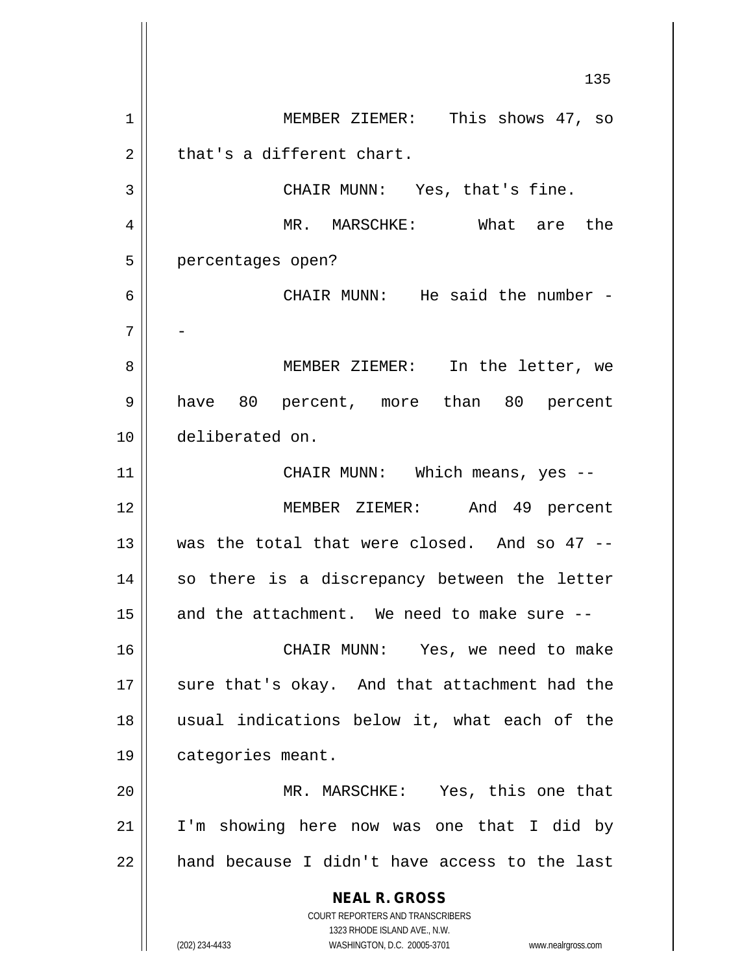**NEAL R. GROSS** COURT REPORTERS AND TRANSCRIBERS 1323 RHODE ISLAND AVE., N.W. (202) 234-4433 WASHINGTON, D.C. 20005-3701 www.nealrgross.com 135 1 || MEMBER ZIEMER: This shows 47, so  $2 \parallel$  that's a different chart. 3 || CHAIR MUNN: Yes, that's fine. 4 MR. MARSCHKE: What are the 5 | percentages open? 6 CHAIR MUNN: He said the number - 7 - 8 || MEMBER ZIEMER: In the letter, we 9 have 80 percent, more than 80 percent 10 deliberated on. 11 || CHAIR MUNN: Which means, yes --12 MEMBER ZIEMER: And 49 percent 13  $\parallel$  was the total that were closed. And so 47 --14 || so there is a discrepancy between the letter  $15$  and the attachment. We need to make sure  $-$ 16 CHAIR MUNN: Yes, we need to make 17 || sure that's okay. And that attachment had the 18 usual indications below it, what each of the 19 | categories meant. 20 MR. MARSCHKE: Yes, this one that 21 I'm showing here now was one that I did by  $22$  || hand because I didn't have access to the last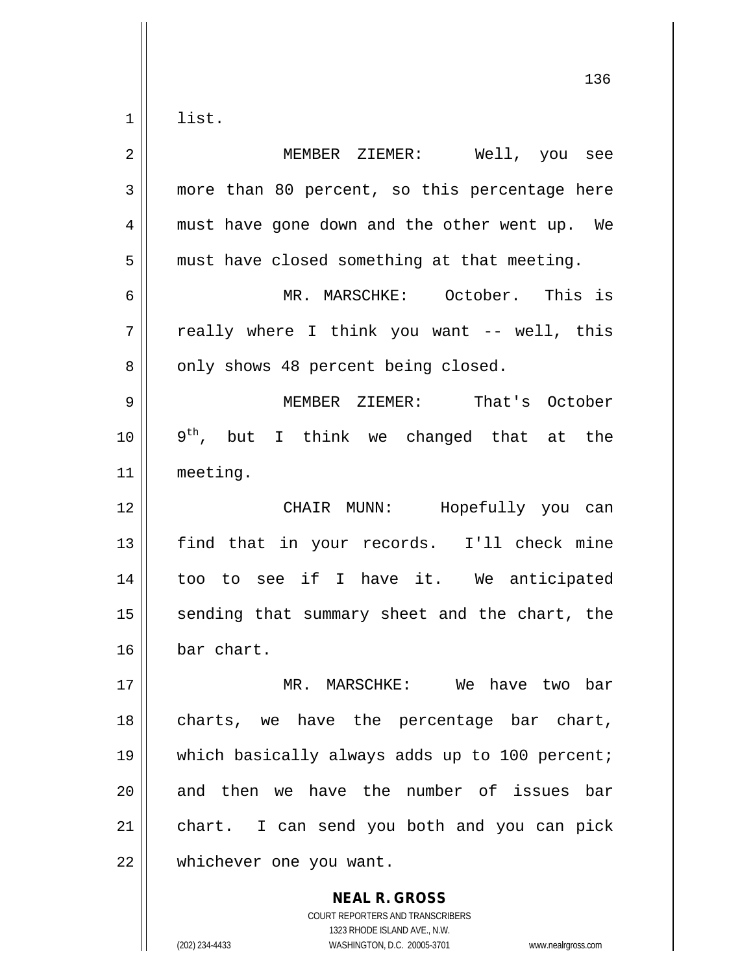$1 \parallel$  list.

| $\overline{2}$ | MEMBER ZIEMER: Well, you see                   |
|----------------|------------------------------------------------|
| 3              | more than 80 percent, so this percentage here  |
| 4              | must have gone down and the other went up. We  |
| 5              | must have closed something at that meeting.    |
| 6              | MR. MARSCHKE: October. This is                 |
| 7              | really where I think you want -- well, this    |
| 8              | only shows 48 percent being closed.            |
| 9              | MEMBER ZIEMER: That's October                  |
| 10             | $9th$ , but I think we changed that at the     |
| 11             | meeting.                                       |
| 12             | CHAIR MUNN: Hopefully you can                  |
| 13             | find that in your records. I'll check mine     |
| 14             | too to see if I have it. We anticipated        |
| 15             | sending that summary sheet and the chart, the  |
| 16             | bar chart.                                     |
| 17             | MR. MARSCHKE: We have two bar                  |
| 18             | charts, we have the percentage bar chart,      |
| 19             | which basically always adds up to 100 percent; |
| 20             | and then we have the number of issues bar      |
| 21             | chart. I can send you both and you can pick    |
| 22             | whichever one you want.                        |

COURT REPORTERS AND TRANSCRIBERS 1323 RHODE ISLAND AVE., N.W. (202) 234-4433 WASHINGTON, D.C. 20005-3701 www.nealrgross.com

**NEAL R. GROSS**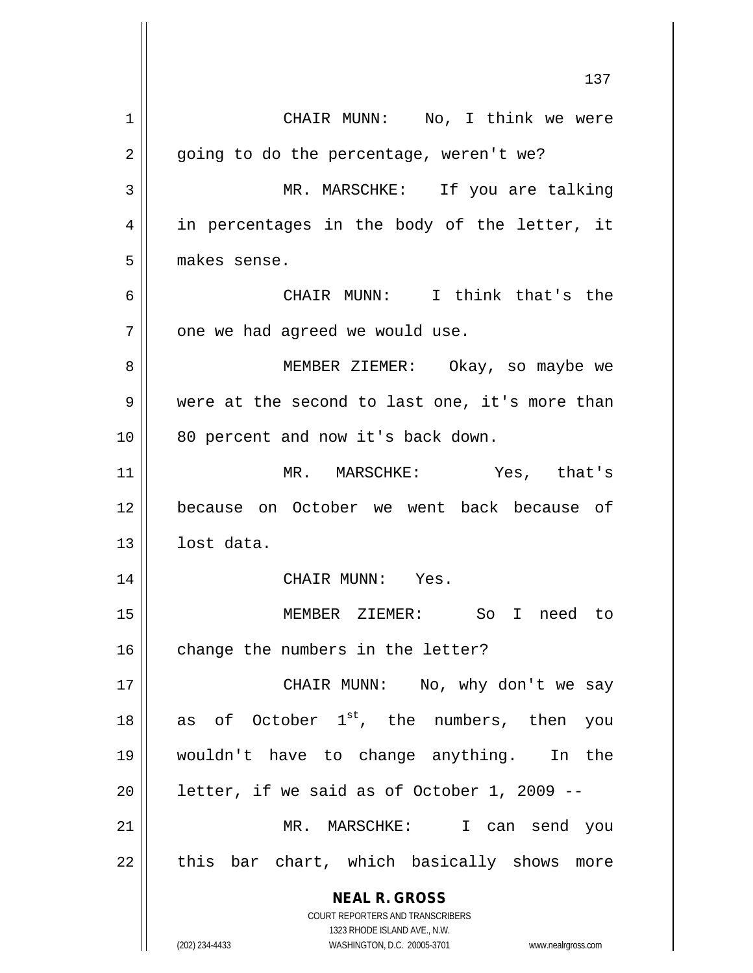**NEAL R. GROSS** COURT REPORTERS AND TRANSCRIBERS 1323 RHODE ISLAND AVE., N.W. (202) 234-4433 WASHINGTON, D.C. 20005-3701 www.nealrgross.com 137 1 | CHAIR MUNN: No, I think we were  $2 \parallel$  going to do the percentage, weren't we? 3 MR. MARSCHKE: If you are talking  $4 \parallel$  in percentages in the body of the letter, it 5 makes sense. 6 CHAIR MUNN: I think that's the  $7$  | one we had agreed we would use. 8 || MEMBER ZIEMER: Okay, so maybe we 9 were at the second to last one, it's more than 10 || 80 percent and now it's back down. 11 MR. MARSCHKE: Yes, that's 12 because on October we went back because of  $13$  |  $\phantom{1}$  lost data. 14 || CHAIR MUNN: Yes. 15 MEMBER ZIEMER: So I need to  $16$   $\parallel$  change the numbers in the letter? 17 || CHAIR MUNN: No, why don't we say 18  $\parallel$  as of October 1<sup>st</sup>, the numbers, then you 19 wouldn't have to change anything. In the  $20$  | letter, if we said as of October 1, 2009 --21 MR. MARSCHKE: I can send you  $22$  || this bar chart, which basically shows more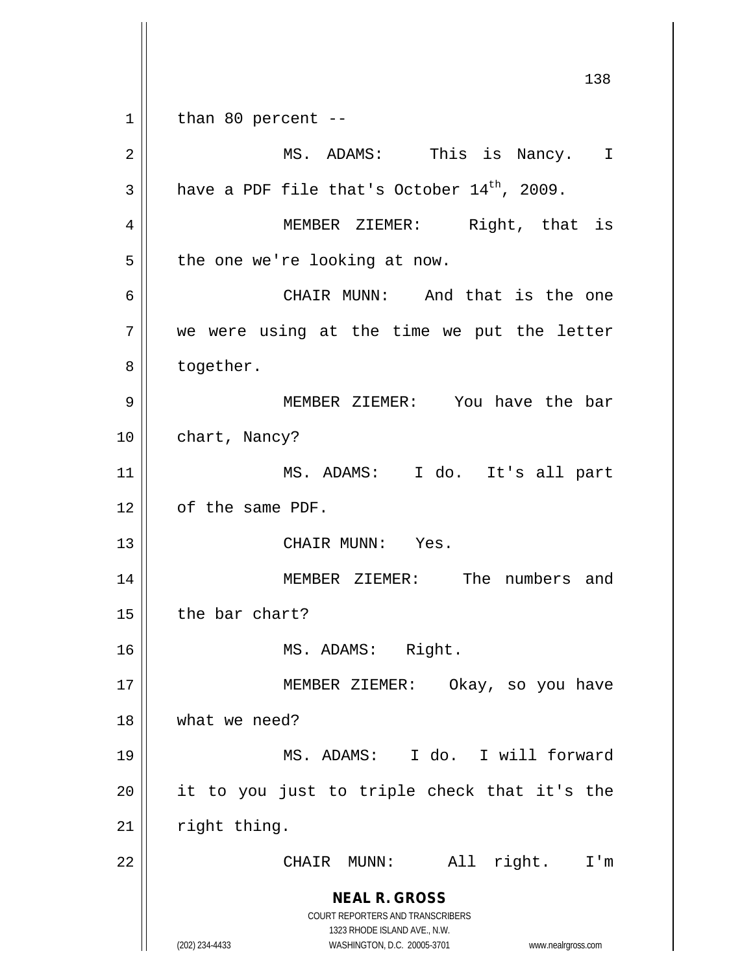**NEAL R. GROSS** COURT REPORTERS AND TRANSCRIBERS 1323 RHODE ISLAND AVE., N.W. (202) 234-4433 WASHINGTON, D.C. 20005-3701 www.nealrgross.com 138  $1 \parallel$  than 80 percent --2 || MS. ADAMS: This is Nancy. I  $3 \parallel$  have a PDF file that's October 14<sup>th</sup>, 2009. 4 MEMBER ZIEMER: Right, that is  $5 \parallel$  the one we're looking at now. 6 CHAIR MUNN: And that is the one  $7$  we were using at the time we put the letter 8 | together. 9 MEMBER ZIEMER: You have the bar 10 | chart, Nancy? 11 MS. ADAMS: I do. It's all part 12 | of the same PDF. 13 || CHAIR MUNN: Yes. 14 MEMBER ZIEMER: The numbers and  $15$  | the bar chart? 16 || MS. ADAMS: Right. 17 || MEMBER ZIEMER: Okay, so you have 18 what we need? 19 MS. ADAMS: I do. I will forward  $20$  || it to you just to triple check that it's the  $21$  | right thing. 22 || CHAIR MUNN: All right. I'm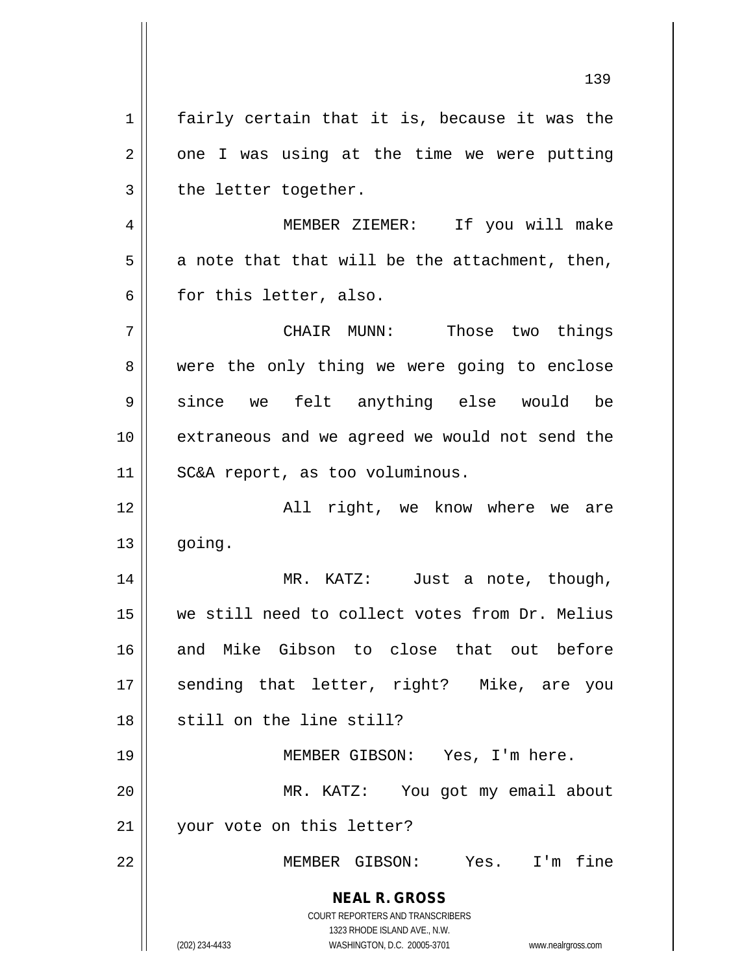$1$  fairly certain that it is, because it was the  $2 \parallel$  one I was using at the time we were putting  $3$  | the letter together.

4 MEMBER ZIEMER: If you will make  $5 \parallel$  a note that that will be the attachment, then,  $6 \parallel$  for this letter, also.

7 CHAIR MUNN: Those two things 8 were the only thing we were going to enclose 9 || since we felt anything else would be 10 extraneous and we agreed we would not send the 11 SC&A report, as too voluminous.

12 All right, we know where we are  $13 \parallel$  going.

14 MR. KATZ: Just a note, though, 15 we still need to collect votes from Dr. Melius 16 and Mike Gibson to close that out before 17 || sending that letter, right? Mike, are you 18 || still on the line still?

19 || MEMBER GIBSON: Yes, I'm here. 20 MR. KATZ: You got my email about

21 | vour vote on this letter?

22 MEMBER GIBSON: Yes. I'm fine

**NEAL R. GROSS** COURT REPORTERS AND TRANSCRIBERS 1323 RHODE ISLAND AVE., N.W.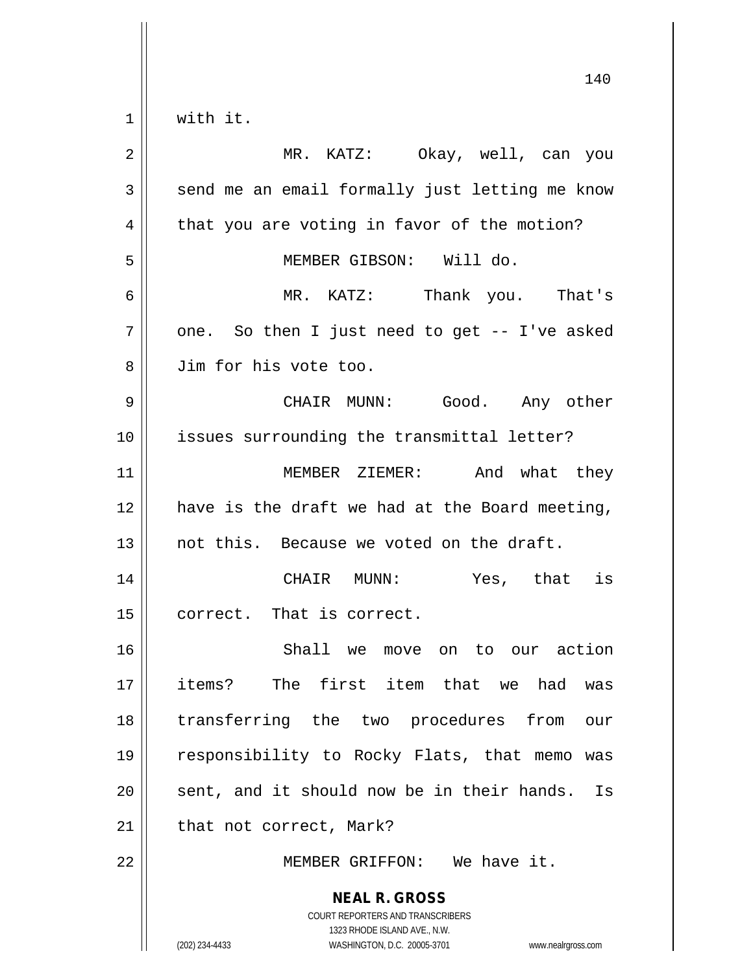$1 \parallel$  with it.

| $\sqrt{2}$     | MR. KATZ: Okay, well, can you                                                                                                                                          |
|----------------|------------------------------------------------------------------------------------------------------------------------------------------------------------------------|
| $\mathfrak{Z}$ | send me an email formally just letting me know                                                                                                                         |
| 4              | that you are voting in favor of the motion?                                                                                                                            |
| 5              | MEMBER GIBSON: Will do.                                                                                                                                                |
| 6              | MR. KATZ: Thank you. That's                                                                                                                                            |
| 7              | one. So then I just need to get -- I've asked                                                                                                                          |
| 8              | Jim for his vote too.                                                                                                                                                  |
| $\mathsf 9$    | CHAIR MUNN: Good. Any other                                                                                                                                            |
| 10             | issues surrounding the transmittal letter?                                                                                                                             |
| 11             | MEMBER ZIEMER: And what they                                                                                                                                           |
| 12             | have is the draft we had at the Board meeting,                                                                                                                         |
| 13             | not this. Because we voted on the draft.                                                                                                                               |
| 14             | CHAIR MUNN: Yes, that is                                                                                                                                               |
| 15             | correct. That is correct.                                                                                                                                              |
| 16             | Shall we move on to our action                                                                                                                                         |
| 17             | The first item that we had was<br>items?                                                                                                                               |
| 18             | transferring the two procedures from<br>our                                                                                                                            |
| 19             | responsibility to Rocky Flats, that memo was                                                                                                                           |
| 20             | sent, and it should now be in their hands.<br>Is                                                                                                                       |
| 21             | that not correct, Mark?                                                                                                                                                |
| 22             | MEMBER GRIFFON: We have it.                                                                                                                                            |
|                | <b>NEAL R. GROSS</b><br><b>COURT REPORTERS AND TRANSCRIBERS</b><br>1323 RHODE ISLAND AVE., N.W.<br>(202) 234-4433<br>WASHINGTON, D.C. 20005-3701<br>www.nealrgross.com |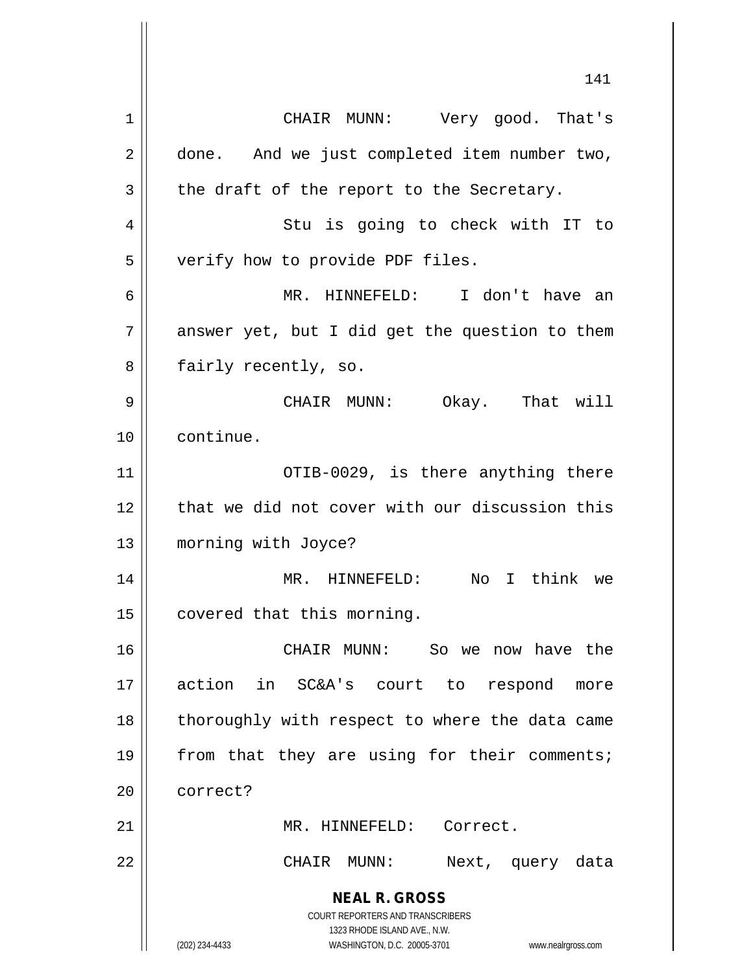**NEAL R. GROSS** COURT REPORTERS AND TRANSCRIBERS 1323 RHODE ISLAND AVE., N.W. (202) 234-4433 WASHINGTON, D.C. 20005-3701 www.nealrgross.com 141 1 | CHAIR MUNN: Very good. That's 2 | done. And we just completed item number two,  $3 \parallel$  the draft of the report to the Secretary. 4 || Stu is going to check with IT to 5 verify how to provide PDF files. 6 MR. HINNEFELD: I don't have an  $7 \parallel$  answer yet, but I did get the question to them 8 || fairly recently, so. 9 CHAIR MUNN: Okay. That will 10 continue. 11 OTIB-0029, is there anything there 12 that we did not cover with our discussion this 13 | morning with Joyce? 14 || MR. HINNEFELD: No I think we 15 | covered that this morning. 16 CHAIR MUNN: So we now have the 17 action in SC&A's court to respond more 18 || thoroughly with respect to where the data came 19 || from that they are using for their comments; 20 correct? 21 || MR. HINNEFELD: Correct. 22 CHAIR MUNN: Next, query data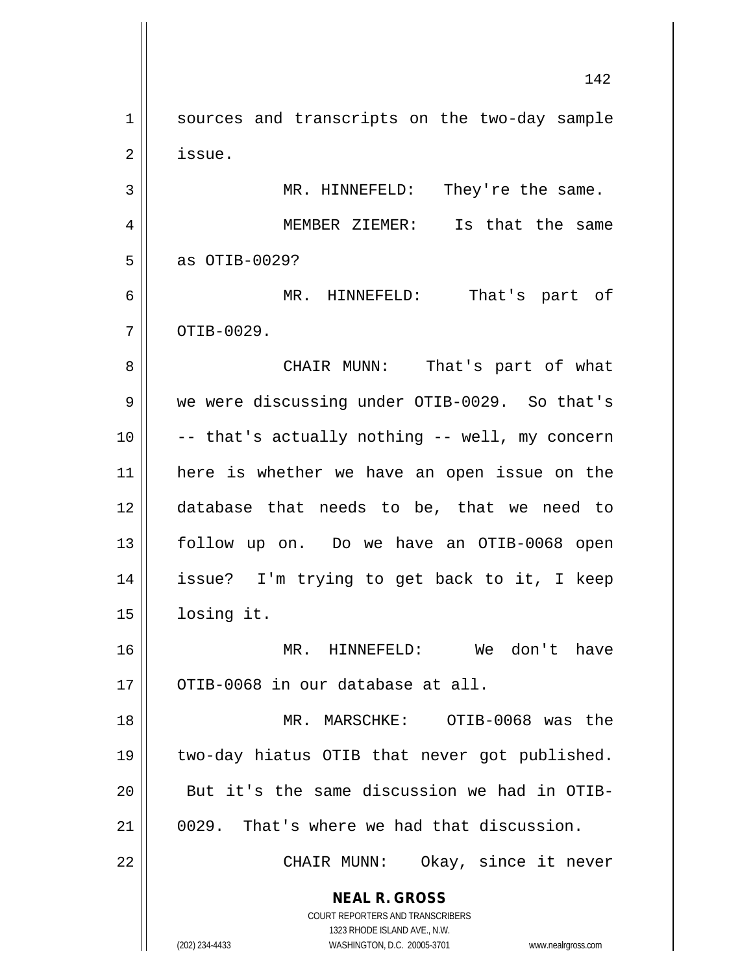**NEAL R. GROSS** COURT REPORTERS AND TRANSCRIBERS 1323 RHODE ISLAND AVE., N.W. (202) 234-4433 WASHINGTON, D.C. 20005-3701 www.nealrgross.com 1 || sources and transcripts on the two-day sample 2 | issue. MR. HINNEFELD: They're the same. MEMBER ZIEMER: Is that the same | as OTIB-0029? MR. HINNEFELD: That's part of  $7 \parallel$  OTIB-0029. CHAIR MUNN: That's part of what 9 | we were discussing under OTIB-0029. So that's  $\vert$  -- that's actually nothing -- well, my concern here is whether we have an open issue on the database that needs to be, that we need to follow up on. Do we have an OTIB-0068 open issue? I'm trying to get back to it, I keep losing it. MR. HINNEFELD: We don't have ||  $0$ TIB-0068 in our database at all. MR. MARSCHKE: OTIB-0068 was the two-day hiatus OTIB that never got published. 20 || But it's the same discussion we had in OTIB- 0029. That's where we had that discussion. CHAIR MUNN: Okay, since it never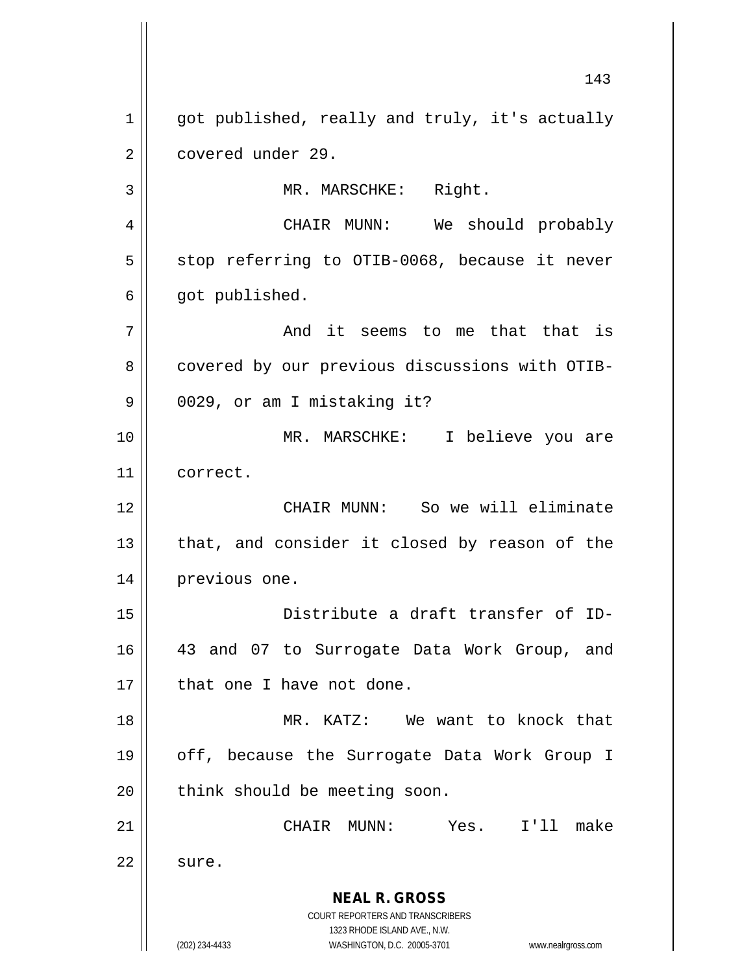**NEAL R. GROSS** COURT REPORTERS AND TRANSCRIBERS 1323 RHODE ISLAND AVE., N.W. (202) 234-4433 WASHINGTON, D.C. 20005-3701 www.nealrgross.com 143 1 | got published, really and truly, it's actually 2 || covered under 29. 3 || MR. MARSCHKE: Right. 4 CHAIR MUNN: We should probably  $5 \parallel$  stop referring to OTIB-0068, because it never  $6 \parallel$  got published. 7 And it seems to me that that is 8 | covered by our previous discussions with OTIB-9 || 0029, or am I mistaking it? 10 MR. MARSCHKE: I believe you are 11 correct. 12 CHAIR MUNN: So we will eliminate  $13$  || that, and consider it closed by reason of the 14 | previous one. 15 Distribute a draft transfer of ID-16 43 and 07 to Surrogate Data Work Group, and 17 || that one I have not done. 18 MR. KATZ: We want to knock that 19 || off, because the Surrogate Data Work Group I  $20$  | think should be meeting soon. 21 CHAIR MUNN: Yes. I'll make  $22 \parallel$  sure.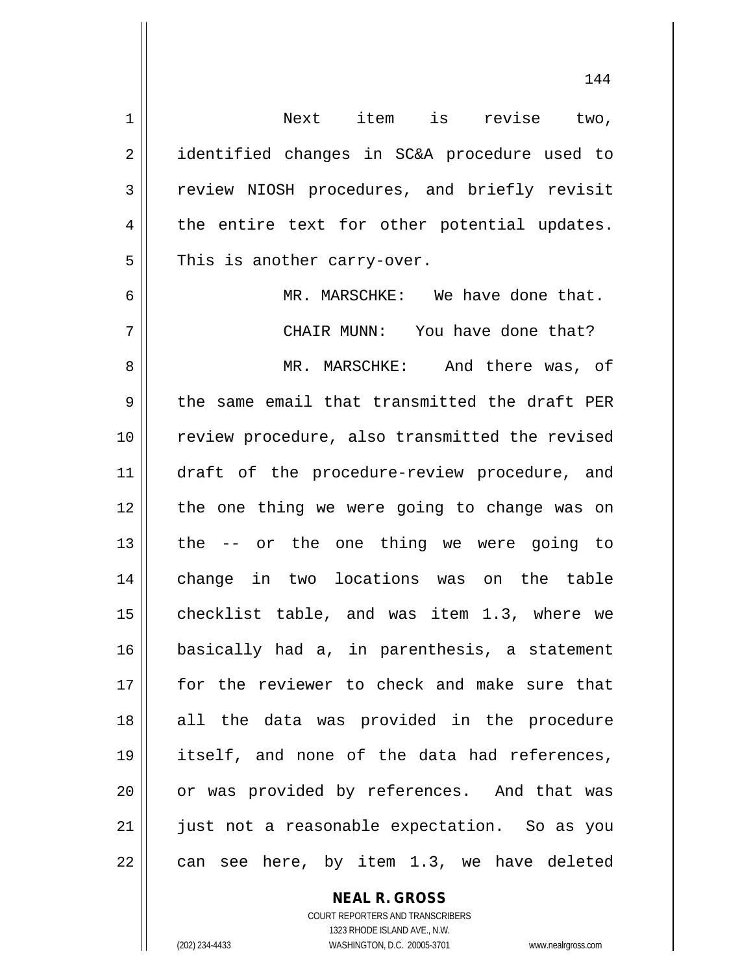1 Next item is revise two, 2 || identified changes in SC&A procedure used to 3 Teview NIOSH procedures, and briefly revisit  $4 \parallel$  the entire text for other potential updates.  $5 \parallel$  This is another carry-over. 6 MR. MARSCHKE: We have done that. 7 CHAIR MUNN: You have done that? 8 MR. MARSCHKE: And there was, of  $9 \parallel$  the same email that transmitted the draft PER 10 || review procedure, also transmitted the revised 11 || draft of the procedure-review procedure, and 12 || the one thing we were going to change was on  $13$  | the  $-$  or the one thing we were going to 14 change in two locations was on the table 15 || checklist table, and was item 1.3, where we 16 basically had a, in parenthesis, a statement 17 for the reviewer to check and make sure that 18 all the data was provided in the procedure 19 itself, and none of the data had references, 20 || or was provided by references. And that was 21 just not a reasonable expectation. So as you  $22 \parallel$  can see here, by item 1.3, we have deleted

> **NEAL R. GROSS** COURT REPORTERS AND TRANSCRIBERS

1323 RHODE ISLAND AVE., N.W. (202) 234-4433 WASHINGTON, D.C. 20005-3701 www.nealrgross.com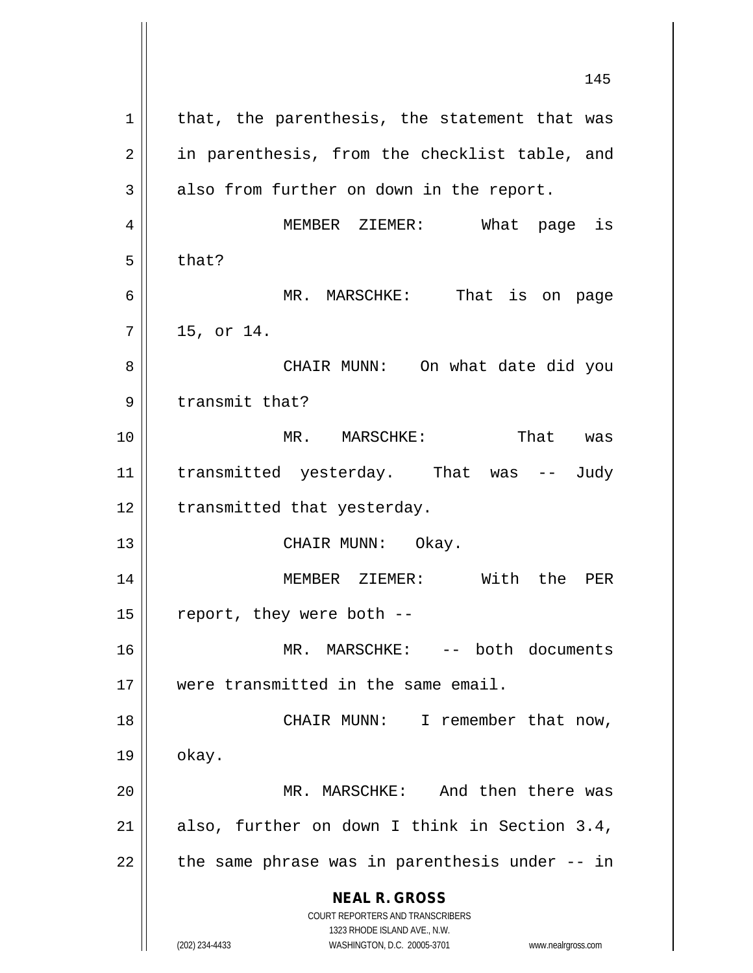**NEAL R. GROSS** COURT REPORTERS AND TRANSCRIBERS 1323 RHODE ISLAND AVE., N.W. (202) 234-4433 WASHINGTON, D.C. 20005-3701 www.nealrgross.com 145  $1$  that, the parenthesis, the statement that was 2 || in parenthesis, from the checklist table, and  $3 \parallel$  also from further on down in the report. 4 MEMBER ZIEMER: What page is  $5 \parallel$  that? 6 MR. MARSCHKE: That is on page  $7|| 15, or 14.$ 8 CHAIR MUNN: On what date did you 9 || transmit that? 10 MR. MARSCHKE: That was 11 || transmitted yesterday. That was -- Judy 12 | transmitted that yesterday. 13 || CHAIR MUNN: Okay. 14 MEMBER ZIEMER: With the PER 15  $\parallel$  report, they were both --16 MR. MARSCHKE: -- both documents 17 were transmitted in the same email. 18 || CHAIR MUNN: I remember that now,  $19 \parallel$  okay. 20 MR. MARSCHKE: And then there was 21 || also, further on down I think in Section  $3.4$ ,  $22$  || the same phrase was in parenthesis under  $-$ - in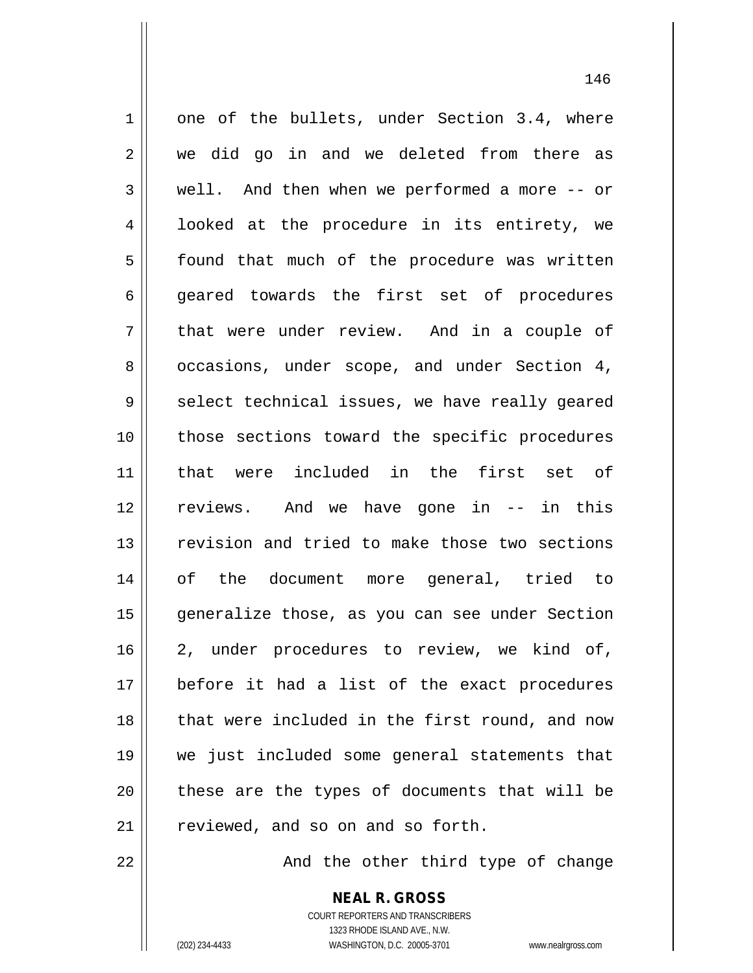$1 \parallel$  one of the bullets, under Section 3.4, where 2 || we did go in and we deleted from there as 3 well. And then when we performed a more -- or 4 || looked at the procedure in its entirety, we 5 | found that much of the procedure was written 6 || geared towards the first set of procedures  $7 \parallel$  that were under review. And in a couple of 8 | occasions, under scope, and under Section 4,  $9 \parallel$  select technical issues, we have really geared 10 those sections toward the specific procedures 11 that were included in the first set of 12 reviews. And we have gone in -- in this 13 || revision and tried to make those two sections 14 of the document more general, tried to 15 generalize those, as you can see under Section 16 2, under procedures to review, we kind of, 17 before it had a list of the exact procedures 18 || that were included in the first round, and now 19 we just included some general statements that  $20$  || these are the types of documents that will be  $21$   $\parallel$  reviewed, and so on and so forth.

22 || And the other third type of change

**NEAL R. GROSS** COURT REPORTERS AND TRANSCRIBERS 1323 RHODE ISLAND AVE., N.W.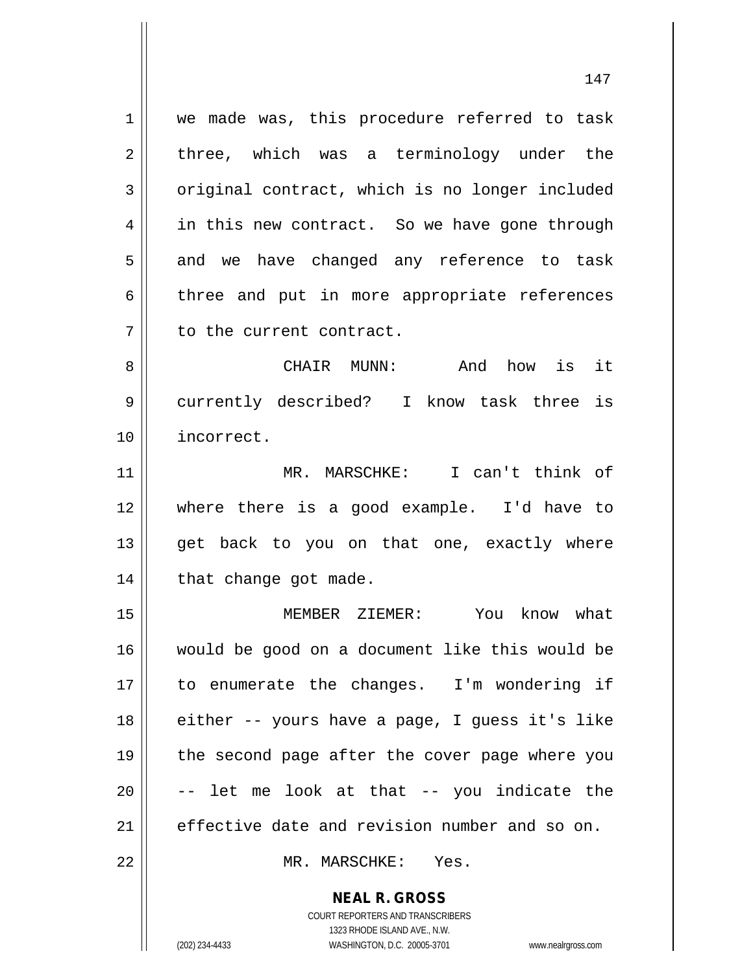1 || we made was, this procedure referred to task  $2 \parallel$  three, which was a terminology under the 3 | original contract, which is no longer included 4 || in this new contract. So we have gone through  $5 \parallel$  and we have changed any reference to task  $6 \parallel$  three and put in more appropriate references 7 || to the current contract.

8 CHAIR MUNN: And how is it 9 currently described? I know task three is 10 incorrect.

11 MR. MARSCHKE: I can't think of 12 where there is a good example. I'd have to 13 || get back to you on that one, exactly where 14 | that change got made.

 MEMBER ZIEMER: You know what would be good on a document like this would be to enumerate the changes. I'm wondering if || either -- yours have a page, I guess it's like 19 || the second page after the cover page where you  $\vert$  -- let me look at that -- you indicate the effective date and revision number and so on.

22 MR. MARSCHKE: Yes.

**NEAL R. GROSS** COURT REPORTERS AND TRANSCRIBERS

1323 RHODE ISLAND AVE., N.W.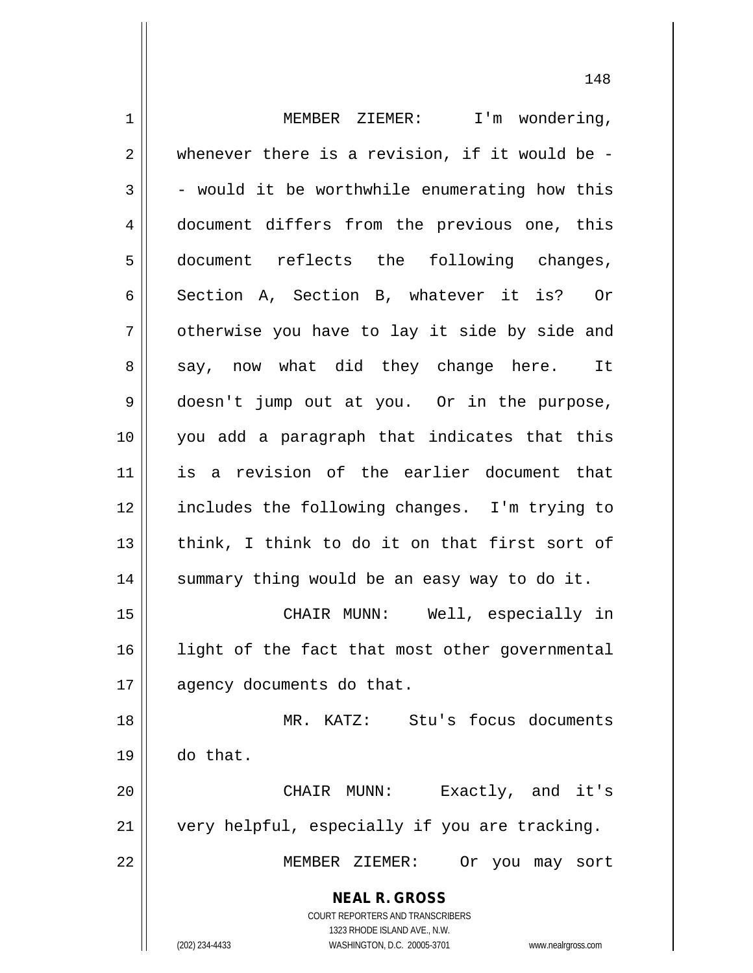**NEAL R. GROSS** COURT REPORTERS AND TRANSCRIBERS 1323 RHODE ISLAND AVE., N.W. (202) 234-4433 WASHINGTON, D.C. 20005-3701 www.nealrgross.com 1 | MEMBER ZIEMER: I'm wondering,  $2 \parallel$  whenever there is a revision, if it would be - $3 \parallel$  - would it be worthwhile enumerating how this 4 || document differs from the previous one, this 5 document reflects the following changes, 6 Section A, Section B, whatever it is? Or  $7 \parallel$  otherwise you have to lay it side by side and 8 || say, now what did they change here. It 9 doesn't jump out at you. Or in the purpose, 10 you add a paragraph that indicates that this 11 is a revision of the earlier document that 12 || includes the following changes. I'm trying to 13 || think, I think to do it on that first sort of 14 || summary thing would be an easy way to do it. 15 CHAIR MUNN: Well, especially in 16 || light of the fact that most other governmental 17 | agency documents do that. 18 MR. KATZ: Stu's focus documents 19 do that. 20 CHAIR MUNN: Exactly, and it's 21 || very helpful, especially if you are tracking. 22 MEMBER ZIEMER: Or you may sort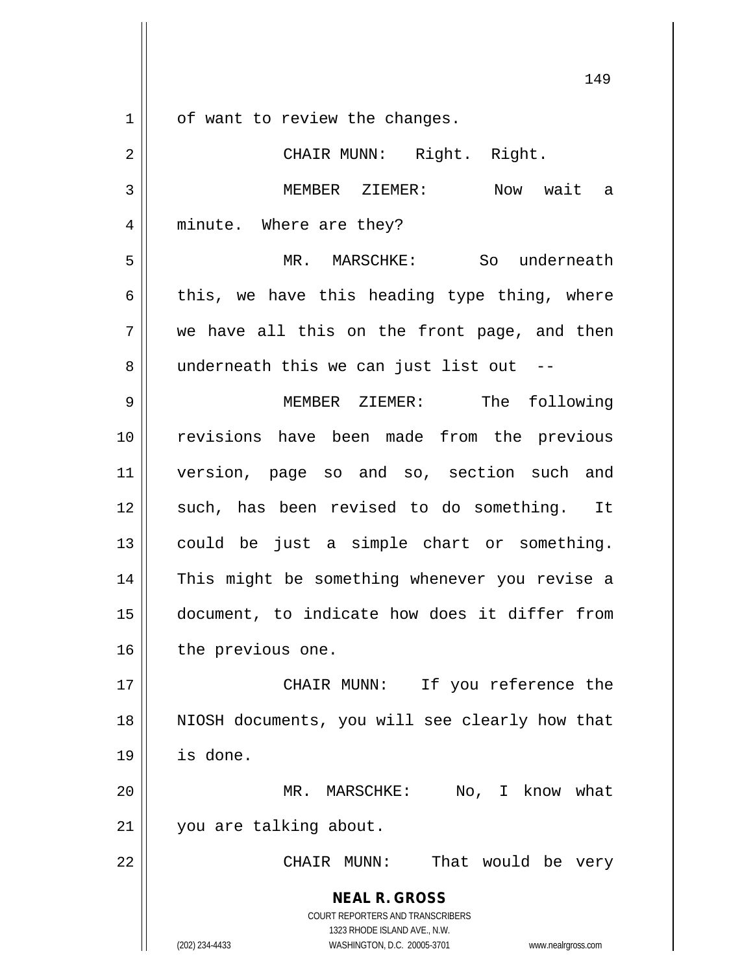**NEAL R. GROSS** COURT REPORTERS AND TRANSCRIBERS 1 | of want to review the changes. 2 || CHAIR MUNN: Right. Right. 3 MEMBER ZIEMER: Now wait a 4 || minute. Where are they? 5 MR. MARSCHKE: So underneath 6 this, we have this heading type thing, where  $7 \parallel$  we have all this on the front page, and then 8 || underneath this we can just list out --9 MEMBER ZIEMER: The following 10 || revisions have been made from the previous 11 version, page so and so, section such and 12 such, has been revised to do something. It 13 could be just a simple chart or something. 14 || This might be something whenever you revise a 15 document, to indicate how does it differ from 16 | the previous one. 17 || CHAIR MUNN: If you reference the 18 NIOSH documents, you will see clearly how that 19 is done. 20 MR. MARSCHKE: No, I know what 21 you are talking about. 22 CHAIR MUNN: That would be very

> 1323 RHODE ISLAND AVE., N.W. (202) 234-4433 WASHINGTON, D.C. 20005-3701 www.nealrgross.com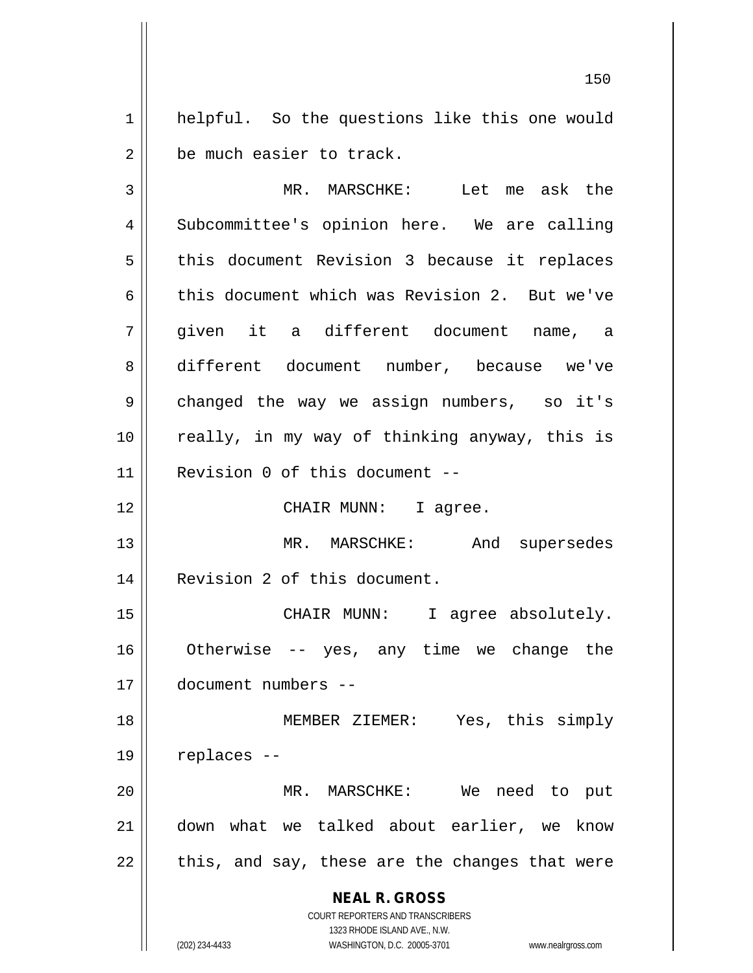1 || helpful. So the questions like this one would 2 | be much easier to track.

**NEAL R. GROSS** COURT REPORTERS AND TRANSCRIBERS 1323 RHODE ISLAND AVE., N.W. (202) 234-4433 WASHINGTON, D.C. 20005-3701 www.nealrgross.com 3 MR. MARSCHKE: Let me ask the 4 Subcommittee's opinion here. We are calling  $5 \parallel$  this document Revision 3 because it replaces 6 this document which was Revision 2. But we've 7 given it a different document name, a 8 different document number, because we've 9 || changed the way we assign numbers, so it's 10 || really, in my way of thinking anyway, this is 11 Revision 0 of this document -- 12 || CHAIR MUNN: I agree. 13 MR. MARSCHKE: And supersedes 14 Revision 2 of this document. 15 || CHAIR MUNN: I agree absolutely. 16 Otherwise -- yes, any time we change the 17 document numbers -- 18 MEMBER ZIEMER: Yes, this simply  $19 \parallel$  replaces --20 MR. MARSCHKE: We need to put 21 down what we talked about earlier, we know  $22$  || this, and say, these are the changes that were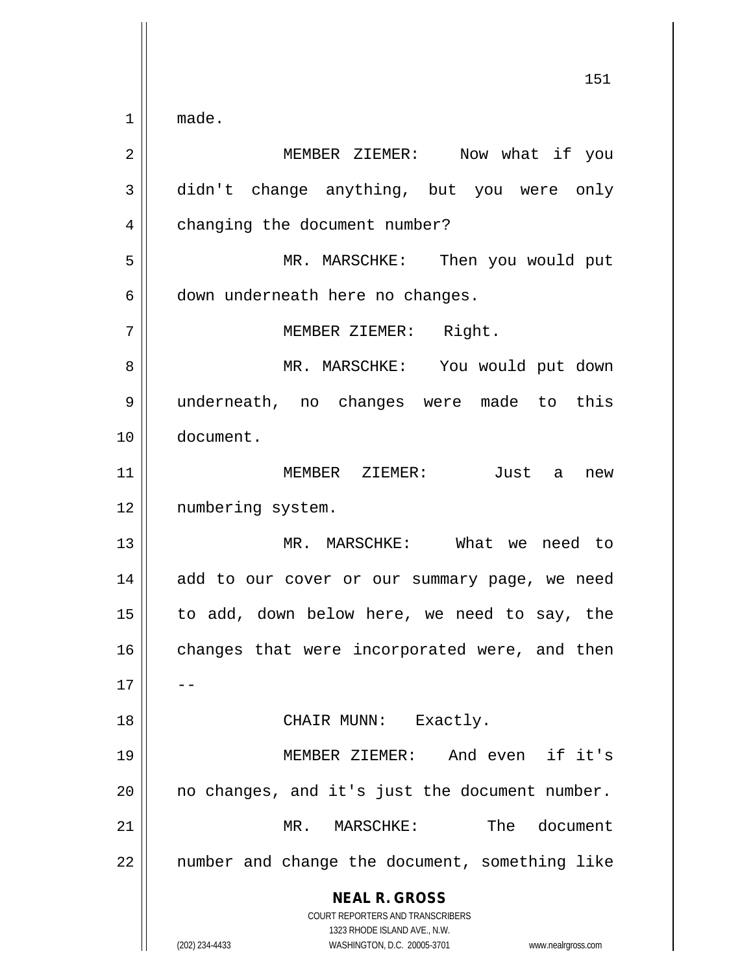**NEAL R. GROSS** COURT REPORTERS AND TRANSCRIBERS  $1 \parallel$  made. MEMBER ZIEMER: Now what if you didn't change anything, but you were only 4 | changing the document number? MR. MARSCHKE: Then you would put | down underneath here no changes. MEMBER ZIEMER: Right. MR. MARSCHKE: You would put down underneath, no changes were made to this document. MEMBER ZIEMER: Just a new 12 || numbering system. MR. MARSCHKE: What we need to 14 || add to our cover or our summary page, we need to add, down below here, we need to say, the changes that were incorporated were, and then 18 || CHAIR MUNN: Exactly. MEMBER ZIEMER: And even if it's | no changes, and it's just the document number. MR. MARSCHKE: The document || number and change the document, something like

1323 RHODE ISLAND AVE., N.W.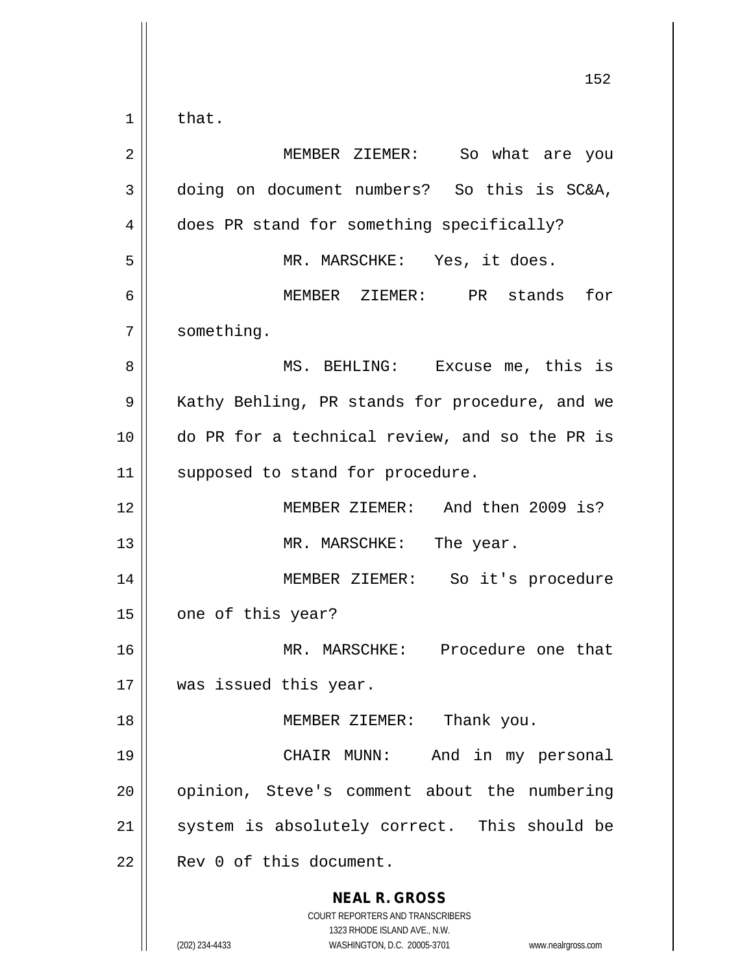|             | 152                                                                                                 |
|-------------|-----------------------------------------------------------------------------------------------------|
| $\mathbf 1$ | that.                                                                                               |
| 2           | MEMBER ZIEMER: So what are you                                                                      |
| 3           | doing on document numbers? So this is SC&A,                                                         |
| 4           | does PR stand for something specifically?                                                           |
| 5           | MR. MARSCHKE: Yes, it does.                                                                         |
| 6           | MEMBER ZIEMER: PR stands for                                                                        |
| 7           | something.                                                                                          |
| 8           | MS. BEHLING: Excuse me, this is                                                                     |
| 9           | Kathy Behling, PR stands for procedure, and we                                                      |
| 10          | do PR for a technical review, and so the PR is                                                      |
| 11          | supposed to stand for procedure.                                                                    |
| 12          | MEMBER ZIEMER: And then 2009 is?                                                                    |
| 13          | MR. MARSCHKE: The year.                                                                             |
| 14          | MEMBER ZIEMER: So it's procedure                                                                    |
| 15          | one of this year?                                                                                   |
| 16          | MR. MARSCHKE: Procedure one that                                                                    |
| 17          | was issued this year.                                                                               |
| 18          | MEMBER ZIEMER: Thank you.                                                                           |
| 19          | And in my personal<br>CHAIR MUNN:                                                                   |
| 20          | opinion, Steve's comment about the numbering                                                        |
| 21          | system is absolutely correct. This should be                                                        |
| 22          | Rev 0 of this document.                                                                             |
|             | <b>NEAL R. GROSS</b><br>COURT REPORTERS AND TRANSCRIBERS                                            |
|             | 1323 RHODE ISLAND AVE., N.W.<br>(202) 234-4433<br>WASHINGTON, D.C. 20005-3701<br>www.nealrgross.com |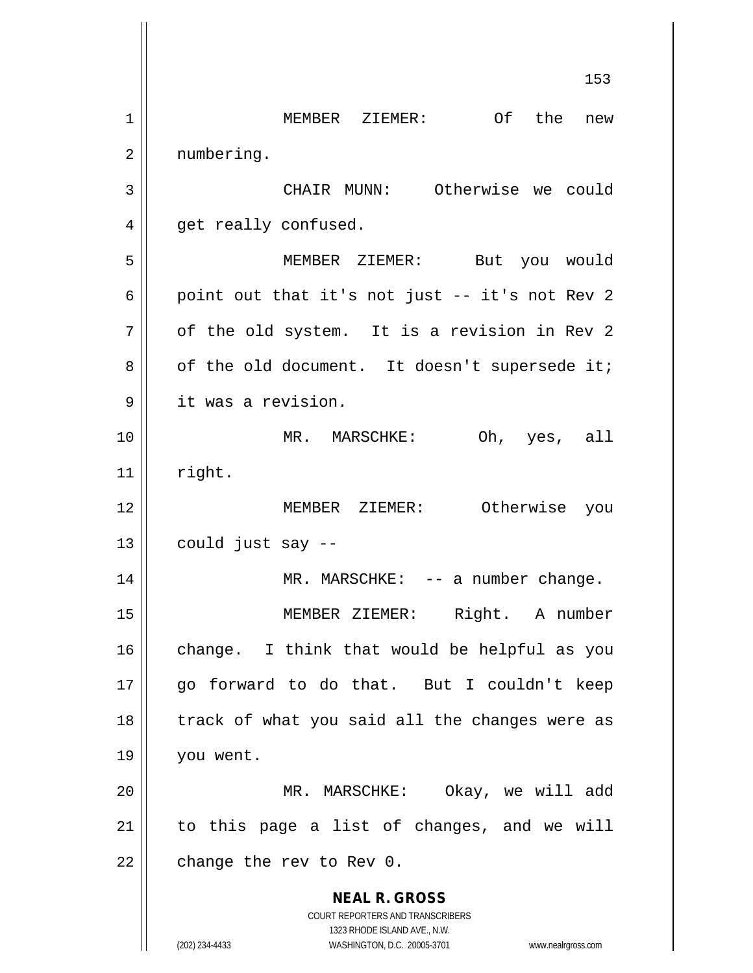**NEAL R. GROSS** COURT REPORTERS AND TRANSCRIBERS 1323 RHODE ISLAND AVE., N.W. (202) 234-4433 WASHINGTON, D.C. 20005-3701 www.nealrgross.com 153 1 || MEMBER ZIEMER: Of the new 2 | numbering. 3 || CHAIR MUNN: Otherwise we could 4 | get really confused. 5 MEMBER ZIEMER: But you would 6 | point out that it's not just  $-$  it's not Rev 2  $7 \parallel$  of the old system. It is a revision in Rev 2  $8 \parallel$  of the old document. It doesn't supersede it; 9 || it was a revision. 10 MR. MARSCHKE: Oh, yes, all  $11$  right. 12 MEMBER ZIEMER: Otherwise you  $13 \parallel$  could just say  $-$ 14 || MR. MARSCHKE: -- a number change. 15 MEMBER ZIEMER: Right. A number  $16$  change. I think that would be helpful as you 17 go forward to do that. But I couldn't keep  $18$  || track of what you said all the changes were as 19 you went. 20 MR. MARSCHKE: Okay, we will add  $21$  to this page a list of changes, and we will  $22$  | change the rev to Rev 0.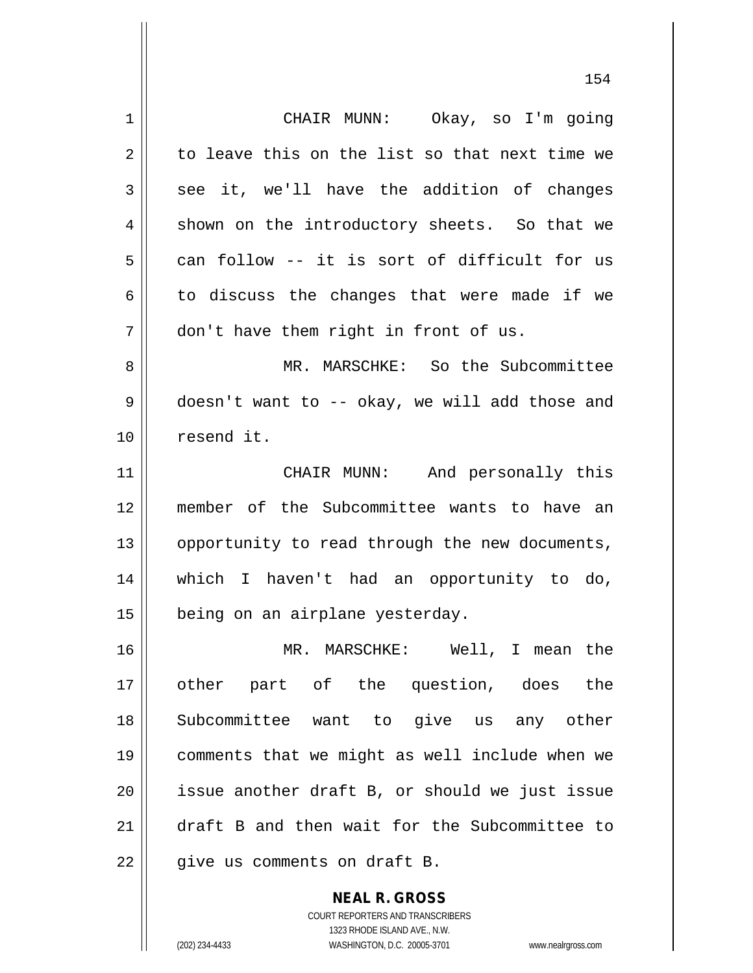1 CHAIR MUNN: Okay, so I'm going  $2 \parallel$  to leave this on the list so that next time we  $3 \parallel$  see it, we'll have the addition of changes  $4 \parallel$  shown on the introductory sheets. So that we  $5 \parallel$  can follow -- it is sort of difficult for us  $6 \parallel$  to discuss the changes that were made if we  $7 \parallel$  don't have them right in front of us. 8 MR. MARSCHKE: So the Subcommittee 9 doesn't want to -- okay, we will add those and 10 resend it. 11 || CHAIR MUNN: And personally this 12 member of the Subcommittee wants to have an 13 | opportunity to read through the new documents, 14 which I haven't had an opportunity to do, 15 | being on an airplane yesterday. 16 MR. MARSCHKE: Well, I mean the 17 other part of the question, does the 18 Subcommittee want to give us any other 19 comments that we might as well include when we 20 || issue another draft B, or should we just issue 21 draft B and then wait for the Subcommittee to  $22$  | give us comments on draft B.

> COURT REPORTERS AND TRANSCRIBERS 1323 RHODE ISLAND AVE., N.W. (202) 234-4433 WASHINGTON, D.C. 20005-3701 www.nealrgross.com

**NEAL R. GROSS**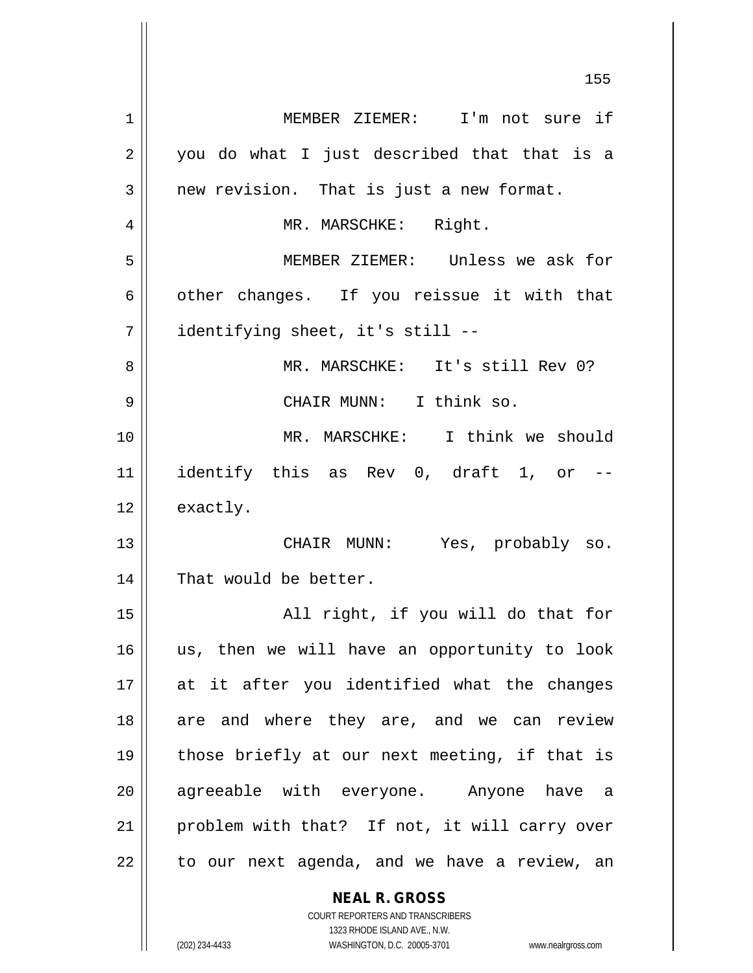**NEAL R. GROSS** 155 1 MEMBER ZIEMER: I'm not sure if  $2 \parallel$  you do what I just described that that is a  $3 \parallel$  new revision. That is just a new format. 4 || MR. MARSCHKE: Right. 5 MEMBER ZIEMER: Unless we ask for  $6 \parallel$  other changes. If you reissue it with that 7 identifying sheet, it's still -- 8 MR. MARSCHKE: It's still Rev 0? 9 CHAIR MUNN: I think so. 10 MR. MARSCHKE: I think we should 11 || identify this as Rev 0, draft 1, or --12 | exactly. 13 CHAIR MUNN: Yes, probably so. 14 || That would be better. 15 || All right, if you will do that for 16 us, then we will have an opportunity to look 17 at it after you identified what the changes 18 are and where they are, and we can review 19 those briefly at our next meeting, if that is 20 || agreeable with everyone. Anyone have a 21 || problem with that? If not, it will carry over  $22$  | to our next agenda, and we have a review, an

1323 RHODE ISLAND AVE., N.W. (202) 234-4433 WASHINGTON, D.C. 20005-3701 www.nealrgross.com

COURT REPORTERS AND TRANSCRIBERS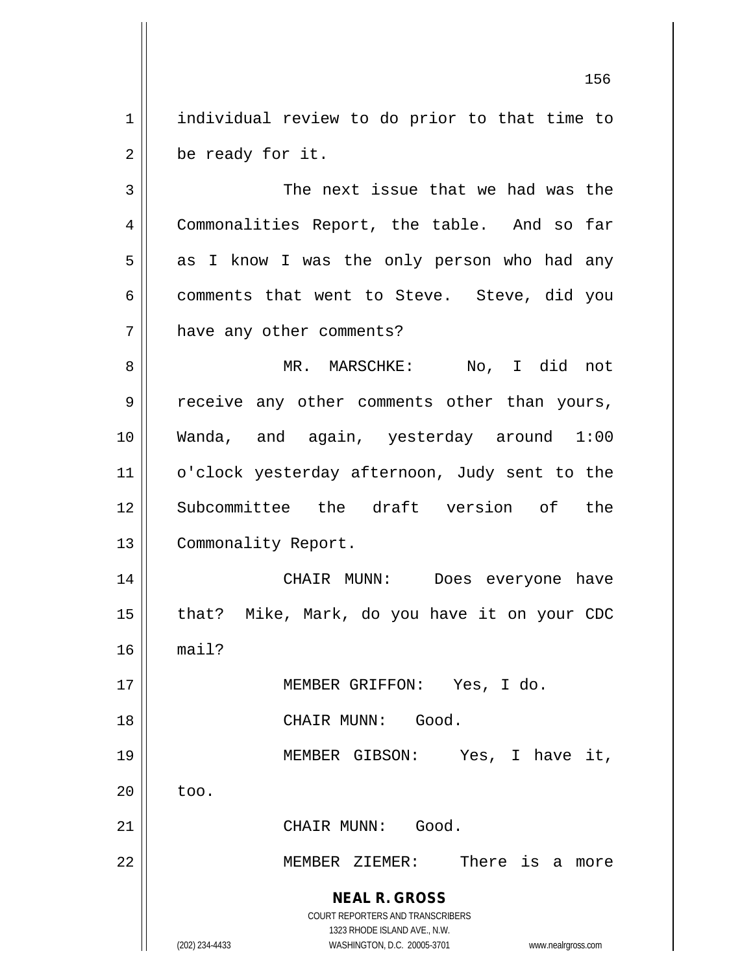1 | individual review to do prior to that time to  $2 \parallel$  be ready for it.

**NEAL R. GROSS** COURT REPORTERS AND TRANSCRIBERS 3 || The next issue that we had was the 4 Commonalities Report, the table. And so far 5 || as I know I was the only person who had any  $6 \parallel$  comments that went to Steve. Steve, did you 7 | have any other comments? 8 MR. MARSCHKE: No, I did not 9 || receive any other comments other than yours, 10 Wanda, and again, yesterday around 1:00 11 | o'clock yesterday afternoon, Judy sent to the 12 Subcommittee the draft version of the 13 | Commonality Report. 14 CHAIR MUNN: Does everyone have 15 || that? Mike, Mark, do you have it on your CDC  $16$  mail? 17 MEMBER GRIFFON: Yes, I do. 18 CHAIR MUNN: Good. 19 || MEMBER GIBSON: Yes, I have it,  $20 \parallel$  too. 21 | CHAIR MUNN: Good. 22 MEMBER ZIEMER: There is a more

> 1323 RHODE ISLAND AVE., N.W. (202) 234-4433 WASHINGTON, D.C. 20005-3701 www.nealrgross.com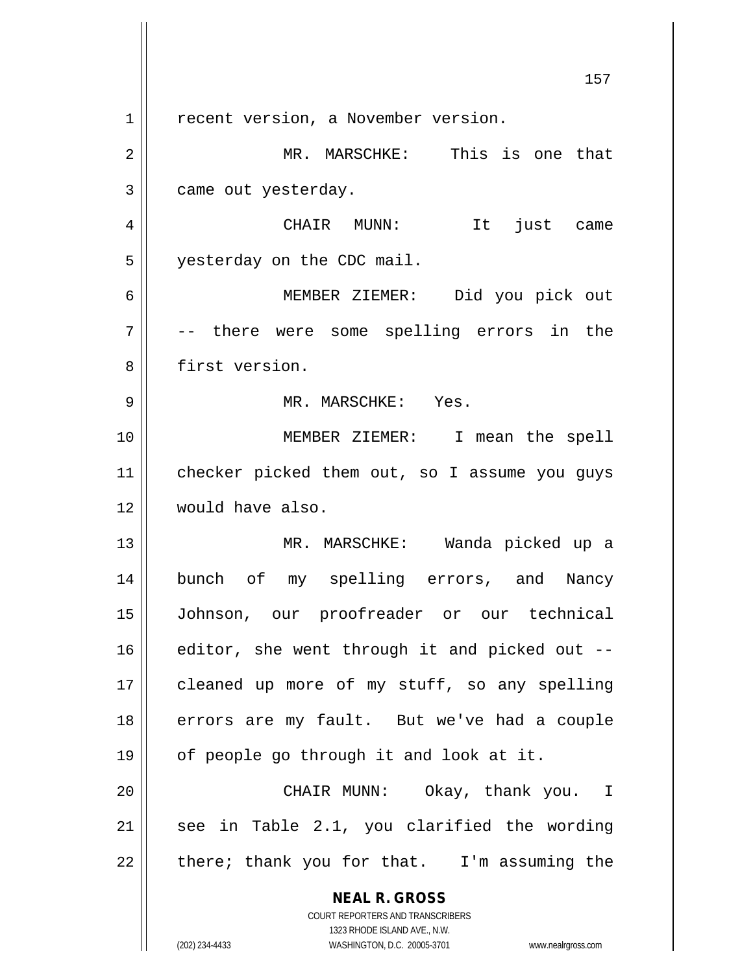**NEAL R. GROSS** COURT REPORTERS AND TRANSCRIBERS 1323 RHODE ISLAND AVE., N.W. 157 1 | recent version, a November version. 2 MR. MARSCHKE: This is one that 3 | came out yesterday. 4 CHAIR MUNN: It just came 5 yesterday on the CDC mail. 6 MEMBER ZIEMER: Did you pick out 7 -- there were some spelling errors in the 8 || first version. 9 MR. MARSCHKE: Yes. 10 MEMBER ZIEMER: I mean the spell 11 | checker picked them out, so I assume you guys 12 would have also. 13 || MR. MARSCHKE: Wanda picked up a 14 bunch of my spelling errors, and Nancy 15 Johnson, our proofreader or our technical  $16$  editor, she went through it and picked out  $-$ 17 || cleaned up more of my stuff, so any spelling 18 || errors are my fault. But we've had a couple 19 | of people go through it and look at it. 20 CHAIR MUNN: Okay, thank you. I  $21$  see in Table 2.1, you clarified the wording  $22$  | there; thank you for that. I'm assuming the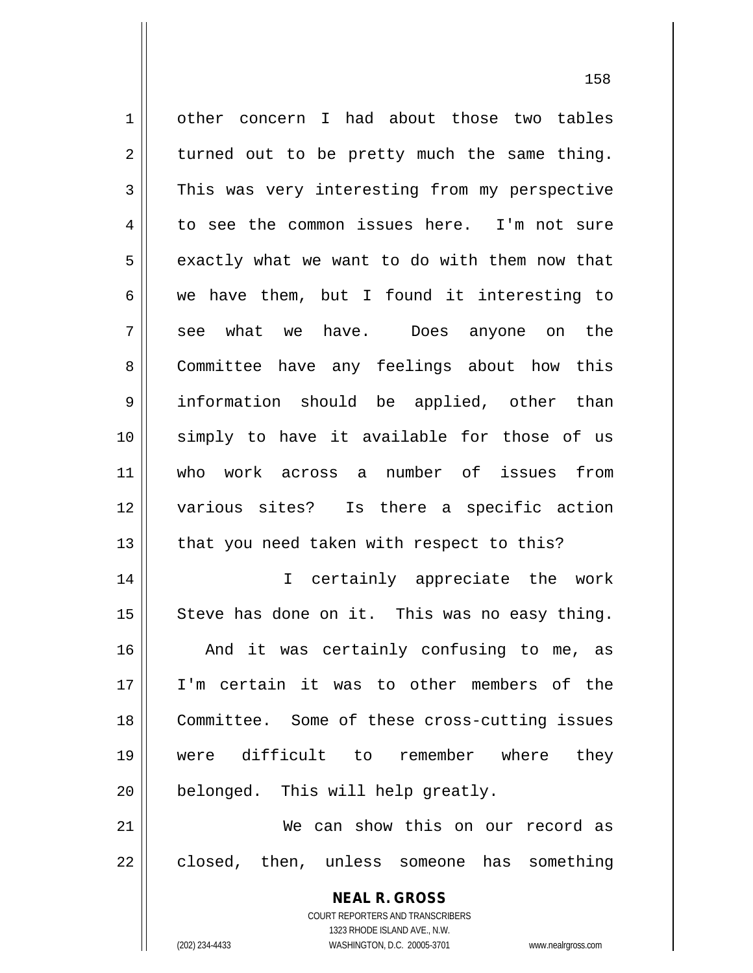| $\mathbf 1$ | other concern I had about those two tables               |
|-------------|----------------------------------------------------------|
| 2           | turned out to be pretty much the same thing.             |
| 3           | This was very interesting from my perspective            |
| 4           | to see the common issues here. I'm not sure              |
| 5           | exactly what we want to do with them now that            |
| 6           | we have them, but I found it interesting to              |
| 7           | see what we have. Does anyone on the                     |
| 8           | Committee have any feelings about how this               |
| 9           | information should be applied, other than                |
| 10          | simply to have it available for those of us              |
| 11          | who work across a number of issues<br>from               |
| 12          | various sites? Is there a specific action                |
| 13          | that you need taken with respect to this?                |
| 14          | I certainly appreciate the work                          |
| 15          | Steve has done on it. This was no easy thing.            |
| 16          | And it was certainly confusing to me, as                 |
| 17          | I'm certain it was to other members of the               |
| 18          | Committee. Some of these cross-cutting issues            |
| 19          | were difficult to remember where they                    |
| 20          | belonged. This will help greatly.                        |
| 21          | We can show this on our record as                        |
| 22          | closed, then, unless someone has something               |
|             | <b>NEAL R. GROSS</b><br>COURT REPORTERS AND TRANSCRIBERS |

1323 RHODE ISLAND AVE., N.W.

 $\prod$ 

(202) 234-4433 WASHINGTON, D.C. 20005-3701 www.nealrgross.com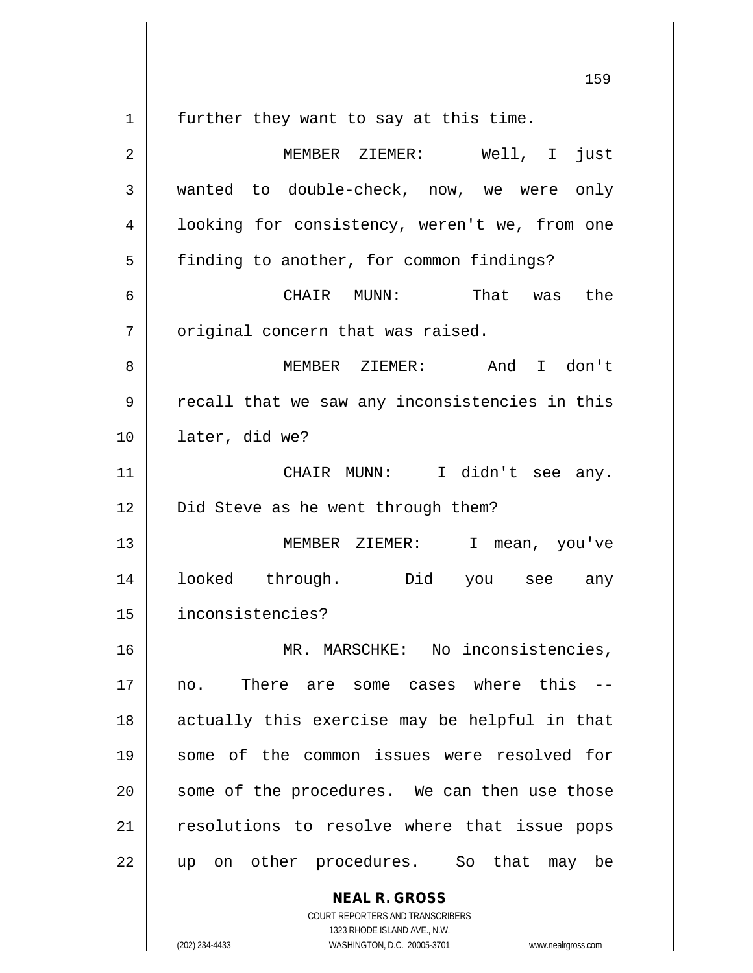**NEAL R. GROSS**  $1 \parallel$  further they want to say at this time. 2 MEMBER ZIEMER: Well, I just 3 wanted to double-check, now, we were only 4 | looking for consistency, weren't we, from one 5 | finding to another, for common findings? 6 CHAIR MUNN: That was the  $7$  | original concern that was raised. 8 MEMBER ZIEMER: And I don't 9 || recall that we saw any inconsistencies in this 10 later, did we? 11 CHAIR MUNN: I didn't see any. 12 || Did Steve as he went through them? 13 MEMBER ZIEMER: I mean, you've 14 looked through. Did you see any 15 inconsistencies? 16 || MR. MARSCHKE: No inconsistencies, 17 no. There are some cases where this -- 18 || actually this exercise may be helpful in that 19 some of the common issues were resolved for 20 || some of the procedures. We can then use those 21 || resolutions to resolve where that issue pops 22 || up on other procedures. So that may be

> COURT REPORTERS AND TRANSCRIBERS 1323 RHODE ISLAND AVE., N.W.

(202) 234-4433 WASHINGTON, D.C. 20005-3701 www.nealrgross.com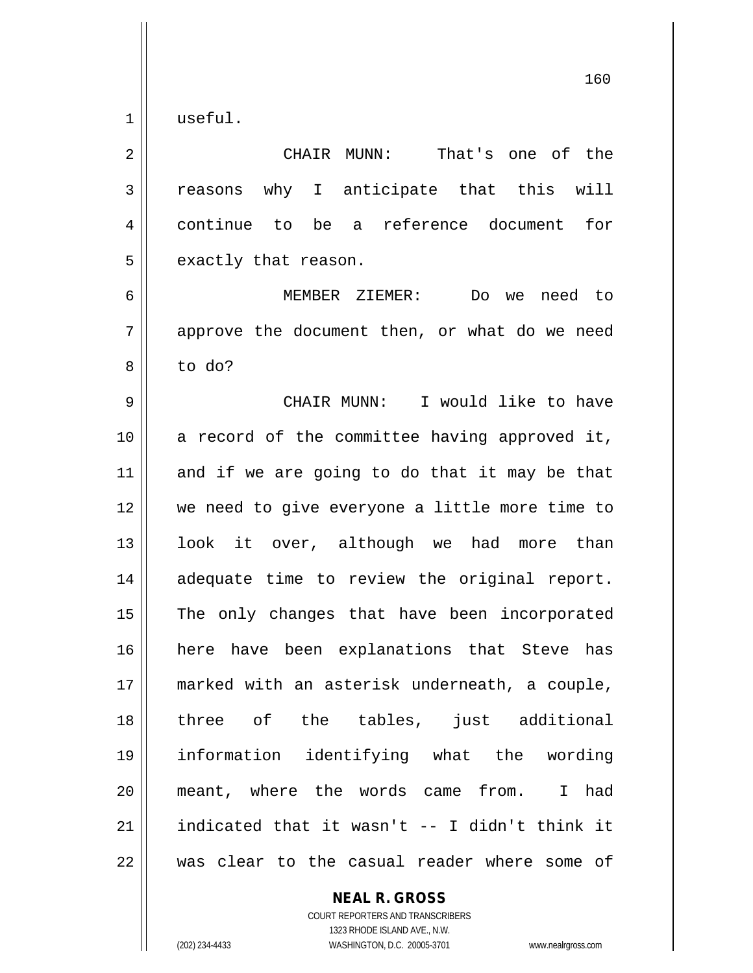$1 \parallel$  useful.

| $\overline{2}$ | CHAIR MUNN:<br>That's one of the                         |
|----------------|----------------------------------------------------------|
| 3              | reasons why I anticipate that this will                  |
| 4              | continue to<br>be a reference document<br>for            |
| 5              | exactly that reason.                                     |
| 6              | MEMBER ZIEMER:<br>Do we need to                          |
| 7              | approve the document then, or what do we need            |
| 8              | to do?                                                   |
| $\mathsf 9$    | CHAIR MUNN: I would like to have                         |
| 10             | a record of the committee having approved it,            |
| 11             | and if we are going to do that it may be that            |
| 12             | we need to give everyone a little more time to           |
| 13             | look it over, although we had more than                  |
| 14             | adequate time to review the original report.             |
| 15             | The only changes that have been incorporated             |
| 16             | here have been explanations that Steve has               |
| 17             | marked with an asterisk underneath, a couple,            |
| 18             | three of the tables, just additional                     |
| 19             | information identifying what the wording                 |
| 20             | meant, where the words came from.<br>had<br>$\mathbf{I}$ |
| $21\,$         | indicated that it wasn't -- I didn't think it            |
| 22             | was clear to the casual reader where some of             |

**NEAL R. GROSS** COURT REPORTERS AND TRANSCRIBERS 1323 RHODE ISLAND AVE., N.W.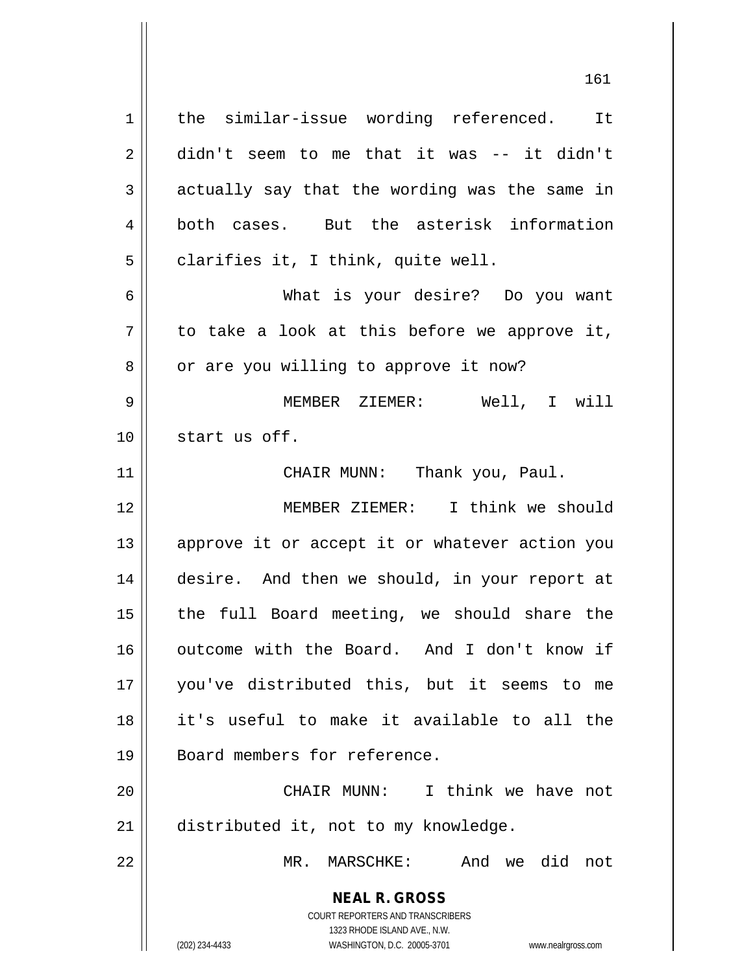1 || the similar-issue wording referenced. It 2 didn't seem to me that it was -- it didn't  $3 \parallel$  actually say that the wording was the same in 4 both cases. But the asterisk information  $5 \parallel$  clarifies it, I think, quite well.

6 What is your desire? Do you want  $7 \parallel$  to take a look at this before we approve it, 8 | or are you willing to approve it now?

9 MEMBER ZIEMER: Well, I will 10 start us off.

11 || CHAIR MUNN: Thank you, Paul.

12 MEMBER ZIEMER: I think we should 13 || approve it or accept it or whatever action you 14 desire. And then we should, in your report at 15 || the full Board meeting, we should share the 16 || outcome with the Board. And I don't know if 17 you've distributed this, but it seems to me 18 it's useful to make it available to all the 19 || Board members for reference.

20 CHAIR MUNN: I think we have not 21 | distributed it, not to my knowledge.

22 MR. MARSCHKE: And we did not

**NEAL R. GROSS** COURT REPORTERS AND TRANSCRIBERS 1323 RHODE ISLAND AVE., N.W.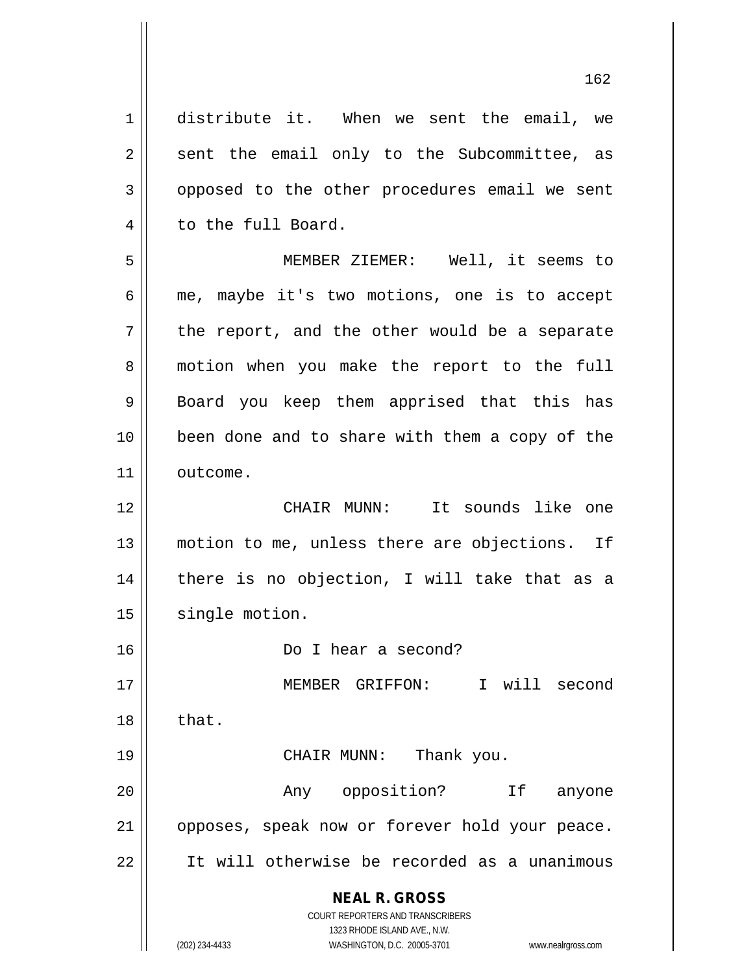**NEAL R. GROSS** COURT REPORTERS AND TRANSCRIBERS 1323 RHODE ISLAND AVE., N.W. (202) 234-4433 WASHINGTON, D.C. 20005-3701 www.nealrgross.com 1 distribute it. When we sent the email, we  $2 \parallel$  sent the email only to the Subcommittee, as 3 | opposed to the other procedures email we sent 4 | to the full Board. 5 MEMBER ZIEMER: Well, it seems to  $6 \parallel$  me, maybe it's two motions, one is to accept  $7 \parallel$  the report, and the other would be a separate 8 || motion when you make the report to the full 9 || Board you keep them apprised that this has 10 || been done and to share with them a copy of the 11 | outcome. 12 CHAIR MUNN: It sounds like one 13 || motion to me, unless there are objections. If  $14$  | there is no objection, I will take that as a 15 | single motion. 16 Do I hear a second? 17 MEMBER GRIFFON: I will second  $18 \parallel$  that. 19 CHAIR MUNN: Thank you. 20 || The Communist Communist Communist Communist Communist Communist Communist Communist Communist Communist Communist Communist Communist Communist Communist Communist Communist Communist Communist Communist Communist Co 21 || opposes, speak now or forever hold your peace. 22 It will otherwise be recorded as a unanimous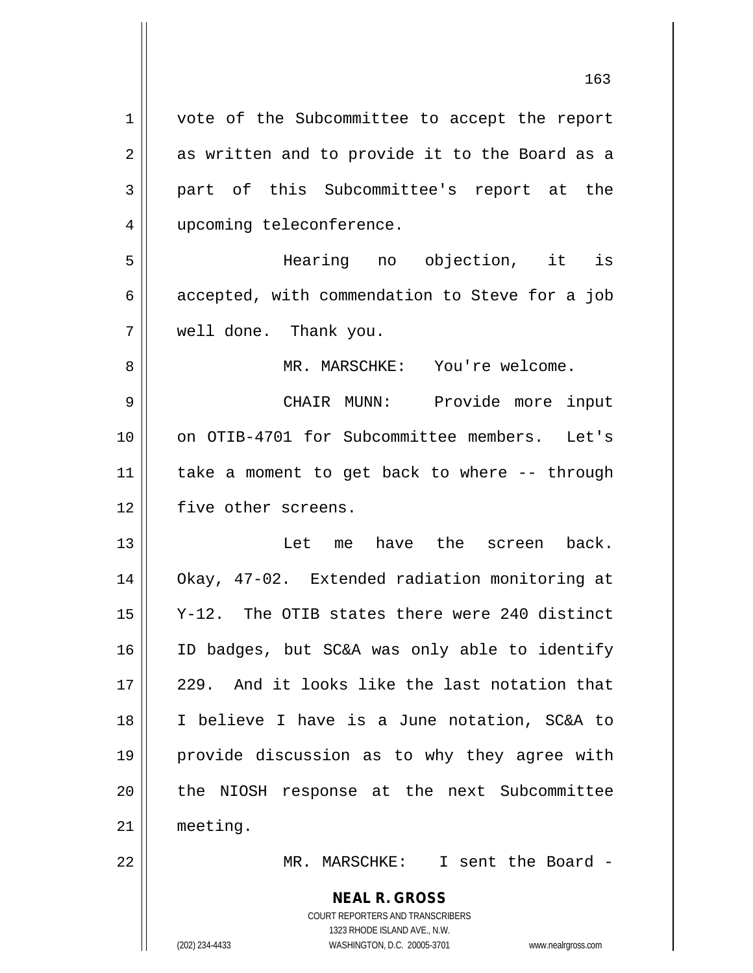**NEAL R. GROSS** COURT REPORTERS AND TRANSCRIBERS 1 || vote of the Subcommittee to accept the report  $2 \parallel$  as written and to provide it to the Board as a part of this Subcommittee's report at the 4 | upcoming teleconference. Hearing no objection, it is  $6 \parallel$  accepted, with commendation to Steve for a job well done. Thank you. MR. MARSCHKE: You're welcome. CHAIR MUNN: Provide more input on OTIB-4701 for Subcommittee members. Let's  $\parallel$  take a moment to get back to where -- through 12 | five other screens. Let me have the screen back. Okay, 47-02. Extended radiation monitoring at Y-12. The OTIB states there were 240 distinct ID badges, but SC&A was only able to identify  $\parallel$  229. And it looks like the last notation that I believe I have is a June notation, SC&A to provide discussion as to why they agree with 20 || the NIOSH response at the next Subcommittee meeting. MR. MARSCHKE: I sent the Board -

1323 RHODE ISLAND AVE., N.W.

(202) 234-4433 WASHINGTON, D.C. 20005-3701 www.nealrgross.com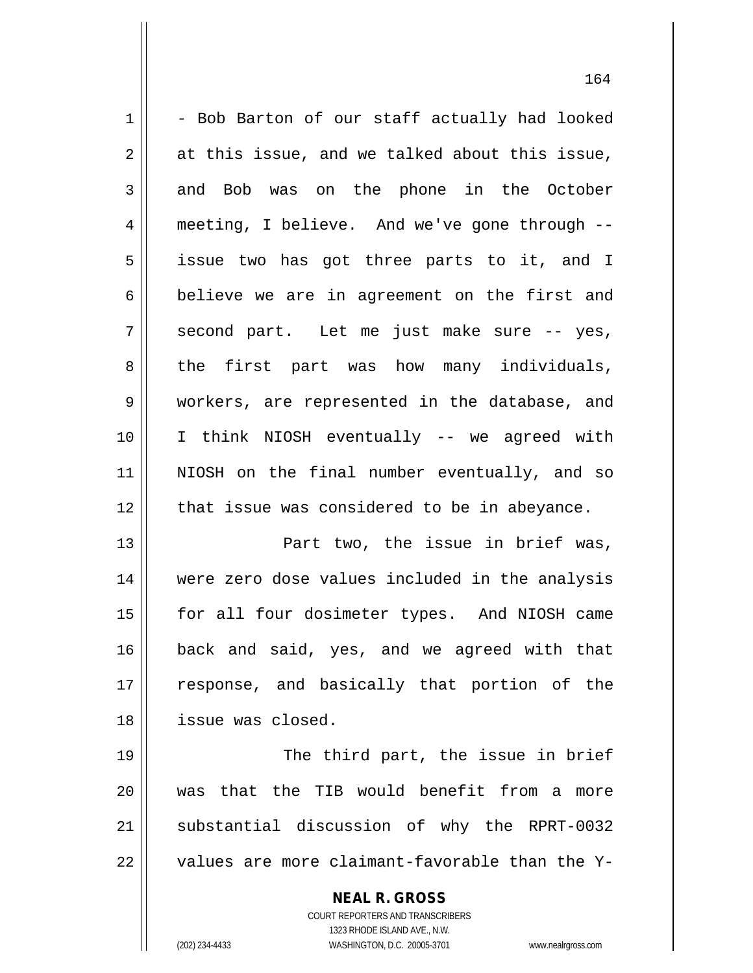$1 \parallel$  - Bob Barton of our staff actually had looked  $2 \parallel$  at this issue, and we talked about this issue, 3 and Bob was on the phone in the October 4 meeting, I believe. And we've gone through -- 5 issue two has got three parts to it, and I  $6 \parallel$  believe we are in agreement on the first and  $7 \parallel$  second part. Let me just make sure -- yes, 8 the first part was how many individuals, 9 workers, are represented in the database, and 10 I think NIOSH eventually -- we agreed with 11 NIOSH on the final number eventually, and so 12 || that issue was considered to be in abeyance. 13 Part two, the issue in brief was, 14 were zero dose values included in the analysis 15 || for all four dosimeter types. And NIOSH came 16 back and said, yes, and we agreed with that 17 || response, and basically that portion of the 18 issue was closed. 19 || The third part, the issue in brief 20 Was that the TIB would benefit from a more

21 || substantial discussion of why the RPRT-0032  $22$   $\parallel$  values are more claimant-favorable than the Y-

> **NEAL R. GROSS** COURT REPORTERS AND TRANSCRIBERS

1323 RHODE ISLAND AVE., N.W. (202) 234-4433 WASHINGTON, D.C. 20005-3701 www.nealrgross.com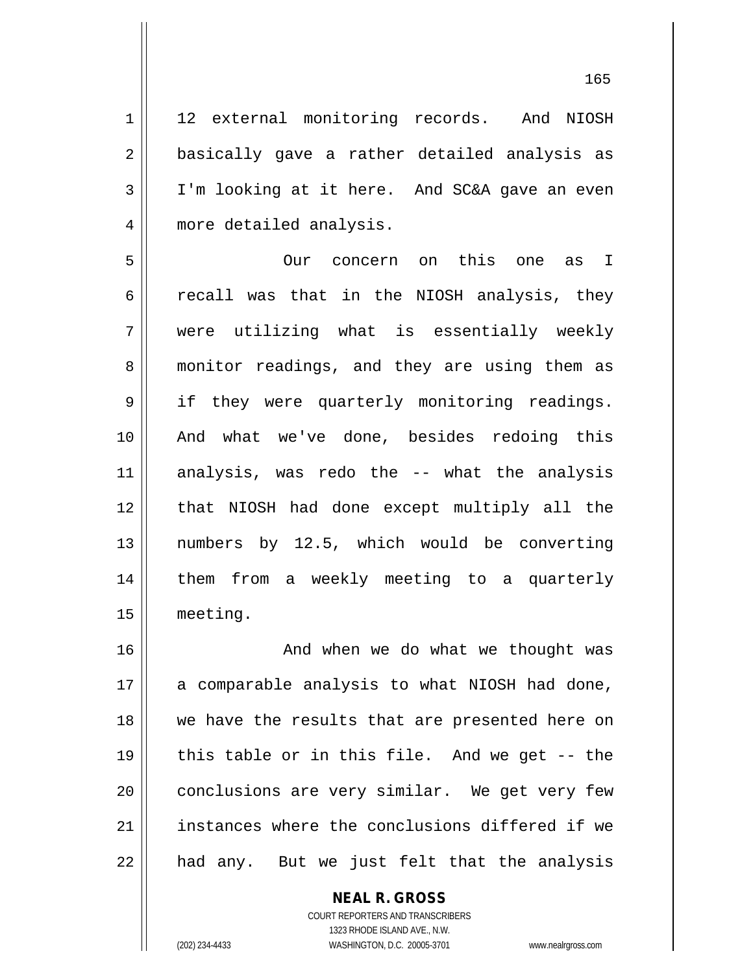1 || 12 external monitoring records. And NIOSH 2 || basically gave a rather detailed analysis as 3 I'm looking at it here. And SC&A gave an even 4 | more detailed analysis.

 Our concern on this one as I  $6 \parallel$  recall was that in the NIOSH analysis, they were utilizing what is essentially weekly 8 || monitor readings, and they are using them as 9 || if they were quarterly monitoring readings. And what we've done, besides redoing this analysis, was redo the -- what the analysis that NIOSH had done except multiply all the numbers by 12.5, which would be converting 14 || them from a weekly meeting to a quarterly meeting.

 And when we do what we thought was a comparable analysis to what NIOSH had done, we have the results that are presented here on  $\parallel$  this table or in this file. And we get -- the 20 || conclusions are very similar. We get very few 21 || instances where the conclusions differed if we || had any. But we just felt that the analysis

> COURT REPORTERS AND TRANSCRIBERS 1323 RHODE ISLAND AVE., N.W. (202) 234-4433 WASHINGTON, D.C. 20005-3701 www.nealrgross.com

**NEAL R. GROSS**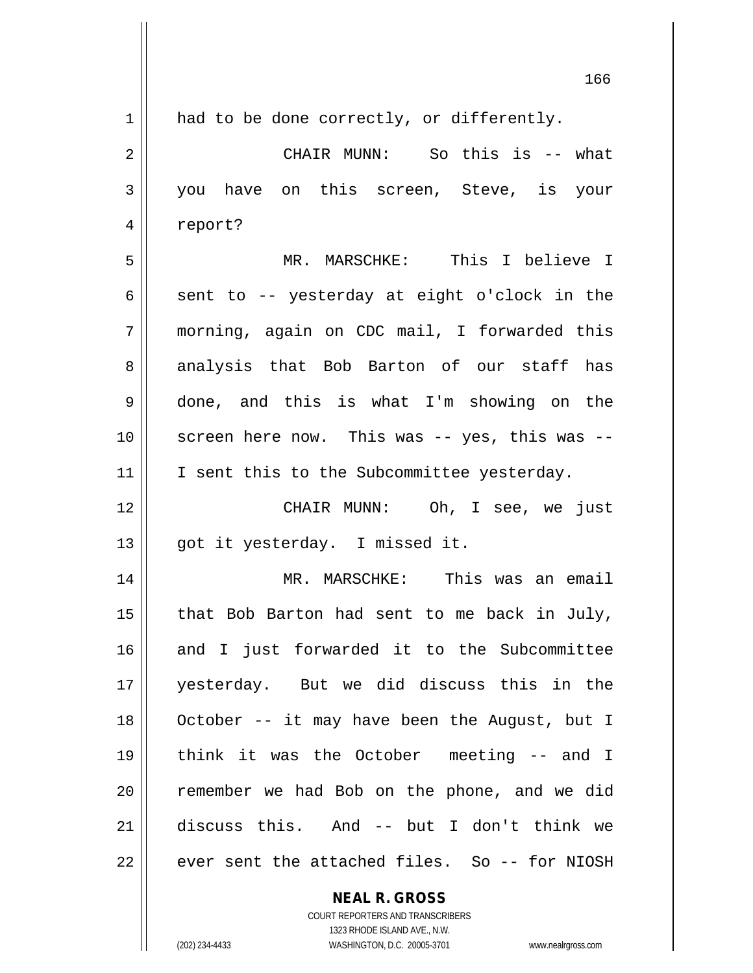| 1  | had to be done correctly, or differently.     |
|----|-----------------------------------------------|
| 2  | CHAIR MUNN: So this is -- what                |
| 3  | you have on this screen, Steve, is your       |
| 4  | report?                                       |
| 5  | MR. MARSCHKE: This I believe I                |
| 6  | sent to -- yesterday at eight o'clock in the  |
| 7  | morning, again on CDC mail, I forwarded this  |
| 8  | analysis that Bob Barton of our staff has     |
| 9  | done, and this is what I'm showing on the     |
| 10 | screen here now. This was -- yes, this was -- |
| 11 | I sent this to the Subcommittee yesterday.    |
| 12 | CHAIR MUNN: Oh, I see, we just                |
| 13 | got it yesterday. I missed it.                |
| 14 | MR. MARSCHKE: This was an email               |
| 15 | that Bob Barton had sent to me back in July,  |
| 16 | and I just forwarded it to the Subcommittee   |
| 17 | yesterday. But we did discuss this in the     |
| 18 | October -- it may have been the August, but I |
| 19 | think it was the October meeting -- and I     |
| 20 | remember we had Bob on the phone, and we did  |
| 21 | discuss this. And -- but I don't think we     |
| 22 | ever sent the attached files. So -- for NIOSH |

**NEAL R. GROSS** COURT REPORTERS AND TRANSCRIBERS

1323 RHODE ISLAND AVE., N.W. (202) 234-4433 WASHINGTON, D.C. 20005-3701 www.nealrgross.com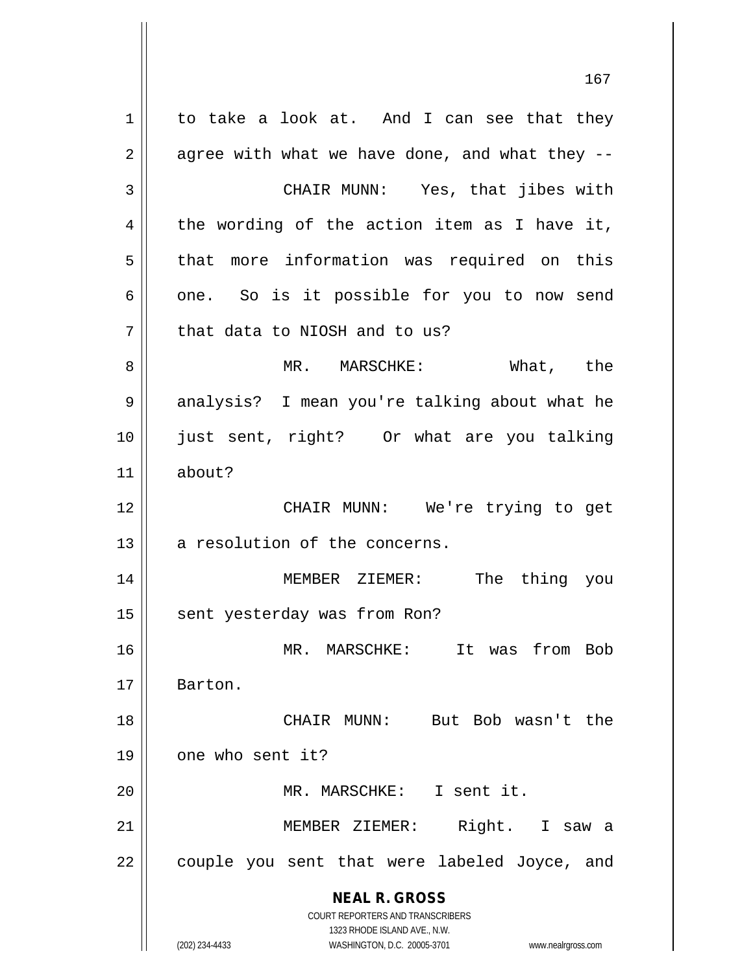**NEAL R. GROSS** COURT REPORTERS AND TRANSCRIBERS 1323 RHODE ISLAND AVE., N.W. (202) 234-4433 WASHINGTON, D.C. 20005-3701 www.nealrgross.com 167  $1 \parallel$  to take a look at. And I can see that they  $2 \parallel$  agree with what we have done, and what they --3 CHAIR MUNN: Yes, that jibes with  $4 \parallel$  the wording of the action item as I have it,  $5$  || that more information was required on this  $6 \parallel$  one. So is it possible for you to now send  $7$  || that data to NIOSH and to us? 8 MR. MARSCHKE: What, the 9 || analysis? I mean you're talking about what he 10 just sent, right? Or what are you talking 11 about? 12 || CHAIR MUNN: We're trying to get  $13$  | a resolution of the concerns. 14 MEMBER ZIEMER: The thing you 15 | sent yesterday was from Ron? 16 MR. MARSCHKE: It was from Bob 17 Barton. 18 CHAIR MUNN: But Bob wasn't the  $19$  | one who sent it? 20 || MR. MARSCHKE: I sent it. 21 || MEMBER ZIEMER: Right. I saw a 22 || couple you sent that were labeled Joyce, and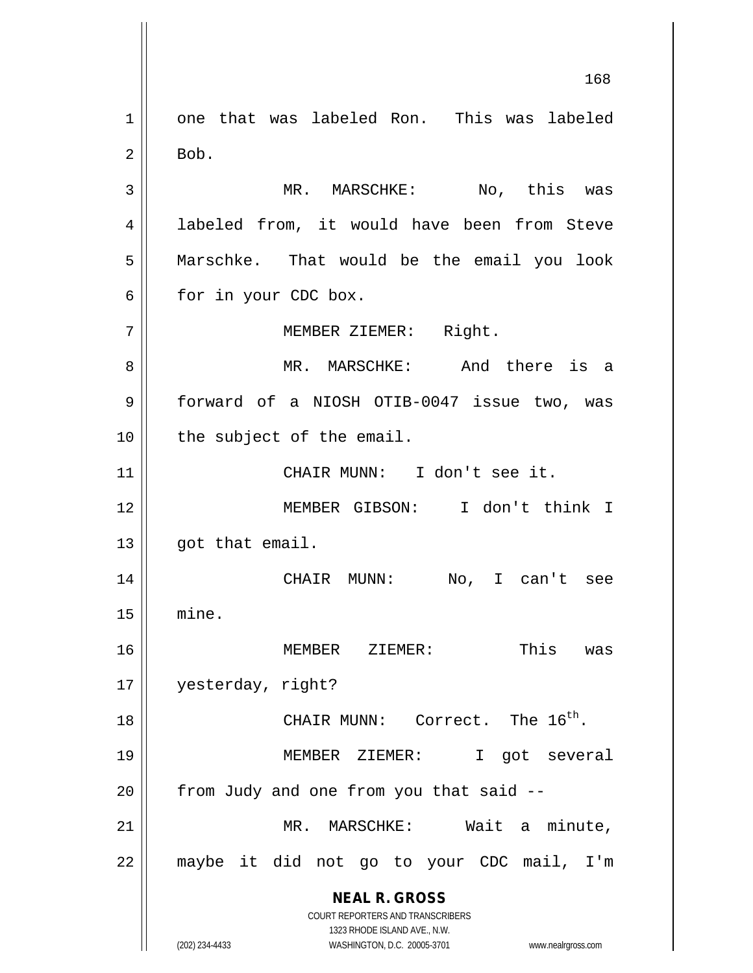**NEAL R. GROSS** COURT REPORTERS AND TRANSCRIBERS 1323 RHODE ISLAND AVE., N.W. (202) 234-4433 WASHINGTON, D.C. 20005-3701 www.nealrgross.com 168 1 one that was labeled Ron. This was labeled  $2 \parallel$  Bob. 3 || MR. MARSCHKE: No, this was 4 || labeled from, it would have been from Steve 5 Marschke. That would be the email you look  $6 \parallel$  for in your CDC box. 7 | MEMBER ZIEMER: Right. 8 MR. MARSCHKE: And there is a 9 | forward of a NIOSH OTIB-0047 issue two, was  $10$  | the subject of the email. 11 CHAIR MUNN: I don't see it. 12 MEMBER GIBSON: I don't think I  $13$  || qot that email. 14 CHAIR MUNN: No, I can't see 15 mine. 16 MEMBER ZIEMER: This was 17 yesterday, right? 18  $\parallel$  CHAIR MUNN: Correct. The 16<sup>th</sup>. 19 MEMBER ZIEMER: I got several  $20$  | from Judy and one from you that said  $-$ 21 || **MR. MARSCHKE:** Wait a minute, 22 maybe it did not go to your CDC mail, I'm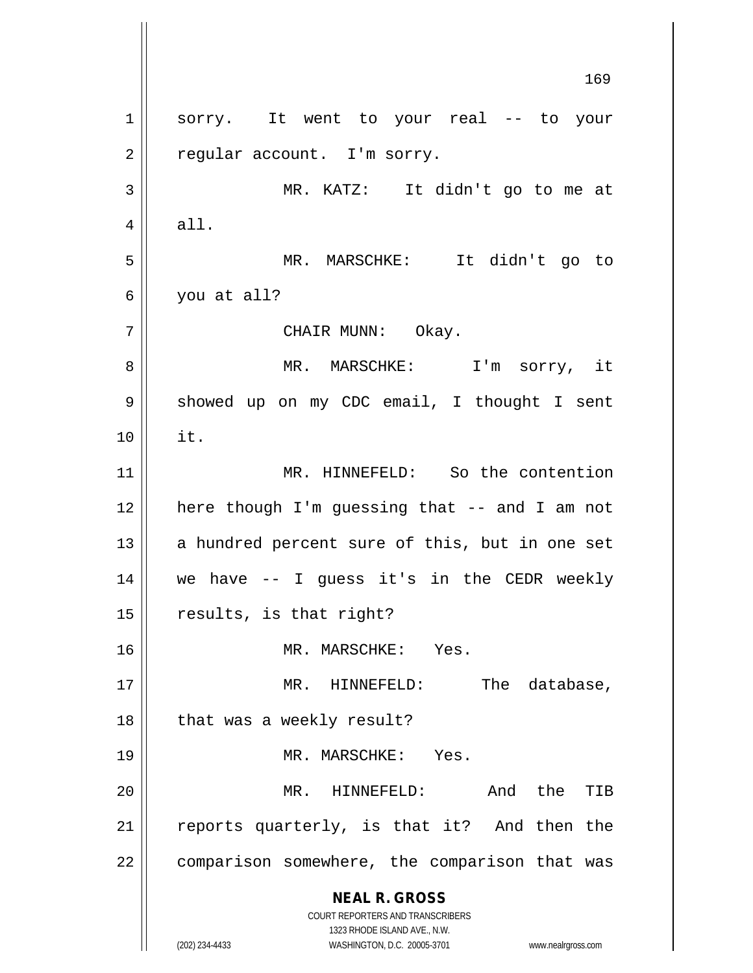**NEAL R. GROSS** COURT REPORTERS AND TRANSCRIBERS 1323 RHODE ISLAND AVE., N.W. (202) 234-4433 WASHINGTON, D.C. 20005-3701 www.nealrgross.com 1 || sorry. It went to your real -- to your  $2 \parallel$  regular account. I'm sorry. 3 MR. KATZ: It didn't go to me at  $4 \parallel$  all. 5 MR. MARSCHKE: It didn't go to  $6 \parallel$  you at all? 7 || CHAIR MUNN: Okay. 8 MR. MARSCHKE: I'm sorry, it 9 | showed up on my CDC email, I thought I sent 10 it. 11 MR. HINNEFELD: So the contention 12 || here though I'm guessing that -- and I am not  $13$  a hundred percent sure of this, but in one set 14 we have -- I guess it's in the CEDR weekly  $15$  | results, is that right? 16 || MR. MARSCHKE: Yes. 17 || MR. HINNEFELD: The database,  $18$  || that was a weekly result? 19 MR. MARSCHKE: Yes. 20 MR. HINNEFELD: And the TIB  $21$  reports quarterly, is that it? And then the 22 | comparison somewhere, the comparison that was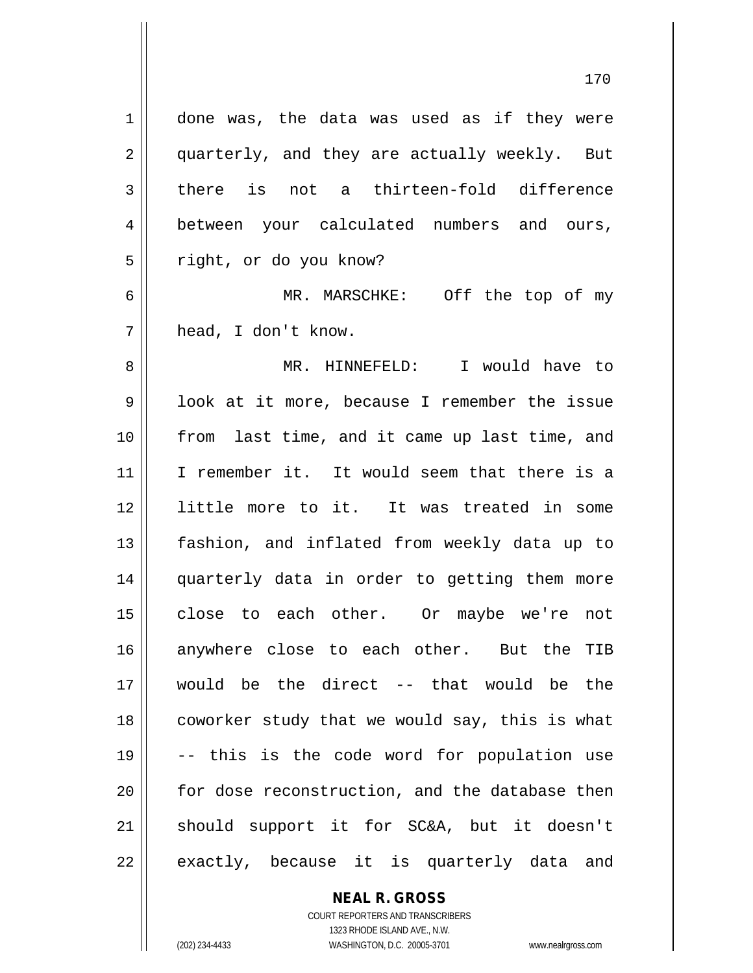1 done was, the data was used as if they were 2 || quarterly, and they are actually weekly. But  $3 \parallel$  there is not a thirteen-fold difference 4 between your calculated numbers and ours, 5 || right, or do you know? 6 MR. MARSCHKE: Off the top of my 7 head, I don't know. 8 MR. HINNEFELD: I would have to 9 | look at it more, because I remember the issue 10 || from last time, and it came up last time, and 11 I remember it. It would seem that there is a 12 little more to it. It was treated in some 13 || fashion, and inflated from weekly data up to 14 quarterly data in order to getting them more 15 || close to each other. Or maybe we're not 16 anywhere close to each other. But the TIB 17 would be the direct -- that would be the 18 || coworker study that we would say, this is what 19 -- this is the code word for population use  $20$   $\parallel$  for dose reconstruction, and the database then 21 || should support it for SC&A, but it doesn't  $22 \parallel$  exactly, because it is quarterly data and

> **NEAL R. GROSS** COURT REPORTERS AND TRANSCRIBERS

1323 RHODE ISLAND AVE., N.W. (202) 234-4433 WASHINGTON, D.C. 20005-3701 www.nealrgross.com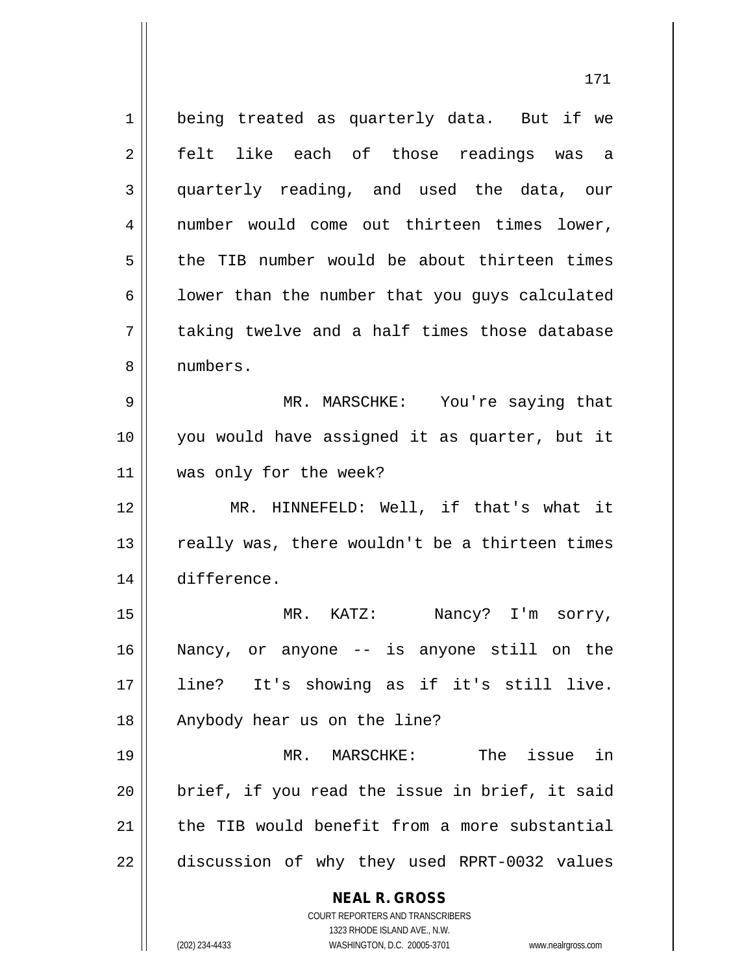**NEAL R. GROSS** COURT REPORTERS AND TRANSCRIBERS 1 | being treated as quarterly data. But if we 2 || felt like each of those readings was a 3 quarterly reading, and used the data, our 4 || number would come out thirteen times lower, 5 the TIB number would be about thirteen times  $6 \parallel$  lower than the number that you guys calculated  $7 \parallel$  taking twelve and a half times those database 8 numbers. 9 MR. MARSCHKE: You're saying that 10 you would have assigned it as quarter, but it 11 was only for the week? 12 || MR. HINNEFELD: Well, if that's what it  $13$   $\parallel$  really was, there wouldn't be a thirteen times 14 difference. 15 || MR. KATZ: Nancy? I'm sorry, 16 Nancy, or anyone -- is anyone still on the 17 line? It's showing as if it's still live. 18 || Anybody hear us on the line? 19 MR. MARSCHKE: The issue in  $20$  || brief, if you read the issue in brief, it said 21  $\parallel$  the TIB would benefit from a more substantial 22 discussion of why they used RPRT-0032 values

1323 RHODE ISLAND AVE., N.W. (202) 234-4433 WASHINGTON, D.C. 20005-3701 www.nealrgross.com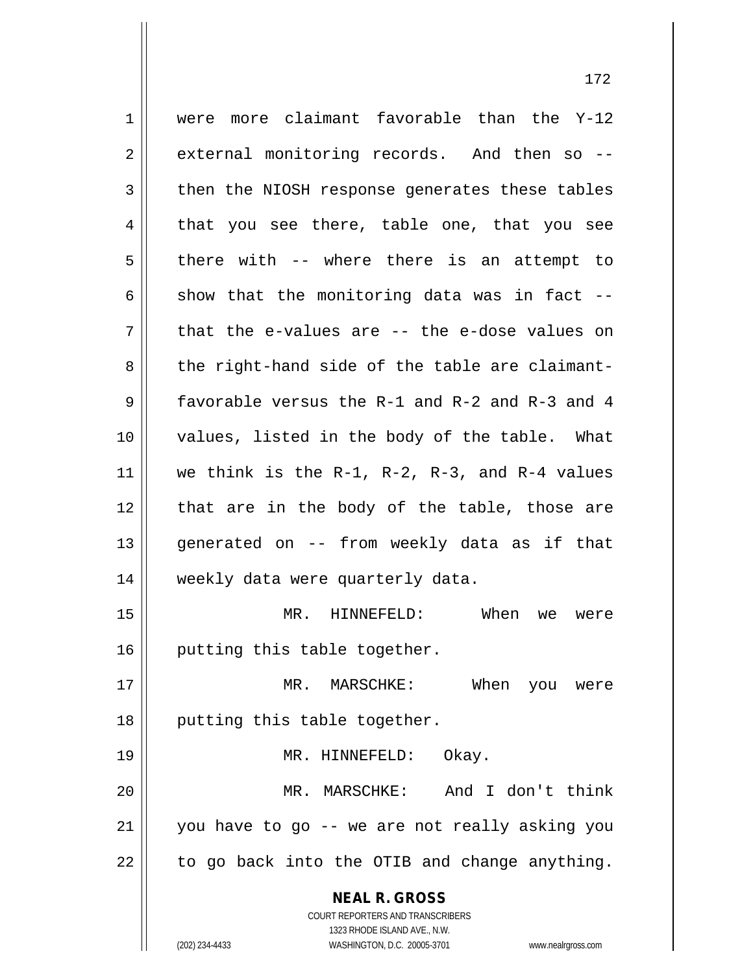**NEAL R. GROSS** COURT REPORTERS AND TRANSCRIBERS  $1 \parallel$  were more claimant favorable than the Y-12 2 external monitoring records. And then so --3 then the NIOSH response generates these tables  $4 \parallel$  that you see there, table one, that you see  $5 \parallel$  there with -- where there is an attempt to  $6$  || show that the monitoring data was in fact -- $7$  || that the e-values are -- the e-dose values on  $8 \parallel$  the right-hand side of the table are claimant-9 favorable versus the R-1 and R-2 and R-3 and 4 10 values, listed in the body of the table. What 11  $\parallel$  we think is the R-1, R-2, R-3, and R-4 values 12 || that are in the body of the table, those are 13 generated on -- from weekly data as if that 14 | weekly data were quarterly data. 15 MR. HINNEFELD: When we were 16 | putting this table together. 17 MR. MARSCHKE: When you were 18 || putting this table together. 19 MR. HINNEFELD: Okay. 20 MR. MARSCHKE: And I don't think 21 you have to go -- we are not really asking you  $22 \parallel$  to go back into the OTIB and change anything.

1323 RHODE ISLAND AVE., N.W. (202) 234-4433 WASHINGTON, D.C. 20005-3701 www.nealrgross.com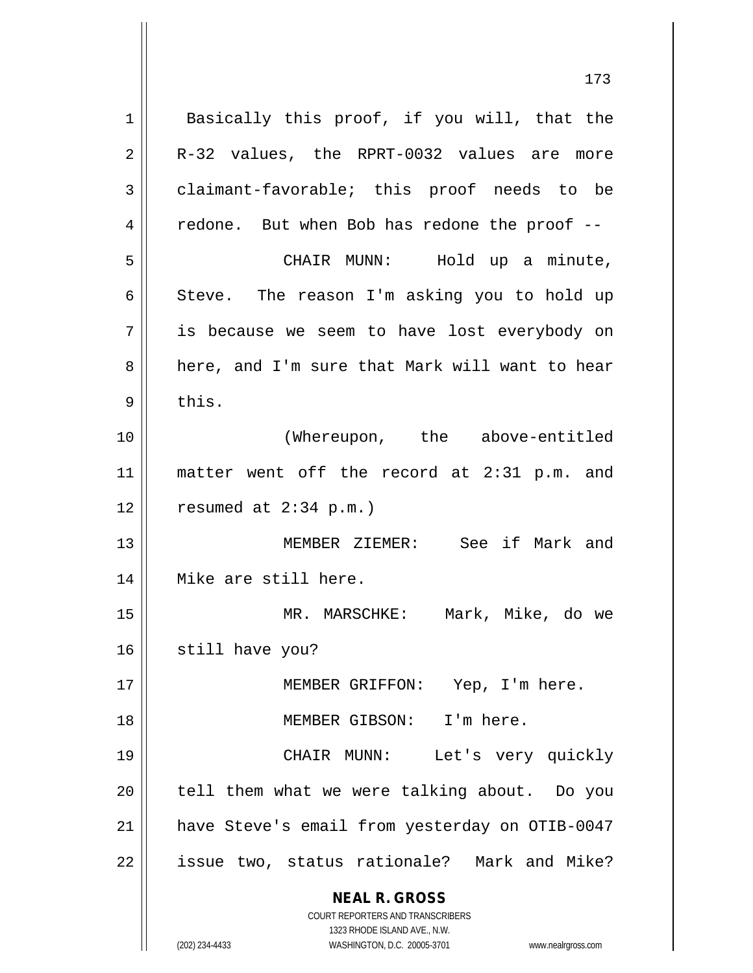**NEAL R. GROSS** COURT REPORTERS AND TRANSCRIBERS 1323 RHODE ISLAND AVE., N.W. (202) 234-4433 WASHINGTON, D.C. 20005-3701 www.nealrgross.com 1 || Basically this proof, if you will, that the  $2 \parallel$  R-32 values, the RPRT-0032 values are more  $3 \parallel$  claimant-favorable; this proof needs to be 4 || redone. But when Bob has redone the proof --5 CHAIR MUNN: Hold up a minute, 6 Steve. The reason I'm asking you to hold up 7 is because we seem to have lost everybody on 8 a here, and I'm sure that Mark will want to hear  $9 \parallel$  this. 10 (Whereupon, the above-entitled 11 matter went off the record at 2:31 p.m. and  $12 \parallel$  resumed at 2:34 p.m.) 13 MEMBER ZIEMER: See if Mark and 14 Mike are still here. 15 MR. MARSCHKE: Mark, Mike, do we 16 || still have you? 17 || MEMBER GRIFFON: Yep, I'm here. 18 MEMBER GIBSON: I'm here. 19 CHAIR MUNN: Let's very quickly 20 || tell them what we were talking about. Do you 21 have Steve's email from yesterday on OTIB-0047 22 || issue two, status rationale? Mark and Mike?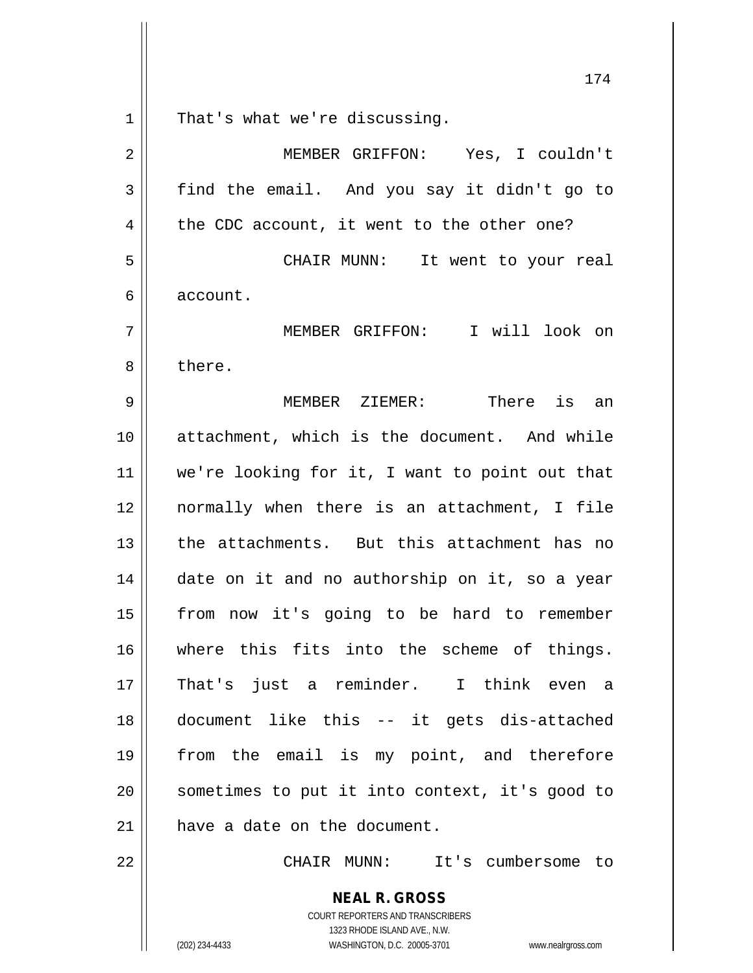That's what we're discussing.

| $\overline{2}$ | MEMBER GRIFFON: Yes, I couldn't                |
|----------------|------------------------------------------------|
| 3              | find the email. And you say it didn't go to    |
| 4              | the CDC account, it went to the other one?     |
| 5              | CHAIR MUNN: It went to your real               |
| 6              | account.                                       |
| 7              | MEMBER GRIFFON: I will look on                 |
| 8              | there.                                         |
| 9              | MEMBER ZIEMER: There is an                     |
| 10             | attachment, which is the document. And while   |
| 11             | we're looking for it, I want to point out that |
| 12             | normally when there is an attachment, I file   |
| 13             | the attachments. But this attachment has no    |
| 14             | date on it and no authorship on it, so a year  |
| 15             | from now it's going to be hard to remember     |
| 16             | where this fits into the scheme of things.     |
| $17$           | That's just a reminder. I think even a         |
| 18             | document like this -- it gets dis-attached     |
| 19             | from the email is my point, and therefore      |
| 20             | sometimes to put it into context, it's good to |
| 21             | have a date on the document.                   |
| 22             | CHAIR MUNN:<br>It's cumbersome to              |

COURT REPORTERS AND TRANSCRIBERS 1323 RHODE ISLAND AVE., N.W. (202) 234-4433 WASHINGTON, D.C. 20005-3701 www.nealrgross.com

**NEAL R. GROSS**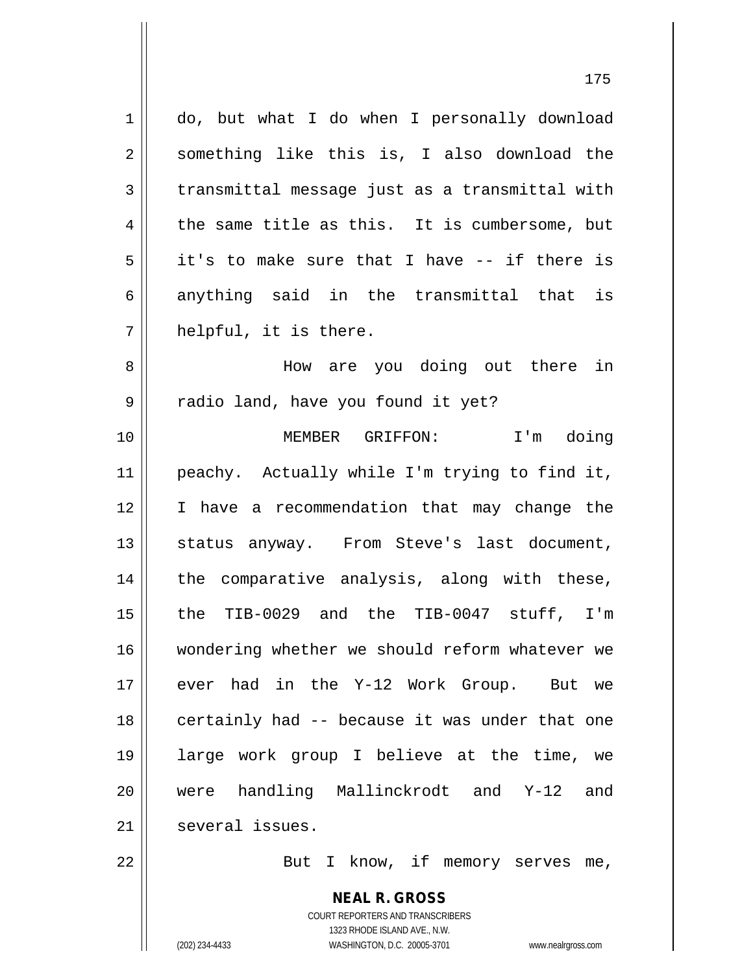| $\mathbf 1$    | do, but what I do when I personally download                        |
|----------------|---------------------------------------------------------------------|
| $\overline{2}$ | something like this is, I also download the                         |
| 3              | transmittal message just as a transmittal with                      |
| 4              | the same title as this. It is cumbersome, but                       |
| 5              | it's to make sure that I have -- if there is                        |
| 6              | anything said in the transmittal that is                            |
| 7              | helpful, it is there.                                               |
| 8              | How are you doing out there in                                      |
| 9              | radio land, have you found it yet?                                  |
| 10             | MEMBER GRIFFON: I'm doing                                           |
| 11             | peachy. Actually while I'm trying to find it,                       |
| 12             | I have a recommendation that may change the                         |
| 13             | status anyway. From Steve's last document,                          |
| 14             | the comparative analysis, along with these,                         |
| 15             | the TIB-0029 and the TIB-0047 stuff, I'm                            |
| 16             | wondering whether we should reform whatever we                      |
| 17             | ever had in the Y-12 Work Group. But we                             |
| 18             | certainly had -- because it was under that one                      |
| 19             | large work group I believe at the time, we                          |
| 20             | were handling Mallinckrodt and Y-12<br>and                          |
| 21             | several issues.                                                     |
| 22             | But I know, if memory serves me,                                    |
|                | <b>NEAL R. GROSS</b>                                                |
|                | COURT REPORTERS AND TRANSCRIBERS                                    |
|                | 1323 RHODE ISLAND AVE., N.W.                                        |
|                | (202) 234-4433<br>WASHINGTON, D.C. 20005-3701<br>www.nealrgross.com |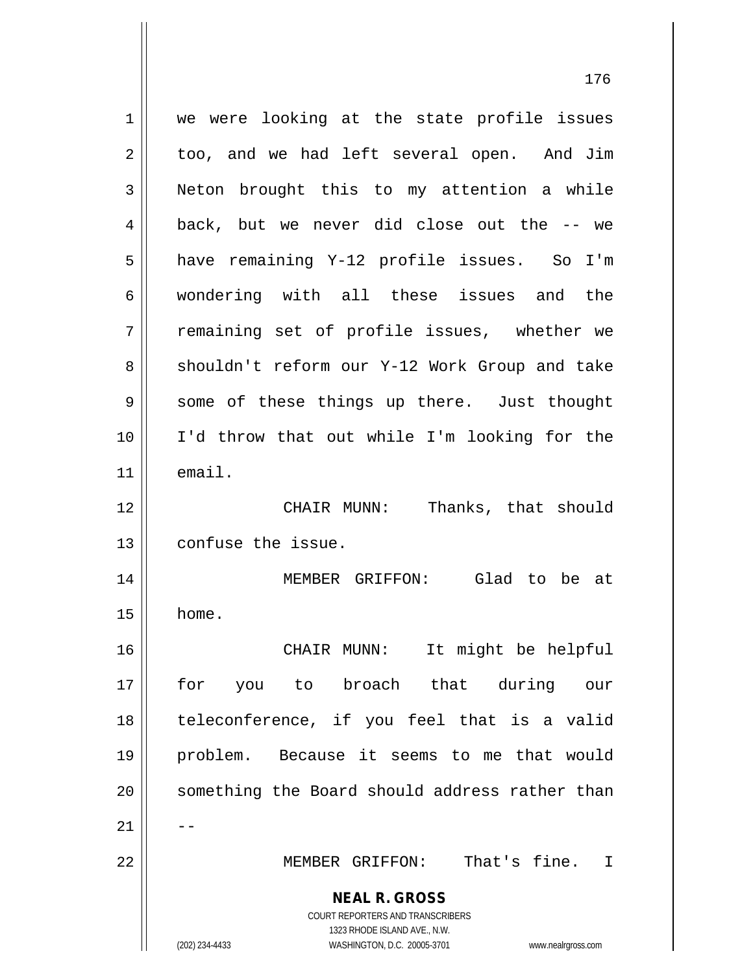**NEAL R. GROSS** COURT REPORTERS AND TRANSCRIBERS 1323 RHODE ISLAND AVE., N.W. (202) 234-4433 WASHINGTON, D.C. 20005-3701 www.nealrgross.com 1 || we were looking at the state profile issues 2 | too, and we had left several open. And Jim 3 | Neton brought this to my attention a while  $4 \parallel$  back, but we never did close out the  $-$  we 5 | have remaining Y-12 profile issues. So I'm 6 wondering with all these issues and the 7 The remaining set of profile issues, whether we 8 || shouldn't reform our Y-12 Work Group and take 9 || some of these things up there. Just thought 10 I'd throw that out while I'm looking for the 11 email. 12 CHAIR MUNN: Thanks, that should 13 confuse the issue. 14 MEMBER GRIFFON: Glad to be at  $15$  | home. 16 CHAIR MUNN: It might be helpful 17 for you to broach that during our 18 || teleconference, if you feel that is a valid 19 problem. Because it seems to me that would 20 || something the Board should address rather than  $21$   $\parallel$   $-$ 22 MEMBER GRIFFON: That's fine. I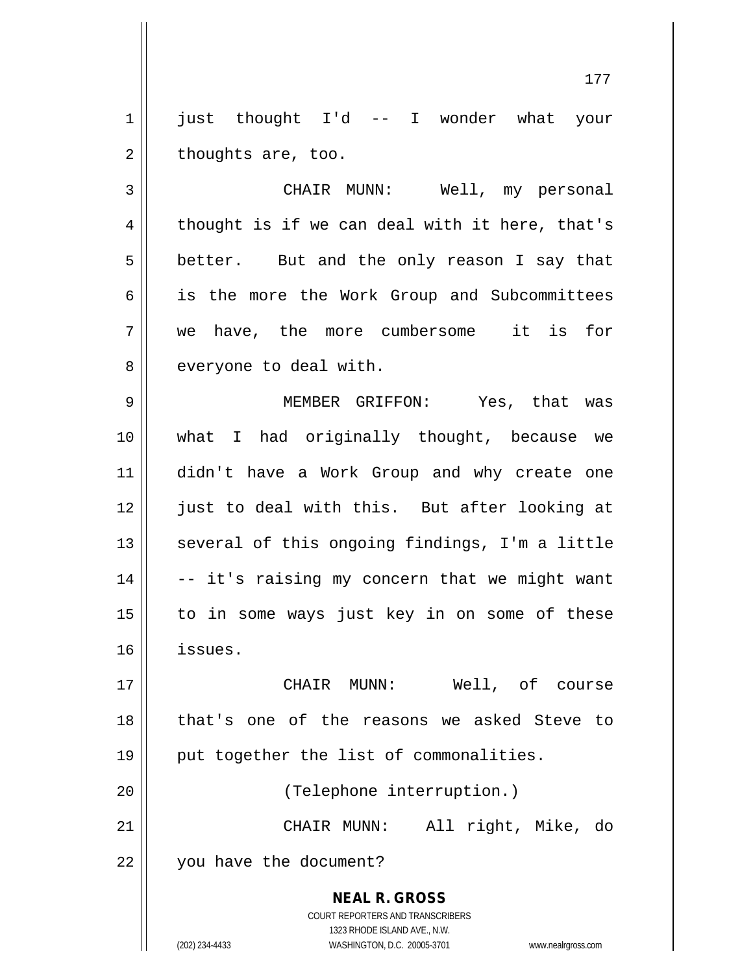1 || just thought I'd -- I wonder what your  $2 \parallel$  thoughts are, too.

3 || CHAIR MUNN: Well, my personal  $4 \parallel$  thought is if we can deal with it here, that's 5 || better. But and the only reason I say that 6 || is the more the Work Group and Subcommittees 7 we have, the more cumbersome it is for 8 || everyone to deal with.

 MEMBER GRIFFON: Yes, that was what I had originally thought, because we didn't have a Work Group and why create one 12 || just to deal with this. But after looking at || several of this ongoing findings, I'm a little  $\vert$  -- it's raising my concern that we might want to in some ways just key in on some of these 16 issues.

17 CHAIR MUNN: Well, of course 18 || that's one of the reasons we asked Steve to 19 || put together the list of commonalities. 20 || (Telephone interruption.) 21 CHAIR MUNN: All right, Mike, do 22 | vou have the document?

> **NEAL R. GROSS** COURT REPORTERS AND TRANSCRIBERS 1323 RHODE ISLAND AVE., N.W. (202) 234-4433 WASHINGTON, D.C. 20005-3701 www.nealrgross.com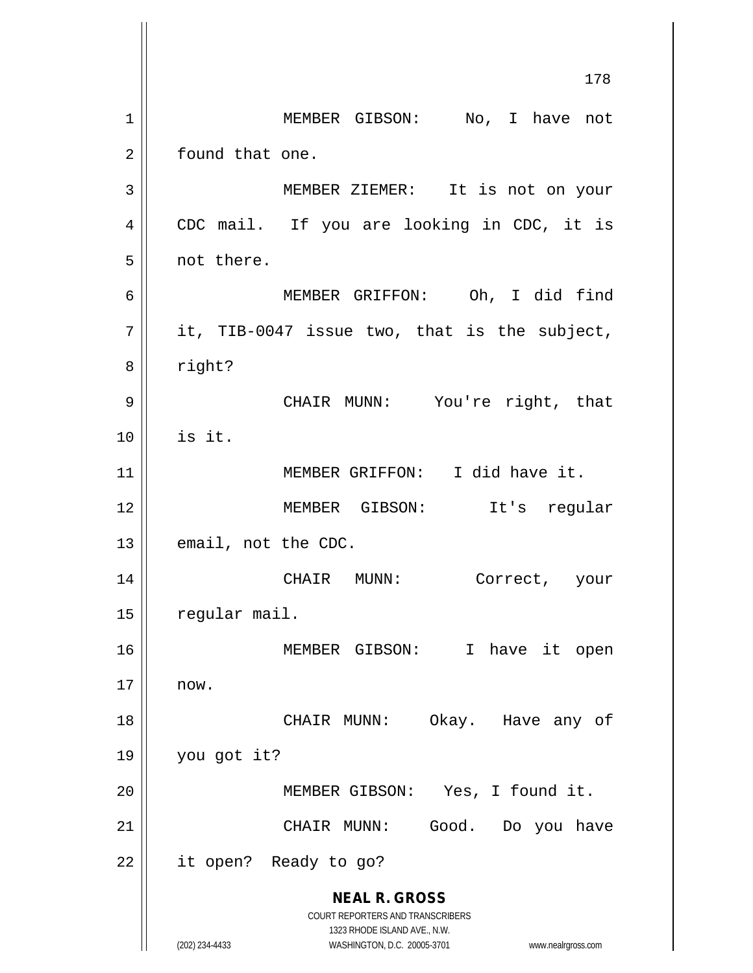**NEAL R. GROSS** COURT REPORTERS AND TRANSCRIBERS 1323 RHODE ISLAND AVE., N.W. (202) 234-4433 WASHINGTON, D.C. 20005-3701 www.nealrgross.com 178 1 || MEMBER GIBSON: No, I have not 2 | found that one. 3 MEMBER ZIEMER: It is not on your 4 || CDC mail. If you are looking in CDC, it is 5 | not there. 6 MEMBER GRIFFON: Oh, I did find  $7 ||$  it, TIB-0047 issue two, that is the subject, 8 | right? 9 CHAIR MUNN: You're right, that  $10$   $\parallel$  is it. 11 MEMBER GRIFFON: I did have it. 12 MEMBER GIBSON: It's regular  $13$  | email, not the CDC. 14 CHAIR MUNN: Correct, your  $15$  | regular mail. 16 MEMBER GIBSON: I have it open  $17 \parallel \quad$  now. 18 CHAIR MUNN: Okay. Have any of 19 you got it? 20 || MEMBER GIBSON: Yes, I found it. 21 CHAIR MUNN: Good. Do you have 22 || it open? Ready to go?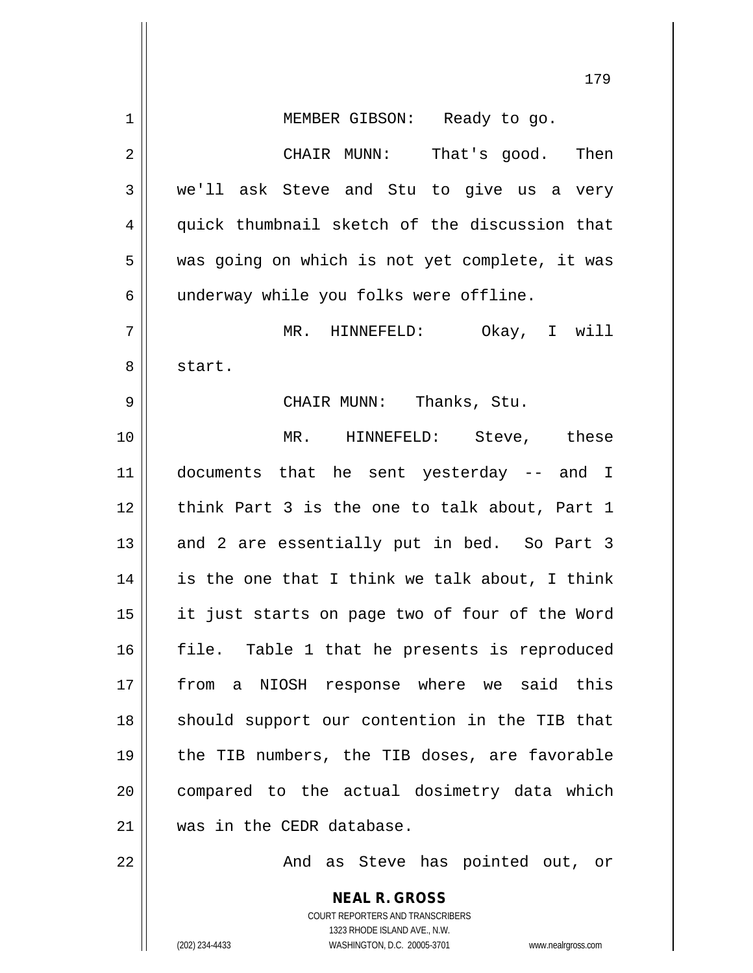|    | 179                                                                                                 |
|----|-----------------------------------------------------------------------------------------------------|
| 1  | MEMBER GIBSON: Ready to go.                                                                         |
| 2  | CHAIR MUNN: That's good. Then                                                                       |
| 3  | we'll ask Steve and Stu to give us a very                                                           |
| 4  | quick thumbnail sketch of the discussion that                                                       |
| 5  | was going on which is not yet complete, it was                                                      |
| 6  | underway while you folks were offline.                                                              |
| 7  | MR. HINNEFELD: Okay, I will                                                                         |
| 8  | start.                                                                                              |
| 9  | CHAIR MUNN: Thanks, Stu.                                                                            |
| 10 | MR. HINNEFELD: Steve, these                                                                         |
| 11 | documents that he sent yesterday -- and I                                                           |
| 12 | think Part 3 is the one to talk about, Part 1                                                       |
| 13 | and 2 are essentially put in bed. So Part 3                                                         |
| 14 | is the one that I think we talk about, I think                                                      |
| 15 | it just starts on page two of four of the Word                                                      |
| 16 | file. Table 1 that he presents is reproduced                                                        |
| 17 | from a NIOSH response where we said this                                                            |
| 18 | should support our contention in the TIB that                                                       |
| 19 | the TIB numbers, the TIB doses, are favorable                                                       |
| 20 | compared to the actual dosimetry data which                                                         |
| 21 | was in the CEDR database.                                                                           |
| 22 | And as Steve has pointed out, or                                                                    |
|    | <b>NEAL R. GROSS</b>                                                                                |
|    | <b>COURT REPORTERS AND TRANSCRIBERS</b>                                                             |
|    | 1323 RHODE ISLAND AVE., N.W.<br>(202) 234-4433<br>WASHINGTON, D.C. 20005-3701<br>www.nealrgross.com |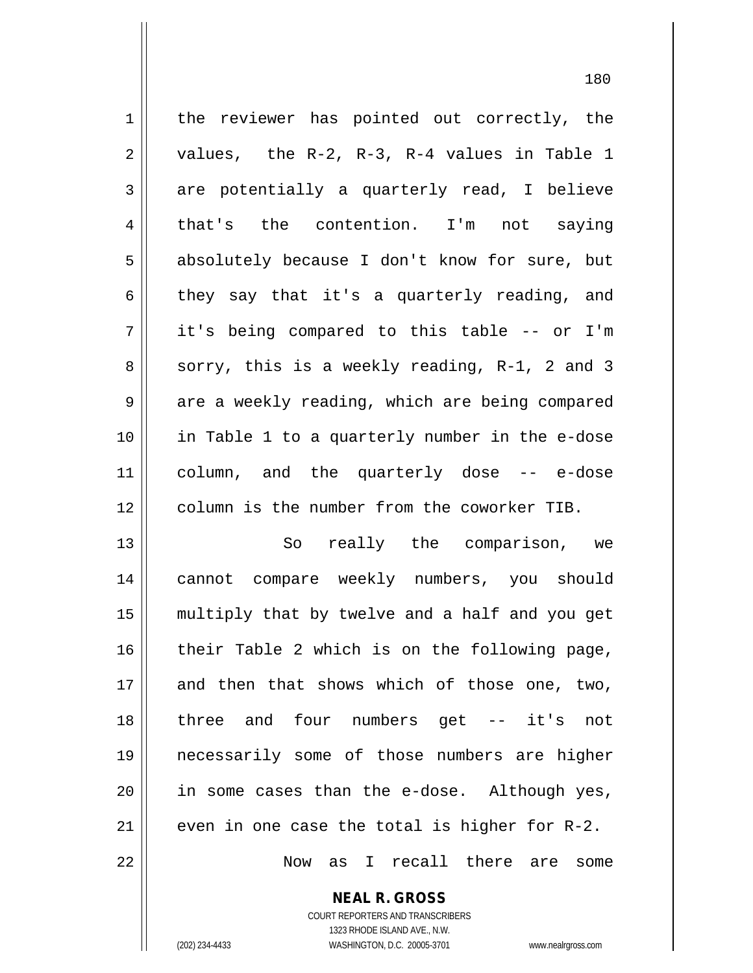| $\mathbf 1$    | the reviewer has pointed out correctly, the                                                                     |
|----------------|-----------------------------------------------------------------------------------------------------------------|
| 2              | values, the R-2, R-3, R-4 values in Table 1                                                                     |
| 3              | are potentially a quarterly read, I believe                                                                     |
| $\overline{4}$ | that's the contention. I'm not saying                                                                           |
| 5              | absolutely because I don't know for sure, but                                                                   |
| 6              | they say that it's a quarterly reading, and                                                                     |
| 7              | it's being compared to this table -- or I'm                                                                     |
| 8              | sorry, this is a weekly reading, R-1, 2 and 3                                                                   |
| 9              | are a weekly reading, which are being compared                                                                  |
| 10             | in Table 1 to a quarterly number in the e-dose                                                                  |
| 11             | column, and the quarterly dose -- e-dose                                                                        |
| 12             | column is the number from the coworker TIB.                                                                     |
| 13             | really the comparison, we<br>So                                                                                 |
| 14             | cannot compare weekly numbers, you should                                                                       |
| 15             | multiply that by twelve and a half and you get                                                                  |
| 16             | their Table 2 which is on the following page,                                                                   |
| $\sim$ $\sim$  | the contract of the contract of the contract of the contract of the contract of the contract of the contract of |

 and then that shows which of those one, two, 18 || three and four numbers get -- it's not necessarily some of those numbers are higher in some cases than the e-dose. Although yes,  $\parallel$  even in one case the total is higher for R-2. Now as I recall there are some

> **NEAL R. GROSS** COURT REPORTERS AND TRANSCRIBERS

1323 RHODE ISLAND AVE., N.W.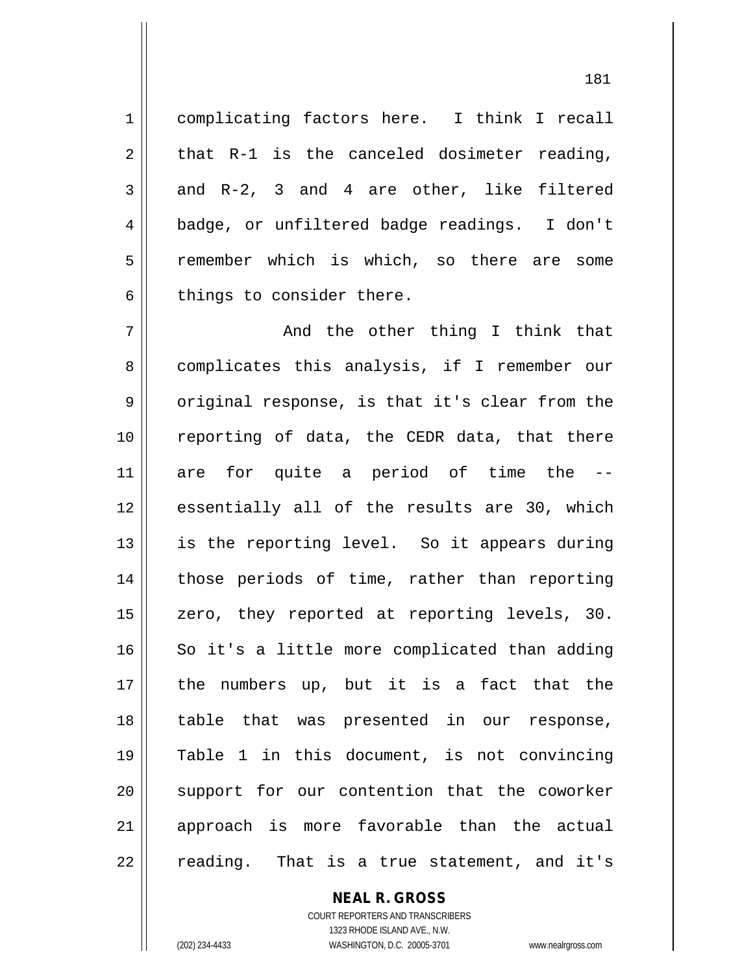1 complicating factors here. I think I recall  $2 \parallel$  that R-1 is the canceled dosimeter reading,  $3 \parallel$  and R-2, 3 and 4 are other, like filtered 4 badge, or unfiltered badge readings. I don't 5 remember which is which, so there are some  $6 \parallel$  things to consider there.

 $7 \parallel$  and the other thing I think that 8 complicates this analysis, if I remember our  $9 \parallel$  original response, is that it's clear from the 10 || reporting of data, the CEDR data, that there  $11$  are for quite a period of time the 12 || essentially all of the results are 30, which  $13$  is the reporting level. So it appears during 14 || those periods of time, rather than reporting 15 || zero, they reported at reporting levels, 30. 16 So it's a little more complicated than adding  $17$  || the numbers up, but it is a fact that the 18 table that was presented in our response, 19 Table 1 in this document, is not convincing 20 || support for our contention that the coworker 21 approach is more favorable than the actual  $22 \parallel$  reading. That is a true statement, and it's

## **NEAL R. GROSS**

COURT REPORTERS AND TRANSCRIBERS 1323 RHODE ISLAND AVE., N.W. (202) 234-4433 WASHINGTON, D.C. 20005-3701 www.nealrgross.com

<sup>181</sup>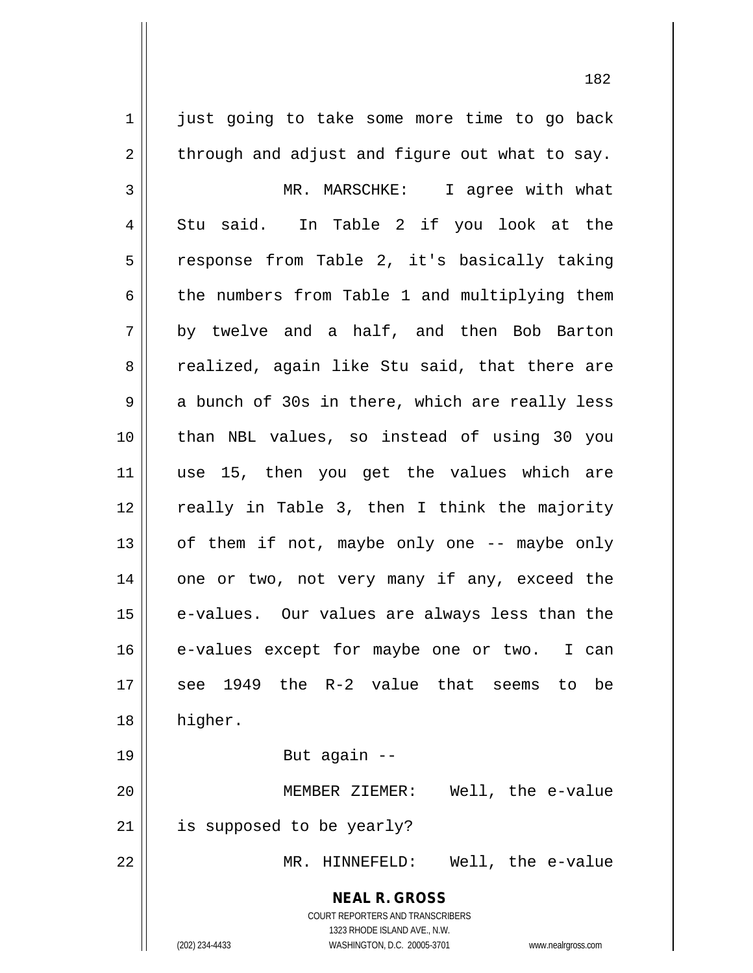**NEAL R. GROSS** COURT REPORTERS AND TRANSCRIBERS 1323 RHODE ISLAND AVE., N.W. (202) 234-4433 WASHINGTON, D.C. 20005-3701 www.nealrgross.com 1 just going to take some more time to go back  $2 \parallel$  through and adjust and figure out what to say. 3 MR. MARSCHKE: I agree with what  $4 \parallel$  Stu said. In Table 2 if you look at the 5 || response from Table 2, it's basically taking  $6 \parallel$  the numbers from Table 1 and multiplying them  $7 \parallel$  by twelve and a half, and then Bob Barton 8 || realized, again like Stu said, that there are  $9 \parallel$  a bunch of 30s in there, which are really less 10 than NBL values, so instead of using 30 you 11 use 15, then you get the values which are 12 || really in Table 3, then I think the majority  $13$  | of them if not, maybe only one -- maybe only  $14$  | one or two, not very many if any, exceed the 15 || e-values. Our values are always less than the 16 e-values except for maybe one or two. I can 17 see 1949 the R-2 value that seems to be 18 higher. 19 But again -- 20 MEMBER ZIEMER: Well, the e-value 21 | is supposed to be yearly? 22 MR. HINNEFELD: Well, the e-value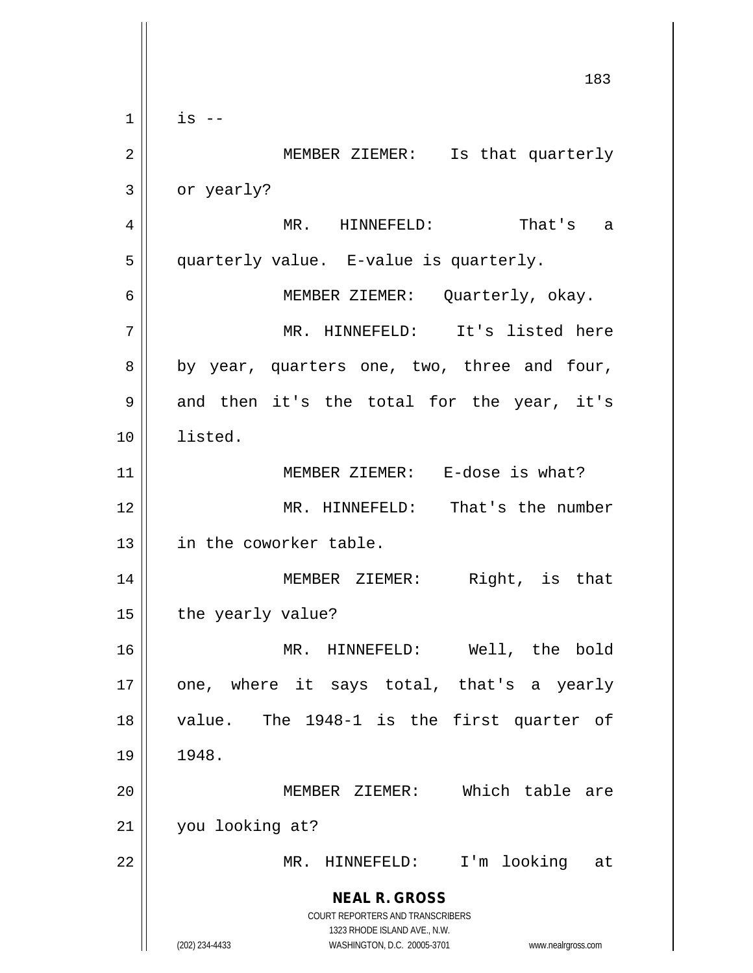**NEAL R. GROSS** COURT REPORTERS AND TRANSCRIBERS 1323 RHODE ISLAND AVE., N.W. (202) 234-4433 WASHINGTON, D.C. 20005-3701 www.nealrgross.com 183  $1 \parallel$  is  $-$ 2 MEMBER ZIEMER: Is that quarterly  $3 \parallel$  or yearly? 4 MR. HINNEFELD: That's a 5 quarterly value. E-value is quarterly. 6 MEMBER ZIEMER: Quarterly, okay. 7 || MR. HINNEFELD: It's listed here 8 || by year, quarters one, two, three and four, 9 || and then it's the total for the year, it's 10 listed. 11 || MEMBER ZIEMER: E-dose is what? 12 MR. HINNEFELD: That's the number 13 || in the coworker table. 14 MEMBER ZIEMER: Right, is that  $15$  | the yearly value? 16 MR. HINNEFELD: Well, the bold  $17$  || one, where it says total, that's a yearly 18 value. The 1948-1 is the first quarter of 19 1948. 20 MEMBER ZIEMER: Which table are 21 you looking at? 22 MR. HINNEFELD: I'm looking at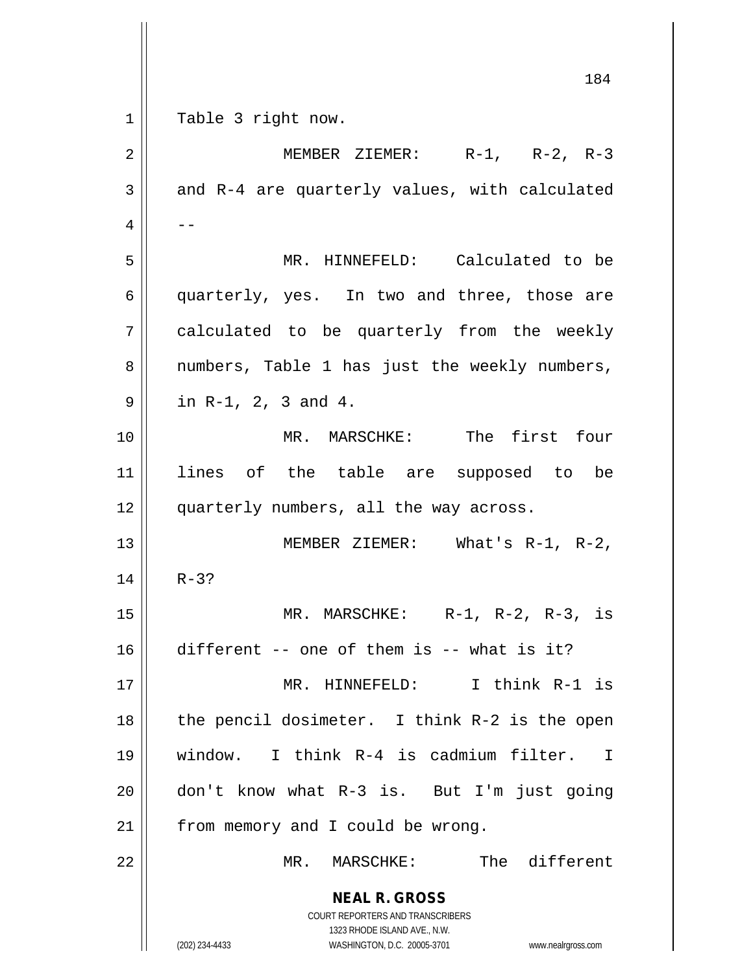**NEAL R. GROSS** COURT REPORTERS AND TRANSCRIBERS 1323 RHODE ISLAND AVE., N.W. (202) 234-4433 WASHINGTON, D.C. 20005-3701 www.nealrgross.com 184 1 || Table 3 right now. 2 MEMBER ZIEMER: R-1, R-2, R-3  $3 \parallel$  and R-4 are quarterly values, with calculated  $4 \parallel - -$ 5 MR. HINNEFELD: Calculated to be 6 quarterly, yes. In two and three, those are  $7 \parallel$  calculated to be quarterly from the weekly 8 || numbers, Table 1 has just the weekly numbers,  $9 \parallel$  in R-1, 2, 3 and 4. 10 MR. MARSCHKE: The first four 11 lines of the table are supposed to be 12 quarterly numbers, all the way across. 13 MEMBER ZIEMER: What's R-1, R-2,  $14$  || R-3? 15 MR. MARSCHKE: R-1, R-2, R-3, is 16 different -- one of them is -- what is it? 17 MR. HINNEFELD: I think R-1 is 18 || the pencil dosimeter. I think R-2 is the open 19 window. I think R-4 is cadmium filter. I 20 don't know what R-3 is. But I'm just going  $21$  | from memory and I could be wrong. 22 MR. MARSCHKE: The different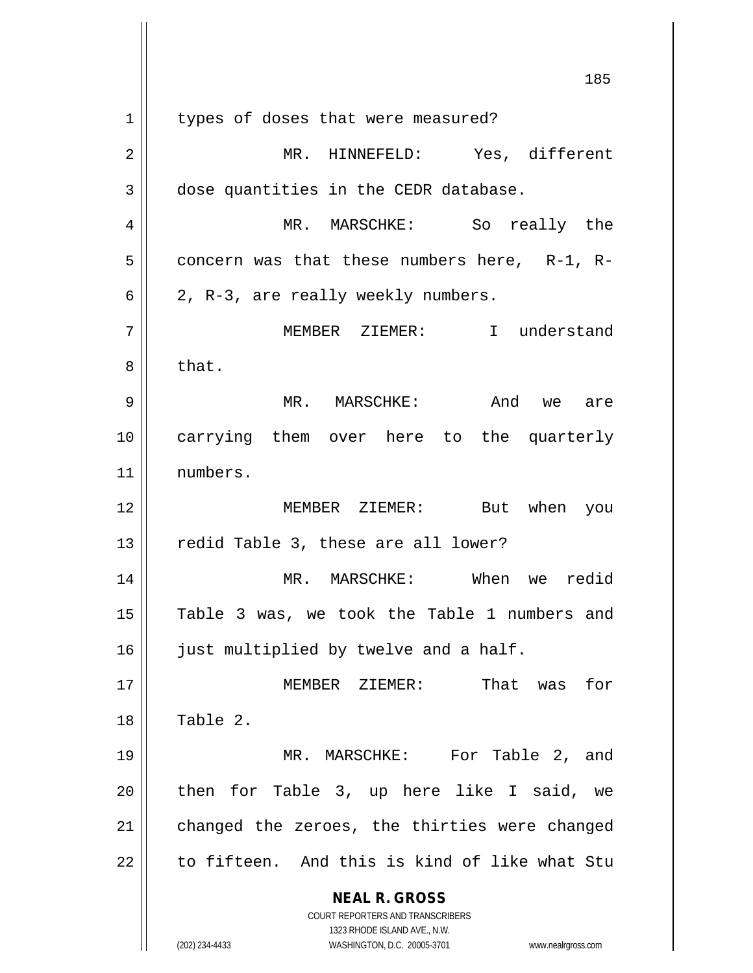**NEAL R. GROSS** COURT REPORTERS AND TRANSCRIBERS 1323 RHODE ISLAND AVE., N.W. (202) 234-4433 WASHINGTON, D.C. 20005-3701 www.nealrgross.com 185 1 | types of doses that were measured? 2 MR. HINNEFELD: Yes, different  $3 \parallel$  dose quantities in the CEDR database. 4 MR. MARSCHKE: So really the  $5$  concern was that these numbers here, R-1, R- $6 \parallel 2$ , R-3, are really weekly numbers. 7 MEMBER ZIEMER: I understand  $8 \parallel$  that. 9 MR. MARSCHKE: And we are 10 carrying them over here to the quarterly 11 numbers. 12 MEMBER ZIEMER: But when you  $13$  || redid Table 3, these are all lower? 14 MR. MARSCHKE: When we redid 15 || Table 3 was, we took the Table 1 numbers and 16 | just multiplied by twelve and a half. 17 MEMBER ZIEMER: That was for  $18 \parallel$  Table 2. 19 MR. MARSCHKE: For Table 2, and  $20$  || then for Table 3, up here like I said, we  $21$  changed the zeroes, the thirties were changed  $22$  || to fifteen. And this is kind of like what Stu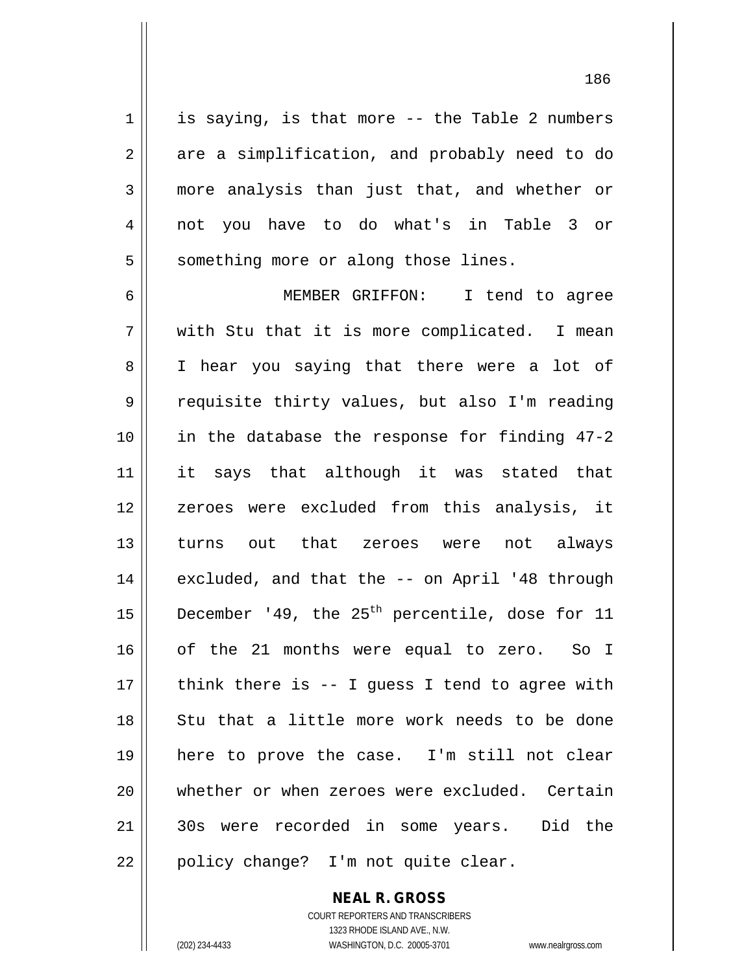$1 \parallel$  is saying, is that more -- the Table 2 numbers  $2 \parallel$  are a simplification, and probably need to do 3 more analysis than just that, and whether or 4 not you have to do what's in Table 3 or  $5 \parallel$  something more or along those lines.

6 MEMBER GRIFFON: I tend to agree  $7 \parallel$  with Stu that it is more complicated. I mean 8 || I hear you saying that there were a lot of 9 || requisite thirty values, but also I'm reading 10 in the database the response for finding 47-2 11 || it says that although it was stated that 12 || zeroes were excluded from this analysis, it 13 turns out that zeroes were not always 14 || excluded, and that the -- on April '48 through 15  $\vert$  December '49, the 25<sup>th</sup> percentile, dose for 11 16 || of the 21 months were equal to zero. So I  $17$  || think there is -- I quess I tend to agree with 18 || Stu that a little more work needs to be done 19 here to prove the case. I'm still not clear 20 whether or when zeroes were excluded. Certain 21 30s were recorded in some years. Did the 22 || policy change? I'm not quite clear.

> COURT REPORTERS AND TRANSCRIBERS 1323 RHODE ISLAND AVE., N.W. (202) 234-4433 WASHINGTON, D.C. 20005-3701 www.nealrgross.com

**NEAL R. GROSS**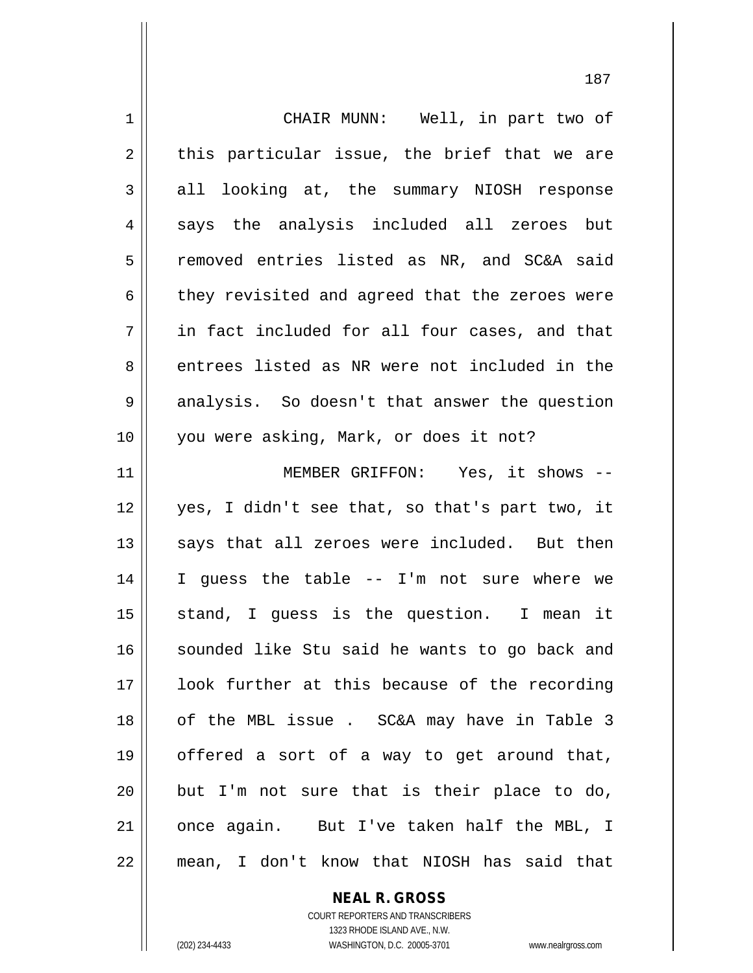| $\mathbf 1$ | CHAIR MUNN: Well, in part two of               |
|-------------|------------------------------------------------|
| 2           | this particular issue, the brief that we are   |
| 3           | all looking at, the summary NIOSH response     |
| 4           | says the analysis included all zeroes but      |
| 5           | removed entries listed as NR, and SC&A said    |
| 6           | they revisited and agreed that the zeroes were |
| 7           | in fact included for all four cases, and that  |
| 8           | entrees listed as NR were not included in the  |
| 9           | analysis. So doesn't that answer the question  |
| 10          | you were asking, Mark, or does it not?         |
| 11          | MEMBER GRIFFON: Yes, it shows --               |
| 12          | yes, I didn't see that, so that's part two, it |
| 13          | says that all zeroes were included. But then   |
| 14          | I guess the table -- I'm not sure where we     |
| 15          | stand, I quess is the question. I mean it      |
| 16          | sounded like Stu said he wants to go back and  |
| 17          | look further at this because of the recording  |
| 18          | of the MBL issue. SC&A may have in Table 3     |
| 19          | offered a sort of a way to get around that,    |
| 20          | but I'm not sure that is their place to do,    |
| 21          | once again. But I've taken half the MBL, I     |
| 22          | mean, I don't know that NIOSH has said that    |

**NEAL R. GROSS** COURT REPORTERS AND TRANSCRIBERS

1323 RHODE ISLAND AVE., N.W.

(202) 234-4433 WASHINGTON, D.C. 20005-3701 www.nealrgross.com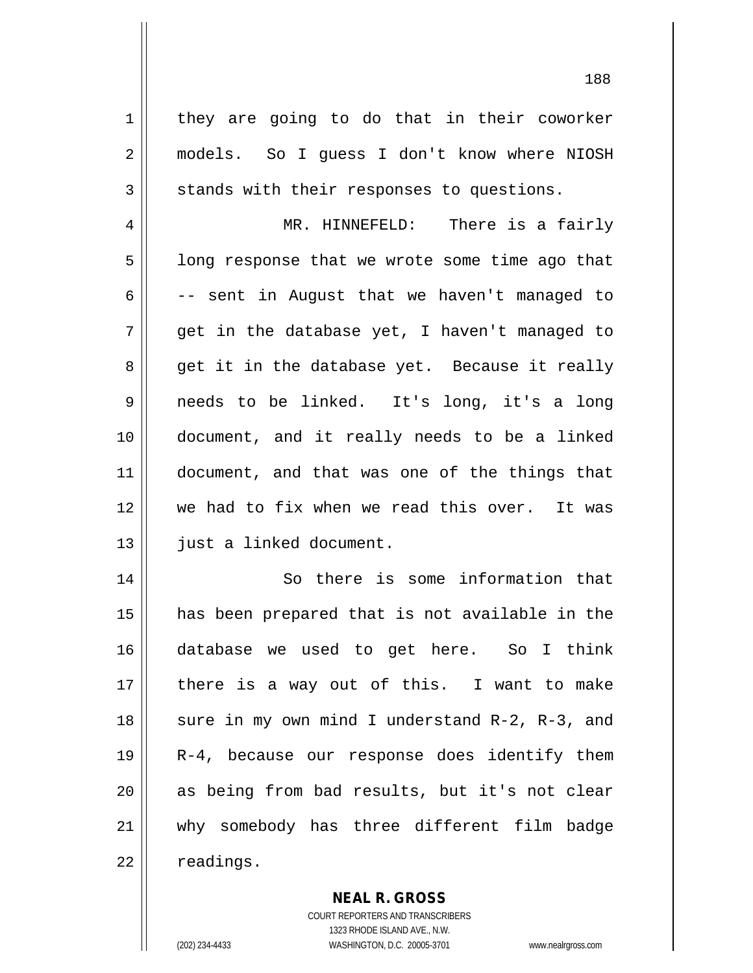$1 \parallel$  they are going to do that in their coworker 2 models. So I guess I don't know where NIOSH  $3 \parallel$  stands with their responses to questions.

4 MR. HINNEFELD: There is a fairly  $5 \parallel$  long response that we wrote some time ago that  $6 \parallel$  -- sent in August that we haven't managed to  $7 \parallel$  qet in the database yet, I haven't managed to 8 get it in the database yet. Because it really 9 needs to be linked. It's long, it's a long 10 document, and it really needs to be a linked 11 || document, and that was one of the things that 12 we had to fix when we read this over. It was 13 || just a linked document.

 So there is some information that has been prepared that is not available in the database we used to get here. So I think there is a way out of this. I want to make  $\parallel$  sure in my own mind I understand R-2, R-3, and R-4, because our response does identify them 20 || as being from bad results, but it's not clear why somebody has three different film badge |  $readings.$ 

## **NEAL R. GROSS**

COURT REPORTERS AND TRANSCRIBERS 1323 RHODE ISLAND AVE., N.W. (202) 234-4433 WASHINGTON, D.C. 20005-3701 www.nealrgross.com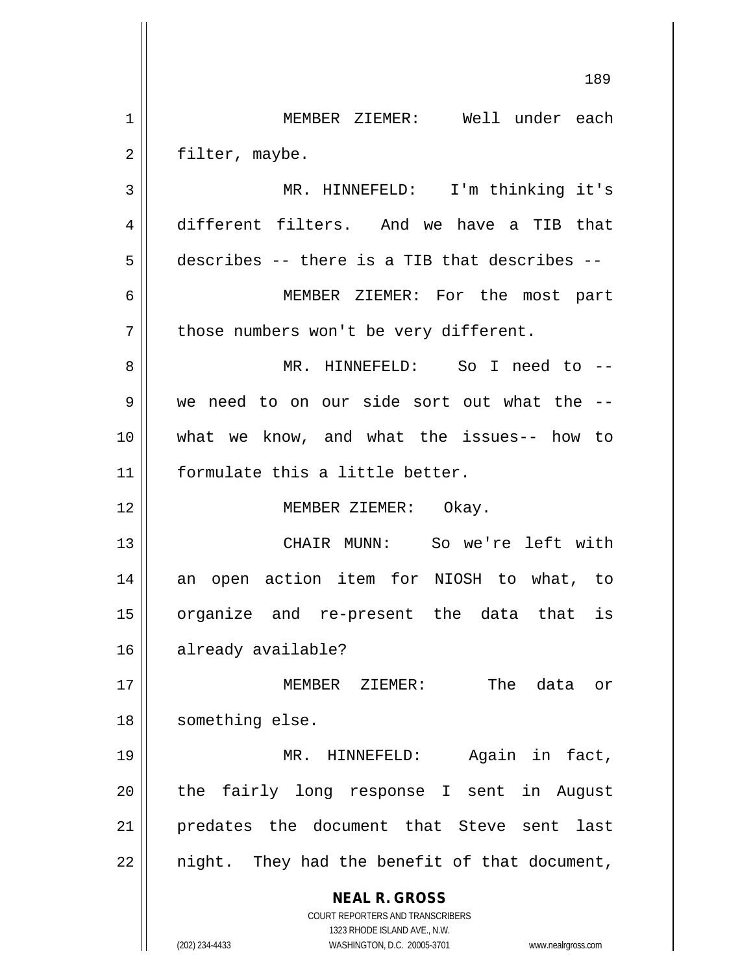**NEAL R. GROSS** COURT REPORTERS AND TRANSCRIBERS 1323 RHODE ISLAND AVE., N.W. (202) 234-4433 WASHINGTON, D.C. 20005-3701 www.nealrgross.com 189 1 MEMBER ZIEMER: Well under each 2 | filter, maybe. 3 MR. HINNEFELD: I'm thinking it's 4 different filters. And we have a TIB that  $5 \parallel$  describes -- there is a TIB that describes --6 MEMBER ZIEMER: For the most part  $7 \parallel$  those numbers won't be very different. 8 MR. HINNEFELD: So I need to -- 9 we need to on our side sort out what the -- 10 what we know, and what the issues-- how to 11 formulate this a little better. 12 || **MEMBER ZIEMER:** Okay. 13 CHAIR MUNN: So we're left with 14 || an open action item for NIOSH to what, to 15 organize and re-present the data that is 16 | already available? 17 MEMBER ZIEMER: The data or 18 | something else. 19 || MR. HINNEFELD: Again in fact, 20 || the fairly long response I sent in August 21 predates the document that Steve sent last  $22$  || night. They had the benefit of that document,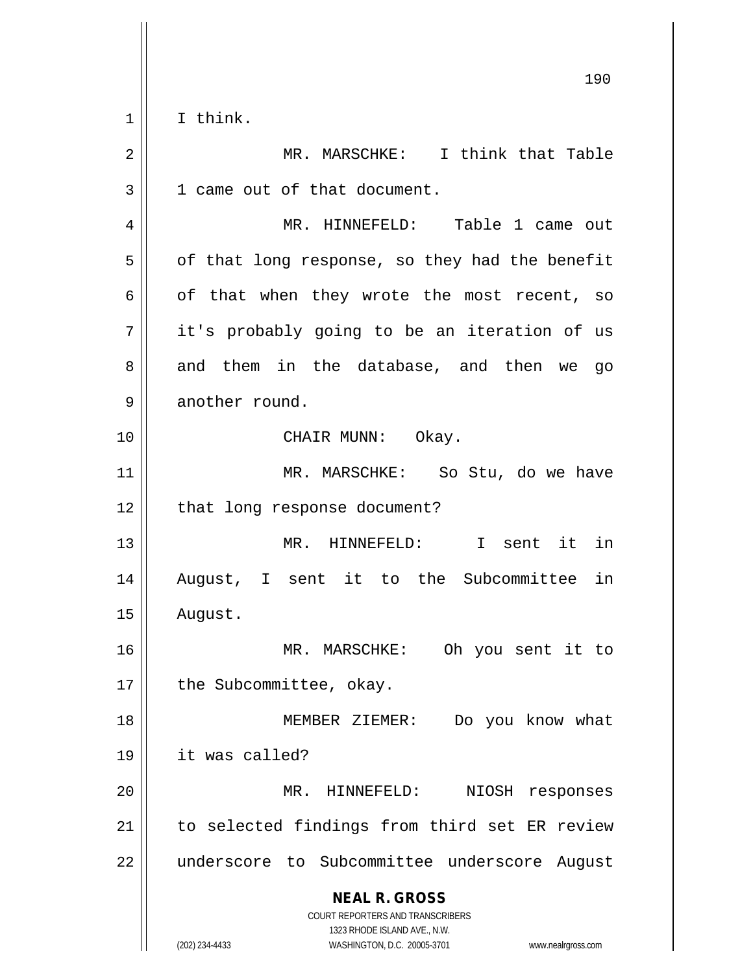$1 \parallel$  I think.

| $\overline{2}$ | MR. MARSCHKE: I think that Table                                                                                                                                |
|----------------|-----------------------------------------------------------------------------------------------------------------------------------------------------------------|
| 3              | 1 came out of that document.                                                                                                                                    |
| 4              | MR. HINNEFELD: Table 1 came out                                                                                                                                 |
| 5              | of that long response, so they had the benefit                                                                                                                  |
| 6              | of that when they wrote the most recent, so                                                                                                                     |
| 7              | it's probably going to be an iteration of us                                                                                                                    |
| 8              | and them in the database, and then we<br>go                                                                                                                     |
| 9              | another round.                                                                                                                                                  |
| 10             | CHAIR MUNN: Okay.                                                                                                                                               |
| 11             | MR. MARSCHKE: So Stu, do we have                                                                                                                                |
| 12             | that long response document?                                                                                                                                    |
| 13             | MR. HINNEFELD: I sent it in                                                                                                                                     |
| 14             | August, I sent it to the Subcommittee in                                                                                                                        |
| 15             | August.                                                                                                                                                         |
| 16             | MR. MARSCHKE: Oh you sent it to                                                                                                                                 |
| 17             | the Subcommittee, okay.                                                                                                                                         |
| 18             | MEMBER ZIEMER:<br>Do you know what                                                                                                                              |
| 19             | it was called?                                                                                                                                                  |
| 20             | MR. HINNEFELD:<br>NIOSH responses                                                                                                                               |
| 21             | to selected findings from third set ER review                                                                                                                   |
| 22             | underscore to Subcommittee underscore August                                                                                                                    |
|                | <b>NEAL R. GROSS</b><br>COURT REPORTERS AND TRANSCRIBERS<br>1323 RHODE ISLAND AVE., N.W.<br>(202) 234-4433<br>WASHINGTON, D.C. 20005-3701<br>www.nealrgross.com |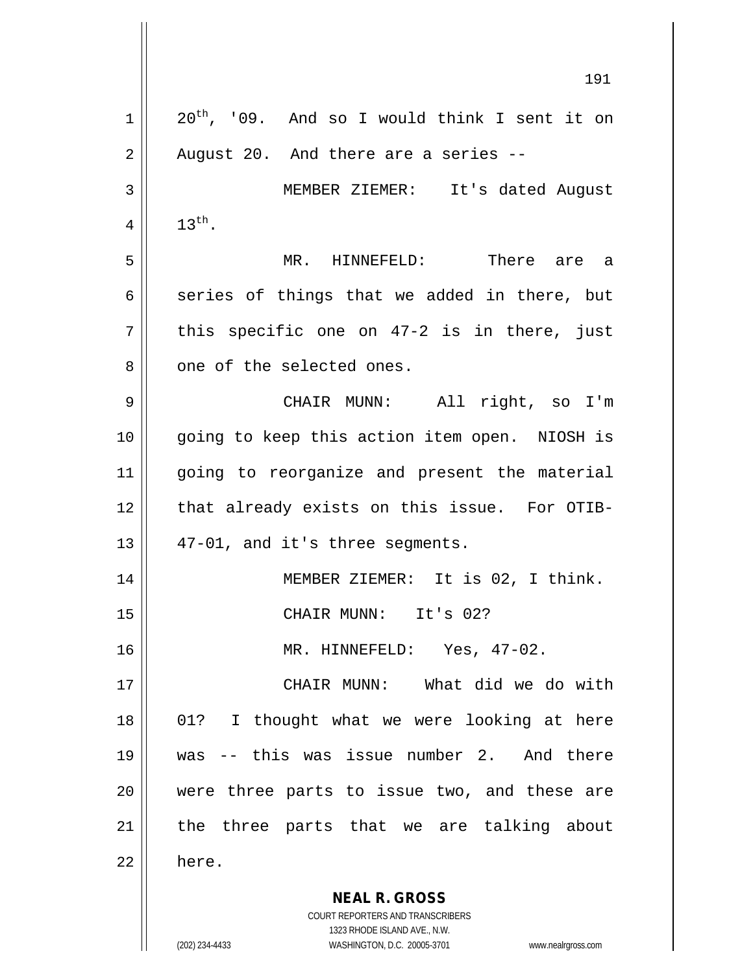|    | 191                                                                 |
|----|---------------------------------------------------------------------|
| 1  | $20^{th}$ , '09. And so I would think I sent it on                  |
| 2  | August 20. And there are a series --                                |
| 3  | MEMBER ZIEMER: It's dated August                                    |
| 4  | $13^{\text{th}}$ .                                                  |
| 5  | MR. HINNEFELD: There are a                                          |
| 6  | series of things that we added in there, but                        |
| 7  | this specific one on 47-2 is in there, just                         |
| 8  | one of the selected ones.                                           |
| 9  | CHAIR MUNN: All right, so I'm                                       |
| 10 | going to keep this action item open. NIOSH is                       |
| 11 | going to reorganize and present the material                        |
| 12 | that already exists on this issue. For OTIB-                        |
| 13 | 47-01, and it's three segments.                                     |
| 14 | MEMBER ZIEMER: It is 02, I think.                                   |
| 15 | CHAIR MUNN: It's 02?                                                |
| 16 | MR. HINNEFELD: Yes, 47-02.                                          |
| 17 | CHAIR MUNN: What did we do with                                     |
| 18 | 01? I thought what we were looking at here                          |
| 19 | was -- this was issue number 2. And there                           |
| 20 | were three parts to issue two, and these are                        |
| 21 | the three parts that we are talking about                           |
| 22 | here.                                                               |
|    | <b>NEAL R. GROSS</b>                                                |
|    | <b>COURT REPORTERS AND TRANSCRIBERS</b>                             |
|    | 1323 RHODE ISLAND AVE., N.W.                                        |
|    | (202) 234-4433<br>WASHINGTON, D.C. 20005-3701<br>www.nealrgross.com |

 $\mathsf I$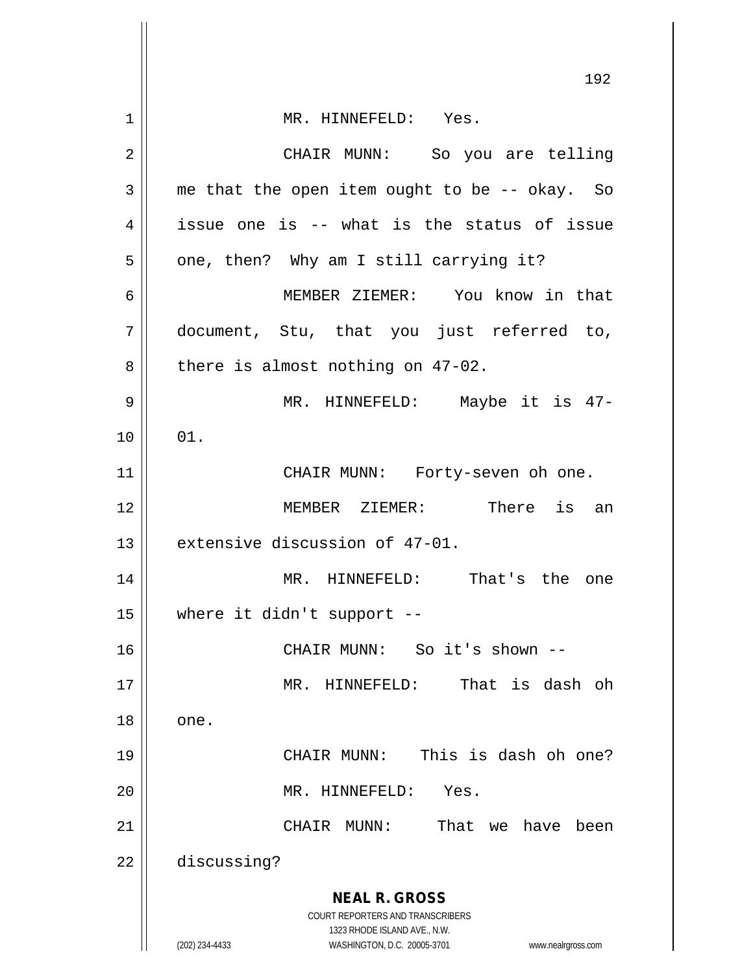|    | 192                                                                                                 |
|----|-----------------------------------------------------------------------------------------------------|
| 1  | MR. HINNEFELD: Yes.                                                                                 |
| 2  | CHAIR MUNN: So you are telling                                                                      |
| 3  | me that the open item ought to be -- okay. So                                                       |
| 4  | issue one is -- what is the status of issue                                                         |
| 5  | one, then? Why am I still carrying it?                                                              |
| 6  | MEMBER ZIEMER: You know in that                                                                     |
| 7  | document, Stu, that you just referred to,                                                           |
| 8  | there is almost nothing on 47-02.                                                                   |
| 9  | MR. HINNEFELD: Maybe it is 47-                                                                      |
| 10 | 01.                                                                                                 |
| 11 | CHAIR MUNN: Forty-seven oh one.                                                                     |
| 12 | MEMBER ZIEMER: There is an                                                                          |
| 13 | extensive discussion of 47-01.                                                                      |
| 14 | That's the one<br>MR. HINNEFELD:                                                                    |
| 15 | where it didn't support --                                                                          |
| 16 | So it's shown --<br>CHAIR MUNN:                                                                     |
| 17 | That is dash oh<br>MR. HINNEFELD:                                                                   |
| 18 | one.                                                                                                |
| 19 | This is dash oh one?<br>CHAIR MUNN:                                                                 |
| 20 | MR. HINNEFELD:<br>Yes.                                                                              |
| 21 | MUNN :<br>That we have been<br>CHAIR                                                                |
| 22 | discussing?                                                                                         |
|    | <b>NEAL R. GROSS</b>                                                                                |
|    | COURT REPORTERS AND TRANSCRIBERS                                                                    |
|    | 1323 RHODE ISLAND AVE., N.W.<br>(202) 234-4433<br>WASHINGTON, D.C. 20005-3701<br>www.nealrgross.com |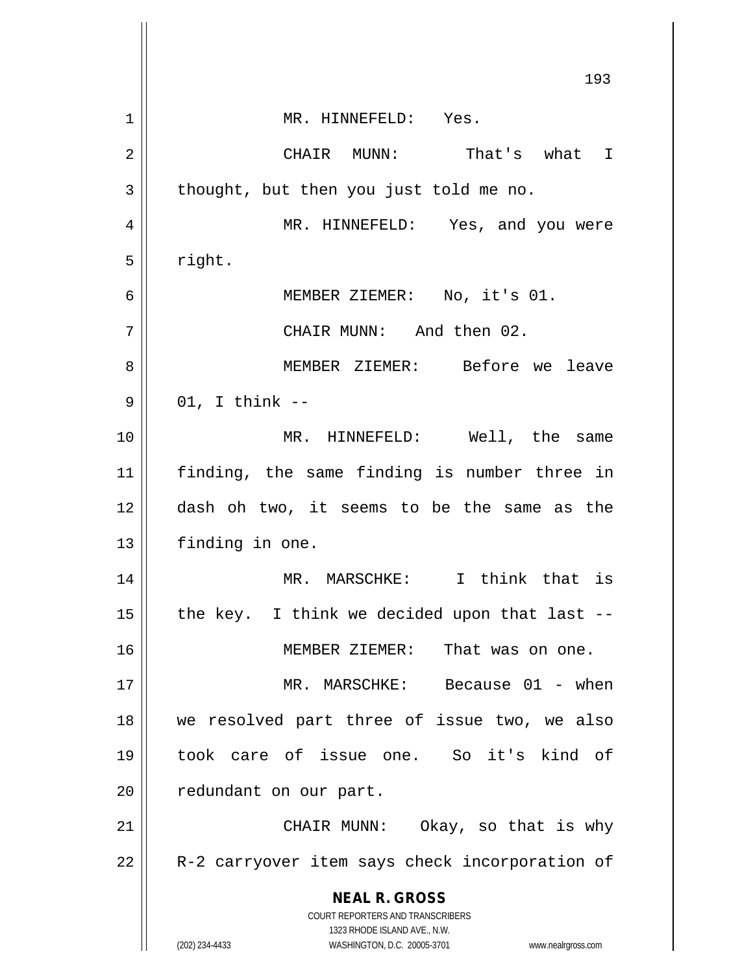|                | 193                                                                                                 |
|----------------|-----------------------------------------------------------------------------------------------------|
| 1              | MR. HINNEFELD: Yes.                                                                                 |
| 2              | CHAIR MUNN: That's what I                                                                           |
| 3              | thought, but then you just told me no.                                                              |
| $\overline{4}$ | MR. HINNEFELD: Yes, and you were                                                                    |
| 5              | right.                                                                                              |
| 6              | MEMBER ZIEMER: No, it's 01.                                                                         |
| 7              | CHAIR MUNN: And then 02.                                                                            |
| 8              | MEMBER ZIEMER: Before we leave                                                                      |
| 9              | $01$ , I think $-$                                                                                  |
| 10             | MR. HINNEFELD: Well, the same                                                                       |
| 11             | finding, the same finding is number three in                                                        |
| 12             | dash oh two, it seems to be the same as the                                                         |
| 13             | finding in one.                                                                                     |
| 14             | MR. MARSCHKE: I think that is                                                                       |
| 15             | the key. I think we decided upon that last -                                                        |
| 16             | MEMBER ZIEMER:<br>That was on one.                                                                  |
| 17             | MR. MARSCHKE: Because 01 - when                                                                     |
| 18             | we resolved part three of issue two, we also                                                        |
| 19             | took care of issue one. So it's kind of                                                             |
| 20             | redundant on our part.                                                                              |
| 21             | CHAIR MUNN: Okay, so that is why                                                                    |
| 22             | R-2 carryover item says check incorporation of                                                      |
|                | <b>NEAL R. GROSS</b><br>COURT REPORTERS AND TRANSCRIBERS                                            |
|                | 1323 RHODE ISLAND AVE., N.W.<br>(202) 234-4433<br>WASHINGTON, D.C. 20005-3701<br>www.nealrgross.com |

 $\mathbf{\mathbf{\mathsf{I}}}\mathbf{\mathsf{I}}$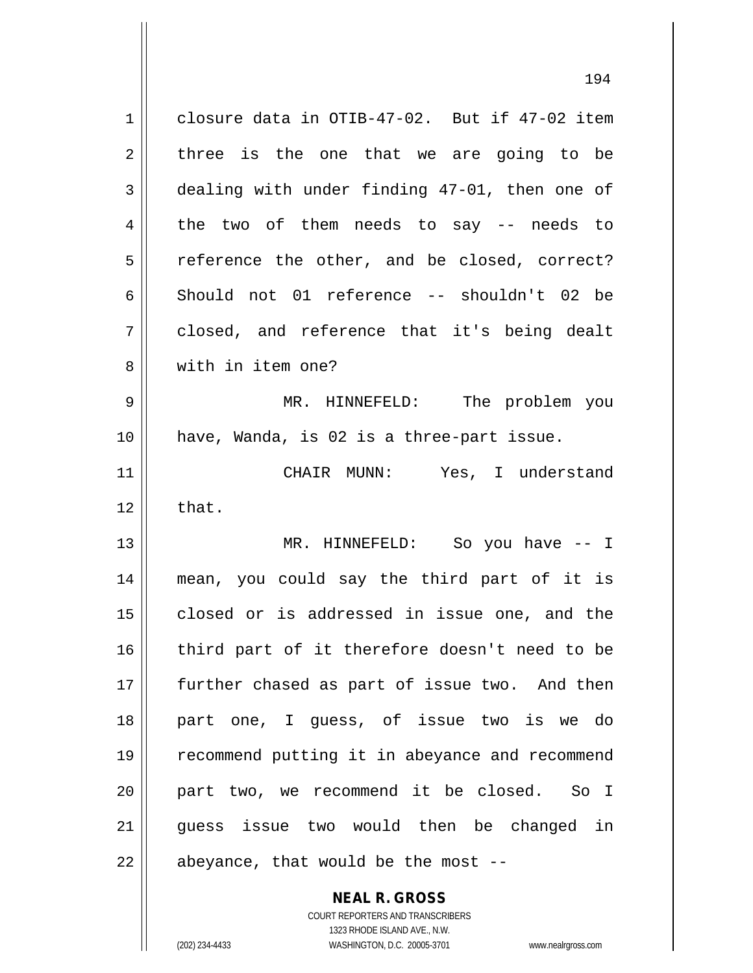1 closure data in OTIB-47-02. But if 47-02 item  $2 \parallel$  three is the one that we are going to be 3 dealing with under finding 47-01, then one of  $4 \parallel$  the two of them needs to say -- needs to  $5 \parallel$  reference the other, and be closed, correct? 6 Should not 01 reference -- shouldn't 02 be 7 closed, and reference that it's being dealt 8 with in item one? 9 MR. HINNEFELD: The problem you 10 have, Wanda, is 02 is a three-part issue. 11 CHAIR MUNN: Yes, I understand  $12 \parallel$  that. 13 MR. HINNEFELD: So you have -- I 14 mean, you could say the third part of it is 15 || closed or is addressed in issue one, and the 16 || third part of it therefore doesn't need to be 17 further chased as part of issue two. And then 18 || part one, I guess, of issue two is we do 19 recommend putting it in abeyance and recommend 20 part two, we recommend it be closed. So I 21 || quess issue two would then be changed in  $22$  | abeyance, that would be the most  $-$ 

> **NEAL R. GROSS** COURT REPORTERS AND TRANSCRIBERS

1323 RHODE ISLAND AVE., N.W. (202) 234-4433 WASHINGTON, D.C. 20005-3701 www.nealrgross.com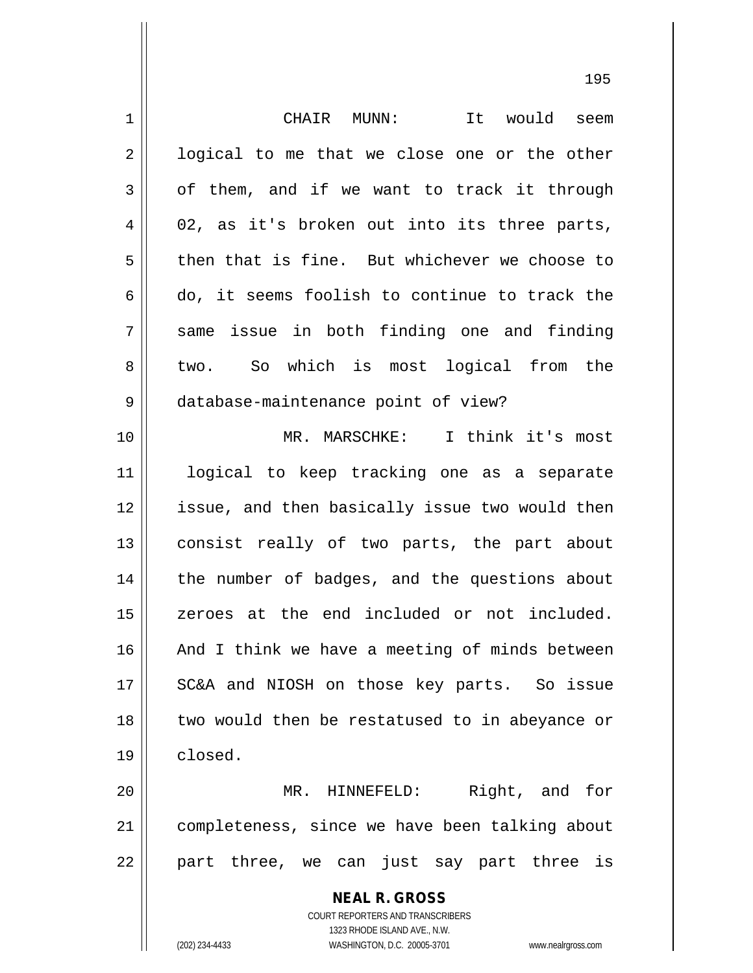| 1  | CHAIR MUNN:<br>It would seem                                                                        |
|----|-----------------------------------------------------------------------------------------------------|
| 2  | logical to me that we close one or the other                                                        |
| 3  | of them, and if we want to track it through                                                         |
| 4  | 02, as it's broken out into its three parts,                                                        |
| 5  | then that is fine. But whichever we choose to                                                       |
| 6  | do, it seems foolish to continue to track the                                                       |
| 7  | same issue in both finding one and finding                                                          |
| 8  | two. So which is most logical from the                                                              |
| 9  | database-maintenance point of view?                                                                 |
| 10 | MR. MARSCHKE: I think it's most                                                                     |
| 11 | logical to keep tracking one as a separate                                                          |
| 12 | issue, and then basically issue two would then                                                      |
| 13 | consist really of two parts, the part about                                                         |
| 14 | the number of badges, and the questions about                                                       |
| 15 | zeroes at the end included or not included.                                                         |
| 16 | And I think we have a meeting of minds between                                                      |
| 17 | SC&A and NIOSH on those key parts. So issue                                                         |
| 18 | two would then be restatused to in abeyance or                                                      |
| 19 | closed.                                                                                             |
| 20 | Right, and for<br>MR. HINNEFELD:                                                                    |
| 21 | completeness, since we have been talking about                                                      |
| 22 | part three, we can just say part three is                                                           |
|    |                                                                                                     |
|    | <b>NEAL R. GROSS</b>                                                                                |
|    | <b>COURT REPORTERS AND TRANSCRIBERS</b>                                                             |
|    | 1323 RHODE ISLAND AVE., N.W.<br>(202) 234-4433<br>WASHINGTON, D.C. 20005-3701<br>www.nealrgross.com |
|    |                                                                                                     |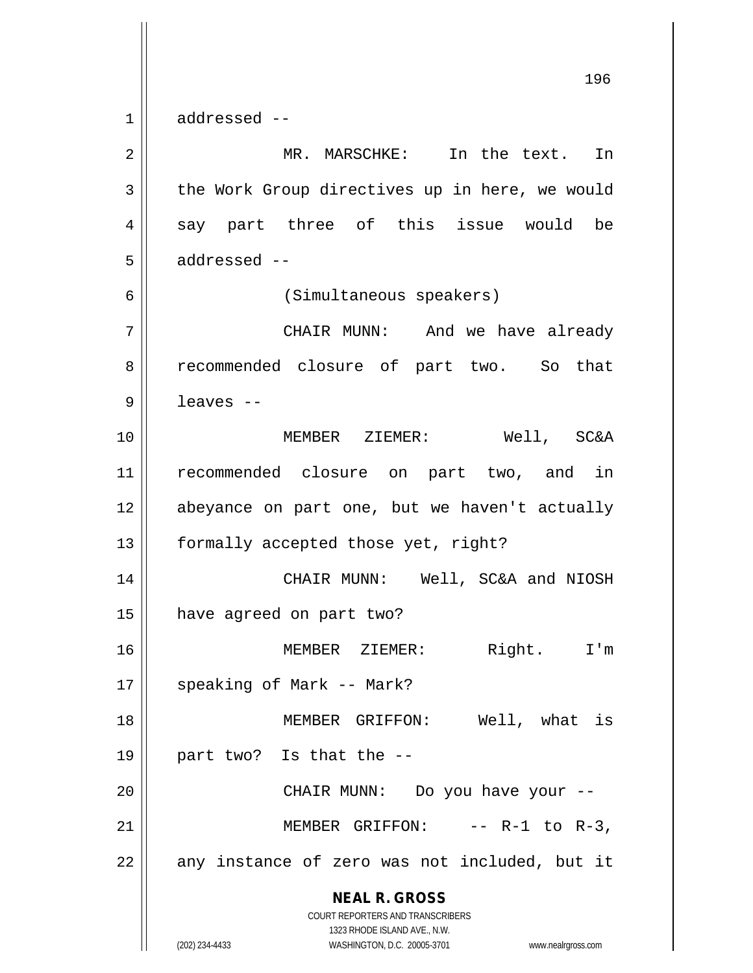**NEAL R. GROSS** COURT REPORTERS AND TRANSCRIBERS 1323 RHODE ISLAND AVE., N.W. (202) 234-4433 WASHINGTON, D.C. 20005-3701 www.nealrgross.com 196  $1 \parallel$  addressed --2 || MR. MARSCHKE: In the text. In 3 | the Work Group directives up in here, we would  $4 \parallel$  say part three of this issue would be  $5 \parallel$  addressed  $-$ 6 (Simultaneous speakers) 7 CHAIR MUNN: And we have already 8 || recommended closure of part two. So that  $9 \parallel$  leaves --10 MEMBER ZIEMER: Well, SC&A 11 recommended closure on part two, and in 12 abeyance on part one, but we haven't actually 13 | formally accepted those yet, right? 14 CHAIR MUNN: Well, SC&A and NIOSH 15 have agreed on part two? 16 MEMBER ZIEMER: Right. I'm 17 || speaking of Mark -- Mark? 18 || MEMBER GRIFFON: Well, what is 19 || part two? Is that the  $-$ -20 CHAIR MUNN: Do you have your -- 21  $\parallel$  MEMBER GRIFFON: -- R-1 to R-3,  $22 \parallel$  any instance of zero was not included, but it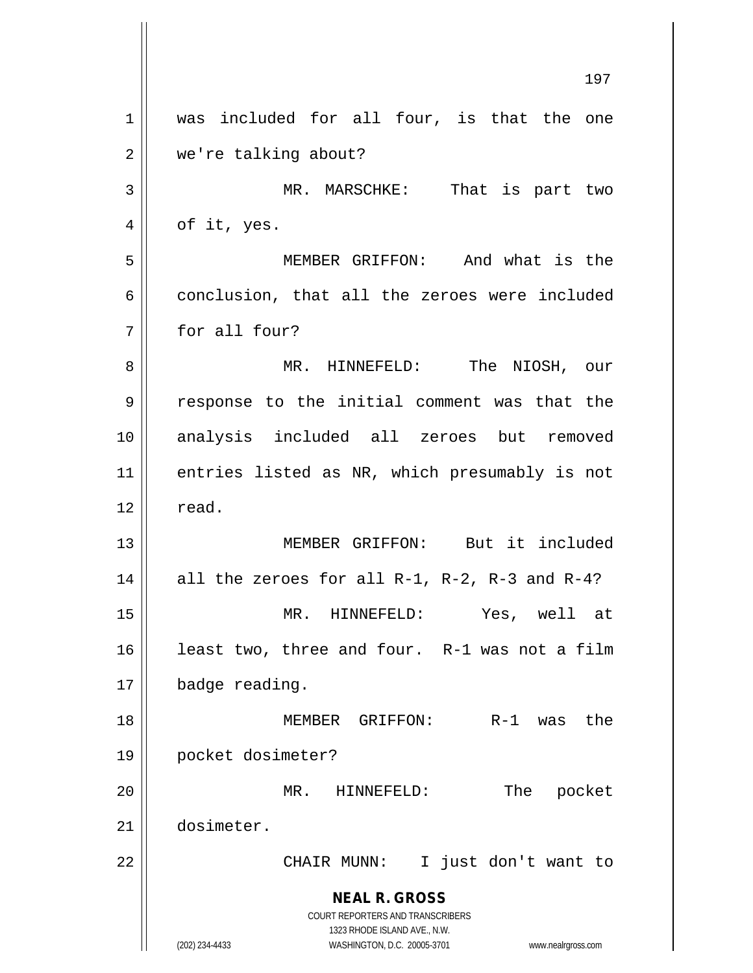**NEAL R. GROSS** COURT REPORTERS AND TRANSCRIBERS 1323 RHODE ISLAND AVE., N.W. (202) 234-4433 WASHINGTON, D.C. 20005-3701 www.nealrgross.com 197 1 || was included for all four, is that the one 2 | we're talking about? 3 MR. MARSCHKE: That is part two  $4 \parallel$  of it, yes. 5 MEMBER GRIFFON: And what is the 6 conclusion, that all the zeroes were included 7 for all four? 8 MR. HINNEFELD: The NIOSH, our 9 || response to the initial comment was that the 10 analysis included all zeroes but removed 11 entries listed as NR, which presumably is not  $12 \parallel$  read. 13 MEMBER GRIFFON: But it included 14  $\parallel$  all the zeroes for all R-1, R-2, R-3 and R-4? 15 MR. HINNEFELD: Yes, well at 16 || least two, three and four. R-1 was not a film 17 | badge reading. 18 MEMBER GRIFFON: R-1 was the 19 pocket dosimeter? 20 MR. HINNEFELD: The pocket 21 dosimeter. 22 || CHAIR MUNN: I just don't want to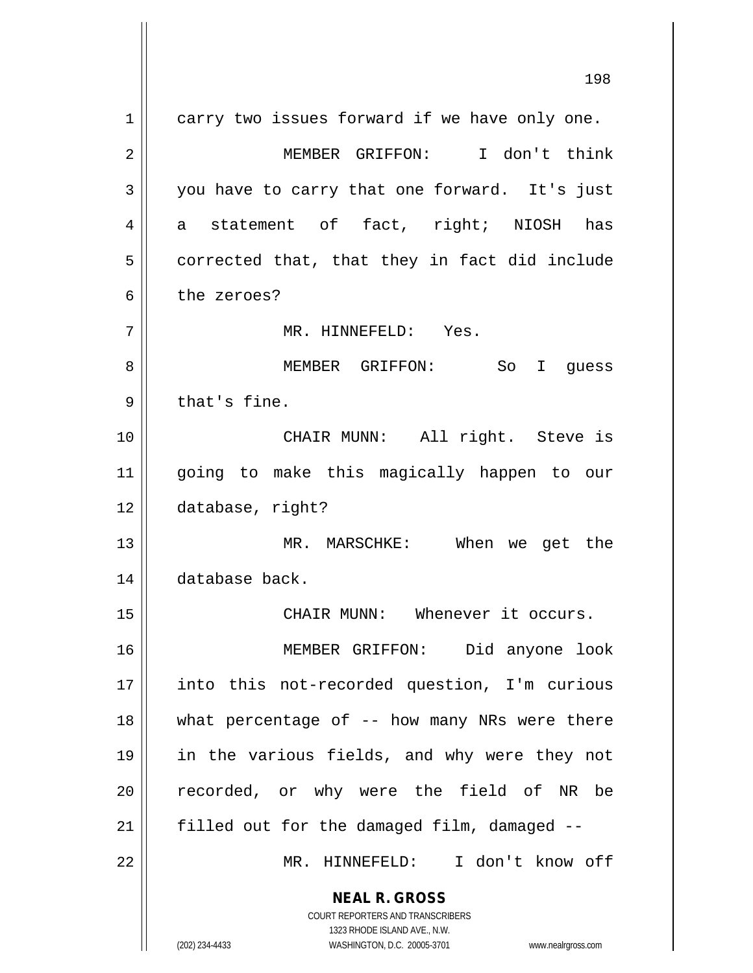**NEAL R. GROSS** COURT REPORTERS AND TRANSCRIBERS 198 1 carry two issues forward if we have only one. 2 MEMBER GRIFFON: I don't think 3 you have to carry that one forward. It's just  $4 \parallel$  a statement of fact, right; NIOSH has  $5 \parallel$  corrected that, that they in fact did include 6 b the zeroes? 7 MR. HINNEFELD: Yes. 8 MEMBER GRIFFON: So I guess  $9 \parallel$  that's fine. 10 || CHAIR MUNN: All right. Steve is 11 going to make this magically happen to our 12 database, right? 13 MR. MARSCHKE: When we get the 14 database back. 15 || CHAIR MUNN: Whenever it occurs. 16 MEMBER GRIFFON: Did anyone look 17 into this not-recorded question, I'm curious 18 what percentage of -- how many NRs were there 19 in the various fields, and why were they not 20 || recorded, or why were the field of NR be  $21$  | filled out for the damaged film, damaged  $-$ 22 || MR. HINNEFELD: I don't know off

1323 RHODE ISLAND AVE., N.W.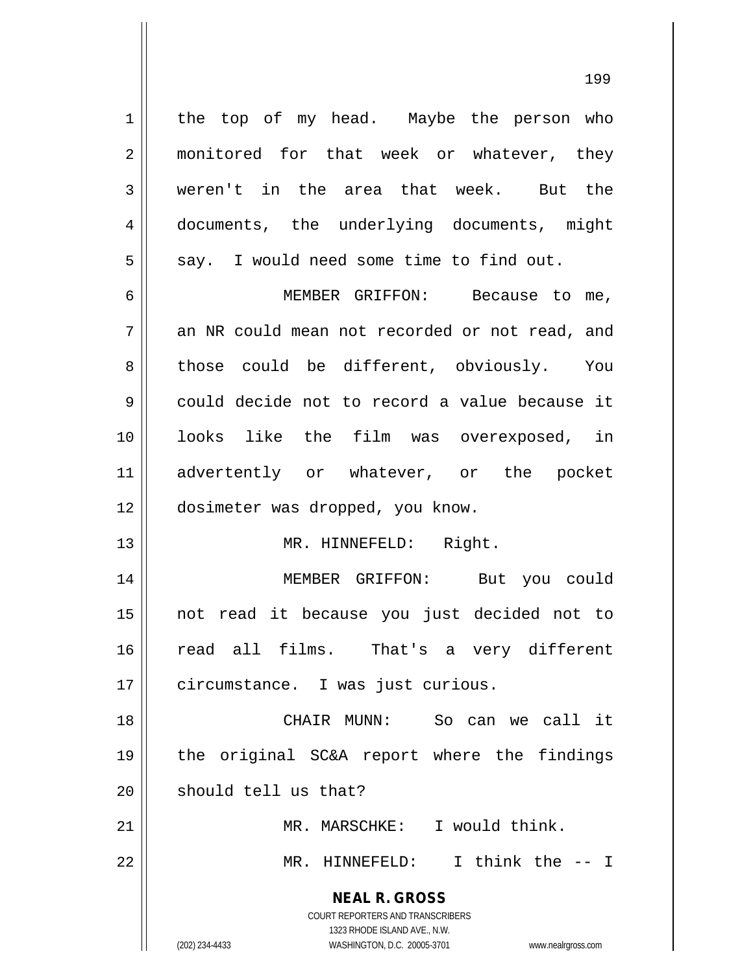1 | the top of my head. Maybe the person who 2 || monitored for that week or whatever, they 3 weren't in the area that week. But the 4 documents, the underlying documents, might  $5 \parallel$  say. I would need some time to find out.

6 MEMBER GRIFFON: Because to me,  $7 \parallel$  an NR could mean not recorded or not read, and 8 those could be different, obviously. You 9 could decide not to record a value because it 10 looks like the film was overexposed, in 11 advertently or whatever, or the pocket 12 | dosimeter was dropped, you know.

13 || MR. HINNEFELD: Right.

14 MEMBER GRIFFON: But you could 15 not read it because you just decided not to 16 || read all films. That's a very different 17 | circumstance. I was just curious.

18 CHAIR MUNN: So can we call it 19 the original SC&A report where the findings  $20$  | should tell us that?

21 MR. MARSCHKE: I would think. 22 MR. HINNEFELD: I think the -- I

> **NEAL R. GROSS** COURT REPORTERS AND TRANSCRIBERS

> > 1323 RHODE ISLAND AVE., N.W.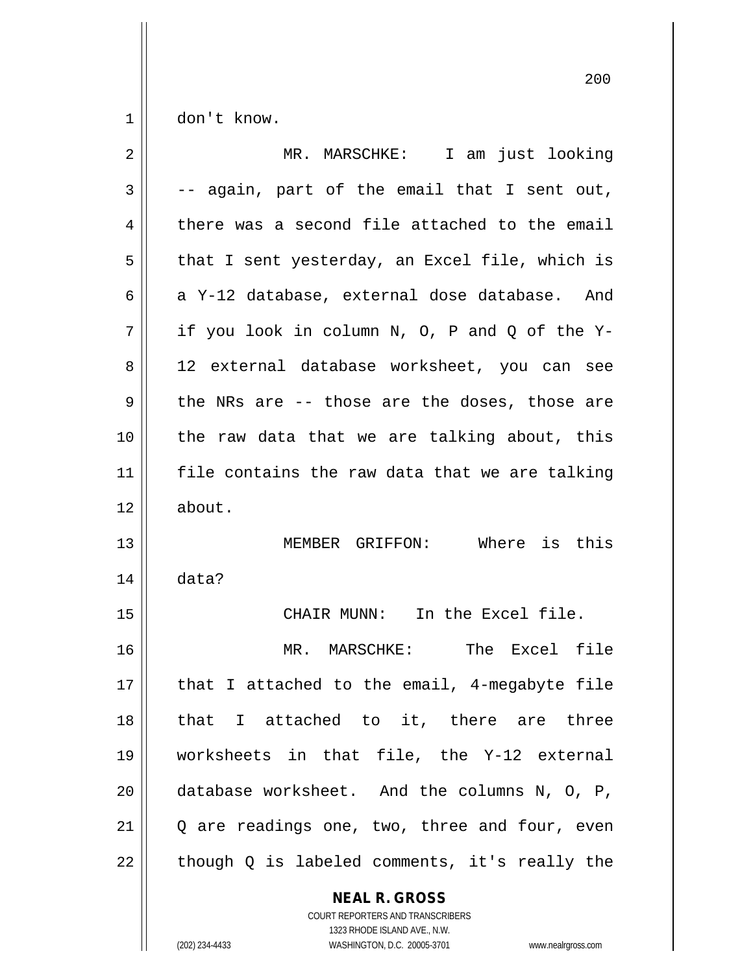$1 \parallel$  don't know.

| $\overline{2}$ | MR. MARSCHKE: I am just looking                |
|----------------|------------------------------------------------|
| 3              | -- again, part of the email that I sent out,   |
| 4              | there was a second file attached to the email  |
| 5              | that I sent yesterday, an Excel file, which is |
| 6              | a Y-12 database, external dose database. And   |
| 7              | if you look in column N, O, P and Q of the Y-  |
| 8              | 12 external database worksheet, you can see    |
| 9              | the NRs are -- those are the doses, those are  |
| 10             | the raw data that we are talking about, this   |
| 11             | file contains the raw data that we are talking |
| 12             | about.                                         |
| 13             | MEMBER GRIFFON: Where is this                  |
| 14             | data?                                          |
| 15             | CHAIR MUNN: In the Excel file.                 |
| 16             | MR. MARSCHKE: The Excel file                   |
| $17\,$         | that I attached to the email, 4-megabyte file  |
| 18             | that I attached to it, there are three         |
| 19             | worksheets in that file, the Y-12 external     |
| 20             | database worksheet. And the columns N, O, P,   |
| 21             | Q are readings one, two, three and four, even  |
| 22             | though Q is labeled comments, it's really the  |

**NEAL R. GROSS** COURT REPORTERS AND TRANSCRIBERS

1323 RHODE ISLAND AVE., N.W. (202) 234-4433 WASHINGTON, D.C. 20005-3701 www.nealrgross.com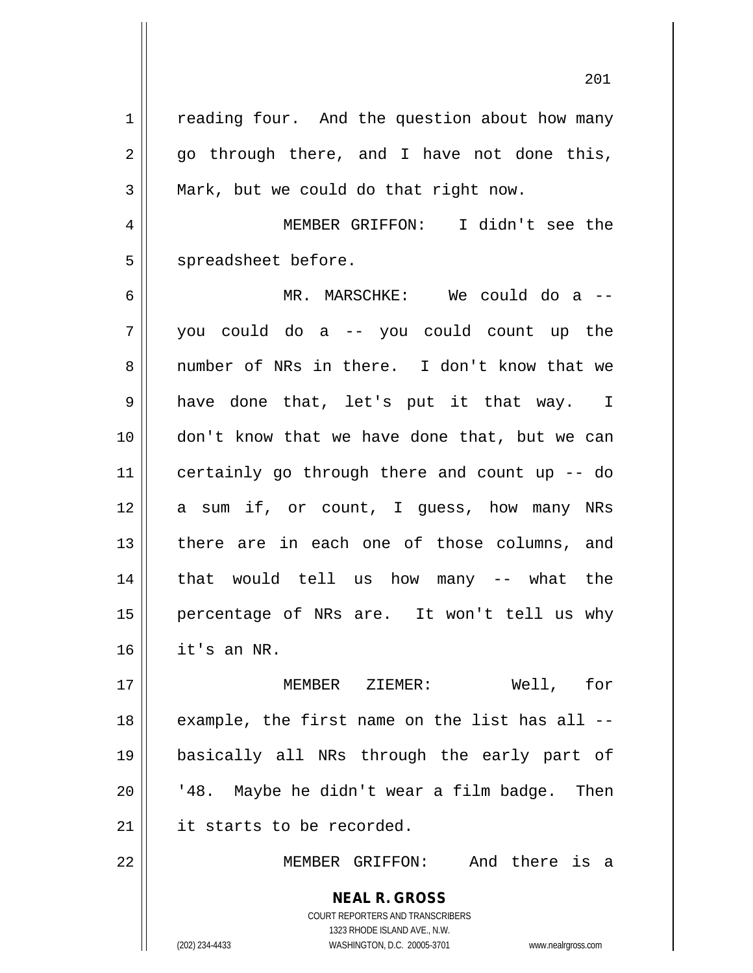**NEAL R. GROSS** 1 | reading four. And the question about how many  $2 \parallel$  go through there, and I have not done this,  $3 \parallel$  Mark, but we could do that right now. 4 MEMBER GRIFFON: I didn't see the 5 spreadsheet before. 6 MR. MARSCHKE: We could do a -- 7 you could do a -- you could count up the 8 number of NRs in there. I don't know that we 9 have done that, let's put it that way. I 10 don't know that we have done that, but we can 11 certainly go through there and count up -- do 12 a sum if, or count, I quess, how many NRs 13 || there are in each one of those columns, and 14 that would tell us how many -- what the 15 percentage of NRs are. It won't tell us why  $16$  | it's an NR. 17 MEMBER ZIEMER: Well, for 18 || example, the first name on the list has all --19 basically all NRs through the early part of  $20$  |  $148$ . Maybe he didn't wear a film badge. Then 21 | it starts to be recorded. 22 MEMBER GRIFFON: And there is a

> COURT REPORTERS AND TRANSCRIBERS 1323 RHODE ISLAND AVE., N.W.

(202) 234-4433 WASHINGTON, D.C. 20005-3701 www.nealrgross.com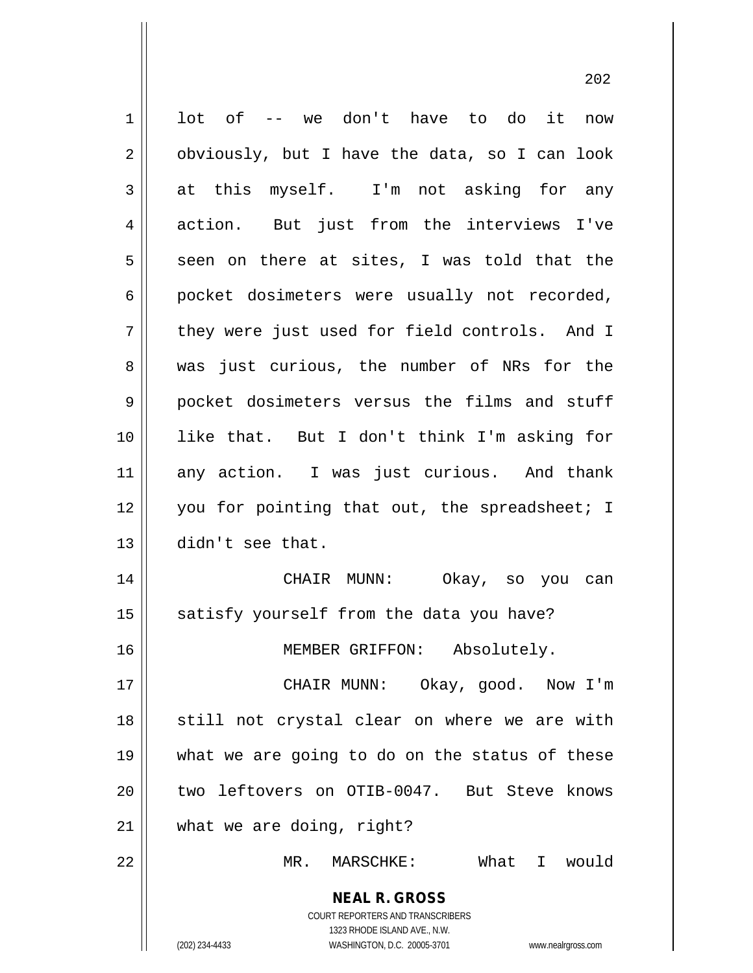| $\mathbf 1$ | lot of -- we don't have to do it<br>now                             |
|-------------|---------------------------------------------------------------------|
| 2           | obviously, but I have the data, so I can look                       |
| 3           | at this myself. I'm not asking for any                              |
| 4           | action. But just from the interviews I've                           |
| 5           | seen on there at sites, I was told that the                         |
| 6           | pocket dosimeters were usually not recorded,                        |
| 7           | they were just used for field controls. And I                       |
| 8           | was just curious, the number of NRs for the                         |
| 9           | pocket dosimeters versus the films and stuff                        |
| 10          | like that. But I don't think I'm asking for                         |
| 11          | any action. I was just curious. And thank                           |
| 12          | you for pointing that out, the spreadsheet; I                       |
| 13          | didn't see that.                                                    |
| 14          | CHAIR MUNN:<br>Okay, so you can                                     |
| 15          | satisfy yourself from the data you have?                            |
| 16          | MEMBER GRIFFON: Absolutely.                                         |
| 17          | CHAIR MUNN: Okay, good. Now I'm                                     |
| 18          | still not crystal clear on where we are with                        |
| 19          | what we are going to do on the status of these                      |
| 20          | two leftovers on OTIB-0047. But Steve knows                         |
| 21          | what we are doing, right?                                           |
| 22          | What I would<br>MR. MARSCHKE:                                       |
|             |                                                                     |
|             | <b>NEAL R. GROSS</b>                                                |
|             | COURT REPORTERS AND TRANSCRIBERS<br>1323 RHODE ISLAND AVE., N.W.    |
|             | (202) 234-4433<br>WASHINGTON, D.C. 20005-3701<br>www.nealrgross.com |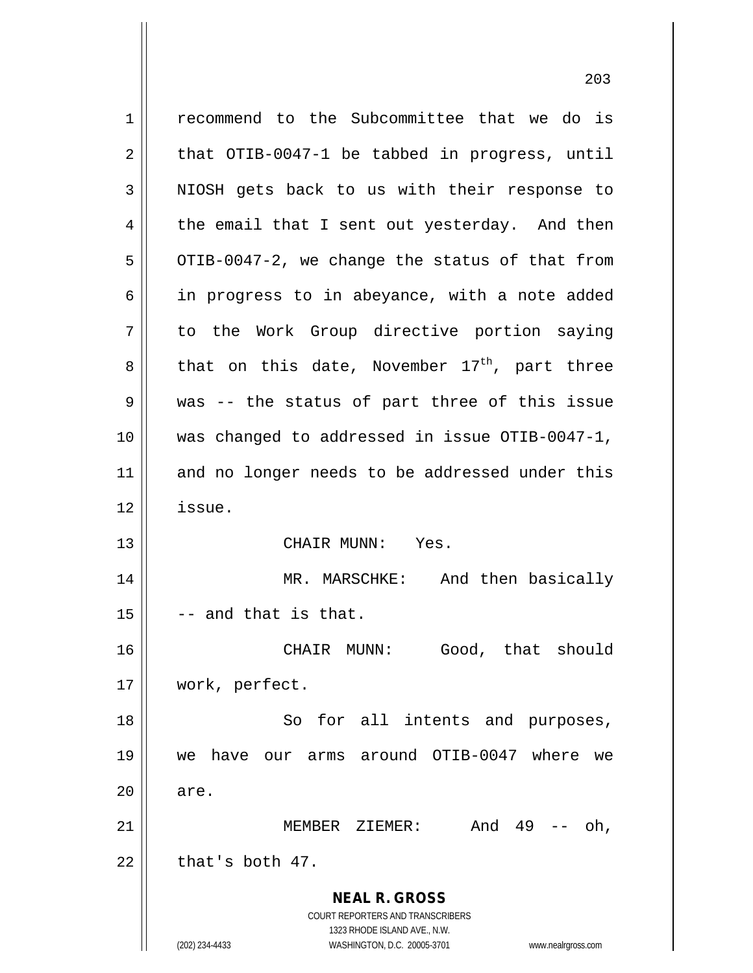**NEAL R. GROSS** COURT REPORTERS AND TRANSCRIBERS 1323 RHODE ISLAND AVE., N.W. (202) 234-4433 WASHINGTON, D.C. 20005-3701 www.nealrgross.com 1 recommend to the Subcommittee that we do is  $2 \parallel$  that OTIB-0047-1 be tabbed in progress, until 3 || NIOSH gets back to us with their response to  $4 \parallel$  the email that I sent out yesterday. And then  $5 \parallel$  OTIB-0047-2, we change the status of that from 6 || in progress to in abeyance, with a note added 7 to the Work Group directive portion saying  $8 \parallel$  that on this date, November 17<sup>th</sup>, part three 9 || was -- the status of part three of this issue 10 was changed to addressed in issue OTIB-0047-1, 11 || and no longer needs to be addressed under this 12 issue. 13 CHAIR MUNN: Yes. 14 MR. MARSCHKE: And then basically  $15$   $\parallel$  -- and that is that. 16 CHAIR MUNN: Good, that should 17 work, perfect. 18 || So for all intents and purposes, 19 we have our arms around OTIB-0047 where we  $20 \parallel$  are. 21 MEMBER ZIEMER: And 49 -- oh,  $22$   $\parallel$  that's both 47.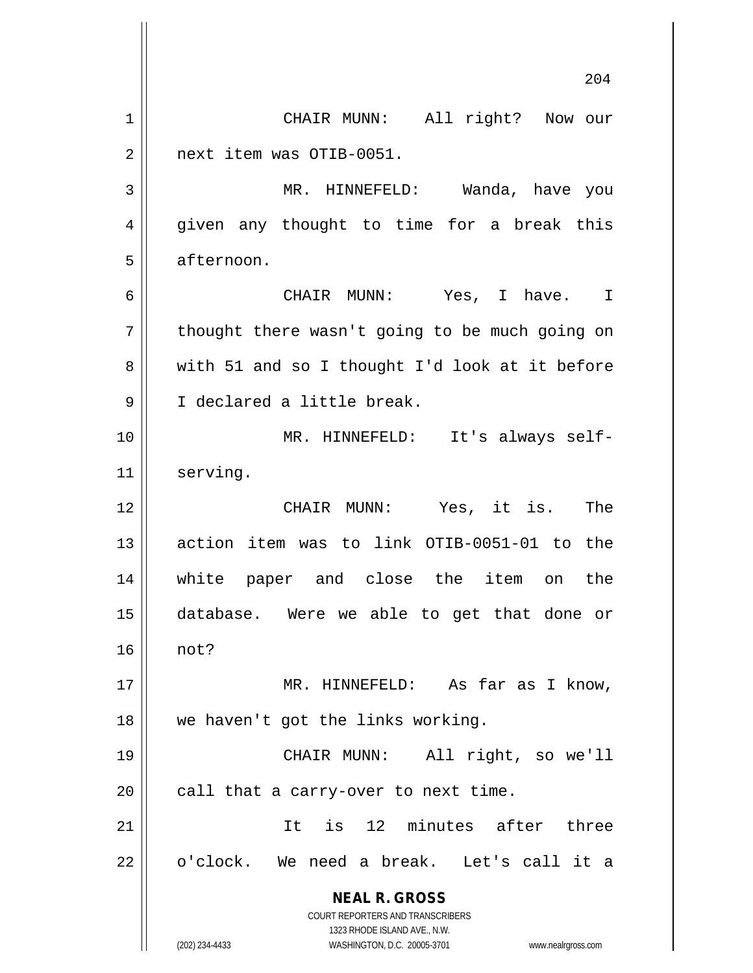**NEAL R. GROSS** COURT REPORTERS AND TRANSCRIBERS 1323 RHODE ISLAND AVE., N.W. (202) 234-4433 WASHINGTON, D.C. 20005-3701 www.nealrgross.com 204 1 | CHAIR MUNN: All right? Now our 2 | next item was OTIB-0051. 3 MR. HINNEFELD: Wanda, have you 4 || given any thought to time for a break this 5 | afternoon. 6 CHAIR MUNN: Yes, I have. I  $7 ||$  thought there wasn't going to be much going on 8 with 51 and so I thought I'd look at it before 9 || I declared a little break. 10 || MR. HINNEFELD: It's always self-11 | serving. 12 CHAIR MUNN: Yes, it is. The 13 || action item was to link OTIB-0051-01 to the 14 white paper and close the item on the 15 database. Were we able to get that done or 16 not? 17 MR. HINNEFELD: As far as I know, 18 || we haven't got the links working. 19 CHAIR MUNN: All right, so we'll  $20$  || call that a carry-over to next time. 21 || Tt is 12 minutes after three 22 || o'clock. We need a break. Let's call it a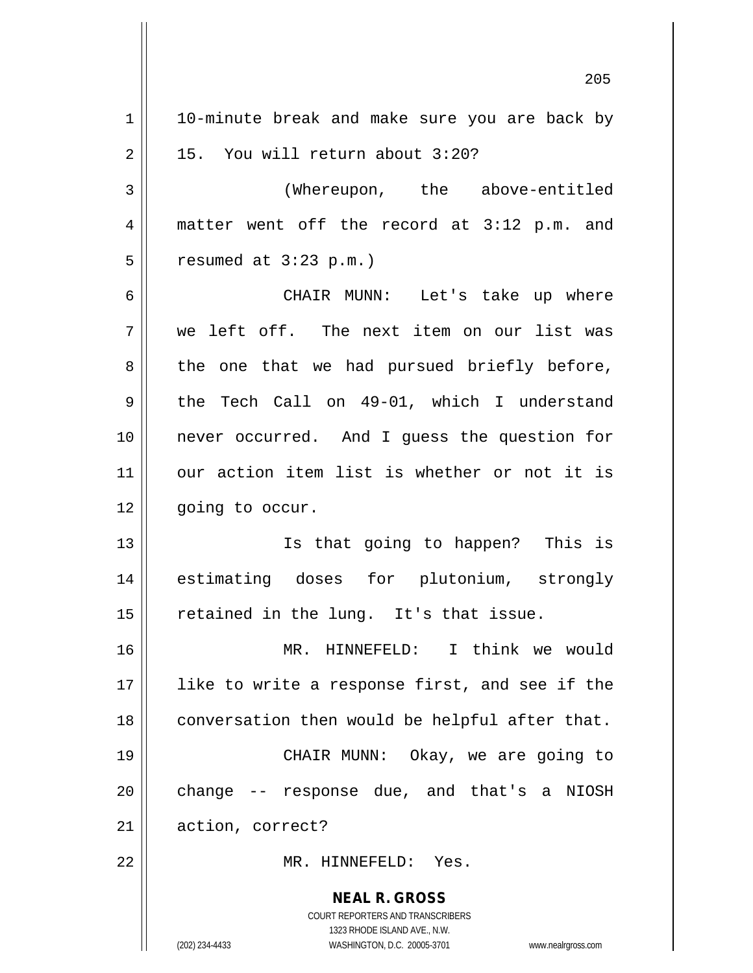**NEAL R. GROSS** COURT REPORTERS AND TRANSCRIBERS 1323 RHODE ISLAND AVE., N.W. 1 | 10-minute break and make sure you are back by  $2 \parallel$  15. You will return about 3:20? 3 (Whereupon, the above-entitled 4 matter went off the record at 3:12 p.m. and  $5 \parallel$  resumed at  $3:23 \text{ p.m.}$ ) 6 CHAIR MUNN: Let's take up where 7 we left off. The next item on our list was  $8 \parallel$  the one that we had pursued briefly before, 9 the Tech Call on 49-01, which I understand 10 never occurred. And I guess the question for 11 our action item list is whether or not it is 12 | qoinq to occur. 13 Is that going to happen? This is 14 estimating doses for plutonium, strongly  $15$  retained in the lung. It's that issue. 16 MR. HINNEFELD: I think we would 17 || like to write a response first, and see if the 18 || conversation then would be helpful after that. 19 CHAIR MUNN: Okay, we are going to 20 || change -- response due, and that's a NIOSH 21 | action, correct? 22 MR. HINNEFELD: Yes.

(202) 234-4433 WASHINGTON, D.C. 20005-3701 www.nealrgross.com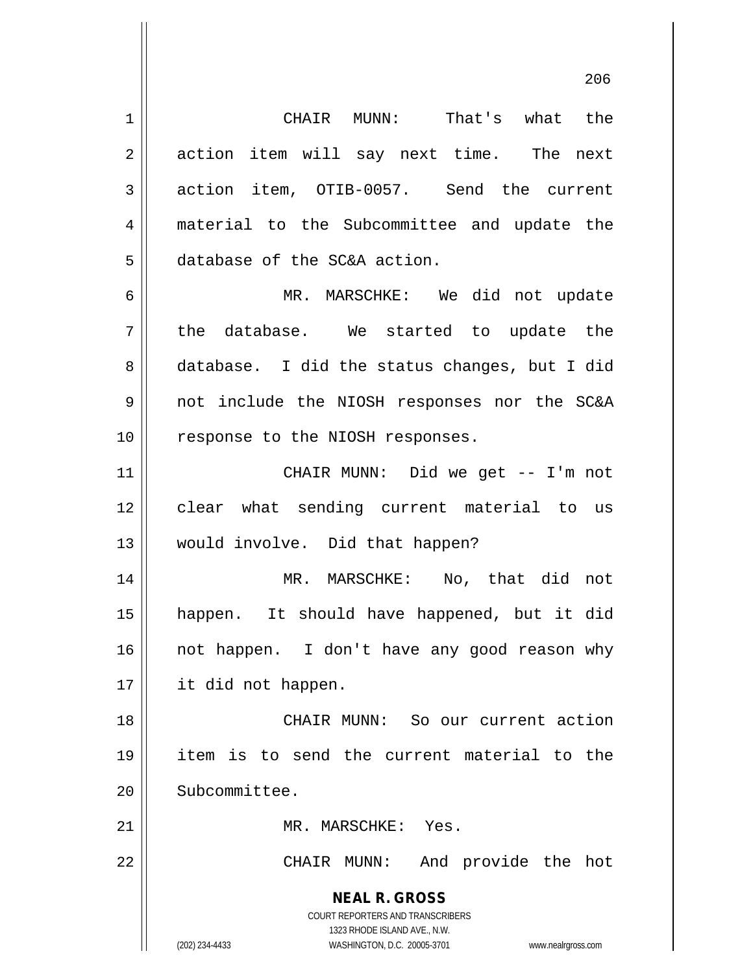**NEAL R. GROSS** COURT REPORTERS AND TRANSCRIBERS 1323 RHODE ISLAND AVE., N.W. 1 CHAIR MUNN: That's what the 2 || action item will say next time. The next 3 action item, OTIB-0057. Send the current 4 || material to the Subcommittee and update the 5 database of the SC&A action. 6 MR. MARSCHKE: We did not update  $7 \parallel$  the database. We started to update the 8 database. I did the status changes, but I did 9 not include the NIOSH responses nor the SC&A 10 || response to the NIOSH responses. 11 CHAIR MUNN: Did we get -- I'm not 12 || clear what sending current material to us 13 would involve. Did that happen? 14 MR. MARSCHKE: No, that did not 15 happen. It should have happened, but it did 16 || not happen. I don't have any good reason why 17 it did not happen. 18 CHAIR MUNN: So our current action 19 item is to send the current material to the 20 Subcommittee. 21 | MR. MARSCHKE: Yes. 22 || CHAIR MUNN: And provide the hot

(202) 234-4433 WASHINGTON, D.C. 20005-3701 www.nealrgross.com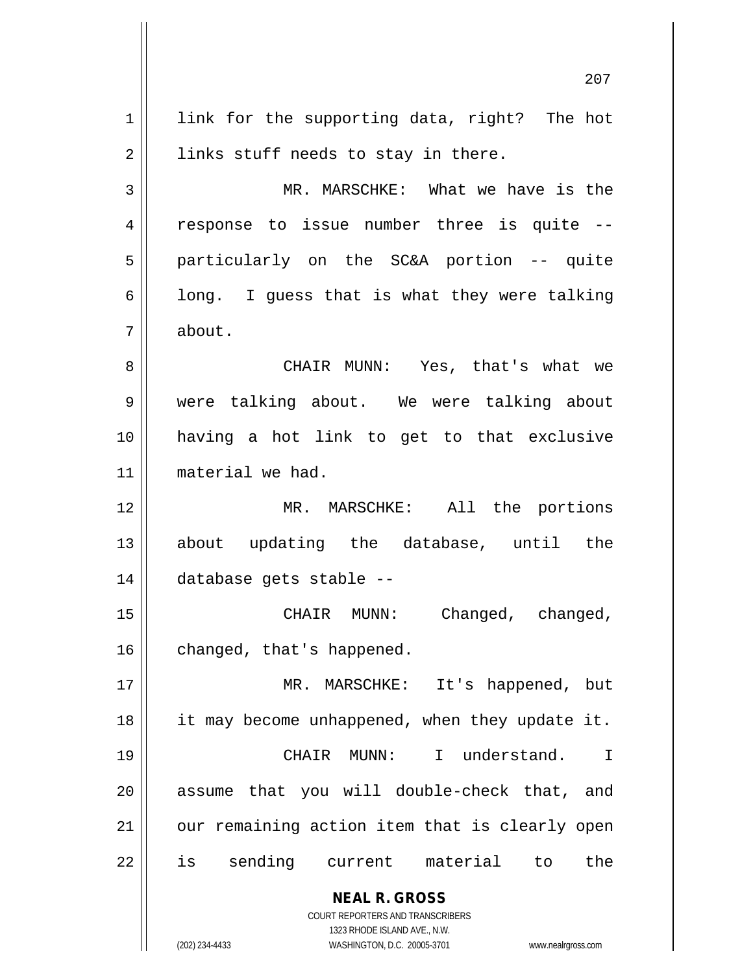**NEAL R. GROSS** COURT REPORTERS AND TRANSCRIBERS 1323 RHODE ISLAND AVE., N.W. 207 1 || link for the supporting data, right? The hot  $2 \parallel$  links stuff needs to stay in there. 3 MR. MARSCHKE: What we have is the 4 || response to issue number three is quite --5 particularly on the SC&A portion -- quite  $6 \parallel$  long. I quess that is what they were talking 7 about. 8 CHAIR MUNN: Yes, that's what we 9 were talking about. We were talking about 10 having a hot link to get to that exclusive 11 material we had. 12 MR. MARSCHKE: All the portions 13 about updating the database, until the 14 database gets stable -- 15 CHAIR MUNN: Changed, changed, 16 | changed, that's happened. 17 MR. MARSCHKE: It's happened, but 18 || it may become unhappened, when they update it. 19 CHAIR MUNN: I understand. I 20 || assume that you will double-check that, and  $21$  | our remaining action item that is clearly open 22 || is sending current material to the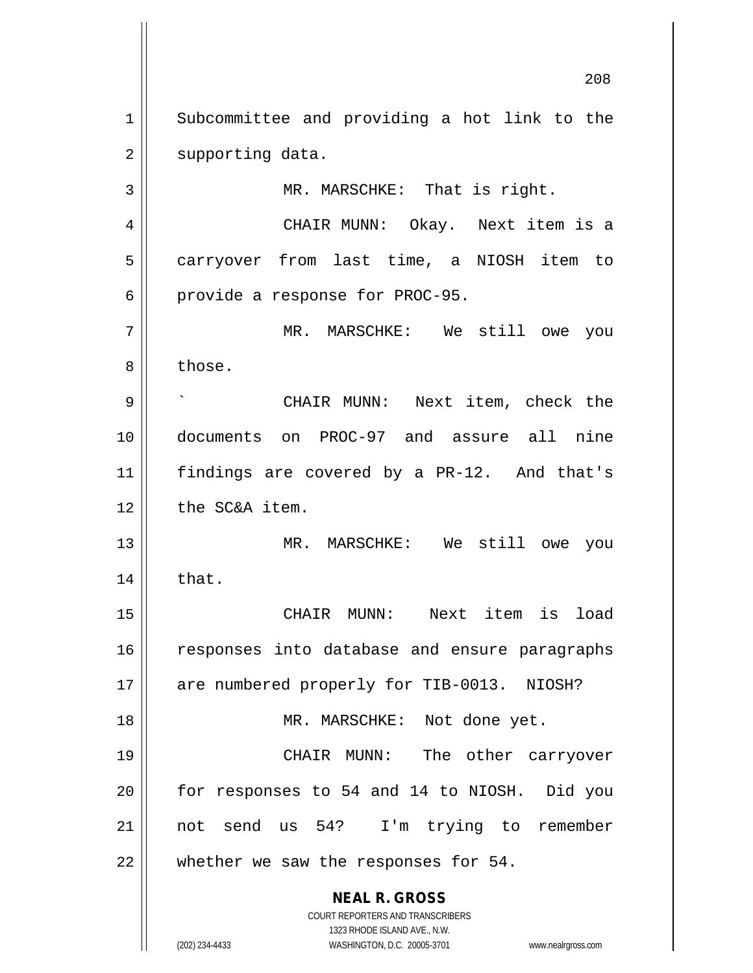1 Subcommittee and providing a hot link to the 2 | supporting data.

3 || MR. MARSCHKE: That is right.

4 CHAIR MUNN: Okay. Next item is a 5 | carryover from last time, a NIOSH item to  $6 \parallel$  provide a response for PROC-95.

7 MR. MARSCHKE: We still owe you 8 l those.

 ` CHAIR MUNN: Next item, check the documents on PROC-97 and assure all nine findings are covered by a PR-12. And that's 12 | the SC&A item.

13 MR. MARSCHKE: We still owe you  $14 \parallel$  that.

15 CHAIR MUNN: Next item is load 16 || responses into database and ensure paragraphs 17 || are numbered properly for TIB-0013. NIOSH? 18 || MR. MARSCHKE: Not done yet. 19 CHAIR MUNN: The other carryover 20 for responses to 54 and 14 to NIOSH. Did you 21 not send us 54? I'm trying to remember

22 || whether we saw the responses for 54.

**NEAL R. GROSS** COURT REPORTERS AND TRANSCRIBERS

1323 RHODE ISLAND AVE., N.W.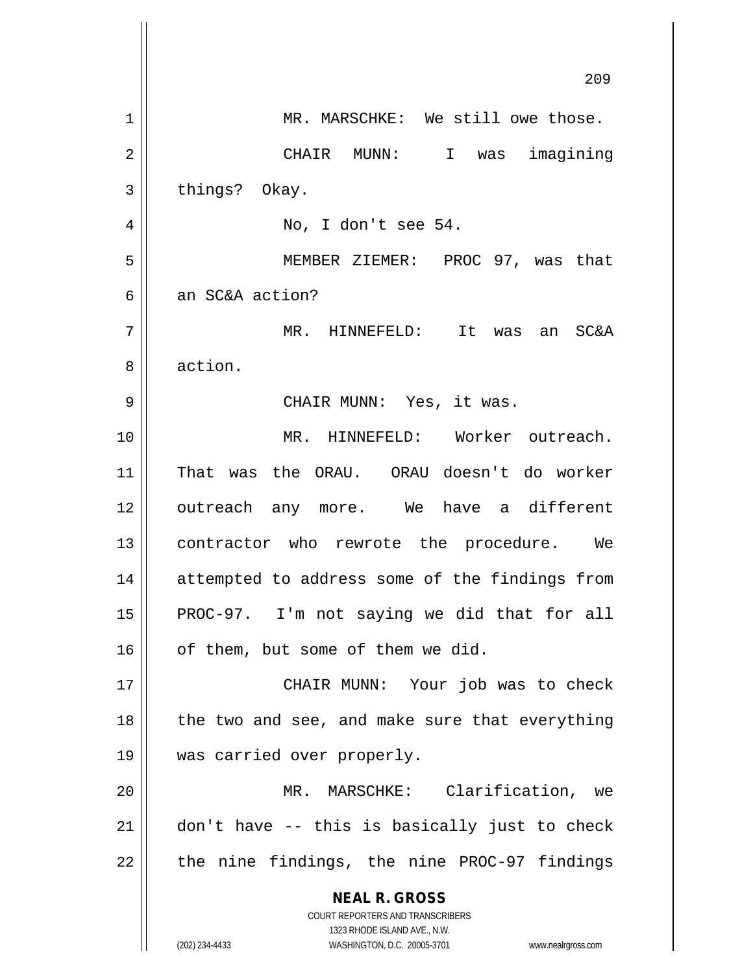|    | 209                                                                                                 |
|----|-----------------------------------------------------------------------------------------------------|
| 1  | MR. MARSCHKE: We still owe those.                                                                   |
| 2  | CHAIR MUNN: I was imagining                                                                         |
| 3  | things? Okay.                                                                                       |
| 4  | No, I don't see 54.                                                                                 |
| 5  | MEMBER ZIEMER: PROC 97, was that                                                                    |
| 6  | an SC&A action?                                                                                     |
| 7  | MR. HINNEFELD: It was an<br><b>SC&amp;A</b>                                                         |
| 8  | action.                                                                                             |
| 9  | CHAIR MUNN: Yes, it was.                                                                            |
| 10 | MR. HINNEFELD: Worker outreach.                                                                     |
| 11 | That was the ORAU. ORAU doesn't do worker                                                           |
| 12 | outreach any more. We have a different                                                              |
| 13 | contractor who rewrote the procedure. We                                                            |
| 14 | attempted to address some of the findings from                                                      |
| 15 | PROC-97. I'm not saying we did that for all                                                         |
| 16 | of them, but some of them we did.                                                                   |
| 17 | CHAIR MUNN: Your job was to check                                                                   |
| 18 | the two and see, and make sure that everything                                                      |
| 19 | was carried over properly.                                                                          |
| 20 | MR. MARSCHKE: Clarification, we                                                                     |
| 21 | don't have -- this is basically just to check                                                       |
| 22 | the nine findings, the nine PROC-97 findings                                                        |
|    | <b>NEAL R. GROSS</b>                                                                                |
|    | <b>COURT REPORTERS AND TRANSCRIBERS</b>                                                             |
|    | 1323 RHODE ISLAND AVE., N.W.<br>(202) 234-4433<br>WASHINGTON, D.C. 20005-3701<br>www.nealrgross.com |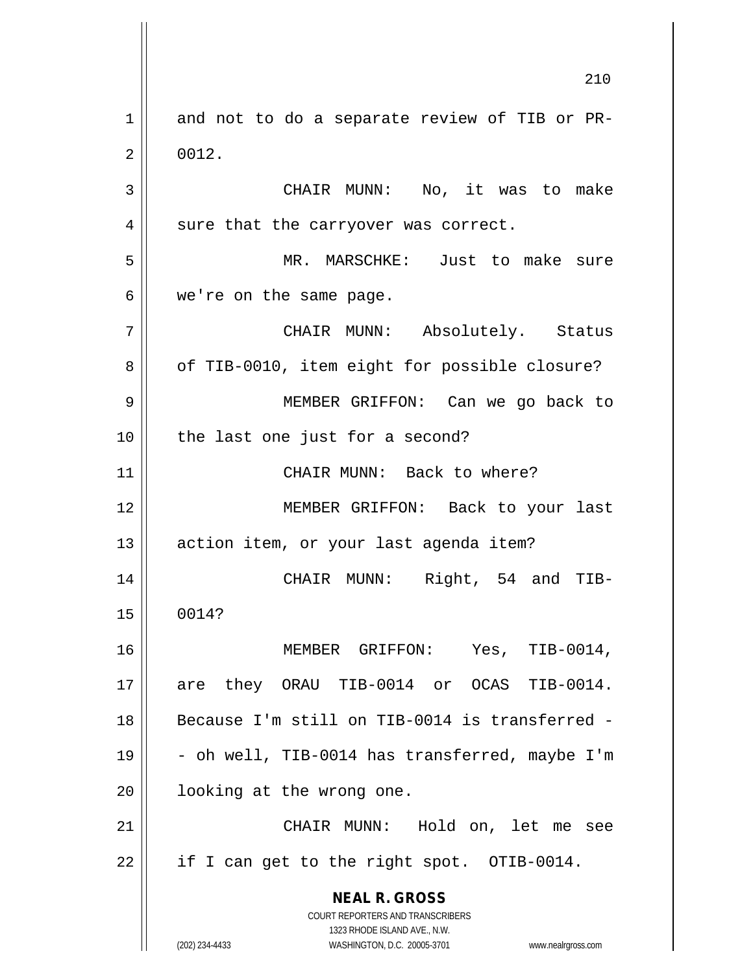**NEAL R. GROSS** COURT REPORTERS AND TRANSCRIBERS 1323 RHODE ISLAND AVE., N.W. (202) 234-4433 WASHINGTON, D.C. 20005-3701 www.nealrgross.com 1 and not to do a separate review of TIB or PR- $2 \parallel 0012.$ 3 CHAIR MUNN: No, it was to make  $4 \parallel$  sure that the carryover was correct. 5 MR. MARSCHKE: Just to make sure  $6 \parallel$  we're on the same page. 7 CHAIR MUNN: Absolutely. Status 8 | of TIB-0010, item eight for possible closure? 9 MEMBER GRIFFON: Can we go back to 10 || the last one just for a second? 11 || CHAIR MUNN: Back to where? 12 MEMBER GRIFFON: Back to your last 13 | action item, or your last agenda item? 14 CHAIR MUNN: Right, 54 and TIB-15 0014? 16 MEMBER GRIFFON: Yes, TIB-0014, 17 are they ORAU TIB-0014 or OCAS TIB-0014. 18 Because I'm still on TIB-0014 is transferred - 19  $\vert$  - oh well, TIB-0014 has transferred, maybe I'm 20 || looking at the wrong one. 21 CHAIR MUNN: Hold on, let me see 22 | if I can get to the right spot. OTIB-0014.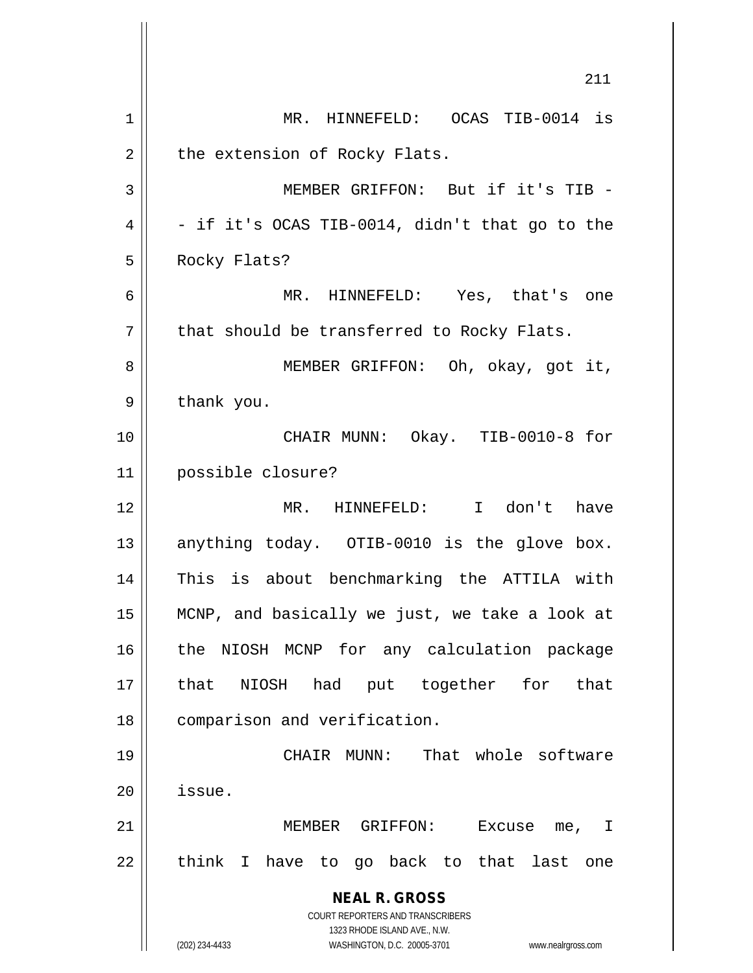**NEAL R. GROSS** COURT REPORTERS AND TRANSCRIBERS 1323 RHODE ISLAND AVE., N.W. (202) 234-4433 WASHINGTON, D.C. 20005-3701 www.nealrgross.com 211 1 MR. HINNEFELD: OCAS TIB-0014 is  $2 \parallel$  the extension of Rocky Flats. 3 MEMBER GRIFFON: But if it's TIB -  $4 \parallel$  - if it's OCAS TIB-0014, didn't that go to the 5 || Rocky Flats? 6 MR. HINNEFELD: Yes, that's one  $7 \parallel$  that should be transferred to Rocky Flats. 8 || MEMBER GRIFFON: Oh, okay, got it,  $9 \parallel$  thank you. 10 CHAIR MUNN: Okay. TIB-0010-8 for 11 possible closure? 12 || MR. HINNEFELD: I don't have 13 || anything today. OTIB-0010 is the glove box. 14 This is about benchmarking the ATTILA with 15 MCNP, and basically we just, we take a look at 16 the NIOSH MCNP for any calculation package 17 that NIOSH had put together for that 18 || comparison and verification. 19 || CHAIR MUNN: That whole software 20 issue. 21 MEMBER GRIFFON: Excuse me, I  $22$  || think I have to go back to that last one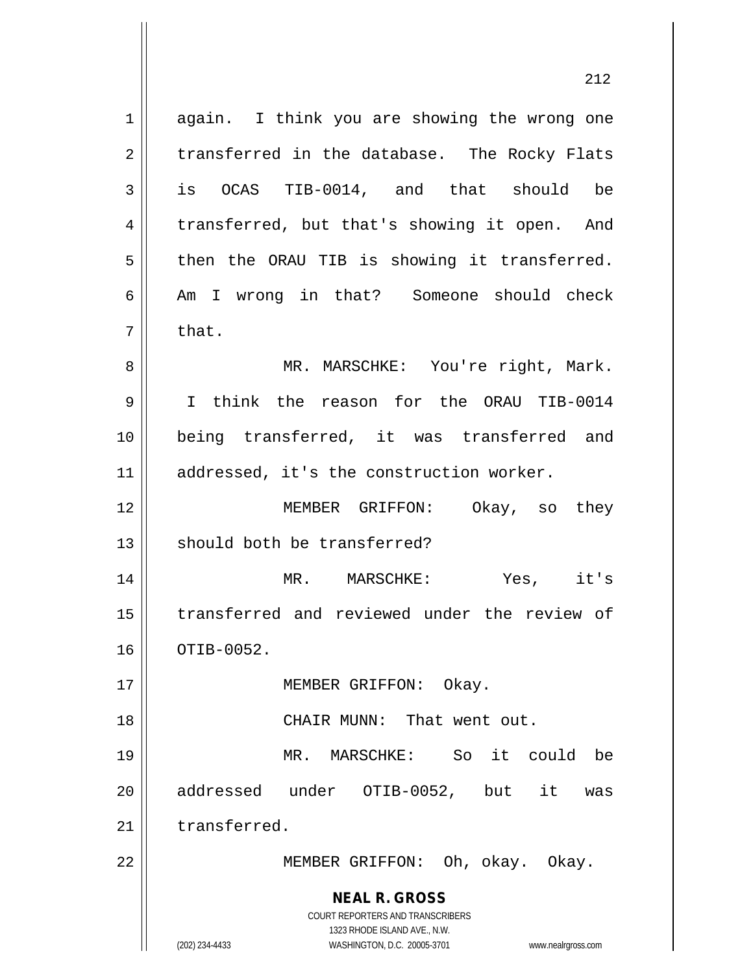**NEAL R. GROSS** COURT REPORTERS AND TRANSCRIBERS 1323 RHODE ISLAND AVE., N.W. (202) 234-4433 WASHINGTON, D.C. 20005-3701 www.nealrgross.com 1 again. I think you are showing the wrong one  $2 \parallel$  transferred in the database. The Rocky Flats 3 || is OCAS TIB-0014, and that should be 4 | transferred, but that's showing it open. And  $5 \parallel$  then the ORAU TIB is showing it transferred. 6 Am I wrong in that? Someone should check  $7 \parallel$  that. 8 MR. MARSCHKE: You're right, Mark. 9 I think the reason for the ORAU TIB-0014 10 being transferred, it was transferred and 11 | addressed, it's the construction worker. 12 MEMBER GRIFFON: Okay, so they 13 || should both be transferred? 14 MR. MARSCHKE: Yes, it's 15 transferred and reviewed under the review of 16 | OTIB-0052. 17 || MEMBER GRIFFON: Okay. 18 || CHAIR MUNN: That went out. 19 MR. MARSCHKE: So it could be 20 || addressed under OTIB-0052, but it was 21 transferred. 22 || MEMBER GRIFFON: Oh, okay. Okay.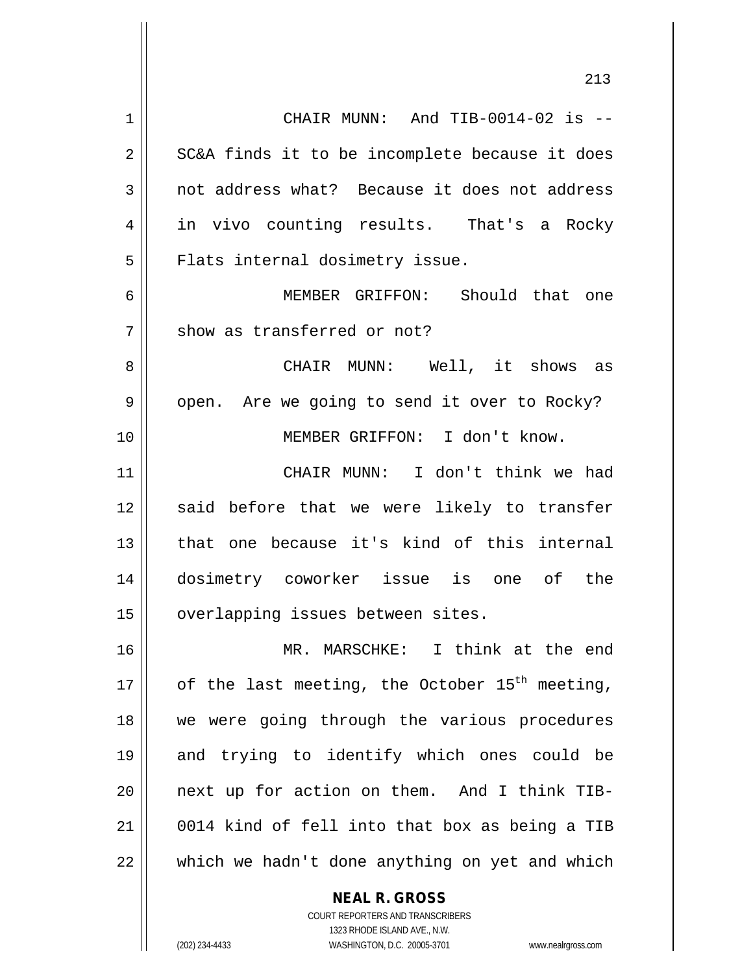CHAIR MUNN: And TIB-0014-02 is --  $2 \parallel$  SC&A finds it to be incomplete because it does 3 || not address what? Because it does not address in vivo counting results. That's a Rocky  $5 \parallel$  Flats internal dosimetry issue. MEMBER GRIFFON: Should that one 7 Show as transferred or not? CHAIR MUNN: Well, it shows as 9 | open. Are we going to send it over to Rocky? MEMBER GRIFFON: I don't know. CHAIR MUNN: I don't think we had 12 || said before that we were likely to transfer 13 that one because it's kind of this internal dosimetry coworker issue is one of the 15 | overlapping issues between sites. MR. MARSCHKE: I think at the end  $\parallel$  of the last meeting, the October 15<sup>th</sup> meeting, we were going through the various procedures and trying to identify which ones could be next up for action on them. And I think TIB- 0014 kind of fell into that box as being a TIB which we hadn't done anything on yet and which

**NEAL R. GROSS**

COURT REPORTERS AND TRANSCRIBERS 1323 RHODE ISLAND AVE., N.W. (202) 234-4433 WASHINGTON, D.C. 20005-3701 www.nealrgross.com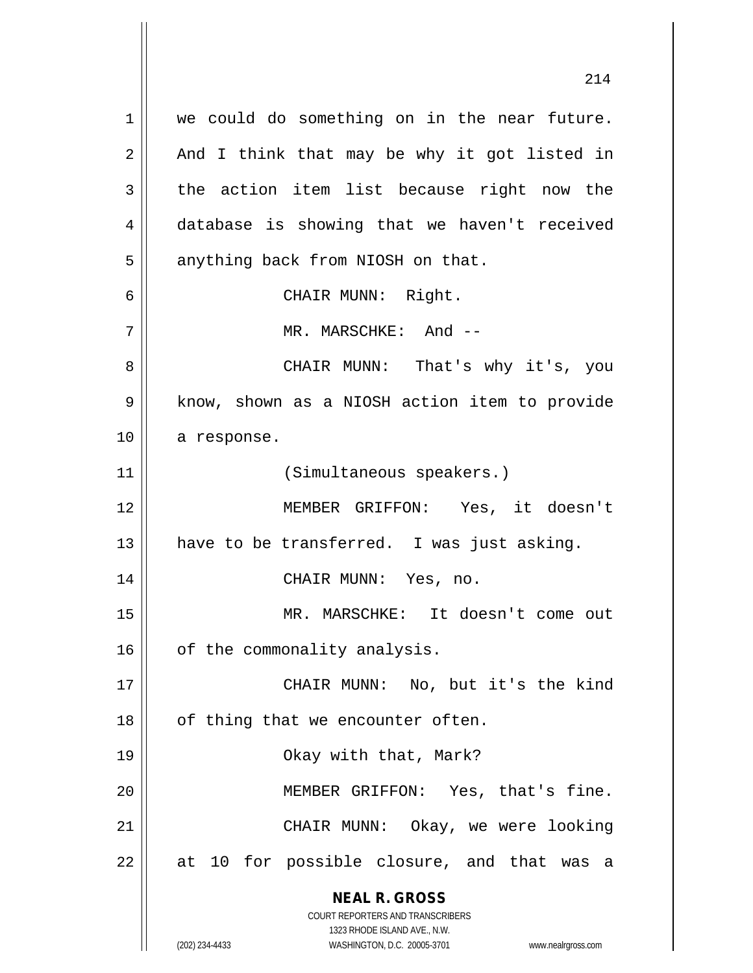**NEAL R. GROSS** COURT REPORTERS AND TRANSCRIBERS 1323 RHODE ISLAND AVE., N.W. 1 || we could do something on in the near future.  $2 \parallel$  And I think that may be why it got listed in  $3$  the action item list because right now the 4 database is showing that we haven't received  $5 \parallel$  anything back from NIOSH on that. 6 || CHAIR MUNN: Right. 7 MR. MARSCHKE: And -- 8 CHAIR MUNN: That's why it's, you 9 || know, shown as a NIOSH action item to provide 10 | a response. 11 || (Simultaneous speakers.) 12 MEMBER GRIFFON: Yes, it doesn't 13  $\parallel$  have to be transferred. I was just asking. 14 CHAIR MUNN: Yes, no. 15 MR. MARSCHKE: It doesn't come out  $16$  | of the commonality analysis. 17 || CHAIR MUNN: No, but it's the kind  $18$  || of thing that we encounter often. 19 Okay with that, Mark? 20 MEMBER GRIFFON: Yes, that's fine. 21 CHAIR MUNN: Okay, we were looking  $22$  || at 10 for possible closure, and that was a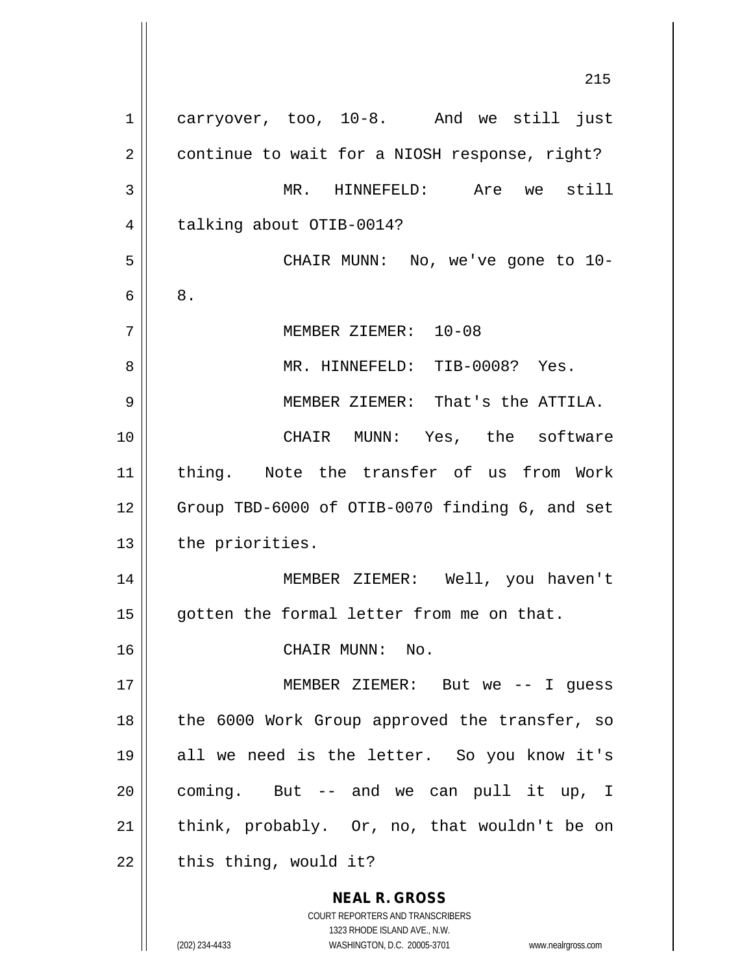**NEAL R. GROSS** COURT REPORTERS AND TRANSCRIBERS 1323 RHODE ISLAND AVE., N.W. 1 carryover, too, 10-8. And we still just 2 | continue to wait for a NIOSH response, right? MR. HINNEFELD: Are we still 4 | talking about OTIB-0014? CHAIR MUNN: No, we've gone to 10-  $6 \parallel 8$ . MEMBER ZIEMER: 10-08 MR. HINNEFELD: TIB-0008? Yes. MEMBER ZIEMER: That's the ATTILA. CHAIR MUNN: Yes, the software thing. Note the transfer of us from Work 12 || Group TBD-6000 of OTIB-0070 finding 6, and set | the priorities. MEMBER ZIEMER: Well, you haven't || gotten the formal letter from me on that. CHAIR MUNN: No. MEMBER ZIEMER: But we -- I guess 18 || the 6000 Work Group approved the transfer, so all we need is the letter. So you know it's || coming. But -- and we can pull it up, I  $\parallel$  think, probably. Or, no, that wouldn't be on | this thing, would it?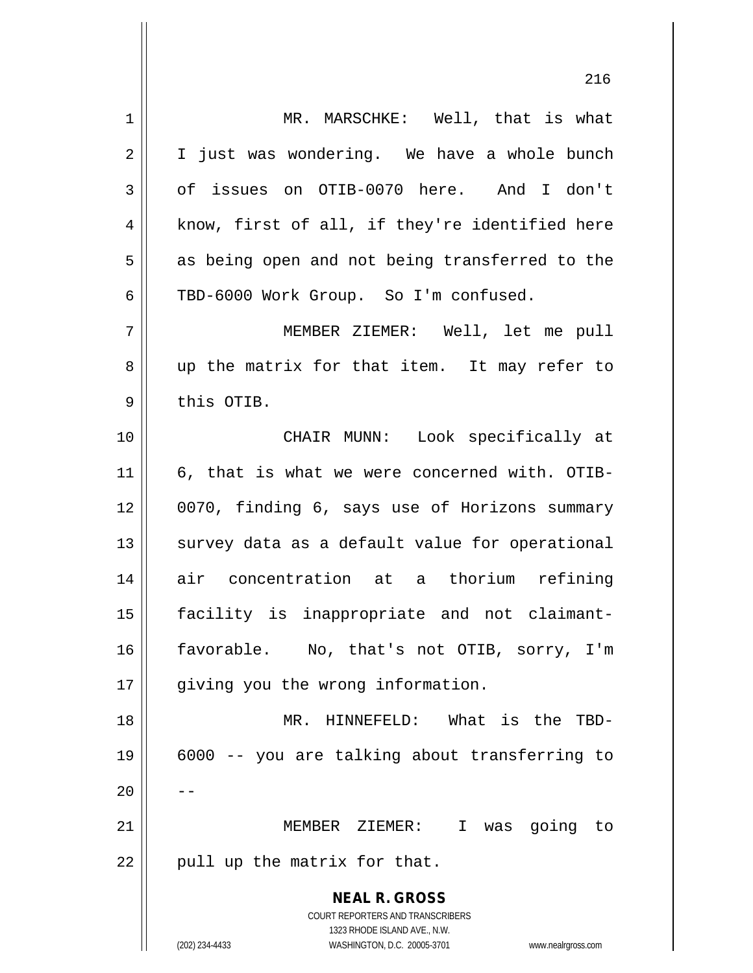| 1  | MR. MARSCHKE: Well, that is what                                    |
|----|---------------------------------------------------------------------|
| 2  | I just was wondering. We have a whole bunch                         |
| 3  | of issues on OTIB-0070 here. And I don't                            |
| 4  | know, first of all, if they're identified here                      |
| 5  | as being open and not being transferred to the                      |
| 6  | TBD-6000 Work Group. So I'm confused.                               |
| 7  | MEMBER ZIEMER: Well, let me pull                                    |
| 8  | up the matrix for that item. It may refer to                        |
| 9  | this OTIB.                                                          |
| 10 | CHAIR MUNN: Look specifically at                                    |
| 11 | 6, that is what we were concerned with. OTIB-                       |
| 12 | 0070, finding 6, says use of Horizons summary                       |
| 13 | survey data as a default value for operational                      |
| 14 | air concentration at a thorium refining                             |
| 15 | facility is inappropriate and not claimant-                         |
| 16 | favorable. No, that's not OTIB, sorry, I'm                          |
| 17 | giving you the wrong information.                                   |
| 18 | MR. HINNEFELD: What is the TBD-                                     |
| 19 | 6000 -- you are talking about transferring to                       |
| 20 |                                                                     |
| 21 | MEMBER ZIEMER: I<br>was going to                                    |
| 22 | pull up the matrix for that.                                        |
|    | <b>NEAL R. GROSS</b>                                                |
|    | <b>COURT REPORTERS AND TRANSCRIBERS</b>                             |
|    | 1323 RHODE ISLAND AVE., N.W.                                        |
|    | (202) 234-4433<br>WASHINGTON, D.C. 20005-3701<br>www.nealrgross.com |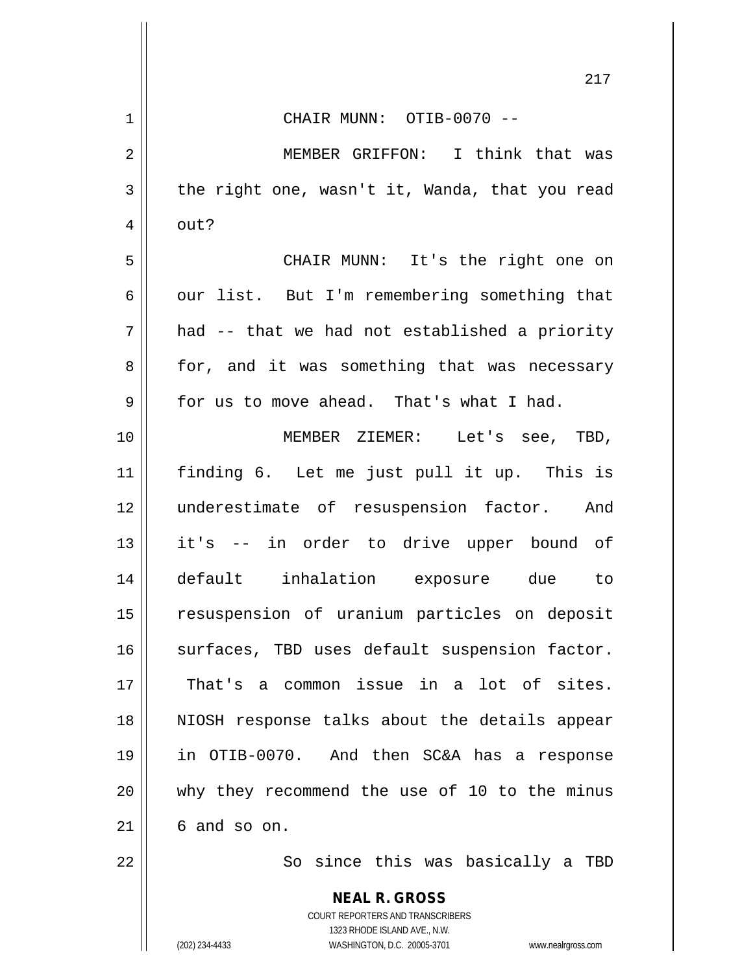|                | 217                                                      |  |  |  |  |  |  |  |
|----------------|----------------------------------------------------------|--|--|--|--|--|--|--|
| $\mathbf 1$    | CHAIR MUNN: OTIB-0070 --                                 |  |  |  |  |  |  |  |
| $\overline{2}$ | MEMBER GRIFFON: I think that was                         |  |  |  |  |  |  |  |
| 3              | the right one, wasn't it, Wanda, that you read           |  |  |  |  |  |  |  |
| $\overline{4}$ | out?                                                     |  |  |  |  |  |  |  |
| 5              | CHAIR MUNN: It's the right one on                        |  |  |  |  |  |  |  |
| 6              | our list. But I'm remembering something that             |  |  |  |  |  |  |  |
| 7              | had -- that we had not established a priority            |  |  |  |  |  |  |  |
| 8              | for, and it was something that was necessary             |  |  |  |  |  |  |  |
| 9              | for us to move ahead. That's what I had.                 |  |  |  |  |  |  |  |
| 10             | MEMBER ZIEMER: Let's see, TBD,                           |  |  |  |  |  |  |  |
| 11             | finding 6. Let me just pull it up. This is               |  |  |  |  |  |  |  |
| 12             | underestimate of resuspension factor. And                |  |  |  |  |  |  |  |
| 13             | it's -- in order to drive upper bound of                 |  |  |  |  |  |  |  |
| 14             | default inhalation exposure due to                       |  |  |  |  |  |  |  |
| 15             | resuspension of uranium particles on deposit             |  |  |  |  |  |  |  |
| 16             | surfaces, TBD uses default suspension factor.            |  |  |  |  |  |  |  |
| 17             | That's a common issue in a lot of sites.                 |  |  |  |  |  |  |  |
| 18             | NIOSH response talks about the details appear            |  |  |  |  |  |  |  |
| 19             | in OTIB-0070. And then SC&A has a response               |  |  |  |  |  |  |  |
| 20             | why they recommend the use of 10 to the minus            |  |  |  |  |  |  |  |
| 21             | 6 and so on.                                             |  |  |  |  |  |  |  |
| 22             | So since this was basically a TBD                        |  |  |  |  |  |  |  |
|                | <b>NEAL R. GROSS</b><br>COURT REPORTERS AND TRANSCRIBERS |  |  |  |  |  |  |  |

1323 RHODE ISLAND AVE., N.W.

 $\prod$ 

 $\mathsf{l}$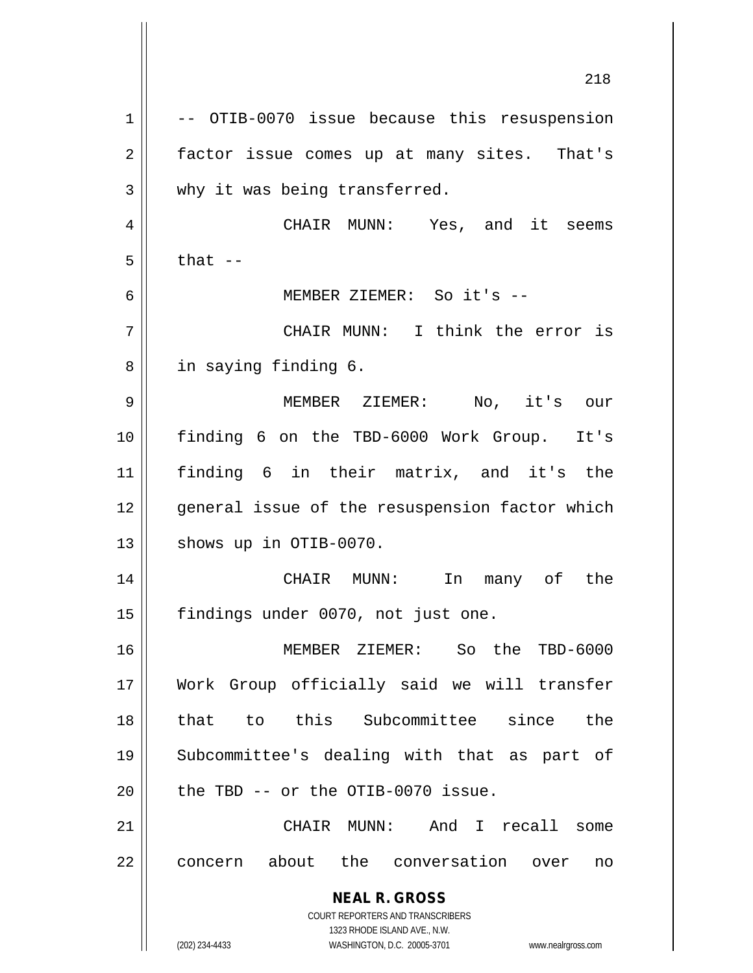**NEAL R. GROSS** COURT REPORTERS AND TRANSCRIBERS 1323 RHODE ISLAND AVE., N.W. (202) 234-4433 WASHINGTON, D.C. 20005-3701 www.nealrgross.com 218  $1 \parallel$  -- OTIB-0070 issue because this resuspension 2 | factor issue comes up at many sites. That's 3 Why it was being transferred. 4 CHAIR MUNN: Yes, and it seems  $5 \parallel$  that  $-$ 6 MEMBER ZIEMER: So it's -- 7 CHAIR MUNN: I think the error is 8 || in saying finding 6. 9 MEMBER ZIEMER: No, it's our 10 finding 6 on the TBD-6000 Work Group. It's 11 finding 6 in their matrix, and it's the 12 || qeneral issue of the resuspension factor which  $13$  | shows up in OTIB-0070. 14 CHAIR MUNN: In many of the 15 || findings under 0070, not just one. 16 MEMBER ZIEMER: So the TBD-6000 17 Work Group officially said we will transfer 18 that to this Subcommittee since the 19 Subcommittee's dealing with that as part of  $20$  | the TBD  $-$  or the OTIB-0070 issue. 21 CHAIR MUNN: And I recall some 22 || concern about the conversation over no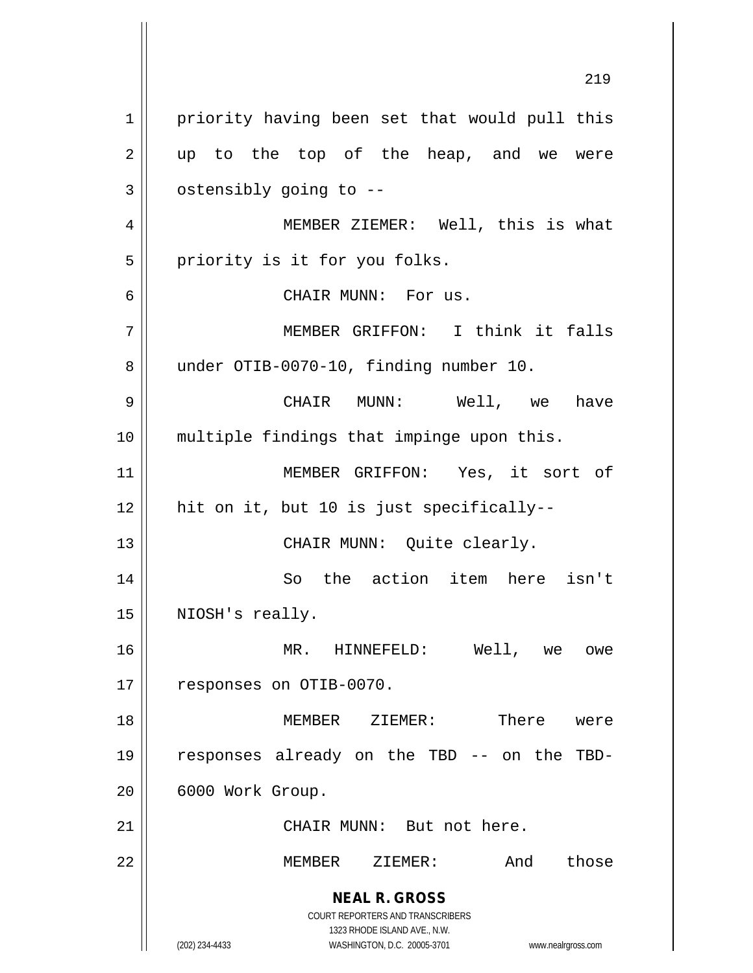**NEAL R. GROSS** COURT REPORTERS AND TRANSCRIBERS 1323 RHODE ISLAND AVE., N.W. (202) 234-4433 WASHINGTON, D.C. 20005-3701 www.nealrgross.com 1 | priority having been set that would pull this  $2 \parallel$  up to the top of the heap, and we were  $3 \parallel$  ostensibly going to  $-$ 4 || MEMBER ZIEMER: Well, this is what  $5$  | priority is it for you folks. 6 CHAIR MUNN: For us. 7 MEMBER GRIFFON: I think it falls 8 | under OTIB-0070-10, finding number 10. 9 CHAIR MUNN: Well, we have 10 multiple findings that impinge upon this. 11 MEMBER GRIFFON: Yes, it sort of 12 hit on it, but 10 is just specifically-- 13 || CHAIR MUNN: Quite clearly. 14 So the action item here isn't 15 || NIOSH's really. 16 MR. HINNEFELD: Well, we owe 17 | responses on OTIB-0070. 18 MEMBER ZIEMER: There were 19 responses already on the TBD -- on the TBD-20 || 6000 Work Group. 21 || CHAIR MUNN: But not here. 22 MEMBER ZIEMER: And those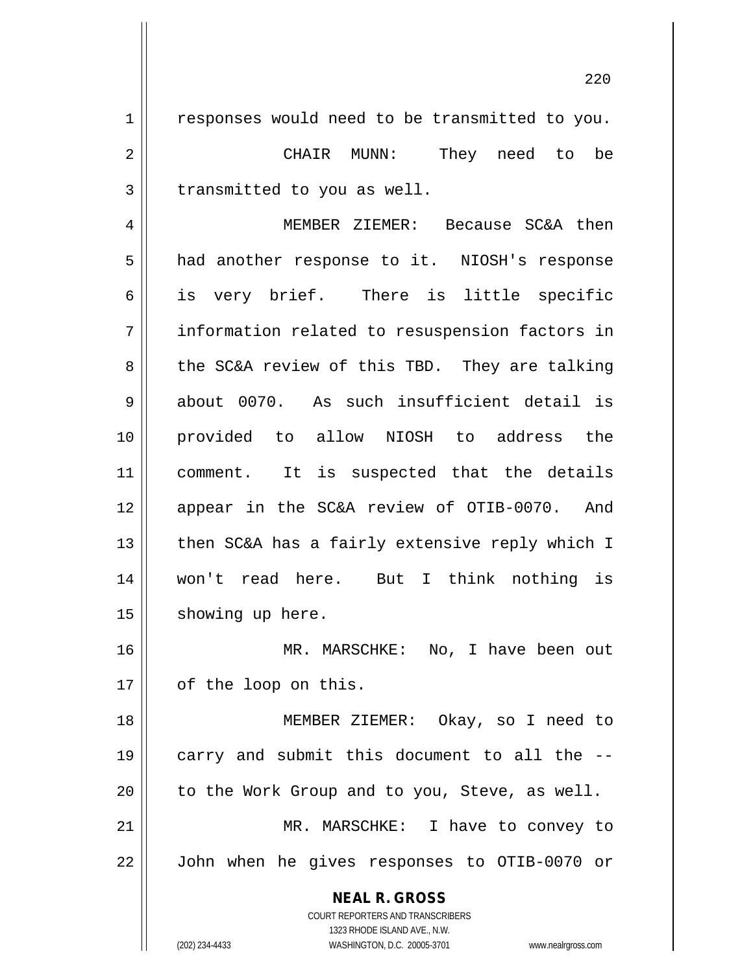1 || responses would need to be transmitted to you. CHAIR MUNN: They need to be | transmitted to you as well. MEMBER ZIEMER: Because SC&A then 5 || had another response to it. NIOSH's response is very brief. There is little specific information related to resuspension factors in 8 the SC&A review of this TBD. They are talking 9 about 0070. As such insufficient detail is provided to allow NIOSH to address the 11 || comment. It is suspected that the details appear in the SC&A review of OTIB-0070. And  $\parallel$  then SC&A has a fairly extensive reply which I won't read here. But I think nothing is 15 | showing up here. MR. MARSCHKE: No, I have been out 17 | of the loop on this. MEMBER ZIEMER: Okay, so I need to || carry and submit this document to all the  $-$ -

21 MR. MARSCHKE: I have to convey to 22 John when he gives responses to OTIB-0070 or

 $20$  | to the Work Group and to you, Steve, as well.

COURT REPORTERS AND TRANSCRIBERS 1323 RHODE ISLAND AVE., N.W. (202) 234-4433 WASHINGTON, D.C. 20005-3701 www.nealrgross.com

**NEAL R. GROSS**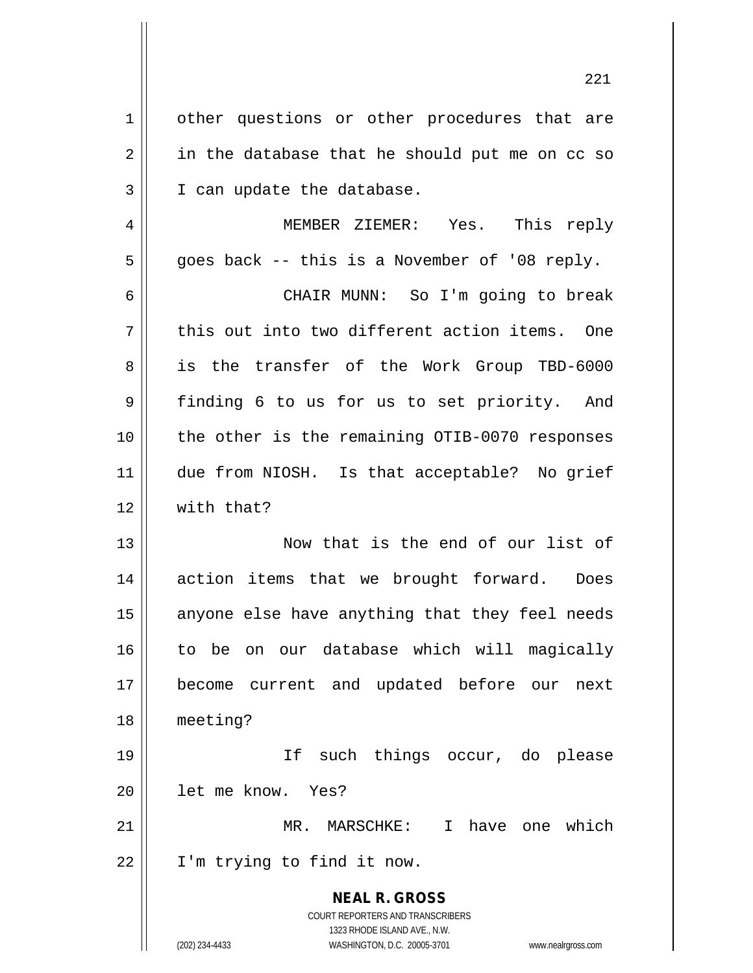**NEAL R. GROSS** COURT REPORTERS AND TRANSCRIBERS 1323 RHODE ISLAND AVE., N.W. (202) 234-4433 WASHINGTON, D.C. 20005-3701 www.nealrgross.com 1 | other questions or other procedures that are  $2 \parallel$  in the database that he should put me on cc so 3 || I can update the database. 4 MEMBER ZIEMER: Yes. This reply  $5 \parallel$  goes back -- this is a November of '08 reply. 6 CHAIR MUNN: So I'm going to break  $7 \parallel$  this out into two different action items. One 8 || is the transfer of the Work Group TBD-6000 9 finding 6 to us for us to set priority. And 10 the other is the remaining OTIB-0070 responses 11 due from NIOSH. Is that acceptable? No grief 12 With that? 13 Now that is the end of our list of 14 || action items that we brought forward. Does  $15$  anyone else have anything that they feel needs 16 to be on our database which will magically 17 become current and updated before our next 18 meeting? 19 If such things occur, do please 20 let me know. Yes? 21 MR. MARSCHKE: I have one which 22 I'm trying to find it now.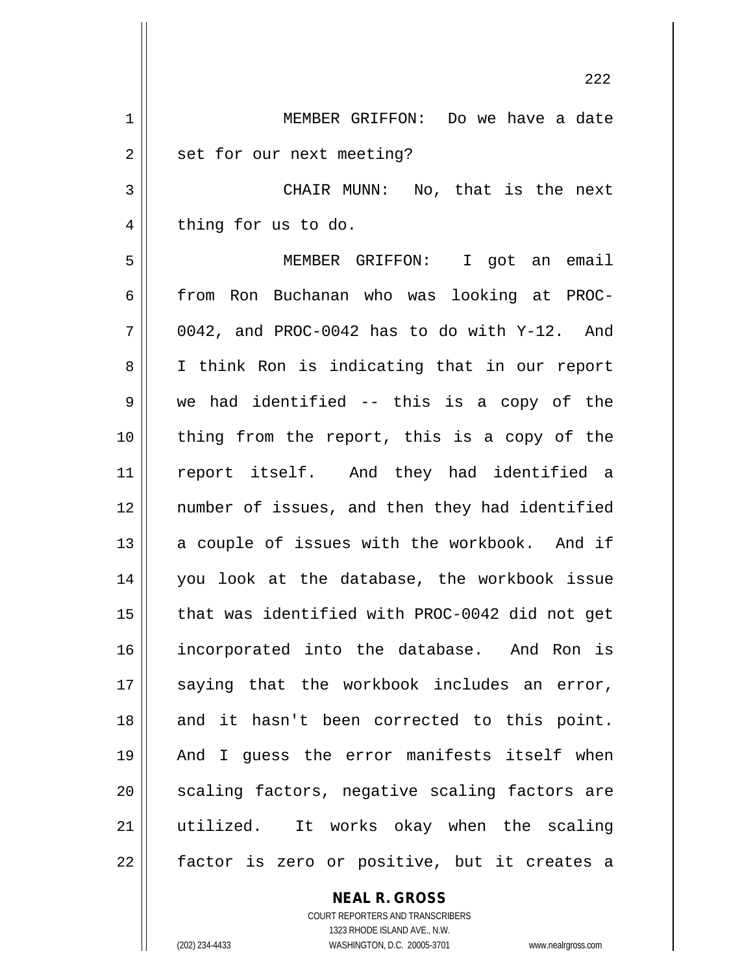222 1 MEMBER GRIFFON: Do we have a date 2 | set for our next meeting? 3 || CHAIR MUNN: No, that is the next 4 | thing for us to do. 5 MEMBER GRIFFON: I got an email 6 from Ron Buchanan who was looking at PROC- $7 \parallel$  0042, and PROC-0042 has to do with Y-12. And 8 || I think Ron is indicating that in our report  $9 \parallel$  we had identified -- this is a copy of the 10 || thing from the report, this is a copy of the 11 report itself. And they had identified a 12 number of issues, and then they had identified  $13$  a couple of issues with the workbook. And if 14 you look at the database, the workbook issue 15 || that was identified with PROC-0042 did not get 16 incorporated into the database. And Ron is  $17$  saying that the workbook includes an error, 18 and it hasn't been corrected to this point. 19 And I guess the error manifests itself when 20 || scaling factors, negative scaling factors are 21 utilized. It works okay when the scaling  $22$  || factor is zero or positive, but it creates a

> **NEAL R. GROSS** COURT REPORTERS AND TRANSCRIBERS

> > 1323 RHODE ISLAND AVE., N.W.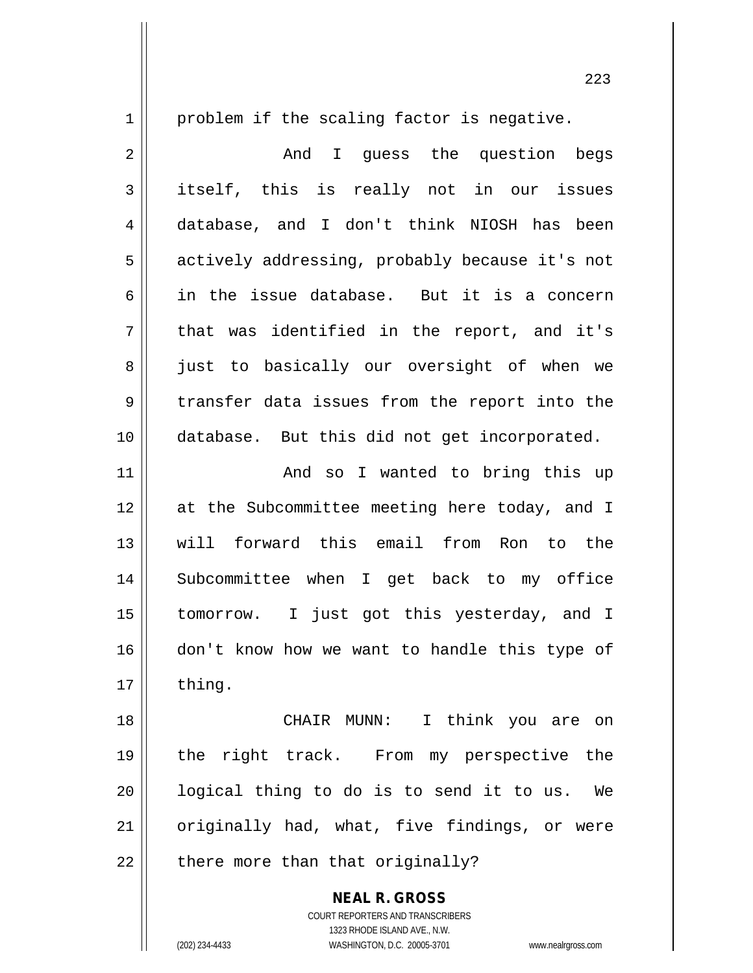1 || problem if the scaling factor is negative. 2 || The Mondial Suess the question begs 3 itself, this is really not in our issues 4 database, and I don't think NIOSH has been 5 | actively addressing, probably because it's not 6 in the issue database. But it is a concern  $7 \parallel$  that was identified in the report, and it's 8 || just to basically our oversight of when we  $9 \parallel$  transfer data issues from the report into the 10 database. But this did not get incorporated. 11 || The Rand so I wanted to bring this up 12 at the Subcommittee meeting here today, and I 13 will forward this email from Ron to the 14 Subcommittee when I get back to my office 15 tomorrow. I just got this yesterday, and I 16 don't know how we want to handle this type of  $17 \parallel$  thing. 18 CHAIR MUNN: I think you are on 19 the right track. From my perspective the

 $21$  originally had, what, five findings, or were  $22$  || there more than that originally?

20 || logical thing to do is to send it to us. We

**NEAL R. GROSS** COURT REPORTERS AND TRANSCRIBERS 1323 RHODE ISLAND AVE., N.W. (202) 234-4433 WASHINGTON, D.C. 20005-3701 www.nealrgross.com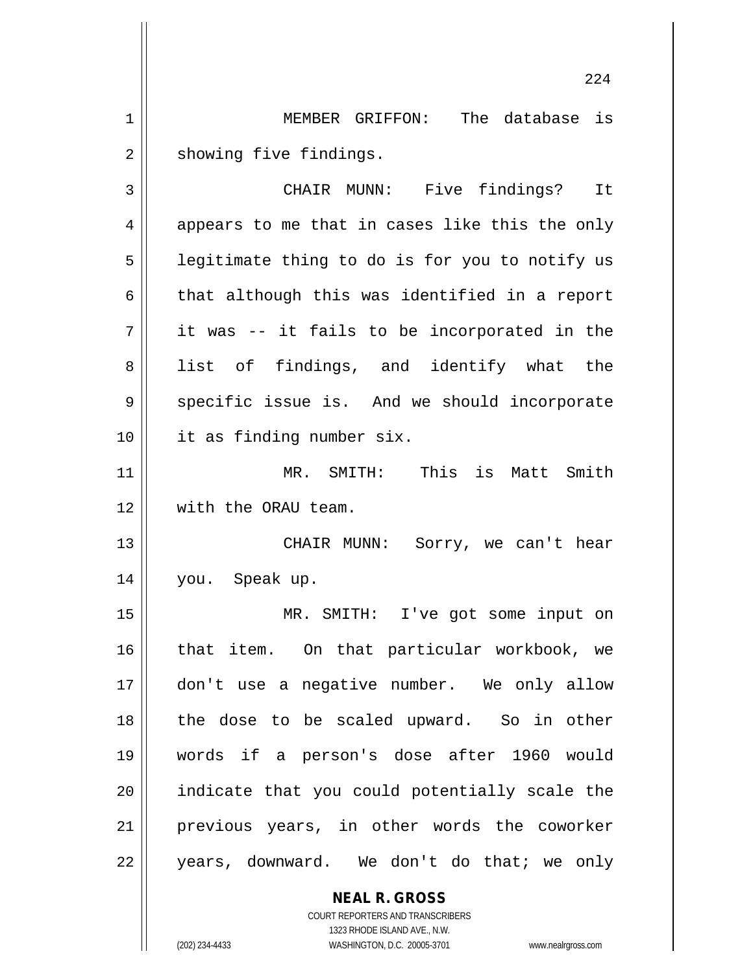1 || MEMBER GRIFFON: The database is 2 | showing five findings.

3 CHAIR MUNN: Five findings? It  $4 \parallel$  appears to me that in cases like this the only  $5$  | legitimate thing to do is for you to notify us  $6 \parallel$  that although this was identified in a report  $7 \parallel$  it was -- it fails to be incorporated in the 8 || list of findings, and identify what the  $9 \parallel$  specific issue is. And we should incorporate 10 it as finding number six. 11 MR. SMITH: This is Matt Smith 12 || with the ORAU team. 13 CHAIR MUNN: Sorry, we can't hear 14 you. Speak up. 15 MR. SMITH: I've got some input on 16 || that item. On that particular workbook, we 17 don't use a negative number. We only allow 18 || the dose to be scaled upward. So in other 19 words if a person's dose after 1960 would  $20$  || indicate that you could potentially scale the 21 previous years, in other words the coworker 22 || years, downward. We don't do that; we only

> **NEAL R. GROSS** COURT REPORTERS AND TRANSCRIBERS

1323 RHODE ISLAND AVE., N.W. (202) 234-4433 WASHINGTON, D.C. 20005-3701 www.nealrgross.com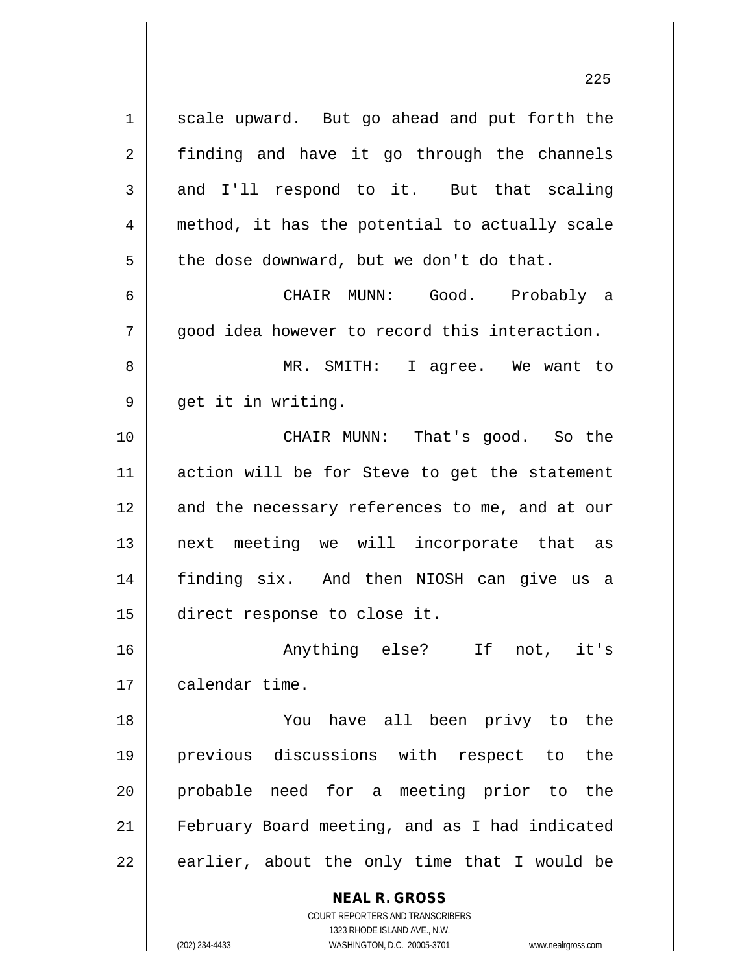1 | scale upward. But go ahead and put forth the 2 || finding and have it go through the channels  $3 \parallel$  and I'll respond to it. But that scaling 4 || method, it has the potential to actually scale  $5 \parallel$  the dose downward, but we don't do that.

6 CHAIR MUNN: Good. Probably a  $7 \parallel$  good idea however to record this interaction.

8 MR. SMITH: I agree. We want to 9 || get it in writing.

10 CHAIR MUNN: That's good. So the 11 || action will be for Steve to get the statement 12 || and the necessary references to me, and at our 13 || next meeting we will incorporate that as 14 finding six. And then NIOSH can give us a 15 direct response to close it.

16 Anything else? If not, it's 17 | calendar time.

 You have all been privy to the previous discussions with respect to the probable need for a meeting prior to the February Board meeting, and as I had indicated || earlier, about the only time that I would be

> **NEAL R. GROSS** COURT REPORTERS AND TRANSCRIBERS 1323 RHODE ISLAND AVE., N.W.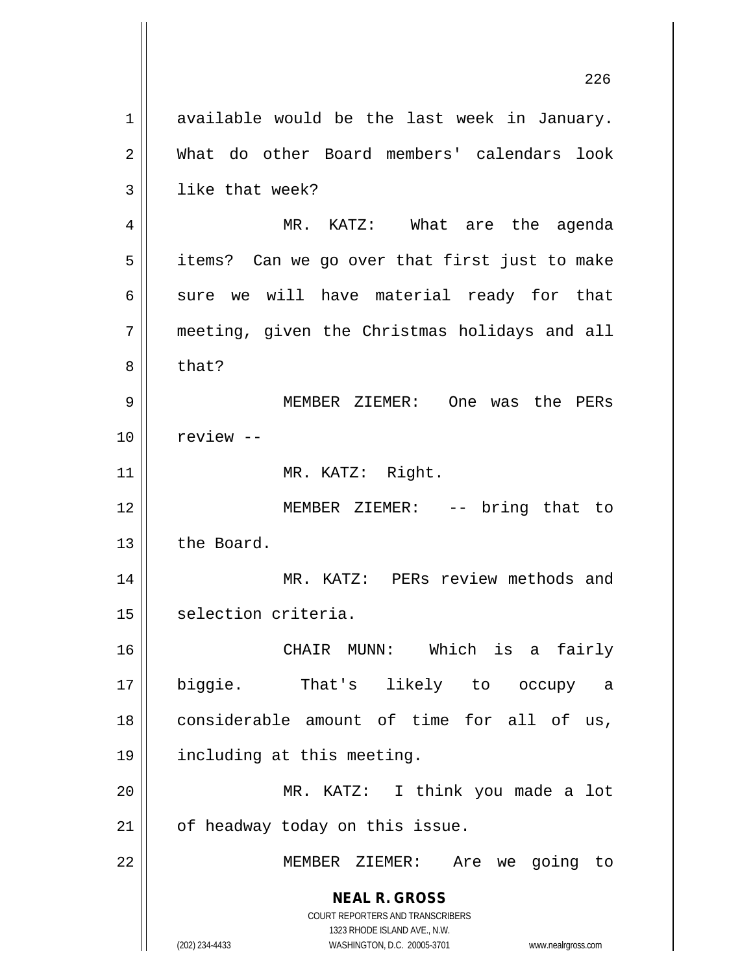**NEAL R. GROSS** COURT REPORTERS AND TRANSCRIBERS 1323 RHODE ISLAND AVE., N.W. (202) 234-4433 WASHINGTON, D.C. 20005-3701 www.nealrgross.com  $1 \parallel$  available would be the last week in January. 2 What do other Board members' calendars look  $3 \parallel$  like that week? 4 MR. KATZ: What are the agenda  $5 \parallel$  items? Can we go over that first just to make  $6 \parallel$  sure we will have material ready for that  $7 \parallel$  meeting, given the Christmas holidays and all 8 b that? 9 MEMBER ZIEMER: One was the PERs 10 | review --11 || MR. KATZ: Right. 12 MEMBER ZIEMER: -- bring that to 13 l the Board. 14 MR. KATZ: PERs review methods and 15 | selection criteria. 16 CHAIR MUNN: Which is a fairly 17 biggie. That's likely to occupy a 18 considerable amount of time for all of us, 19 including at this meeting. 20 MR. KATZ: I think you made a lot  $21$  | of headway today on this issue. 22 MEMBER ZIEMER: Are we going to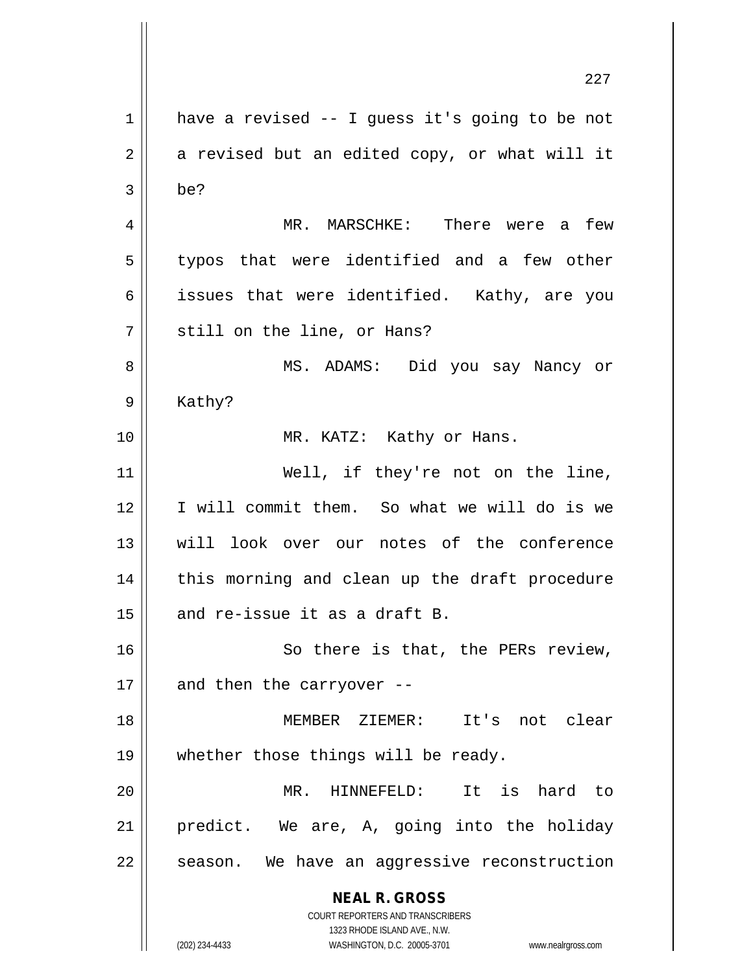**NEAL R. GROSS** COURT REPORTERS AND TRANSCRIBERS 1323 RHODE ISLAND AVE., N.W. (202) 234-4433 WASHINGTON, D.C. 20005-3701 www.nealrgross.com 227  $1 \parallel$  have a revised -- I guess it's going to be not  $2 \parallel$  a revised but an edited copy, or what will it  $3 \parallel$  be? 4 MR. MARSCHKE: There were a few  $5 \parallel$  typos that were identified and a few other 6 || issues that were identified. Kathy, are you 7 || still on the line, or Hans? 8 MS. ADAMS: Did you say Nancy or 9 | Kathy? 10 || MR. KATZ: Kathy or Hans. 11 || Well, if they're not on the line, 12 I will commit them. So what we will do is we 13 will look over our notes of the conference 14 || this morning and clean up the draft procedure 15  $\parallel$  and re-issue it as a draft B. 16 || So there is that, the PERs review, 17  $\parallel$  and then the carryover --18 MEMBER ZIEMER: It's not clear 19 || whether those things will be ready. 20 MR. HINNEFELD: It is hard to 21 predict. We are, A, going into the holiday  $22$  | season. We have an aggressive reconstruction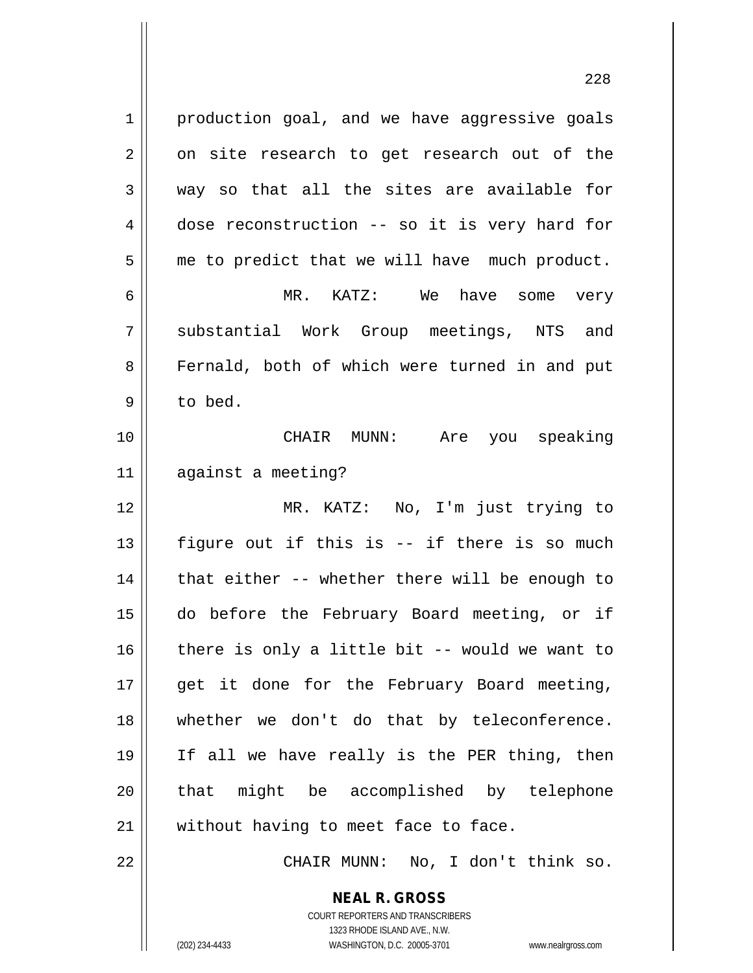1 production goal, and we have aggressive goals  $2 \parallel$  on site research to get research out of the 3 way so that all the sites are available for  $4 \parallel$  dose reconstruction -- so it is very hard for  $5 \parallel$  me to predict that we will have much product. 6 MR. KATZ: We have some very 7 Substantial Work Group meetings, NTS and 8 Fernald, both of which were turned in and put 9 to bed. 10 CHAIR MUNN: Are you speaking 11 against a meeting? 12 MR. KATZ: No, I'm just trying to 13  $\parallel$  figure out if this is -- if there is so much  $14$  | that either -- whether there will be enough to 15 do before the February Board meeting, or if  $16$  | there is only a little bit -- would we want to 17 || get it done for the February Board meeting, 18 || whether we don't do that by teleconference. 19 If all we have really is the PER thing, then 20 || that might be accomplished by telephone 21 || without having to meet face to face. 22 || CHAIR MUNN: No, I don't think so.

> **NEAL R. GROSS** COURT REPORTERS AND TRANSCRIBERS

> > 1323 RHODE ISLAND AVE., N.W.

(202) 234-4433 WASHINGTON, D.C. 20005-3701 www.nealrgross.com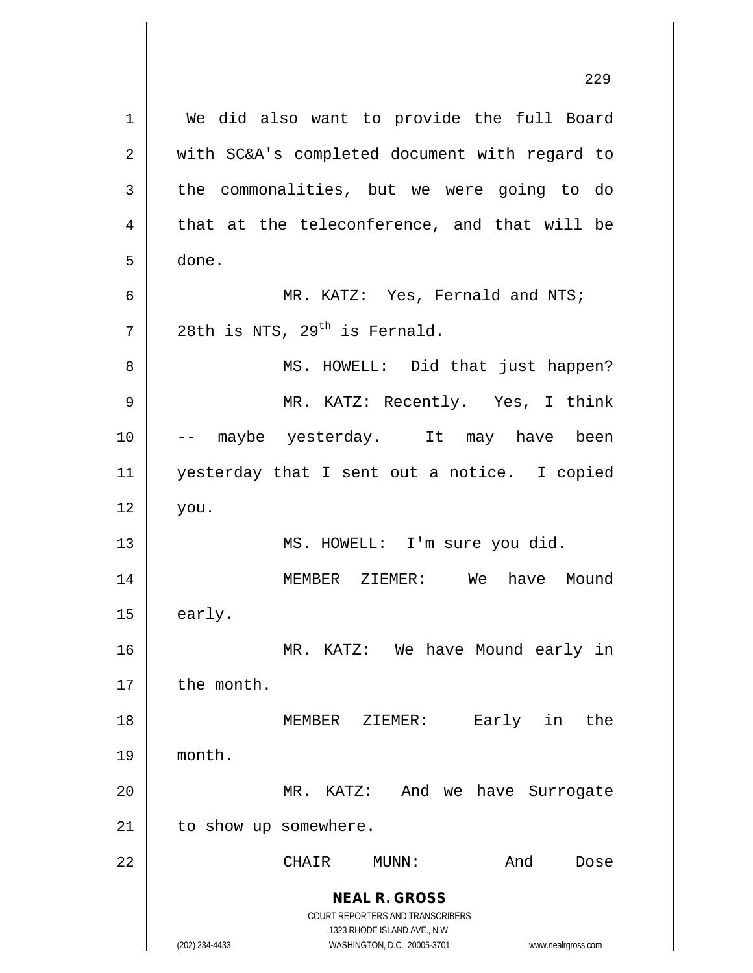**NEAL R. GROSS** COURT REPORTERS AND TRANSCRIBERS 1323 RHODE ISLAND AVE., N.W. (202) 234-4433 WASHINGTON, D.C. 20005-3701 www.nealrgross.com 1 || We did also want to provide the full Board 2 || with SC&A's completed document with regard to  $3$  the commonalities, but we were going to do  $4 \parallel$  that at the teleconference, and that will be 5 done.  $6 \parallel$  MR. KATZ: Yes, Fernald and NTS;  $7$  | 28th is NTS, 29<sup>th</sup> is Fernald. 8 MS. HOWELL: Did that just happen? 9 MR. KATZ: Recently. Yes, I think 10 -- maybe yesterday. It may have been 11 yesterday that I sent out a notice. I copied  $12 \parallel$  you. 13 || MS. HOWELL: I'm sure you did. 14 MEMBER ZIEMER: We have Mound  $15 \parallel$  early. 16 MR. KATZ: We have Mound early in 17 | the month. 18 MEMBER ZIEMER: Early in the 19 month. 20 MR. KATZ: And we have Surrogate 21 | to show up somewhere. 22 CHAIR MUNN: And Dose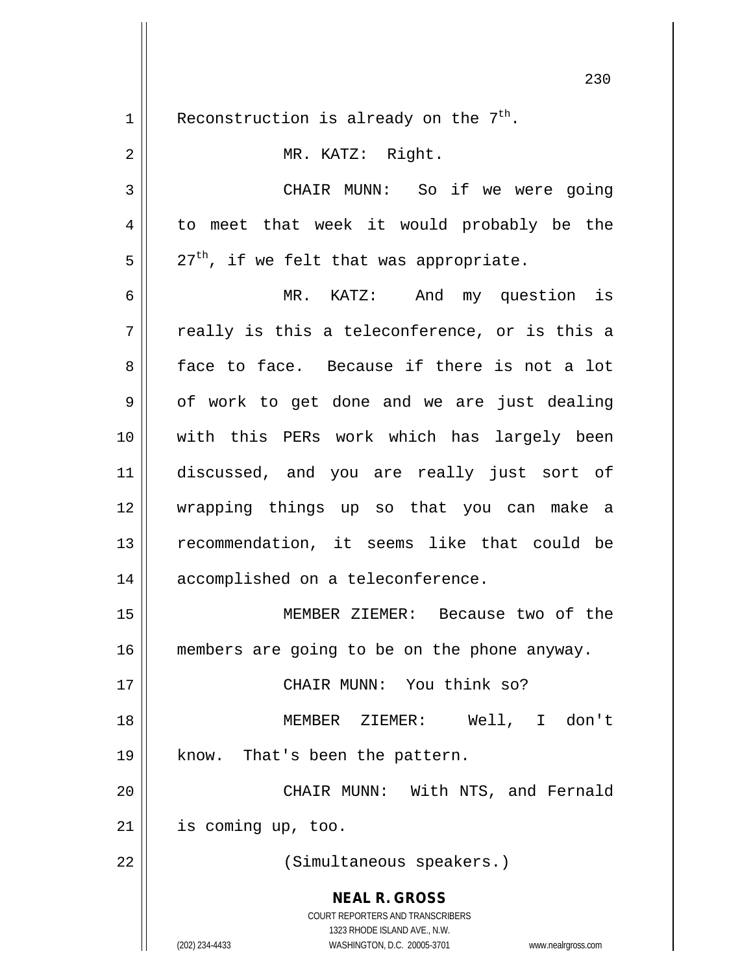**NEAL R. GROSS** COURT REPORTERS AND TRANSCRIBERS 1323 RHODE ISLAND AVE., N.W. (202) 234-4433 WASHINGTON, D.C. 20005-3701 www.nealrgross.com 1 | Reconstruction is already on the  $7<sup>th</sup>$ . 2 || MR. KATZ: Right. 3 CHAIR MUNN: So if we were going 4 || to meet that week it would probably be the  $5 \parallel 27^{\text{th}}$ , if we felt that was appropriate. 6 MR. KATZ: And my question is  $7 \parallel$  really is this a teleconference, or is this a 8 face to face. Because if there is not a lot  $9 \parallel$  of work to get done and we are just dealing 10 with this PERs work which has largely been 11 discussed, and you are really just sort of 12 wrapping things up so that you can make a 13 recommendation, it seems like that could be 14 || accomplished on a teleconference. 15 MEMBER ZIEMER: Because two of the 16 || members are going to be on the phone anyway. 17 CHAIR MUNN: You think so? 18 MEMBER ZIEMER: Well, I don't 19 || know. That's been the pattern. 20 || CHAIR MUNN: With NTS, and Fernald  $21$  | is coming up, too. 22 || (Simultaneous speakers.)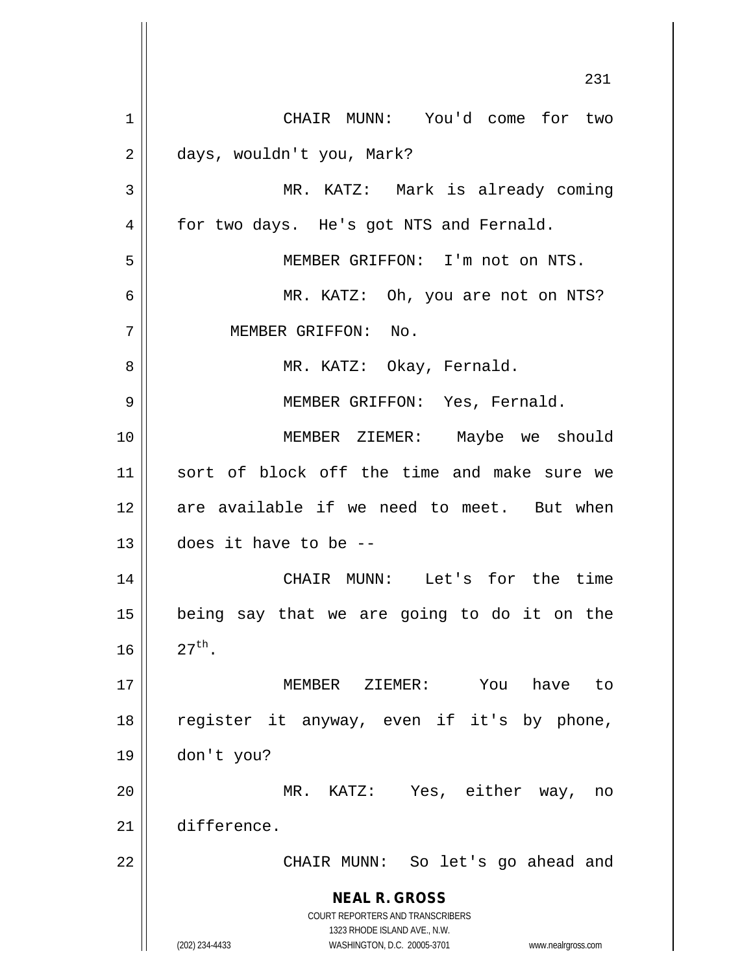**NEAL R. GROSS** COURT REPORTERS AND TRANSCRIBERS 1323 RHODE ISLAND AVE., N.W. (202) 234-4433 WASHINGTON, D.C. 20005-3701 www.nealrgross.com 1 | CHAIR MUNN: You'd come for two days, wouldn't you, Mark? MR. KATZ: Mark is already coming 4 | for two days. He's got NTS and Fernald. MEMBER GRIFFON: I'm not on NTS. MR. KATZ: Oh, you are not on NTS? MEMBER GRIFFON: No. MR. KATZ: Okay, Fernald. MEMBER GRIFFON: Yes, Fernald. MEMBER ZIEMER: Maybe we should sort of block off the time and make sure we 12 are available if we need to meet. But when does it have to be -- CHAIR MUNN: Let's for the time being say that we are going to do it on the  $\| 27^{th}$ . MEMBER ZIEMER: You have to register it anyway, even if it's by phone, don't you? MR. KATZ: Yes, either way, no difference. 22 || CHAIR MUNN: So let's go ahead and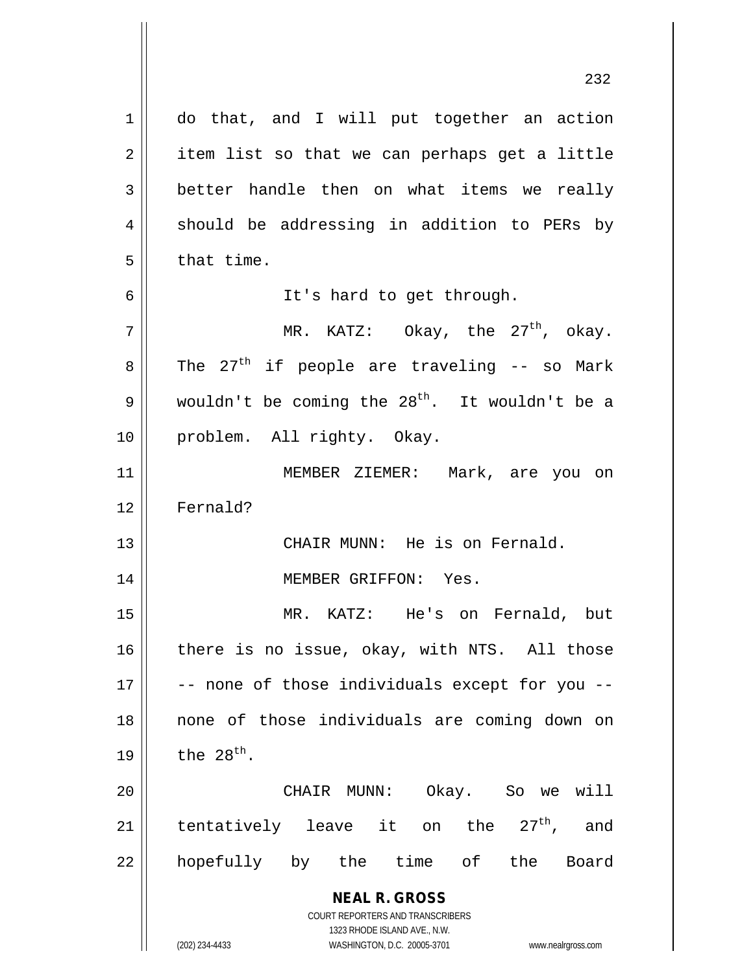**NEAL R. GROSS** COURT REPORTERS AND TRANSCRIBERS 1323 RHODE ISLAND AVE., N.W. (202) 234-4433 WASHINGTON, D.C. 20005-3701 www.nealrgross.com 1 | do that, and I will put together an action  $2 \parallel$  item list so that we can perhaps get a little  $3 \parallel$  better handle then on what items we really  $4 \parallel$  should be addressing in addition to PERs by  $5 \parallel$  that time. 6 It's hard to get through.  $7 \parallel$  MR. KATZ: Okay, the 27<sup>th</sup>, okay.  $8 \parallel$  The 27<sup>th</sup> if people are traveling -- so Mark 9 wouldn't be coming the 28<sup>th</sup>. It wouldn't be a 10 problem. All righty. Okay. 11 MEMBER ZIEMER: Mark, are you on 12 Fernald? 13 CHAIR MUNN: He is on Fernald. 14 MEMBER GRIFFON: Yes. 15 MR. KATZ: He's on Fernald, but  $16$  there is no issue, okay, with NTS. All those  $17$   $\parallel$  -- none of those individuals except for you --18 none of those individuals are coming down on 19  $\parallel$  the 28<sup>th</sup>. 20 CHAIR MUNN: Okay. So we will 21 || tentatively leave it on the  $27<sup>th</sup>$ , and 22 || hopefully by the time of the Board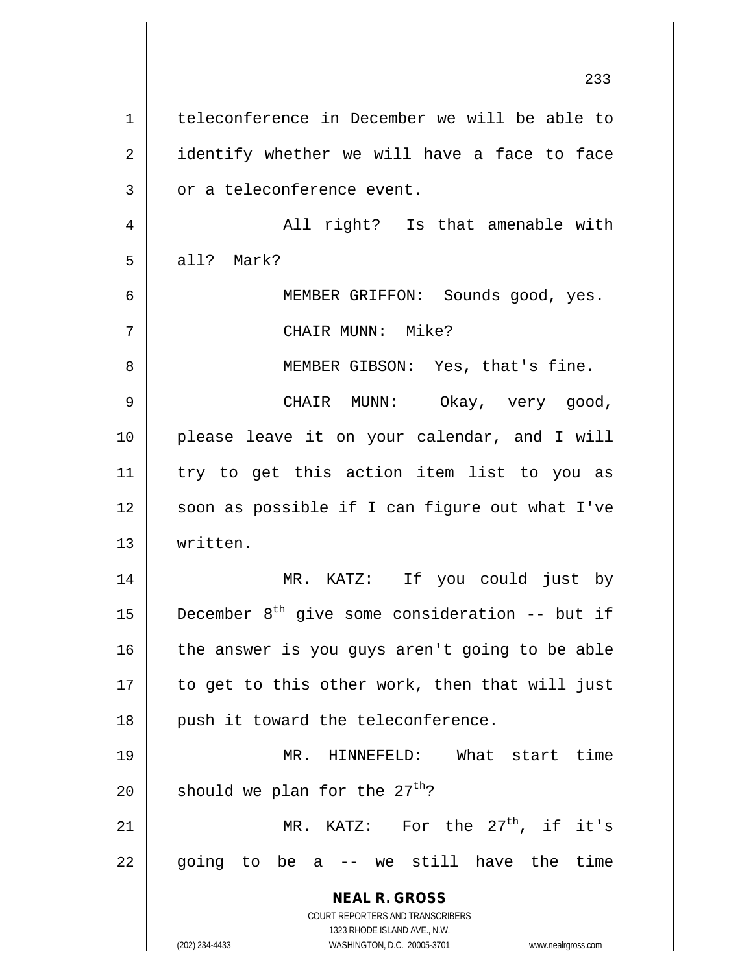**NEAL R. GROSS** COURT REPORTERS AND TRANSCRIBERS 1323 RHODE ISLAND AVE., N.W. (202) 234-4433 WASHINGTON, D.C. 20005-3701 www.nealrgross.com 233 1 | teleconference in December we will be able to  $2 \parallel$  identify whether we will have a face to face  $3 \parallel$  or a teleconference event. 4 All right? Is that amenable with  $5 \parallel$  all? Mark? 6 MEMBER GRIFFON: Sounds good, yes. 7 CHAIR MUNN: Mike? 8 || MEMBER GIBSON: Yes, that's fine. 9 CHAIR MUNN: Okay, very good, 10 please leave it on your calendar, and I will 11 try to get this action item list to you as 12 || soon as possible if I can figure out what I've 13 written. 14 MR. KATZ: If you could just by 15  $\parallel$  December 8<sup>th</sup> give some consideration -- but if  $16$  the answer is you guys aren't going to be able  $17$  | to get to this other work, then that will just  $18$  || push it toward the teleconference. 19 MR. HINNEFELD: What start time 20  $\parallel$  should we plan for the 27<sup>th</sup>? 21  $\parallel$  MR. KATZ: For the 27<sup>th</sup>, if it's  $22 \parallel$  going to be a -- we still have the time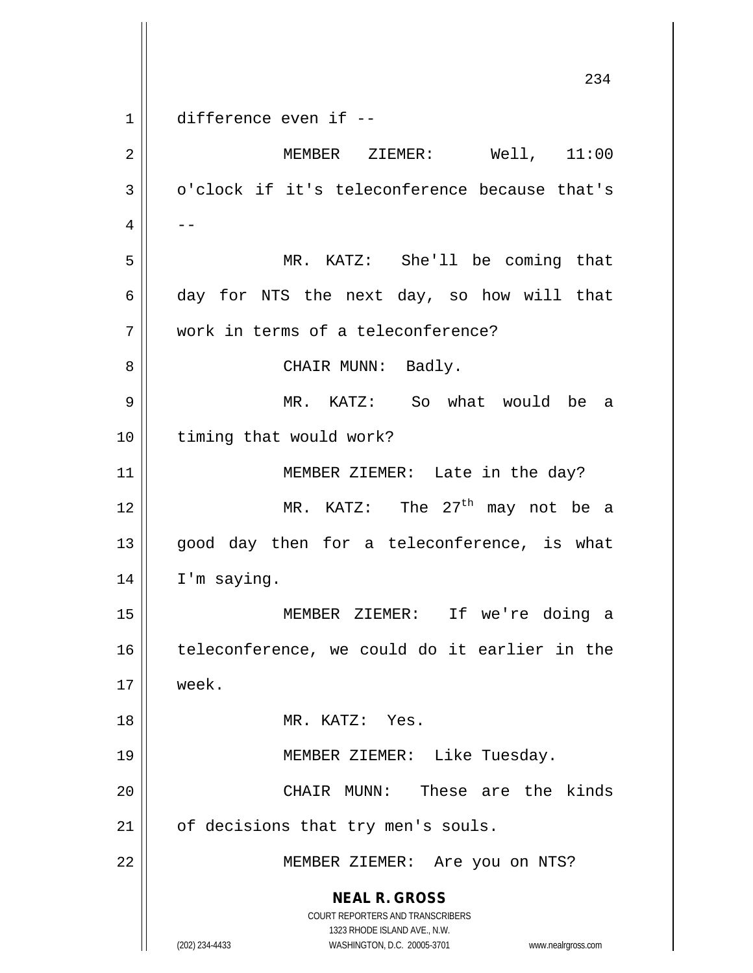**NEAL R. GROSS** COURT REPORTERS AND TRANSCRIBERS 1323 RHODE ISLAND AVE., N.W. (202) 234-4433 WASHINGTON, D.C. 20005-3701 www.nealrgross.com 234 1 difference even if --2 MEMBER ZIEMER: Well, 11:00  $3 \parallel$  o'clock if it's teleconference because that's  $4 \parallel - -$ 5 MR. KATZ: She'll be coming that 6 day for NTS the next day, so how will that 7 work in terms of a teleconference? 8 | CHAIR MUNN: Badly. 9 MR. KATZ: So what would be a 10 || timing that would work? 11 || MEMBER ZIEMER: Late in the day? 12  $\parallel$  MR. KATZ: The 27<sup>th</sup> may not be a  $13$  good day then for a teleconference, is what 14 | I'm saying. 15 MEMBER ZIEMER: If we're doing a 16 || teleconference, we could do it earlier in the 17 week. 18 MR. KATZ: Yes. 19 MEMBER ZIEMER: Like Tuesday. 20 CHAIR MUNN: These are the kinds 21 | of decisions that try men's souls. 22 || MEMBER ZIEMER: Are you on NTS?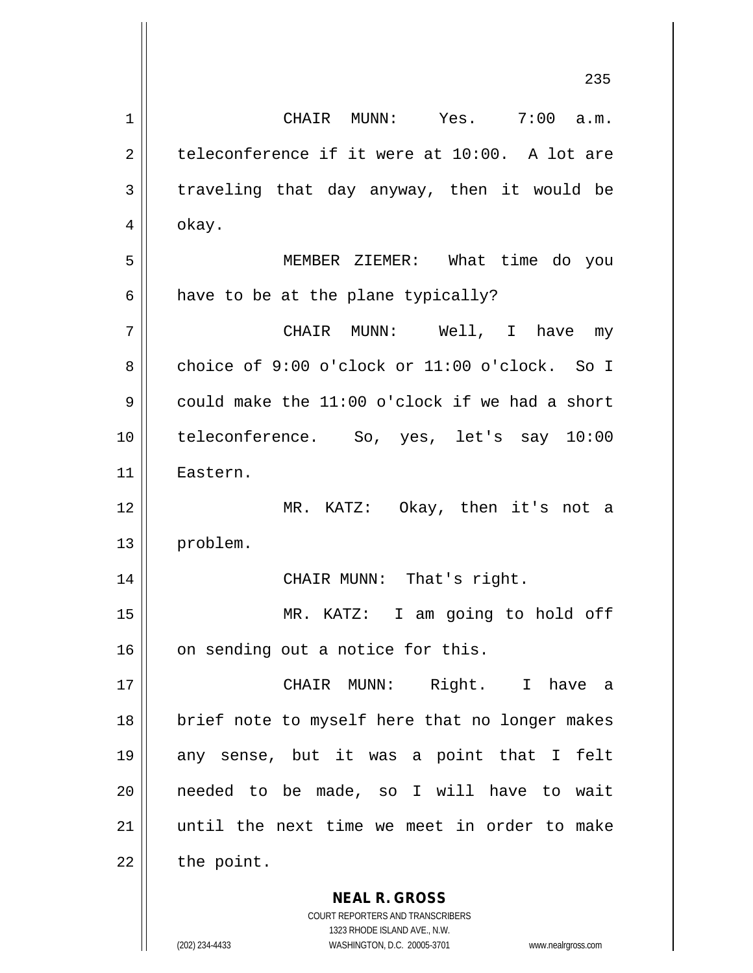**NEAL R. GROSS** 235 1 CHAIR MUNN: Yes. 7:00 a.m.  $2 \parallel$  teleconference if it were at 10:00. A lot are  $3 \parallel$  traveling that day anyway, then it would be  $4 \parallel$  okay. 5 MEMBER ZIEMER: What time do you  $6$  have to be at the plane typically? 7 CHAIR MUNN: Well, I have my 8 choice of 9:00 o'clock or 11:00 o'clock. So I 9 could make the  $11:00$  o'clock if we had a short 10 teleconference. So, yes, let's say 10:00 11 Eastern. 12 MR. KATZ: Okay, then it's not a 13 problem. 14 CHAIR MUNN: That's right. 15 MR. KATZ: I am going to hold off  $16$  | on sending out a notice for this. 17 CHAIR MUNN: Right. I have a 18 || brief note to myself here that no longer makes 19 any sense, but it was a point that I felt 20 needed to be made, so I will have to wait 21 until the next time we meet in order to make  $22$  | the point.

> COURT REPORTERS AND TRANSCRIBERS 1323 RHODE ISLAND AVE., N.W.